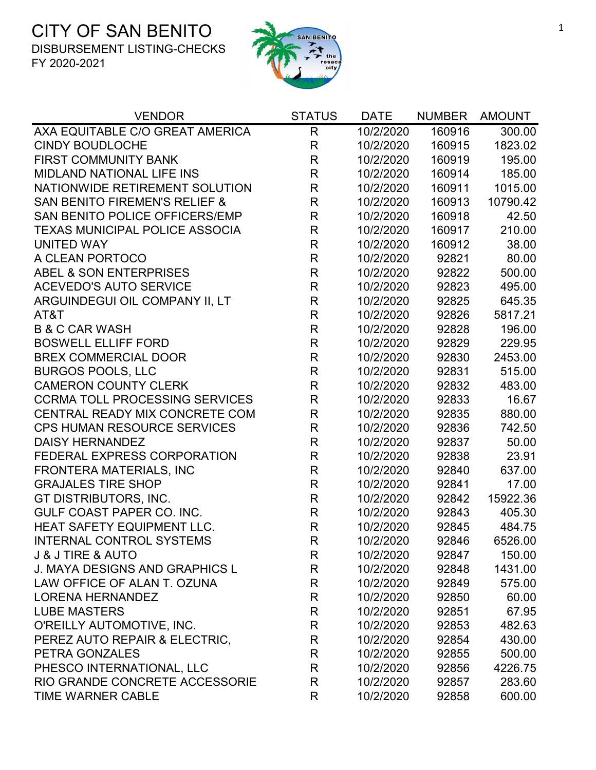

| <b>VENDOR</b>                            | <b>STATUS</b> | <b>DATE</b> | <b>NUMBER</b> | <b>AMOUNT</b> |
|------------------------------------------|---------------|-------------|---------------|---------------|
| AXA EQUITABLE C/O GREAT AMERICA          | $\mathsf{R}$  | 10/2/2020   | 160916        | 300.00        |
| <b>CINDY BOUDLOCHE</b>                   | R             | 10/2/2020   | 160915        | 1823.02       |
| <b>FIRST COMMUNITY BANK</b>              | R             | 10/2/2020   | 160919        | 195.00        |
| <b>MIDLAND NATIONAL LIFE INS</b>         | R             | 10/2/2020   | 160914        | 185.00        |
| NATIONWIDE RETIREMENT SOLUTION           | R             | 10/2/2020   | 160911        | 1015.00       |
| <b>SAN BENITO FIREMEN'S RELIEF &amp;</b> | $\mathsf{R}$  | 10/2/2020   | 160913        | 10790.42      |
| SAN BENITO POLICE OFFICERS/EMP           | $\mathsf{R}$  | 10/2/2020   | 160918        | 42.50         |
| <b>TEXAS MUNICIPAL POLICE ASSOCIA</b>    | R             | 10/2/2020   | 160917        | 210.00        |
| <b>UNITED WAY</b>                        | R             | 10/2/2020   | 160912        | 38.00         |
| A CLEAN PORTOCO                          | R             | 10/2/2020   | 92821         | 80.00         |
| <b>ABEL &amp; SON ENTERPRISES</b>        | $\mathsf{R}$  | 10/2/2020   | 92822         | 500.00        |
| <b>ACEVEDO'S AUTO SERVICE</b>            | $\mathsf{R}$  | 10/2/2020   | 92823         | 495.00        |
| ARGUINDEGUI OIL COMPANY II, LT           | R             | 10/2/2020   | 92825         | 645.35        |
| AT&T                                     | R             | 10/2/2020   | 92826         | 5817.21       |
| <b>B &amp; C CAR WASH</b>                | $\mathsf{R}$  | 10/2/2020   | 92828         | 196.00        |
| <b>BOSWELL ELLIFF FORD</b>               | R             | 10/2/2020   | 92829         | 229.95        |
| <b>BREX COMMERCIAL DOOR</b>              | $\mathsf{R}$  | 10/2/2020   | 92830         | 2453.00       |
| <b>BURGOS POOLS, LLC</b>                 | R             | 10/2/2020   | 92831         | 515.00        |
| <b>CAMERON COUNTY CLERK</b>              | R             | 10/2/2020   | 92832         | 483.00        |
| <b>CCRMA TOLL PROCESSING SERVICES</b>    | R             | 10/2/2020   | 92833         | 16.67         |
| CENTRAL READY MIX CONCRETE COM           | $\mathsf{R}$  | 10/2/2020   | 92835         | 880.00        |
| <b>CPS HUMAN RESOURCE SERVICES</b>       | $\mathsf R$   | 10/2/2020   | 92836         | 742.50        |
| <b>DAISY HERNANDEZ</b>                   | R             | 10/2/2020   | 92837         | 50.00         |
| FEDERAL EXPRESS CORPORATION              | $\mathsf R$   | 10/2/2020   | 92838         | 23.91         |
| FRONTERA MATERIALS, INC                  | $\mathsf{R}$  | 10/2/2020   | 92840         | 637.00        |
| <b>GRAJALES TIRE SHOP</b>                | $\mathsf{R}$  | 10/2/2020   | 92841         | 17.00         |
| GT DISTRIBUTORS, INC.                    | R             | 10/2/2020   | 92842         | 15922.36      |
| <b>GULF COAST PAPER CO. INC.</b>         | $\mathsf{R}$  | 10/2/2020   | 92843         | 405.30        |
| <b>HEAT SAFETY EQUIPMENT LLC.</b>        | $\mathsf R$   | 10/2/2020   | 92845         | 484.75        |
| <b>INTERNAL CONTROL SYSTEMS</b>          | R             | 10/2/2020   | 92846         | 6526.00       |
| <b>J &amp; J TIRE &amp; AUTO</b>         | R             | 10/2/2020   | 92847         | 150.00        |
| <b>J. MAYA DESIGNS AND GRAPHICS L</b>    | R             | 10/2/2020   | 92848         | 1431.00       |
| LAW OFFICE OF ALAN T. OZUNA              | R             | 10/2/2020   | 92849         | 575.00        |
| <b>LORENA HERNANDEZ</b>                  | R             | 10/2/2020   | 92850         | 60.00         |
| <b>LUBE MASTERS</b>                      | R             | 10/2/2020   | 92851         | 67.95         |
| O'REILLY AUTOMOTIVE, INC.                | R             | 10/2/2020   | 92853         | 482.63        |
| PEREZ AUTO REPAIR & ELECTRIC,            | R             | 10/2/2020   | 92854         | 430.00        |
| PETRA GONZALES                           | R             | 10/2/2020   | 92855         | 500.00        |
| PHESCO INTERNATIONAL, LLC                | R             | 10/2/2020   | 92856         | 4226.75       |
| RIO GRANDE CONCRETE ACCESSORIE           | R             | 10/2/2020   | 92857         | 283.60        |
| <b>TIME WARNER CABLE</b>                 | R             | 10/2/2020   | 92858         | 600.00        |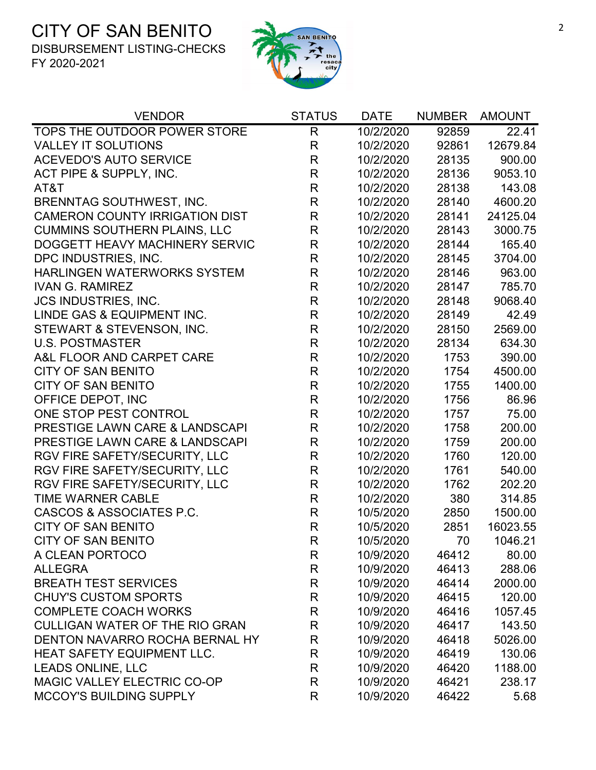

| <b>VENDOR</b>                         | <b>STATUS</b> | <b>DATE</b> | <b>NUMBER</b> | <b>AMOUNT</b> |
|---------------------------------------|---------------|-------------|---------------|---------------|
| TOPS THE OUTDOOR POWER STORE          | $\mathsf{R}$  | 10/2/2020   | 92859         | 22.41         |
| <b>VALLEY IT SOLUTIONS</b>            | R             | 10/2/2020   | 92861         | 12679.84      |
| <b>ACEVEDO'S AUTO SERVICE</b>         | R             | 10/2/2020   | 28135         | 900.00        |
| ACT PIPE & SUPPLY, INC.               | R             | 10/2/2020   | 28136         | 9053.10       |
| AT&T                                  | $\mathsf{R}$  | 10/2/2020   | 28138         | 143.08        |
| <b>BRENNTAG SOUTHWEST, INC.</b>       | R             | 10/2/2020   | 28140         | 4600.20       |
| <b>CAMERON COUNTY IRRIGATION DIST</b> | R             | 10/2/2020   | 28141         | 24125.04      |
| <b>CUMMINS SOUTHERN PLAINS, LLC</b>   | R             | 10/2/2020   | 28143         | 3000.75       |
| DOGGETT HEAVY MACHINERY SERVIC        | R             | 10/2/2020   | 28144         | 165.40        |
| DPC INDUSTRIES, INC.                  | $\mathsf R$   | 10/2/2020   | 28145         | 3704.00       |
| <b>HARLINGEN WATERWORKS SYSTEM</b>    | R             | 10/2/2020   | 28146         | 963.00        |
| <b>IVAN G. RAMIREZ</b>                | $\mathsf{R}$  | 10/2/2020   | 28147         | 785.70        |
| <b>JCS INDUSTRIES, INC.</b>           | $\mathsf{R}$  | 10/2/2020   | 28148         | 9068.40       |
| LINDE GAS & EQUIPMENT INC.            | $\mathsf{R}$  | 10/2/2020   | 28149         | 42.49         |
| STEWART & STEVENSON, INC.             | $\mathsf{R}$  | 10/2/2020   | 28150         | 2569.00       |
| <b>U.S. POSTMASTER</b>                | $\mathsf{R}$  | 10/2/2020   | 28134         | 634.30        |
| A&L FLOOR AND CARPET CARE             | $\mathsf{R}$  | 10/2/2020   | 1753          | 390.00        |
| <b>CITY OF SAN BENITO</b>             | $\mathsf{R}$  | 10/2/2020   | 1754          | 4500.00       |
| <b>CITY OF SAN BENITO</b>             | $\mathsf{R}$  | 10/2/2020   | 1755          | 1400.00       |
| OFFICE DEPOT, INC                     | $\mathsf{R}$  | 10/2/2020   | 1756          | 86.96         |
| ONE STOP PEST CONTROL                 | $\mathsf{R}$  | 10/2/2020   | 1757          | 75.00         |
| PRESTIGE LAWN CARE & LANDSCAPI        | $\mathsf{R}$  | 10/2/2020   | 1758          | 200.00        |
| PRESTIGE LAWN CARE & LANDSCAPI        | R             | 10/2/2020   | 1759          | 200.00        |
| RGV FIRE SAFETY/SECURITY, LLC         | $\mathsf R$   | 10/2/2020   | 1760          | 120.00        |
| RGV FIRE SAFETY/SECURITY, LLC         | $\mathsf{R}$  | 10/2/2020   | 1761          | 540.00        |
| RGV FIRE SAFETY/SECURITY, LLC         | $\mathsf{R}$  | 10/2/2020   | 1762          | 202.20        |
| <b>TIME WARNER CABLE</b>              | R             | 10/2/2020   | 380           | 314.85        |
| CASCOS & ASSOCIATES P.C.              | $\mathsf{R}$  | 10/5/2020   | 2850          | 1500.00       |
| <b>CITY OF SAN BENITO</b>             | $\mathsf{R}$  | 10/5/2020   | 2851          | 16023.55      |
| <b>CITY OF SAN BENITO</b>             | R             | 10/5/2020   | 70            | 1046.21       |
| A CLEAN PORTOCO                       | R             | 10/9/2020   | 46412         | 80.00         |
| <b>ALLEGRA</b>                        | R             | 10/9/2020   | 46413         | 288.06        |
| <b>BREATH TEST SERVICES</b>           | R             | 10/9/2020   | 46414         | 2000.00       |
| <b>CHUY'S CUSTOM SPORTS</b>           | $\mathsf{R}$  | 10/9/2020   | 46415         | 120.00        |
| <b>COMPLETE COACH WORKS</b>           | R             | 10/9/2020   | 46416         | 1057.45       |
| <b>CULLIGAN WATER OF THE RIO GRAN</b> | R             | 10/9/2020   | 46417         | 143.50        |
| DENTON NAVARRO ROCHA BERNAL HY        | R             | 10/9/2020   | 46418         | 5026.00       |
| HEAT SAFETY EQUIPMENT LLC.            | R             | 10/9/2020   | 46419         | 130.06        |
| <b>LEADS ONLINE, LLC</b>              | R             | 10/9/2020   | 46420         | 1188.00       |
| MAGIC VALLEY ELECTRIC CO-OP           | R             | 10/9/2020   | 46421         | 238.17        |
| <b>MCCOY'S BUILDING SUPPLY</b>        | R             | 10/9/2020   | 46422         | 5.68          |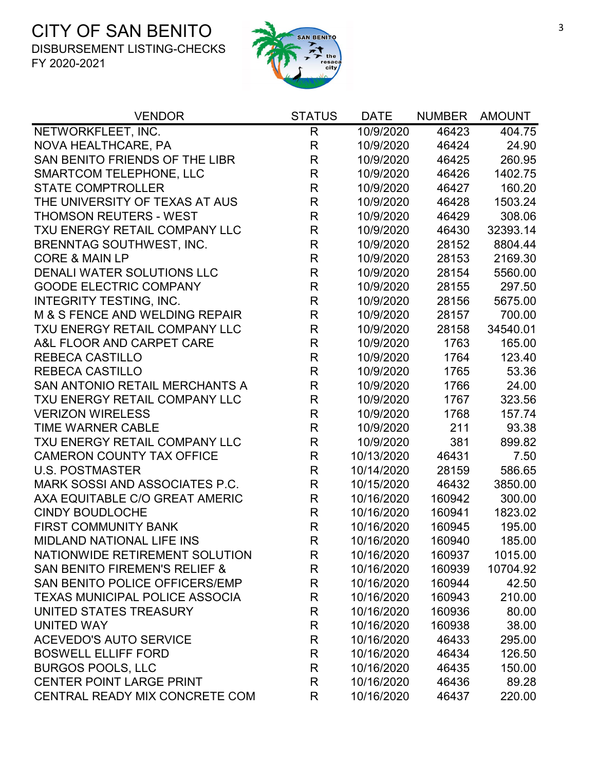

| <b>VENDOR</b>                            | <b>STATUS</b> | <b>DATE</b> | <b>NUMBER</b> | <b>AMOUNT</b> |
|------------------------------------------|---------------|-------------|---------------|---------------|
| NETWORKFLEET, INC.                       | $\mathsf{R}$  | 10/9/2020   | 46423         | 404.75        |
| NOVA HEALTHCARE, PA                      | R             | 10/9/2020   | 46424         | 24.90         |
| SAN BENITO FRIENDS OF THE LIBR           | R             | 10/9/2020   | 46425         | 260.95        |
| <b>SMARTCOM TELEPHONE, LLC</b>           | $\mathsf{R}$  | 10/9/2020   | 46426         | 1402.75       |
| <b>STATE COMPTROLLER</b>                 | R             | 10/9/2020   | 46427         | 160.20        |
| THE UNIVERSITY OF TEXAS AT AUS           | $\mathsf{R}$  | 10/9/2020   | 46428         | 1503.24       |
| THOMSON REUTERS - WEST                   | $\mathsf R$   | 10/9/2020   | 46429         | 308.06        |
| TXU ENERGY RETAIL COMPANY LLC            | $\mathsf{R}$  | 10/9/2020   | 46430         | 32393.14      |
| <b>BRENNTAG SOUTHWEST, INC.</b>          | $\mathsf R$   | 10/9/2020   | 28152         | 8804.44       |
| <b>CORE &amp; MAIN LP</b>                | R             | 10/9/2020   | 28153         | 2169.30       |
| DENALI WATER SOLUTIONS LLC               | $\mathsf R$   | 10/9/2020   | 28154         | 5560.00       |
| <b>GOODE ELECTRIC COMPANY</b>            | $\mathsf{R}$  | 10/9/2020   | 28155         | 297.50        |
| <b>INTEGRITY TESTING, INC.</b>           | $\mathsf{R}$  | 10/9/2020   | 28156         | 5675.00       |
| M & S FENCE AND WELDING REPAIR           | $\mathsf{R}$  | 10/9/2020   | 28157         | 700.00        |
| TXU ENERGY RETAIL COMPANY LLC            | $\mathsf{R}$  | 10/9/2020   | 28158         | 34540.01      |
| A&L FLOOR AND CARPET CARE                | $\mathsf{R}$  | 10/9/2020   | 1763          | 165.00        |
| <b>REBECA CASTILLO</b>                   | $\mathsf R$   | 10/9/2020   | 1764          | 123.40        |
| <b>REBECA CASTILLO</b>                   | R             | 10/9/2020   | 1765          | 53.36         |
| SAN ANTONIO RETAIL MERCHANTS A           | $\mathsf R$   | 10/9/2020   | 1766          | 24.00         |
| TXU ENERGY RETAIL COMPANY LLC            | $\mathsf{R}$  | 10/9/2020   | 1767          | 323.56        |
| <b>VERIZON WIRELESS</b>                  | $\mathsf{R}$  | 10/9/2020   | 1768          | 157.74        |
| TIME WARNER CABLE                        | $\mathsf{R}$  | 10/9/2020   | 211           | 93.38         |
| TXU ENERGY RETAIL COMPANY LLC            | R             | 10/9/2020   | 381           | 899.82        |
| <b>CAMERON COUNTY TAX OFFICE</b>         | $\mathsf R$   | 10/13/2020  | 46431         | 7.50          |
| <b>U.S. POSTMASTER</b>                   | R             | 10/14/2020  | 28159         | 586.65        |
| MARK SOSSI AND ASSOCIATES P.C.           | $\mathsf R$   | 10/15/2020  | 46432         | 3850.00       |
| AXA EQUITABLE C/O GREAT AMERIC           | R             | 10/16/2020  | 160942        | 300.00        |
| <b>CINDY BOUDLOCHE</b>                   | R             | 10/16/2020  | 160941        | 1823.02       |
| <b>FIRST COMMUNITY BANK</b>              | $\mathsf{R}$  | 10/16/2020  | 160945        | 195.00        |
| <b>MIDLAND NATIONAL LIFE INS</b>         | R             | 10/16/2020  | 160940        | 185.00        |
| NATIONWIDE RETIREMENT SOLUTION           | R             | 10/16/2020  | 160937        | 1015.00       |
| <b>SAN BENITO FIREMEN'S RELIEF &amp;</b> | R             | 10/16/2020  | 160939        | 10704.92      |
| SAN BENITO POLICE OFFICERS/EMP           | R             | 10/16/2020  | 160944        | 42.50         |
| <b>TEXAS MUNICIPAL POLICE ASSOCIA</b>    | R             | 10/16/2020  | 160943        | 210.00        |
| UNITED STATES TREASURY                   | R             | 10/16/2020  | 160936        | 80.00         |
| UNITED WAY                               | R             | 10/16/2020  | 160938        | 38.00         |
| <b>ACEVEDO'S AUTO SERVICE</b>            | R             | 10/16/2020  | 46433         | 295.00        |
| <b>BOSWELL ELLIFF FORD</b>               | R             | 10/16/2020  | 46434         | 126.50        |
| <b>BURGOS POOLS, LLC</b>                 | R             | 10/16/2020  | 46435         | 150.00        |
| <b>CENTER POINT LARGE PRINT</b>          | R             | 10/16/2020  | 46436         | 89.28         |
| CENTRAL READY MIX CONCRETE COM           | R             | 10/16/2020  | 46437         | 220.00        |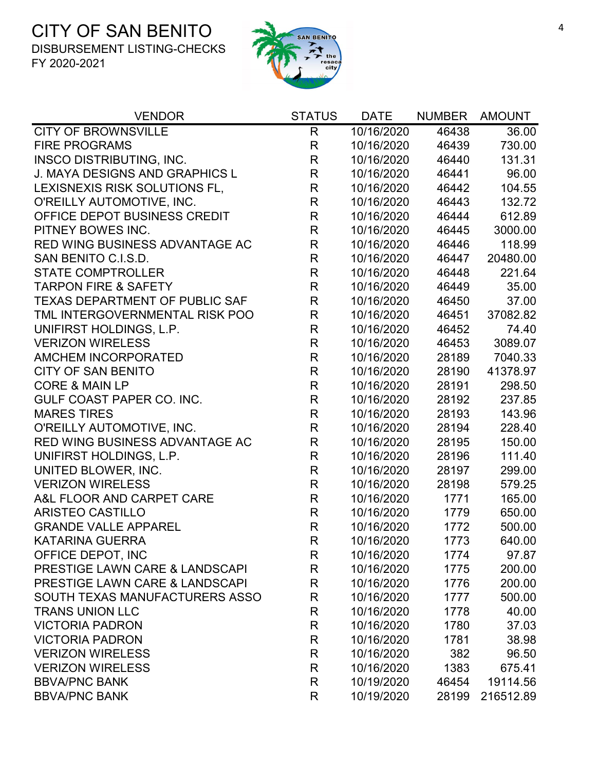

| <b>VENDOR</b>                             | <b>STATUS</b> | <b>DATE</b> | <b>NUMBER</b> | <b>AMOUNT</b> |
|-------------------------------------------|---------------|-------------|---------------|---------------|
| <b>CITY OF BROWNSVILLE</b>                | R             | 10/16/2020  | 46438         | 36.00         |
| <b>FIRE PROGRAMS</b>                      | R             | 10/16/2020  | 46439         | 730.00        |
| <b>INSCO DISTRIBUTING, INC.</b>           | R             | 10/16/2020  | 46440         | 131.31        |
| J. MAYA DESIGNS AND GRAPHICS L            | R             | 10/16/2020  | 46441         | 96.00         |
| LEXISNEXIS RISK SOLUTIONS FL,             | R             | 10/16/2020  | 46442         | 104.55        |
| O'REILLY AUTOMOTIVE, INC.                 | R             | 10/16/2020  | 46443         | 132.72        |
| OFFICE DEPOT BUSINESS CREDIT              | $\mathsf R$   | 10/16/2020  | 46444         | 612.89        |
| PITNEY BOWES INC.                         | $\mathsf{R}$  | 10/16/2020  | 46445         | 3000.00       |
| RED WING BUSINESS ADVANTAGE AC            | R             | 10/16/2020  | 46446         | 118.99        |
| SAN BENITO C.I.S.D.                       | R             | 10/16/2020  | 46447         | 20480.00      |
| <b>STATE COMPTROLLER</b>                  | $\mathsf{R}$  | 10/16/2020  | 46448         | 221.64        |
| <b>TARPON FIRE &amp; SAFETY</b>           | R             | 10/16/2020  | 46449         | 35.00         |
| <b>TEXAS DEPARTMENT OF PUBLIC SAF</b>     | R             | 10/16/2020  | 46450         | 37.00         |
| TML INTERGOVERNMENTAL RISK POO            | R             | 10/16/2020  | 46451         | 37082.82      |
| UNIFIRST HOLDINGS, L.P.                   | $\mathsf R$   | 10/16/2020  | 46452         | 74.40         |
| <b>VERIZON WIRELESS</b>                   | $\mathsf{R}$  | 10/16/2020  | 46453         | 3089.07       |
| <b>AMCHEM INCORPORATED</b>                | R             | 10/16/2020  | 28189         | 7040.33       |
| <b>CITY OF SAN BENITO</b>                 | R             | 10/16/2020  | 28190         | 41378.97      |
| <b>CORE &amp; MAIN LP</b>                 | R             | 10/16/2020  | 28191         | 298.50        |
| <b>GULF COAST PAPER CO. INC.</b>          | R             | 10/16/2020  | 28192         | 237.85        |
| <b>MARES TIRES</b>                        | $\mathsf{R}$  | 10/16/2020  | 28193         | 143.96        |
| O'REILLY AUTOMOTIVE, INC.                 | R             | 10/16/2020  | 28194         | 228.40        |
| RED WING BUSINESS ADVANTAGE AC            | R             | 10/16/2020  | 28195         | 150.00        |
| UNIFIRST HOLDINGS, L.P.                   | $\mathsf{R}$  | 10/16/2020  | 28196         | 111.40        |
| UNITED BLOWER, INC.                       | R             | 10/16/2020  | 28197         | 299.00        |
| <b>VERIZON WIRELESS</b>                   | $\mathsf{R}$  | 10/16/2020  | 28198         | 579.25        |
| A&L FLOOR AND CARPET CARE                 | R             | 10/16/2020  | 1771          | 165.00        |
| <b>ARISTEO CASTILLO</b>                   | R             | 10/16/2020  | 1779          | 650.00        |
| <b>GRANDE VALLE APPAREL</b>               | $\mathsf R$   | 10/16/2020  | 1772          | 500.00        |
| <b>KATARINA GUERRA</b>                    | R             | 10/16/2020  | 1773          | 640.00        |
| OFFICE DEPOT, INC                         | R             | 10/16/2020  | 1774          | 97.87         |
| <b>PRESTIGE LAWN CARE &amp; LANDSCAPI</b> | R             | 10/16/2020  | 1775          | 200.00        |
| PRESTIGE LAWN CARE & LANDSCAPI            | R             | 10/16/2020  | 1776          | 200.00        |
| SOUTH TEXAS MANUFACTURERS ASSO            | R             | 10/16/2020  | 1777          | 500.00        |
| <b>TRANS UNION LLC</b>                    | R             | 10/16/2020  | 1778          | 40.00         |
| <b>VICTORIA PADRON</b>                    | R             | 10/16/2020  | 1780          | 37.03         |
| <b>VICTORIA PADRON</b>                    | R             | 10/16/2020  | 1781          | 38.98         |
| <b>VERIZON WIRELESS</b>                   | R             | 10/16/2020  | 382           | 96.50         |
| <b>VERIZON WIRELESS</b>                   | R             | 10/16/2020  | 1383          | 675.41        |
| <b>BBVA/PNC BANK</b>                      | R             | 10/19/2020  | 46454         | 19114.56      |
| <b>BBVA/PNC BANK</b>                      | R             | 10/19/2020  | 28199         | 216512.89     |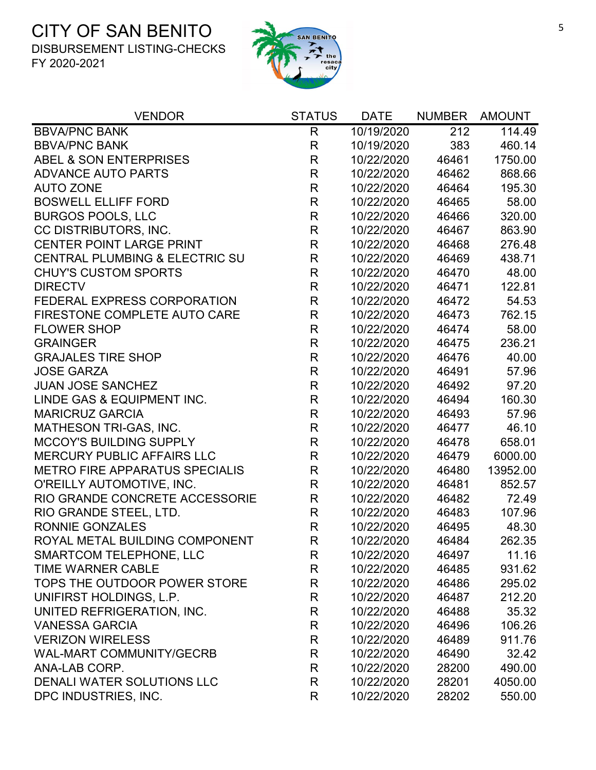

| <b>VENDOR</b>                         | <b>STATUS</b> | <b>DATE</b> | <b>NUMBER</b> | <b>AMOUNT</b> |
|---------------------------------------|---------------|-------------|---------------|---------------|
| <b>BBVA/PNC BANK</b>                  | R             | 10/19/2020  | 212           | 114.49        |
| <b>BBVA/PNC BANK</b>                  | $\mathsf{R}$  | 10/19/2020  | 383           | 460.14        |
| <b>ABEL &amp; SON ENTERPRISES</b>     | $\mathsf{R}$  | 10/22/2020  | 46461         | 1750.00       |
| <b>ADVANCE AUTO PARTS</b>             | $\mathsf{R}$  | 10/22/2020  | 46462         | 868.66        |
| <b>AUTO ZONE</b>                      | $\mathsf{R}$  | 10/22/2020  | 46464         | 195.30        |
| <b>BOSWELL ELLIFF FORD</b>            | $\mathsf{R}$  | 10/22/2020  | 46465         | 58.00         |
| <b>BURGOS POOLS, LLC</b>              | $\mathsf{R}$  | 10/22/2020  | 46466         | 320.00        |
| CC DISTRIBUTORS, INC.                 | $\mathsf{R}$  | 10/22/2020  | 46467         | 863.90        |
| <b>CENTER POINT LARGE PRINT</b>       | $\mathsf{R}$  | 10/22/2020  | 46468         | 276.48        |
| CENTRAL PLUMBING & ELECTRIC SU        | $\mathsf{R}$  | 10/22/2020  | 46469         | 438.71        |
| <b>CHUY'S CUSTOM SPORTS</b>           | $\mathsf{R}$  | 10/22/2020  | 46470         | 48.00         |
| <b>DIRECTV</b>                        | $\mathsf{R}$  | 10/22/2020  | 46471         | 122.81        |
| FEDERAL EXPRESS CORPORATION           | $\mathsf{R}$  | 10/22/2020  | 46472         | 54.53         |
| FIRESTONE COMPLETE AUTO CARE          | $\mathsf R$   | 10/22/2020  | 46473         | 762.15        |
| <b>FLOWER SHOP</b>                    | $\mathsf R$   | 10/22/2020  | 46474         | 58.00         |
| <b>GRAINGER</b>                       | $\mathsf{R}$  | 10/22/2020  | 46475         | 236.21        |
| <b>GRAJALES TIRE SHOP</b>             | $\mathsf{R}$  | 10/22/2020  | 46476         | 40.00         |
| <b>JOSE GARZA</b>                     | R             | 10/22/2020  | 46491         | 57.96         |
| <b>JUAN JOSE SANCHEZ</b>              | $\mathsf R$   | 10/22/2020  | 46492         | 97.20         |
| LINDE GAS & EQUIPMENT INC.            | $\mathsf{R}$  | 10/22/2020  | 46494         | 160.30        |
| <b>MARICRUZ GARCIA</b>                | $\mathsf{R}$  | 10/22/2020  | 46493         | 57.96         |
| MATHESON TRI-GAS, INC.                | $\mathsf{R}$  | 10/22/2020  | 46477         | 46.10         |
| <b>MCCOY'S BUILDING SUPPLY</b>        | $\mathsf{R}$  | 10/22/2020  | 46478         | 658.01        |
| <b>MERCURY PUBLIC AFFAIRS LLC</b>     | $\mathsf{R}$  | 10/22/2020  | 46479         | 6000.00       |
| <b>METRO FIRE APPARATUS SPECIALIS</b> | $\mathsf R$   | 10/22/2020  | 46480         | 13952.00      |
| O'REILLY AUTOMOTIVE, INC.             | $\mathsf R$   | 10/22/2020  | 46481         | 852.57        |
| RIO GRANDE CONCRETE ACCESSORIE        | $\mathsf{R}$  | 10/22/2020  | 46482         | 72.49         |
| RIO GRANDE STEEL, LTD.                | $\mathsf{R}$  | 10/22/2020  | 46483         | 107.96        |
| <b>RONNIE GONZALES</b>                | $\mathsf{R}$  | 10/22/2020  | 46495         | 48.30         |
| ROYAL METAL BUILDING COMPONENT        | R             | 10/22/2020  | 46484         | 262.35        |
| <b>SMARTCOM TELEPHONE, LLC</b>        | R             | 10/22/2020  | 46497         | 11.16         |
| <b>TIME WARNER CABLE</b>              | R             | 10/22/2020  | 46485         | 931.62        |
| TOPS THE OUTDOOR POWER STORE          | R             | 10/22/2020  | 46486         | 295.02        |
| UNIFIRST HOLDINGS, L.P.               | R             | 10/22/2020  | 46487         | 212.20        |
| UNITED REFRIGERATION, INC.            | R             | 10/22/2020  | 46488         | 35.32         |
| <b>VANESSA GARCIA</b>                 | R             | 10/22/2020  | 46496         | 106.26        |
| <b>VERIZON WIRELESS</b>               | R             | 10/22/2020  | 46489         | 911.76        |
| <b>WAL-MART COMMUNITY/GECRB</b>       | R             | 10/22/2020  | 46490         | 32.42         |
| ANA-LAB CORP.                         | R             | 10/22/2020  | 28200         | 490.00        |
| DENALI WATER SOLUTIONS LLC            | R             | 10/22/2020  | 28201         | 4050.00       |
| DPC INDUSTRIES, INC.                  | R             | 10/22/2020  | 28202         | 550.00        |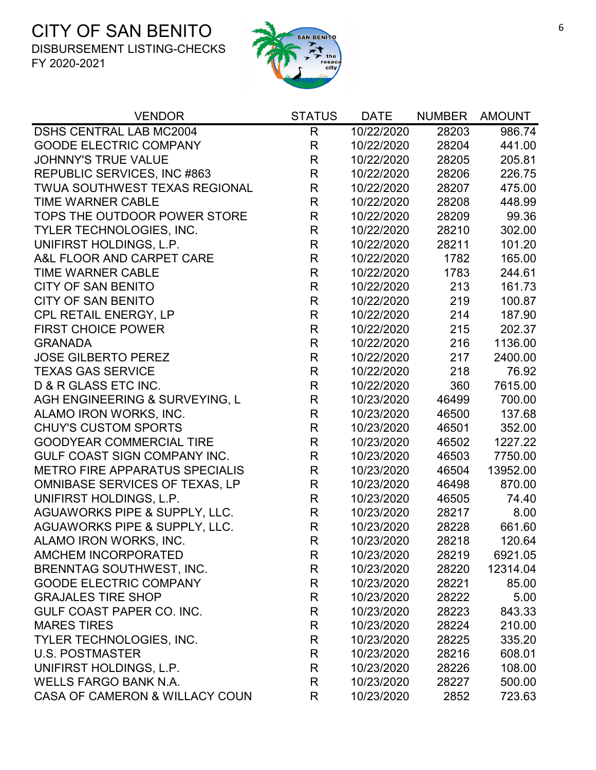

| <b>VENDOR</b>                         | <b>STATUS</b> | <b>DATE</b> | <b>NUMBER</b> | <b>AMOUNT</b> |
|---------------------------------------|---------------|-------------|---------------|---------------|
| <b>DSHS CENTRAL LAB MC2004</b>        | R             | 10/22/2020  | 28203         | 986.74        |
| <b>GOODE ELECTRIC COMPANY</b>         | R             | 10/22/2020  | 28204         | 441.00        |
| <b>JOHNNY'S TRUE VALUE</b>            | R             | 10/22/2020  | 28205         | 205.81        |
| REPUBLIC SERVICES, INC #863           | R             | 10/22/2020  | 28206         | 226.75        |
| <b>TWUA SOUTHWEST TEXAS REGIONAL</b>  | R             | 10/22/2020  | 28207         | 475.00        |
| <b>TIME WARNER CABLE</b>              | $\mathsf{R}$  | 10/22/2020  | 28208         | 448.99        |
| TOPS THE OUTDOOR POWER STORE          | $\mathsf{R}$  | 10/22/2020  | 28209         | 99.36         |
| <b>TYLER TECHNOLOGIES, INC.</b>       | R             | 10/22/2020  | 28210         | 302.00        |
| UNIFIRST HOLDINGS, L.P.               | R             | 10/22/2020  | 28211         | 101.20        |
| A&L FLOOR AND CARPET CARE             | $\mathsf{R}$  | 10/22/2020  | 1782          | 165.00        |
| <b>TIME WARNER CABLE</b>              | $\mathsf{R}$  | 10/22/2020  | 1783          | 244.61        |
| <b>CITY OF SAN BENITO</b>             | $\mathsf{R}$  | 10/22/2020  | 213           | 161.73        |
| <b>CITY OF SAN BENITO</b>             | $\mathsf{R}$  | 10/22/2020  | 219           | 100.87        |
| CPL RETAIL ENERGY, LP                 | $\mathsf{R}$  | 10/22/2020  | 214           | 187.90        |
| <b>FIRST CHOICE POWER</b>             | R             | 10/22/2020  | 215           | 202.37        |
| <b>GRANADA</b>                        | $\mathsf{R}$  | 10/22/2020  | 216           | 1136.00       |
| <b>JOSE GILBERTO PEREZ</b>            | $\mathsf{R}$  | 10/22/2020  | 217           | 2400.00       |
| <b>TEXAS GAS SERVICE</b>              | R             | 10/22/2020  | 218           | 76.92         |
| D & R GLASS ETC INC.                  | R             | 10/22/2020  | 360           | 7615.00       |
| AGH ENGINEERING & SURVEYING, L        | R             | 10/23/2020  | 46499         | 700.00        |
| ALAMO IRON WORKS, INC.                | $\mathsf{R}$  | 10/23/2020  | 46500         | 137.68        |
| <b>CHUY'S CUSTOM SPORTS</b>           | R             | 10/23/2020  | 46501         | 352.00        |
| <b>GOODYEAR COMMERCIAL TIRE</b>       | R             | 10/23/2020  | 46502         | 1227.22       |
| GULF COAST SIGN COMPANY INC.          | R             | 10/23/2020  | 46503         | 7750.00       |
| <b>METRO FIRE APPARATUS SPECIALIS</b> | $\mathsf{R}$  | 10/23/2020  | 46504         | 13952.00      |
| <b>OMNIBASE SERVICES OF TEXAS, LP</b> | $\mathsf{R}$  | 10/23/2020  | 46498         | 870.00        |
| UNIFIRST HOLDINGS, L.P.               | R             | 10/23/2020  | 46505         | 74.40         |
| AGUAWORKS PIPE & SUPPLY, LLC.         | R             | 10/23/2020  | 28217         | 8.00          |
| AGUAWORKS PIPE & SUPPLY, LLC.         | $\mathsf{R}$  | 10/23/2020  | 28228         | 661.60        |
| ALAMO IRON WORKS, INC.                | R             | 10/23/2020  | 28218         | 120.64        |
| AMCHEM INCORPORATED                   | R             | 10/23/2020  | 28219         | 6921.05       |
| <b>BRENNTAG SOUTHWEST, INC.</b>       | R             | 10/23/2020  | 28220         | 12314.04      |
| <b>GOODE ELECTRIC COMPANY</b>         | R             | 10/23/2020  | 28221         | 85.00         |
| <b>GRAJALES TIRE SHOP</b>             | R             | 10/23/2020  | 28222         | 5.00          |
| GULF COAST PAPER CO. INC.             | R             | 10/23/2020  | 28223         | 843.33        |
| <b>MARES TIRES</b>                    | R             | 10/23/2020  | 28224         | 210.00        |
| TYLER TECHNOLOGIES, INC.              | R             | 10/23/2020  | 28225         | 335.20        |
| <b>U.S. POSTMASTER</b>                | R             | 10/23/2020  | 28216         | 608.01        |
| UNIFIRST HOLDINGS, L.P.               | R             | 10/23/2020  | 28226         | 108.00        |
| <b>WELLS FARGO BANK N.A.</b>          | R             | 10/23/2020  | 28227         | 500.00        |
| CASA OF CAMERON & WILLACY COUN        | R             | 10/23/2020  | 2852          | 723.63        |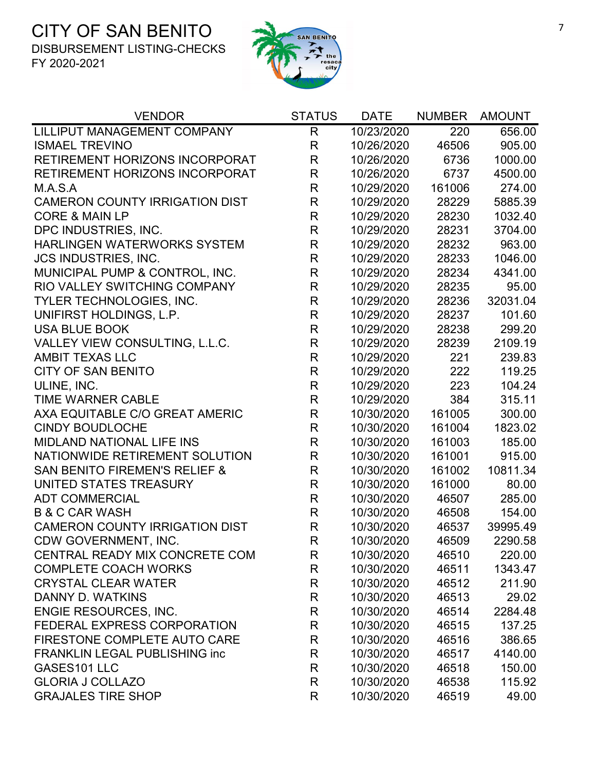

| <b>VENDOR</b>                            | <b>STATUS</b> | <b>DATE</b> | <b>NUMBER</b> | <b>AMOUNT</b> |
|------------------------------------------|---------------|-------------|---------------|---------------|
| LILLIPUT MANAGEMENT COMPANY              | R             | 10/23/2020  | 220           | 656.00        |
| <b>ISMAEL TREVINO</b>                    | $\mathsf{R}$  | 10/26/2020  | 46506         | 905.00        |
| RETIREMENT HORIZONS INCORPORAT           | $\mathsf{R}$  | 10/26/2020  | 6736          | 1000.00       |
| RETIREMENT HORIZONS INCORPORAT           | $\mathsf{R}$  | 10/26/2020  | 6737          | 4500.00       |
| M.A.S.A                                  | R             | 10/29/2020  | 161006        | 274.00        |
| <b>CAMERON COUNTY IRRIGATION DIST</b>    | $\mathsf{R}$  | 10/29/2020  | 28229         | 5885.39       |
| <b>CORE &amp; MAIN LP</b>                | $\mathsf{R}$  | 10/29/2020  | 28230         | 1032.40       |
| DPC INDUSTRIES, INC.                     | $\mathsf{R}$  | 10/29/2020  | 28231         | 3704.00       |
| HARLINGEN WATERWORKS SYSTEM              | $\mathsf{R}$  | 10/29/2020  | 28232         | 963.00        |
| <b>JCS INDUSTRIES, INC.</b>              | $\mathsf{R}$  | 10/29/2020  | 28233         | 1046.00       |
| MUNICIPAL PUMP & CONTROL, INC.           | R             | 10/29/2020  | 28234         | 4341.00       |
| RIO VALLEY SWITCHING COMPANY             | $\mathsf R$   | 10/29/2020  | 28235         | 95.00         |
| TYLER TECHNOLOGIES, INC.                 | $\mathsf{R}$  | 10/29/2020  | 28236         | 32031.04      |
| UNIFIRST HOLDINGS, L.P.                  | $\mathsf R$   | 10/29/2020  | 28237         | 101.60        |
| <b>USA BLUE BOOK</b>                     | $\mathsf R$   | 10/29/2020  | 28238         | 299.20        |
| VALLEY VIEW CONSULTING, L.L.C.           | $\mathsf{R}$  | 10/29/2020  | 28239         | 2109.19       |
| <b>AMBIT TEXAS LLC</b>                   | $\mathsf{R}$  | 10/29/2020  | 221           | 239.83        |
| <b>CITY OF SAN BENITO</b>                | $\mathsf{R}$  | 10/29/2020  | 222           | 119.25        |
| ULINE, INC.                              | $\mathsf R$   | 10/29/2020  | 223           | 104.24        |
| <b>TIME WARNER CABLE</b>                 | $\mathsf{R}$  | 10/29/2020  | 384           | 315.11        |
| AXA EQUITABLE C/O GREAT AMERIC           | $\mathsf R$   | 10/30/2020  | 161005        | 300.00        |
| <b>CINDY BOUDLOCHE</b>                   | $\mathsf{R}$  | 10/30/2020  | 161004        | 1823.02       |
| <b>MIDLAND NATIONAL LIFE INS</b>         | R             | 10/30/2020  | 161003        | 185.00        |
| NATIONWIDE RETIREMENT SOLUTION           | R             | 10/30/2020  | 161001        | 915.00        |
| <b>SAN BENITO FIREMEN'S RELIEF &amp;</b> | $\mathsf{R}$  | 10/30/2020  | 161002        | 10811.34      |
| UNITED STATES TREASURY                   | $\mathsf R$   | 10/30/2020  | 161000        | 80.00         |
| <b>ADT COMMERCIAL</b>                    | $\mathsf{R}$  | 10/30/2020  | 46507         | 285.00        |
| <b>B &amp; C CAR WASH</b>                | $\mathsf{R}$  | 10/30/2020  | 46508         | 154.00        |
| <b>CAMERON COUNTY IRRIGATION DIST</b>    | $\mathsf{R}$  | 10/30/2020  | 46537         | 39995.49      |
| CDW GOVERNMENT, INC.                     | R             | 10/30/2020  | 46509         | 2290.58       |
| CENTRAL READY MIX CONCRETE COM           | R             | 10/30/2020  | 46510         | 220.00        |
| <b>COMPLETE COACH WORKS</b>              | R             | 10/30/2020  | 46511         | 1343.47       |
| <b>CRYSTAL CLEAR WATER</b>               | R             | 10/30/2020  | 46512         | 211.90        |
| DANNY D. WATKINS                         | R             | 10/30/2020  | 46513         | 29.02         |
| <b>ENGIE RESOURCES, INC.</b>             | R             | 10/30/2020  | 46514         | 2284.48       |
| FEDERAL EXPRESS CORPORATION              | R             | 10/30/2020  | 46515         | 137.25        |
| FIRESTONE COMPLETE AUTO CARE             | R             | 10/30/2020  | 46516         | 386.65        |
| <b>FRANKLIN LEGAL PUBLISHING inc</b>     | R             | 10/30/2020  | 46517         | 4140.00       |
| GASES101 LLC                             | R             | 10/30/2020  | 46518         | 150.00        |
| <b>GLORIA J COLLAZO</b>                  | $\mathsf{R}$  | 10/30/2020  | 46538         | 115.92        |
| <b>GRAJALES TIRE SHOP</b>                | R             | 10/30/2020  | 46519         | 49.00         |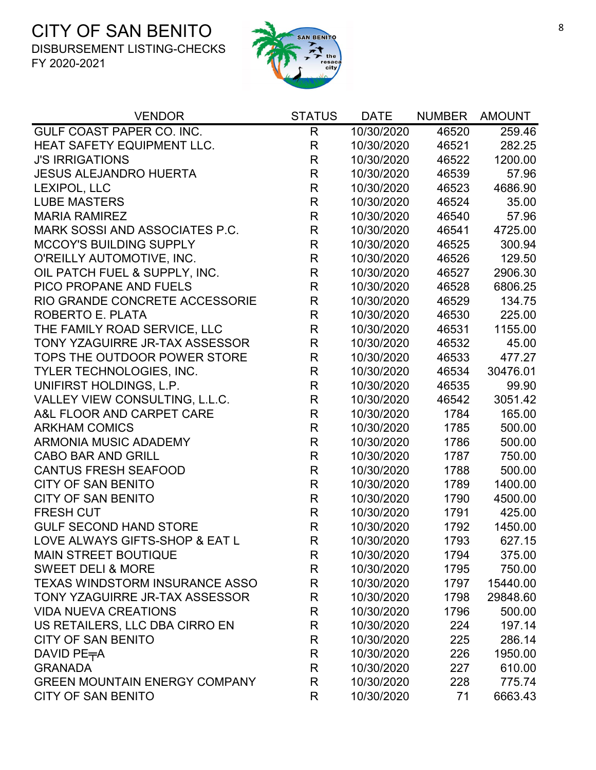

| <b>VENDOR</b>                         | <b>STATUS</b> | <b>DATE</b> | <b>NUMBER</b> | <b>AMOUNT</b> |
|---------------------------------------|---------------|-------------|---------------|---------------|
| GULF COAST PAPER CO. INC.             | $\mathsf{R}$  | 10/30/2020  | 46520         | 259.46        |
| HEAT SAFETY EQUIPMENT LLC.            | $\mathsf{R}$  | 10/30/2020  | 46521         | 282.25        |
| <b>J'S IRRIGATIONS</b>                | $\mathsf R$   | 10/30/2020  | 46522         | 1200.00       |
| <b>JESUS ALEJANDRO HUERTA</b>         | $\mathsf{R}$  | 10/30/2020  | 46539         | 57.96         |
| LEXIPOL, LLC                          | R             | 10/30/2020  | 46523         | 4686.90       |
| <b>LUBE MASTERS</b>                   | $\mathsf R$   | 10/30/2020  | 46524         | 35.00         |
| <b>MARIA RAMIREZ</b>                  | $\mathsf{R}$  | 10/30/2020  | 46540         | 57.96         |
| MARK SOSSI AND ASSOCIATES P.C.        | $\mathsf{R}$  | 10/30/2020  | 46541         | 4725.00       |
| <b>MCCOY'S BUILDING SUPPLY</b>        | $\mathsf{R}$  | 10/30/2020  | 46525         | 300.94        |
| O'REILLY AUTOMOTIVE, INC.             | $\mathsf R$   | 10/30/2020  | 46526         | 129.50        |
| OIL PATCH FUEL & SUPPLY, INC.         | $\mathsf{R}$  | 10/30/2020  | 46527         | 2906.30       |
| PICO PROPANE AND FUELS                | $\mathsf R$   | 10/30/2020  | 46528         | 6806.25       |
| RIO GRANDE CONCRETE ACCESSORIE        | $\mathsf R$   | 10/30/2020  | 46529         | 134.75        |
| ROBERTO E. PLATA                      | $\mathsf R$   | 10/30/2020  | 46530         | 225.00        |
| THE FAMILY ROAD SERVICE, LLC          | $\mathsf R$   | 10/30/2020  | 46531         | 1155.00       |
| TONY YZAGUIRRE JR-TAX ASSESSOR        | $\mathsf{R}$  | 10/30/2020  | 46532         | 45.00         |
| TOPS THE OUTDOOR POWER STORE          | $\mathsf R$   | 10/30/2020  | 46533         | 477.27        |
| TYLER TECHNOLOGIES, INC.              | $\mathsf R$   | 10/30/2020  | 46534         | 30476.01      |
| UNIFIRST HOLDINGS, L.P.               | $\mathsf R$   | 10/30/2020  | 46535         | 99.90         |
| VALLEY VIEW CONSULTING, L.L.C.        | $\mathsf R$   | 10/30/2020  | 46542         | 3051.42       |
| A&L FLOOR AND CARPET CARE             | $\mathsf R$   | 10/30/2020  | 1784          | 165.00        |
| <b>ARKHAM COMICS</b>                  | $\mathsf R$   | 10/30/2020  | 1785          | 500.00        |
| <b>ARMONIA MUSIC ADADEMY</b>          | R             | 10/30/2020  | 1786          | 500.00        |
| <b>CABO BAR AND GRILL</b>             | $\mathsf R$   | 10/30/2020  | 1787          | 750.00        |
| <b>CANTUS FRESH SEAFOOD</b>           | $\mathsf{R}$  | 10/30/2020  | 1788          | 500.00        |
| <b>CITY OF SAN BENITO</b>             | R             | 10/30/2020  | 1789          | 1400.00       |
| <b>CITY OF SAN BENITO</b>             | R             | 10/30/2020  | 1790          | 4500.00       |
| <b>FRESH CUT</b>                      | $\mathsf R$   | 10/30/2020  | 1791          | 425.00        |
| <b>GULF SECOND HAND STORE</b>         | $\mathsf R$   | 10/30/2020  | 1792          | 1450.00       |
| LOVE ALWAYS GIFTS-SHOP & EAT L        | R             | 10/30/2020  | 1793          | 627.15        |
| <b>MAIN STREET BOUTIQUE</b>           | R             | 10/30/2020  | 1794          | 375.00        |
| <b>SWEET DELI &amp; MORE</b>          | R             | 10/30/2020  | 1795          | 750.00        |
| <b>TEXAS WINDSTORM INSURANCE ASSO</b> | R             | 10/30/2020  | 1797          | 15440.00      |
| TONY YZAGUIRRE JR-TAX ASSESSOR        | R             | 10/30/2020  | 1798          | 29848.60      |
| <b>VIDA NUEVA CREATIONS</b>           | R             | 10/30/2020  | 1796          | 500.00        |
| US RETAILERS, LLC DBA CIRRO EN        | R             | 10/30/2020  | 224           | 197.14        |
| <b>CITY OF SAN BENITO</b>             | $\mathsf{R}$  | 10/30/2020  | 225           | 286.14        |
| DAVID PE <sub>T</sub> A               | R             | 10/30/2020  | 226           | 1950.00       |
| <b>GRANADA</b>                        | R             | 10/30/2020  | 227           | 610.00        |
| <b>GREEN MOUNTAIN ENERGY COMPANY</b>  | R             | 10/30/2020  | 228           | 775.74        |
| <b>CITY OF SAN BENITO</b>             | R             | 10/30/2020  | 71            | 6663.43       |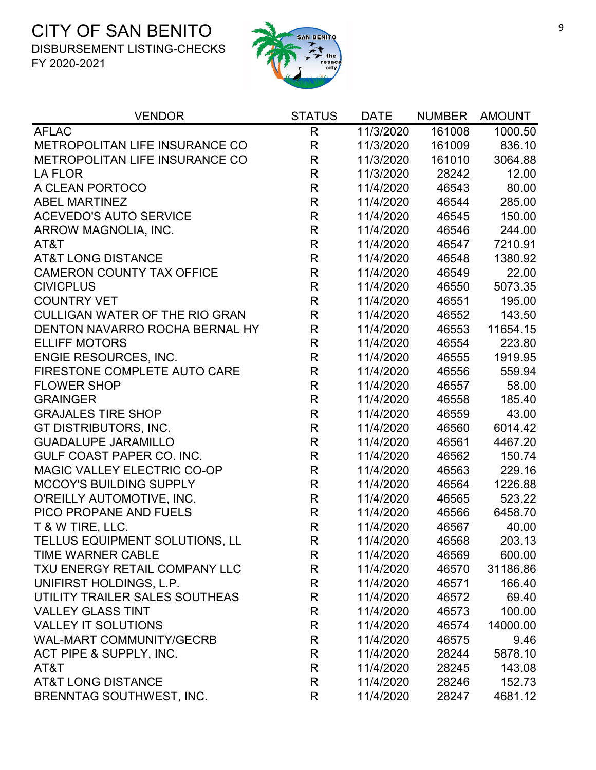

| <b>VENDOR</b>                         | <b>STATUS</b> | <b>DATE</b> | <b>NUMBER</b> | <b>AMOUNT</b> |
|---------------------------------------|---------------|-------------|---------------|---------------|
| <b>AFLAC</b>                          | $\mathsf{R}$  | 11/3/2020   | 161008        | 1000.50       |
| METROPOLITAN LIFE INSURANCE CO        | $\mathsf{R}$  | 11/3/2020   | 161009        | 836.10        |
| METROPOLITAN LIFE INSURANCE CO        | R             | 11/3/2020   | 161010        | 3064.88       |
| <b>LA FLOR</b>                        | $\mathsf{R}$  | 11/3/2020   | 28242         | 12.00         |
| A CLEAN PORTOCO                       | ${\sf R}$     | 11/4/2020   | 46543         | 80.00         |
| <b>ABEL MARTINEZ</b>                  | $\mathsf{R}$  | 11/4/2020   | 46544         | 285.00        |
| <b>ACEVEDO'S AUTO SERVICE</b>         | $\mathsf{R}$  | 11/4/2020   | 46545         | 150.00        |
| ARROW MAGNOLIA, INC.                  | $\mathsf{R}$  | 11/4/2020   | 46546         | 244.00        |
| AT&T                                  | $\mathsf{R}$  | 11/4/2020   | 46547         | 7210.91       |
| <b>AT&amp;T LONG DISTANCE</b>         | $\mathsf{R}$  | 11/4/2020   | 46548         | 1380.92       |
| <b>CAMERON COUNTY TAX OFFICE</b>      | $\mathsf{R}$  | 11/4/2020   | 46549         | 22.00         |
| <b>CIVICPLUS</b>                      | $\mathsf{R}$  | 11/4/2020   | 46550         | 5073.35       |
| <b>COUNTRY VET</b>                    | $\mathsf{R}$  | 11/4/2020   | 46551         | 195.00        |
| <b>CULLIGAN WATER OF THE RIO GRAN</b> | $\mathsf{R}$  | 11/4/2020   | 46552         | 143.50        |
| DENTON NAVARRO ROCHA BERNAL HY        | $\mathsf{R}$  | 11/4/2020   | 46553         | 11654.15      |
| <b>ELLIFF MOTORS</b>                  | $\mathsf{R}$  | 11/4/2020   | 46554         | 223.80        |
| ENGIE RESOURCES, INC.                 | ${\sf R}$     | 11/4/2020   | 46555         | 1919.95       |
| FIRESTONE COMPLETE AUTO CARE          | $\mathsf{R}$  | 11/4/2020   | 46556         | 559.94        |
| <b>FLOWER SHOP</b>                    | $\mathsf{R}$  | 11/4/2020   | 46557         | 58.00         |
| <b>GRAINGER</b>                       | $\mathsf{R}$  | 11/4/2020   | 46558         | 185.40        |
| <b>GRAJALES TIRE SHOP</b>             | $\mathsf{R}$  | 11/4/2020   | 46559         | 43.00         |
| GT DISTRIBUTORS, INC.                 | $\mathsf{R}$  | 11/4/2020   | 46560         | 6014.42       |
| <b>GUADALUPE JARAMILLO</b>            | $\mathsf{R}$  | 11/4/2020   | 46561         | 4467.20       |
| GULF COAST PAPER CO. INC.             | $\mathsf{R}$  | 11/4/2020   | 46562         | 150.74        |
| MAGIC VALLEY ELECTRIC CO-OP           | $\mathsf{R}$  | 11/4/2020   | 46563         | 229.16        |
| <b>MCCOY'S BUILDING SUPPLY</b>        | $\mathsf{R}$  | 11/4/2020   | 46564         | 1226.88       |
| O'REILLY AUTOMOTIVE, INC.             | $\mathsf{R}$  | 11/4/2020   | 46565         | 523.22        |
| PICO PROPANE AND FUELS                | $\mathsf{R}$  | 11/4/2020   | 46566         | 6458.70       |
| T & W TIRE, LLC.                      | $\mathsf{R}$  | 11/4/2020   | 46567         | 40.00         |
| <b>TELLUS EQUIPMENT SOLUTIONS, LL</b> | R             | 11/4/2020   | 46568         | 203.13        |
| TIME WARNER CABLE                     | R             | 11/4/2020   | 46569         | 600.00        |
| TXU ENERGY RETAIL COMPANY LLC         | R             | 11/4/2020   | 46570         | 31186.86      |
| UNIFIRST HOLDINGS, L.P.               | R             | 11/4/2020   | 46571         | 166.40        |
| UTILITY TRAILER SALES SOUTHEAS        | R             | 11/4/2020   | 46572         | 69.40         |
| <b>VALLEY GLASS TINT</b>              | R             | 11/4/2020   | 46573         | 100.00        |
| <b>VALLEY IT SOLUTIONS</b>            | R             | 11/4/2020   | 46574         | 14000.00      |
| <b>WAL-MART COMMUNITY/GECRB</b>       | R             | 11/4/2020   | 46575         | 9.46          |
| ACT PIPE & SUPPLY, INC.               | R             | 11/4/2020   | 28244         | 5878.10       |
| AT&T                                  | R             | 11/4/2020   | 28245         | 143.08        |
| <b>AT&amp;T LONG DISTANCE</b>         | R             | 11/4/2020   | 28246         | 152.73        |
| <b>BRENNTAG SOUTHWEST, INC.</b>       | R             | 11/4/2020   | 28247         | 4681.12       |
|                                       |               |             |               |               |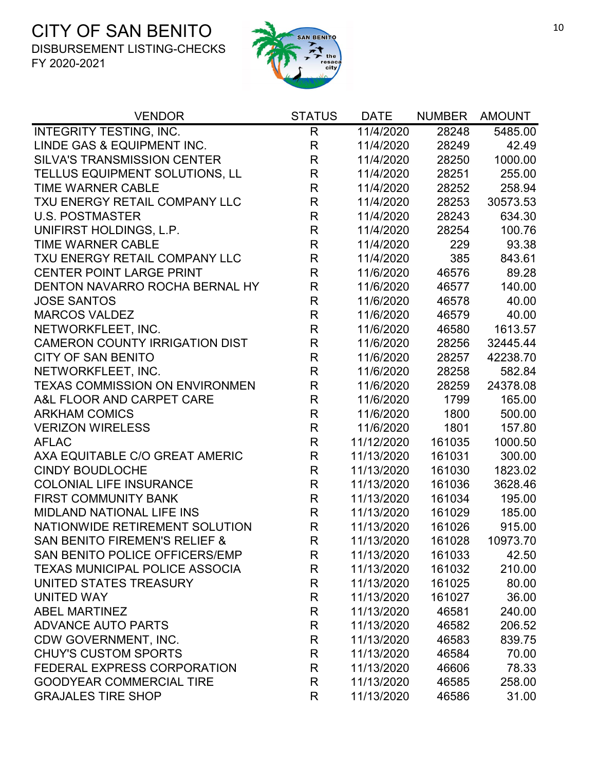

| <b>VENDOR</b>                         | <b>STATUS</b> | <b>DATE</b> | <b>NUMBER</b> | <b>AMOUNT</b> |
|---------------------------------------|---------------|-------------|---------------|---------------|
| INTEGRITY TESTING, INC.               | $\mathsf{R}$  | 11/4/2020   | 28248         | 5485.00       |
| LINDE GAS & EQUIPMENT INC.            | $\mathsf{R}$  | 11/4/2020   | 28249         | 42.49         |
| <b>SILVA'S TRANSMISSION CENTER</b>    | $\mathsf{R}$  | 11/4/2020   | 28250         | 1000.00       |
| TELLUS EQUIPMENT SOLUTIONS, LL        | $\mathsf R$   | 11/4/2020   | 28251         | 255.00        |
| TIME WARNER CABLE                     | $\mathsf{R}$  | 11/4/2020   | 28252         | 258.94        |
| TXU ENERGY RETAIL COMPANY LLC         | $\mathsf{R}$  | 11/4/2020   | 28253         | 30573.53      |
| <b>U.S. POSTMASTER</b>                | $\mathsf{R}$  | 11/4/2020   | 28243         | 634.30        |
| UNIFIRST HOLDINGS, L.P.               | $\mathsf{R}$  | 11/4/2020   | 28254         | 100.76        |
| <b>TIME WARNER CABLE</b>              | $\mathsf{R}$  | 11/4/2020   | 229           | 93.38         |
| TXU ENERGY RETAIL COMPANY LLC         | $\mathsf R$   | 11/4/2020   | 385           | 843.61        |
| <b>CENTER POINT LARGE PRINT</b>       | $\mathsf R$   | 11/6/2020   | 46576         | 89.28         |
| DENTON NAVARRO ROCHA BERNAL HY        | $\mathsf{R}$  | 11/6/2020   | 46577         | 140.00        |
| <b>JOSE SANTOS</b>                    | R             | 11/6/2020   | 46578         | 40.00         |
| <b>MARCOS VALDEZ</b>                  | $\mathsf{R}$  | 11/6/2020   | 46579         | 40.00         |
| NETWORKFLEET, INC.                    | $\mathsf{R}$  | 11/6/2020   | 46580         | 1613.57       |
| <b>CAMERON COUNTY IRRIGATION DIST</b> | $\mathsf{R}$  | 11/6/2020   | 28256         | 32445.44      |
| <b>CITY OF SAN BENITO</b>             | $\mathsf R$   | 11/6/2020   | 28257         | 42238.70      |
| NETWORKFLEET, INC.                    | $\mathsf{R}$  | 11/6/2020   | 28258         | 582.84        |
| <b>TEXAS COMMISSION ON ENVIRONMEN</b> | $\mathsf{R}$  | 11/6/2020   | 28259         | 24378.08      |
| A&L FLOOR AND CARPET CARE             | $\mathsf{R}$  | 11/6/2020   | 1799          | 165.00        |
| <b>ARKHAM COMICS</b>                  | $\mathsf{R}$  | 11/6/2020   | 1800          | 500.00        |
| <b>VERIZON WIRELESS</b>               | $\mathsf{R}$  | 11/6/2020   | 1801          | 157.80        |
| <b>AFLAC</b>                          | $\mathsf R$   | 11/12/2020  | 161035        | 1000.50       |
| AXA EQUITABLE C/O GREAT AMERIC        | $\mathsf R$   | 11/13/2020  | 161031        | 300.00        |
| <b>CINDY BOUDLOCHE</b>                | $\mathsf R$   | 11/13/2020  | 161030        | 1823.02       |
| <b>COLONIAL LIFE INSURANCE</b>        | $\mathsf{R}$  | 11/13/2020  | 161036        | 3628.46       |
| <b>FIRST COMMUNITY BANK</b>           | $\mathsf R$   | 11/13/2020  | 161034        | 195.00        |
| <b>MIDLAND NATIONAL LIFE INS</b>      | $\mathsf{R}$  | 11/13/2020  | 161029        | 185.00        |
| NATIONWIDE RETIREMENT SOLUTION        | $\mathsf{R}$  | 11/13/2020  | 161026        | 915.00        |
| SAN BENITO FIREMEN'S RELIEF &         | $\mathsf{R}$  | 11/13/2020  | 161028        | 10973.70      |
| SAN BENITO POLICE OFFICERS/EMP        | R             | 11/13/2020  | 161033        | 42.50         |
| <b>TEXAS MUNICIPAL POLICE ASSOCIA</b> | $\mathsf R$   | 11/13/2020  | 161032        | 210.00        |
| UNITED STATES TREASURY                | R             | 11/13/2020  | 161025        | 80.00         |
| <b>UNITED WAY</b>                     | R             | 11/13/2020  | 161027        | 36.00         |
| <b>ABEL MARTINEZ</b>                  | $\mathsf{R}$  | 11/13/2020  | 46581         | 240.00        |
| <b>ADVANCE AUTO PARTS</b>             | R             | 11/13/2020  | 46582         | 206.52        |
| <b>CDW GOVERNMENT, INC.</b>           | R             | 11/13/2020  | 46583         | 839.75        |
| <b>CHUY'S CUSTOM SPORTS</b>           | R             | 11/13/2020  | 46584         | 70.00         |
| FEDERAL EXPRESS CORPORATION           | $\mathsf{R}$  | 11/13/2020  | 46606         | 78.33         |
| <b>GOODYEAR COMMERCIAL TIRE</b>       | $\mathsf{R}$  | 11/13/2020  | 46585         | 258.00        |
| <b>GRAJALES TIRE SHOP</b>             | R             | 11/13/2020  | 46586         | 31.00         |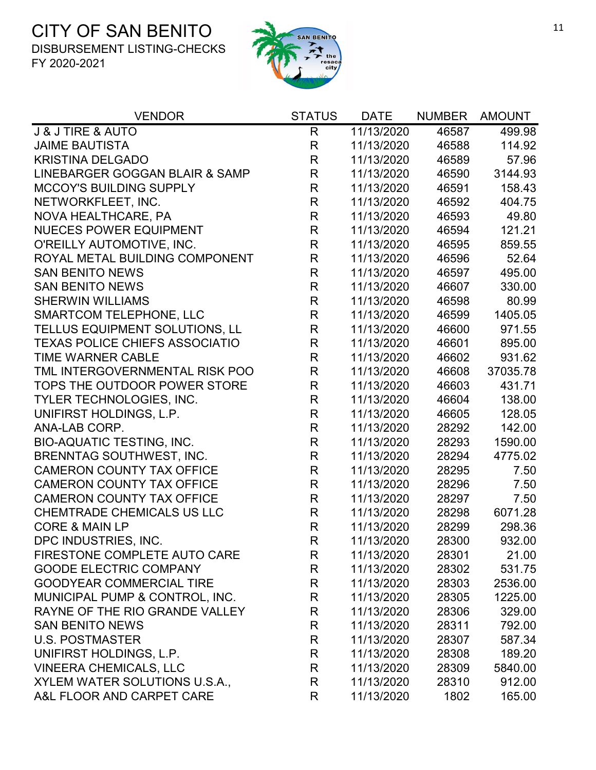

| <b>VENDOR</b>                         | <b>STATUS</b> | <b>DATE</b> | <b>NUMBER</b> | <b>AMOUNT</b> |
|---------------------------------------|---------------|-------------|---------------|---------------|
| <b>J &amp; J TIRE &amp; AUTO</b>      | R             | 11/13/2020  | 46587         | 499.98        |
| <b>JAIME BAUTISTA</b>                 | R             | 11/13/2020  | 46588         | 114.92        |
| <b>KRISTINA DELGADO</b>               | R             | 11/13/2020  | 46589         | 57.96         |
| LINEBARGER GOGGAN BLAIR & SAMP        | R             | 11/13/2020  | 46590         | 3144.93       |
| <b>MCCOY'S BUILDING SUPPLY</b>        | $\mathsf{R}$  | 11/13/2020  | 46591         | 158.43        |
| NETWORKFLEET, INC.                    | R             | 11/13/2020  | 46592         | 404.75        |
| NOVA HEALTHCARE, PA                   | R             | 11/13/2020  | 46593         | 49.80         |
| <b>NUECES POWER EQUIPMENT</b>         | $\mathsf R$   | 11/13/2020  | 46594         | 121.21        |
| O'REILLY AUTOMOTIVE, INC.             | R             | 11/13/2020  | 46595         | 859.55        |
| ROYAL METAL BUILDING COMPONENT        | R             | 11/13/2020  | 46596         | 52.64         |
| <b>SAN BENITO NEWS</b>                | $\mathsf{R}$  | 11/13/2020  | 46597         | 495.00        |
| <b>SAN BENITO NEWS</b>                | $\mathsf R$   | 11/13/2020  | 46607         | 330.00        |
| <b>SHERWIN WILLIAMS</b>               | R             | 11/13/2020  | 46598         | 80.99         |
| <b>SMARTCOM TELEPHONE, LLC</b>        | R             | 11/13/2020  | 46599         | 1405.05       |
| TELLUS EQUIPMENT SOLUTIONS, LL        | R             | 11/13/2020  | 46600         | 971.55        |
| <b>TEXAS POLICE CHIEFS ASSOCIATIO</b> | $\mathsf R$   | 11/13/2020  | 46601         | 895.00        |
| <b>TIME WARNER CABLE</b>              | $\mathsf R$   | 11/13/2020  | 46602         | 931.62        |
| TML INTERGOVERNMENTAL RISK POO        | R             | 11/13/2020  | 46608         | 37035.78      |
| TOPS THE OUTDOOR POWER STORE          | $\mathsf R$   | 11/13/2020  | 46603         | 431.71        |
| <b>TYLER TECHNOLOGIES, INC.</b>       | $\mathsf R$   | 11/13/2020  | 46604         | 138.00        |
| UNIFIRST HOLDINGS, L.P.               | R             | 11/13/2020  | 46605         | 128.05        |
| ANA-LAB CORP.                         | R             | 11/13/2020  | 28292         | 142.00        |
| <b>BIO-AQUATIC TESTING, INC.</b>      | R             | 11/13/2020  | 28293         | 1590.00       |
| <b>BRENNTAG SOUTHWEST, INC.</b>       | R             | 11/13/2020  | 28294         | 4775.02       |
| <b>CAMERON COUNTY TAX OFFICE</b>      | R             | 11/13/2020  | 28295         | 7.50          |
| <b>CAMERON COUNTY TAX OFFICE</b>      | R             | 11/13/2020  | 28296         | 7.50          |
| <b>CAMERON COUNTY TAX OFFICE</b>      | R             | 11/13/2020  | 28297         | 7.50          |
| <b>CHEMTRADE CHEMICALS US LLC</b>     | R             | 11/13/2020  | 28298         | 6071.28       |
| <b>CORE &amp; MAIN LP</b>             | $\mathsf R$   | 11/13/2020  | 28299         | 298.36        |
| DPC INDUSTRIES, INC.                  | R             | 11/13/2020  | 28300         | 932.00        |
| FIRESTONE COMPLETE AUTO CARE          | R             | 11/13/2020  | 28301         | 21.00         |
| <b>GOODE ELECTRIC COMPANY</b>         | R             | 11/13/2020  | 28302         | 531.75        |
| <b>GOODYEAR COMMERCIAL TIRE</b>       | R             | 11/13/2020  | 28303         | 2536.00       |
| MUNICIPAL PUMP & CONTROL, INC.        | R             | 11/13/2020  | 28305         | 1225.00       |
| RAYNE OF THE RIO GRANDE VALLEY        | R             | 11/13/2020  | 28306         | 329.00        |
| <b>SAN BENITO NEWS</b>                | R             | 11/13/2020  | 28311         | 792.00        |
| <b>U.S. POSTMASTER</b>                | R             | 11/13/2020  | 28307         | 587.34        |
| UNIFIRST HOLDINGS, L.P.               | R             | 11/13/2020  | 28308         | 189.20        |
| <b>VINEERA CHEMICALS, LLC</b>         | R             | 11/13/2020  | 28309         | 5840.00       |
| XYLEM WATER SOLUTIONS U.S.A.,         | R             | 11/13/2020  | 28310         | 912.00        |
| A&L FLOOR AND CARPET CARE             | R             | 11/13/2020  | 1802          | 165.00        |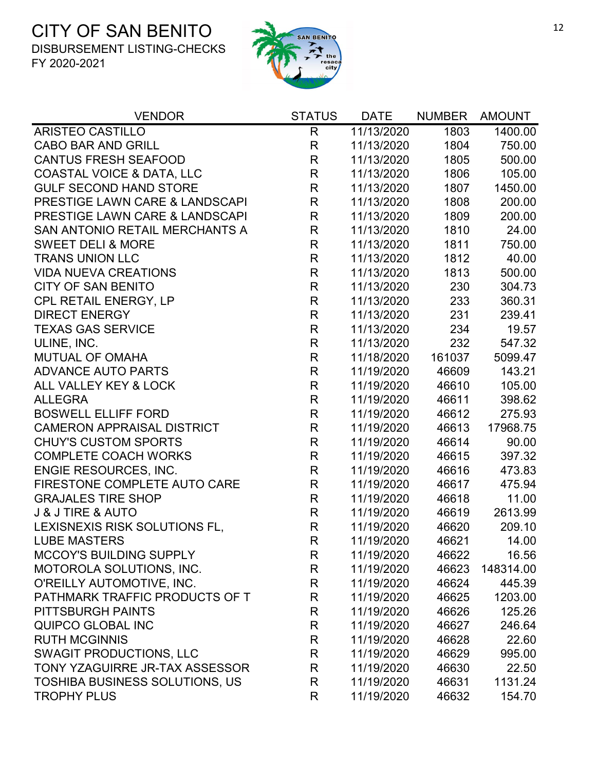

| <b>VENDOR</b>                         | <b>STATUS</b> | <b>DATE</b> | <b>NUMBER</b> | <b>AMOUNT</b> |
|---------------------------------------|---------------|-------------|---------------|---------------|
| <b>ARISTEO CASTILLO</b>               | $\mathsf{R}$  | 11/13/2020  | 1803          | 1400.00       |
| <b>CABO BAR AND GRILL</b>             | R             | 11/13/2020  | 1804          | 750.00        |
| <b>CANTUS FRESH SEAFOOD</b>           | R             | 11/13/2020  | 1805          | 500.00        |
| <b>COASTAL VOICE &amp; DATA, LLC</b>  | R             | 11/13/2020  | 1806          | 105.00        |
| <b>GULF SECOND HAND STORE</b>         | R             | 11/13/2020  | 1807          | 1450.00       |
| PRESTIGE LAWN CARE & LANDSCAPI        | R             | 11/13/2020  | 1808          | 200.00        |
| PRESTIGE LAWN CARE & LANDSCAPI        | R             | 11/13/2020  | 1809          | 200.00        |
| SAN ANTONIO RETAIL MERCHANTS A        | $\mathsf{R}$  | 11/13/2020  | 1810          | 24.00         |
| <b>SWEET DELI &amp; MORE</b>          | R             | 11/13/2020  | 1811          | 750.00        |
| <b>TRANS UNION LLC</b>                | R             | 11/13/2020  | 1812          | 40.00         |
| <b>VIDA NUEVA CREATIONS</b>           | R             | 11/13/2020  | 1813          | 500.00        |
| <b>CITY OF SAN BENITO</b>             | R             | 11/13/2020  | 230           | 304.73        |
| CPL RETAIL ENERGY, LP                 | R             | 11/13/2020  | 233           | 360.31        |
| <b>DIRECT ENERGY</b>                  | R             | 11/13/2020  | 231           | 239.41        |
| <b>TEXAS GAS SERVICE</b>              | R             | 11/13/2020  | 234           | 19.57         |
| ULINE, INC.                           | $\mathsf{R}$  | 11/13/2020  | 232           | 547.32        |
| <b>MUTUAL OF OMAHA</b>                | R             | 11/18/2020  | 161037        | 5099.47       |
| <b>ADVANCE AUTO PARTS</b>             | R             | 11/19/2020  | 46609         | 143.21        |
| ALL VALLEY KEY & LOCK                 | R             | 11/19/2020  | 46610         | 105.00        |
| <b>ALLEGRA</b>                        | R             | 11/19/2020  | 46611         | 398.62        |
| <b>BOSWELL ELLIFF FORD</b>            | R             | 11/19/2020  | 46612         | 275.93        |
| <b>CAMERON APPRAISAL DISTRICT</b>     | $\mathsf{R}$  | 11/19/2020  | 46613         | 17968.75      |
| <b>CHUY'S CUSTOM SPORTS</b>           | R             | 11/19/2020  | 46614         | 90.00         |
| <b>COMPLETE COACH WORKS</b>           | R             | 11/19/2020  | 46615         | 397.32        |
| <b>ENGIE RESOURCES, INC.</b>          | R             | 11/19/2020  | 46616         | 473.83        |
| FIRESTONE COMPLETE AUTO CARE          | R             | 11/19/2020  | 46617         | 475.94        |
| <b>GRAJALES TIRE SHOP</b>             | $\mathsf{R}$  | 11/19/2020  | 46618         | 11.00         |
| <b>J &amp; J TIRE &amp; AUTO</b>      | R             | 11/19/2020  | 46619         | 2613.99       |
| LEXISNEXIS RISK SOLUTIONS FL,         | R             | 11/19/2020  | 46620         | 209.10        |
| <b>LUBE MASTERS</b>                   | R             | 11/19/2020  | 46621         | 14.00         |
| <b>MCCOY'S BUILDING SUPPLY</b>        | R             | 11/19/2020  | 46622         | 16.56         |
| MOTOROLA SOLUTIONS, INC.              | R             | 11/19/2020  | 46623         | 148314.00     |
| O'REILLY AUTOMOTIVE, INC.             | R             | 11/19/2020  | 46624         | 445.39        |
| PATHMARK TRAFFIC PRODUCTS OF T        | R             | 11/19/2020  | 46625         | 1203.00       |
| PITTSBURGH PAINTS                     | R             | 11/19/2020  | 46626         | 125.26        |
| QUIPCO GLOBAL INC                     | R             | 11/19/2020  | 46627         | 246.64        |
| <b>RUTH MCGINNIS</b>                  | R             | 11/19/2020  | 46628         | 22.60         |
| <b>SWAGIT PRODUCTIONS, LLC</b>        | R             | 11/19/2020  | 46629         | 995.00        |
| TONY YZAGUIRRE JR-TAX ASSESSOR        | R             | 11/19/2020  | 46630         | 22.50         |
| <b>TOSHIBA BUSINESS SOLUTIONS, US</b> | R             | 11/19/2020  | 46631         | 1131.24       |
| <b>TROPHY PLUS</b>                    | R             | 11/19/2020  | 46632         | 154.70        |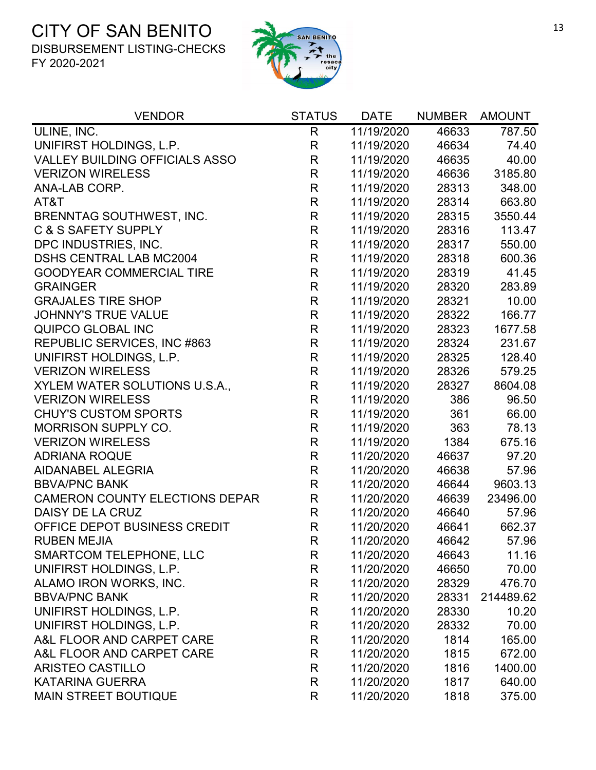

| <b>VENDOR</b>                         | <b>STATUS</b> | <b>DATE</b> | <b>NUMBER</b> | <b>AMOUNT</b> |
|---------------------------------------|---------------|-------------|---------------|---------------|
| ULINE, INC.                           | $\mathsf{R}$  | 11/19/2020  | 46633         | 787.50        |
| UNIFIRST HOLDINGS, L.P.               | $\mathsf{R}$  | 11/19/2020  | 46634         | 74.40         |
| <b>VALLEY BUILDING OFFICIALS ASSO</b> | $\mathsf R$   | 11/19/2020  | 46635         | 40.00         |
| <b>VERIZON WIRELESS</b>               | $\mathsf R$   | 11/19/2020  | 46636         | 3185.80       |
| ANA-LAB CORP.                         | $\mathsf{R}$  | 11/19/2020  | 28313         | 348.00        |
| AT&T                                  | $\mathsf{R}$  | 11/19/2020  | 28314         | 663.80        |
| BRENNTAG SOUTHWEST, INC.              | $\mathsf{R}$  | 11/19/2020  | 28315         | 3550.44       |
| C & S SAFETY SUPPLY                   | R             | 11/19/2020  | 28316         | 113.47        |
| DPC INDUSTRIES, INC.                  | $\mathsf{R}$  | 11/19/2020  | 28317         | 550.00        |
| <b>DSHS CENTRAL LAB MC2004</b>        | R             | 11/19/2020  | 28318         | 600.36        |
| <b>GOODYEAR COMMERCIAL TIRE</b>       | $\mathsf{R}$  | 11/19/2020  | 28319         | 41.45         |
| <b>GRAINGER</b>                       | $\mathsf{R}$  | 11/19/2020  | 28320         | 283.89        |
| <b>GRAJALES TIRE SHOP</b>             | $\mathsf{R}$  | 11/19/2020  | 28321         | 10.00         |
| <b>JOHNNY'S TRUE VALUE</b>            | $\mathsf{R}$  | 11/19/2020  | 28322         | 166.77        |
| QUIPCO GLOBAL INC                     | $\mathsf{R}$  | 11/19/2020  | 28323         | 1677.58       |
| REPUBLIC SERVICES, INC #863           | $\mathsf{R}$  | 11/19/2020  | 28324         | 231.67        |
| UNIFIRST HOLDINGS, L.P.               | $\mathsf{R}$  | 11/19/2020  | 28325         | 128.40        |
| <b>VERIZON WIRELESS</b>               | $\mathsf{R}$  | 11/19/2020  | 28326         | 579.25        |
| XYLEM WATER SOLUTIONS U.S.A.,         | $\mathsf{R}$  | 11/19/2020  | 28327         | 8604.08       |
| <b>VERIZON WIRELESS</b>               | R             | 11/19/2020  | 386           | 96.50         |
| <b>CHUY'S CUSTOM SPORTS</b>           | $\mathsf{R}$  | 11/19/2020  | 361           | 66.00         |
| <b>MORRISON SUPPLY CO.</b>            | $\mathsf{R}$  | 11/19/2020  | 363           | 78.13         |
| <b>VERIZON WIRELESS</b>               | $\mathsf R$   | 11/19/2020  | 1384          | 675.16        |
| <b>ADRIANA ROQUE</b>                  | R             | 11/20/2020  | 46637         | 97.20         |
| AIDANABEL ALEGRIA                     | $\mathsf{R}$  | 11/20/2020  | 46638         | 57.96         |
| <b>BBVA/PNC BANK</b>                  | $\mathsf R$   | 11/20/2020  | 46644         | 9603.13       |
| <b>CAMERON COUNTY ELECTIONS DEPAR</b> | R             | 11/20/2020  | 46639         | 23496.00      |
| DAISY DE LA CRUZ                      | $\mathsf{R}$  | 11/20/2020  | 46640         | 57.96         |
| OFFICE DEPOT BUSINESS CREDIT          | $\mathsf{R}$  | 11/20/2020  | 46641         | 662.37        |
| <b>RUBEN MEJIA</b>                    | $\mathsf{R}$  | 11/20/2020  | 46642         | 57.96         |
| <b>SMARTCOM TELEPHONE, LLC</b>        | R             | 11/20/2020  | 46643         | 11.16         |
| UNIFIRST HOLDINGS, L.P.               | R             | 11/20/2020  | 46650         | 70.00         |
| ALAMO IRON WORKS, INC.                | R             | 11/20/2020  | 28329         | 476.70        |
| <b>BBVA/PNC BANK</b>                  | R             | 11/20/2020  | 28331         | 214489.62     |
| UNIFIRST HOLDINGS, L.P.               | R             | 11/20/2020  | 28330         | 10.20         |
| UNIFIRST HOLDINGS, L.P.               | R             | 11/20/2020  | 28332         | 70.00         |
| A&L FLOOR AND CARPET CARE             | R             | 11/20/2020  | 1814          | 165.00        |
| A&L FLOOR AND CARPET CARE             | R             | 11/20/2020  | 1815          | 672.00        |
| <b>ARISTEO CASTILLO</b>               | R             | 11/20/2020  | 1816          | 1400.00       |
| <b>KATARINA GUERRA</b>                | R             | 11/20/2020  | 1817          | 640.00        |
| <b>MAIN STREET BOUTIQUE</b>           | R             | 11/20/2020  | 1818          | 375.00        |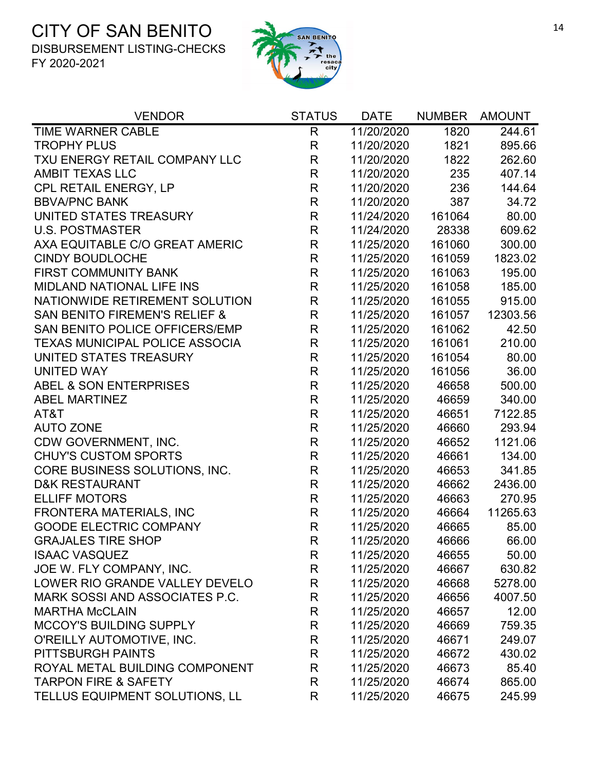

| <b>VENDOR</b>                            | <b>STATUS</b> | <b>DATE</b> | <b>NUMBER</b> | <b>AMOUNT</b> |
|------------------------------------------|---------------|-------------|---------------|---------------|
| TIME WARNER CABLE                        | R             | 11/20/2020  | 1820          | 244.61        |
| <b>TROPHY PLUS</b>                       | R             | 11/20/2020  | 1821          | 895.66        |
| TXU ENERGY RETAIL COMPANY LLC            | $\mathsf R$   | 11/20/2020  | 1822          | 262.60        |
| <b>AMBIT TEXAS LLC</b>                   | $\mathsf{R}$  | 11/20/2020  | 235           | 407.14        |
| CPL RETAIL ENERGY, LP                    | $\mathsf{R}$  | 11/20/2020  | 236           | 144.64        |
| <b>BBVA/PNC BANK</b>                     | $\mathsf{R}$  | 11/20/2020  | 387           | 34.72         |
| UNITED STATES TREASURY                   | $\mathsf{R}$  | 11/24/2020  | 161064        | 80.00         |
| <b>U.S. POSTMASTER</b>                   | $\mathsf{R}$  | 11/24/2020  | 28338         | 609.62        |
| AXA EQUITABLE C/O GREAT AMERIC           | $\mathsf{R}$  | 11/25/2020  | 161060        | 300.00        |
| <b>CINDY BOUDLOCHE</b>                   | $\mathsf{R}$  | 11/25/2020  | 161059        | 1823.02       |
| <b>FIRST COMMUNITY BANK</b>              | $\mathsf{R}$  | 11/25/2020  | 161063        | 195.00        |
| <b>MIDLAND NATIONAL LIFE INS</b>         | $\mathsf{R}$  | 11/25/2020  | 161058        | 185.00        |
| NATIONWIDE RETIREMENT SOLUTION           | $\mathsf R$   | 11/25/2020  | 161055        | 915.00        |
| <b>SAN BENITO FIREMEN'S RELIEF &amp;</b> | $\mathsf{R}$  | 11/25/2020  | 161057        | 12303.56      |
| SAN BENITO POLICE OFFICERS/EMP           | $\mathsf{R}$  | 11/25/2020  | 161062        | 42.50         |
| <b>TEXAS MUNICIPAL POLICE ASSOCIA</b>    | $\mathsf{R}$  | 11/25/2020  | 161061        | 210.00        |
| UNITED STATES TREASURY                   | $\mathsf R$   | 11/25/2020  | 161054        | 80.00         |
| <b>UNITED WAY</b>                        | $\mathsf{R}$  | 11/25/2020  | 161056        | 36.00         |
| ABEL & SON ENTERPRISES                   | $\mathsf{R}$  | 11/25/2020  | 46658         | 500.00        |
| <b>ABEL MARTINEZ</b>                     | $\mathsf{R}$  | 11/25/2020  | 46659         | 340.00        |
| AT&T                                     | $\mathsf{R}$  | 11/25/2020  | 46651         | 7122.85       |
| <b>AUTO ZONE</b>                         | $\mathsf R$   | 11/25/2020  | 46660         | 293.94        |
| CDW GOVERNMENT, INC.                     | $\mathsf{R}$  | 11/25/2020  | 46652         | 1121.06       |
| <b>CHUY'S CUSTOM SPORTS</b>              | $\mathsf{R}$  | 11/25/2020  | 46661         | 134.00        |
| CORE BUSINESS SOLUTIONS, INC.            | $\mathsf{R}$  | 11/25/2020  | 46653         | 341.85        |
| <b>D&amp;K RESTAURANT</b>                | $\mathsf{R}$  | 11/25/2020  | 46662         | 2436.00       |
| <b>ELLIFF MOTORS</b>                     | $\mathsf{R}$  | 11/25/2020  | 46663         | 270.95        |
| <b>FRONTERA MATERIALS, INC</b>           | $\mathsf{R}$  | 11/25/2020  | 46664         | 11265.63      |
| <b>GOODE ELECTRIC COMPANY</b>            | $\mathsf{R}$  | 11/25/2020  | 46665         | 85.00         |
| <b>GRAJALES TIRE SHOP</b>                | R             | 11/25/2020  | 46666         | 66.00         |
| <b>ISAAC VASQUEZ</b>                     | R             | 11/25/2020  | 46655         | 50.00         |
| JOE W. FLY COMPANY, INC.                 | R             | 11/25/2020  | 46667         | 630.82        |
| LOWER RIO GRANDE VALLEY DEVELO           | R             | 11/25/2020  | 46668         | 5278.00       |
| MARK SOSSI AND ASSOCIATES P.C.           | R             | 11/25/2020  | 46656         | 4007.50       |
| <b>MARTHA McCLAIN</b>                    | R             | 11/25/2020  | 46657         | 12.00         |
| <b>MCCOY'S BUILDING SUPPLY</b>           | R             | 11/25/2020  | 46669         | 759.35        |
| O'REILLY AUTOMOTIVE, INC.                | R             | 11/25/2020  | 46671         | 249.07        |
| PITTSBURGH PAINTS                        | R             | 11/25/2020  | 46672         | 430.02        |
| ROYAL METAL BUILDING COMPONENT           | R             | 11/25/2020  | 46673         | 85.40         |
| <b>TARPON FIRE &amp; SAFETY</b>          | R             | 11/25/2020  | 46674         | 865.00        |
| TELLUS EQUIPMENT SOLUTIONS, LL           | R             | 11/25/2020  | 46675         | 245.99        |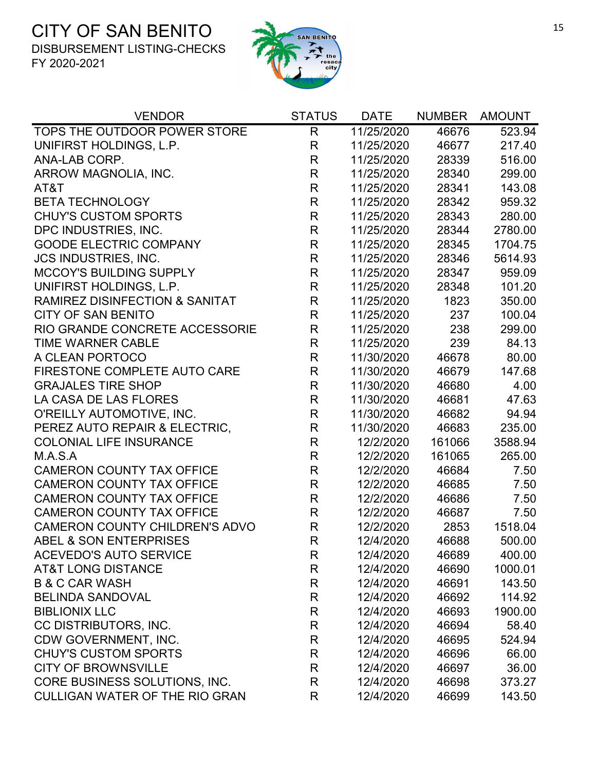

| <b>VENDOR</b>                             | <b>STATUS</b> | <b>DATE</b> | <b>NUMBER</b> | <b>AMOUNT</b> |
|-------------------------------------------|---------------|-------------|---------------|---------------|
| TOPS THE OUTDOOR POWER STORE              | R             | 11/25/2020  | 46676         | 523.94        |
| UNIFIRST HOLDINGS, L.P.                   | $\mathsf{R}$  | 11/25/2020  | 46677         | 217.40        |
| ANA-LAB CORP.                             | R             | 11/25/2020  | 28339         | 516.00        |
| ARROW MAGNOLIA, INC.                      | $\mathsf{R}$  | 11/25/2020  | 28340         | 299.00        |
| AT&T                                      | R             | 11/25/2020  | 28341         | 143.08        |
| <b>BETA TECHNOLOGY</b>                    | R             | 11/25/2020  | 28342         | 959.32        |
| <b>CHUY'S CUSTOM SPORTS</b>               | $\mathsf{R}$  | 11/25/2020  | 28343         | 280.00        |
| DPC INDUSTRIES, INC.                      | R             | 11/25/2020  | 28344         | 2780.00       |
| <b>GOODE ELECTRIC COMPANY</b>             | R             | 11/25/2020  | 28345         | 1704.75       |
| <b>JCS INDUSTRIES, INC.</b>               | R             | 11/25/2020  | 28346         | 5614.93       |
| <b>MCCOY'S BUILDING SUPPLY</b>            | $\mathsf{R}$  | 11/25/2020  | 28347         | 959.09        |
| UNIFIRST HOLDINGS, L.P.                   | R             | 11/25/2020  | 28348         | 101.20        |
| <b>RAMIREZ DISINFECTION &amp; SANITAT</b> | R             | 11/25/2020  | 1823          | 350.00        |
| <b>CITY OF SAN BENITO</b>                 | $\mathsf{R}$  | 11/25/2020  | 237           | 100.04        |
| RIO GRANDE CONCRETE ACCESSORIE            | $\mathsf{R}$  | 11/25/2020  | 238           | 299.00        |
| <b>TIME WARNER CABLE</b>                  | R             | 11/25/2020  | 239           | 84.13         |
| A CLEAN PORTOCO                           | R             | 11/30/2020  | 46678         | 80.00         |
| FIRESTONE COMPLETE AUTO CARE              | R             | 11/30/2020  | 46679         | 147.68        |
| <b>GRAJALES TIRE SHOP</b>                 | $\mathsf{R}$  | 11/30/2020  | 46680         | 4.00          |
| LA CASA DE LAS FLORES                     | R             | 11/30/2020  | 46681         | 47.63         |
| O'REILLY AUTOMOTIVE, INC.                 | $\mathsf{R}$  | 11/30/2020  | 46682         | 94.94         |
| PEREZ AUTO REPAIR & ELECTRIC,             | R             | 11/30/2020  | 46683         | 235.00        |
| <b>COLONIAL LIFE INSURANCE</b>            | $\mathsf{R}$  | 12/2/2020   | 161066        | 3588.94       |
| M.A.S.A                                   | R             | 12/2/2020   | 161065        | 265.00        |
| <b>CAMERON COUNTY TAX OFFICE</b>          | R             | 12/2/2020   | 46684         | 7.50          |
| <b>CAMERON COUNTY TAX OFFICE</b>          | $\mathsf{R}$  | 12/2/2020   | 46685         | 7.50          |
| <b>CAMERON COUNTY TAX OFFICE</b>          | $\mathsf{R}$  | 12/2/2020   | 46686         | 7.50          |
| <b>CAMERON COUNTY TAX OFFICE</b>          | R             | 12/2/2020   | 46687         | 7.50          |
| <b>CAMERON COUNTY CHILDREN'S ADVO</b>     | $\mathsf{R}$  | 12/2/2020   | 2853          | 1518.04       |
| <b>ABEL &amp; SON ENTERPRISES</b>         | R             | 12/4/2020   | 46688         | 500.00        |
| <b>ACEVEDO'S AUTO SERVICE</b>             | R             | 12/4/2020   | 46689         | 400.00        |
| <b>AT&amp;T LONG DISTANCE</b>             | R             | 12/4/2020   | 46690         | 1000.01       |
| <b>B &amp; C CAR WASH</b>                 | $\mathsf{R}$  | 12/4/2020   | 46691         | 143.50        |
| <b>BELINDA SANDOVAL</b>                   | R             | 12/4/2020   | 46692         | 114.92        |
| <b>BIBLIONIX LLC</b>                      | R             | 12/4/2020   | 46693         | 1900.00       |
| CC DISTRIBUTORS, INC.                     | R             | 12/4/2020   | 46694         | 58.40         |
| CDW GOVERNMENT, INC.                      | R             | 12/4/2020   | 46695         | 524.94        |
| <b>CHUY'S CUSTOM SPORTS</b>               | R             | 12/4/2020   | 46696         | 66.00         |
| <b>CITY OF BROWNSVILLE</b>                | R             | 12/4/2020   | 46697         | 36.00         |
| CORE BUSINESS SOLUTIONS, INC.             | R             | 12/4/2020   | 46698         | 373.27        |
| <b>CULLIGAN WATER OF THE RIO GRAN</b>     | R             | 12/4/2020   | 46699         | 143.50        |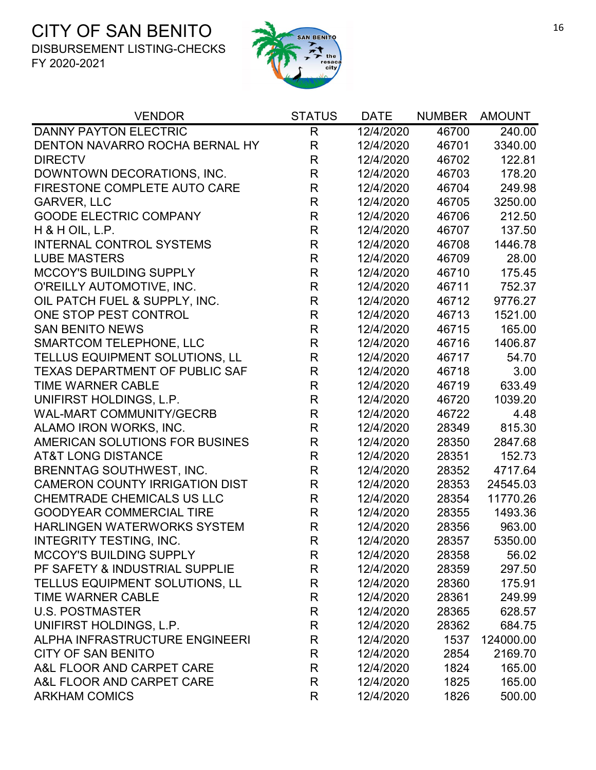

| <b>VENDOR</b>                         | <b>STATUS</b> | <b>DATE</b> | <b>NUMBER</b> | <b>AMOUNT</b> |
|---------------------------------------|---------------|-------------|---------------|---------------|
| <b>DANNY PAYTON ELECTRIC</b>          | $\mathsf{R}$  | 12/4/2020   | 46700         | 240.00        |
| DENTON NAVARRO ROCHA BERNAL HY        | $\mathsf{R}$  | 12/4/2020   | 46701         | 3340.00       |
| <b>DIRECTV</b>                        | R             | 12/4/2020   | 46702         | 122.81        |
| DOWNTOWN DECORATIONS, INC.            | $\mathsf{R}$  | 12/4/2020   | 46703         | 178.20        |
| FIRESTONE COMPLETE AUTO CARE          | $\mathsf R$   | 12/4/2020   | 46704         | 249.98        |
| <b>GARVER, LLC</b>                    | $\mathsf{R}$  | 12/4/2020   | 46705         | 3250.00       |
| <b>GOODE ELECTRIC COMPANY</b>         | $\mathsf R$   | 12/4/2020   | 46706         | 212.50        |
| $H$ & H OIL, L.P.                     | $\mathsf R$   | 12/4/2020   | 46707         | 137.50        |
| <b>INTERNAL CONTROL SYSTEMS</b>       | $\mathsf{R}$  | 12/4/2020   | 46708         | 1446.78       |
| <b>LUBE MASTERS</b>                   | $\mathsf R$   | 12/4/2020   | 46709         | 28.00         |
| <b>MCCOY'S BUILDING SUPPLY</b>        | $\mathsf R$   | 12/4/2020   | 46710         | 175.45        |
| O'REILLY AUTOMOTIVE, INC.             | $\mathsf R$   | 12/4/2020   | 46711         | 752.37        |
| OIL PATCH FUEL & SUPPLY, INC.         | $\mathsf{R}$  | 12/4/2020   | 46712         | 9776.27       |
| ONE STOP PEST CONTROL                 | $\mathsf R$   | 12/4/2020   | 46713         | 1521.00       |
| <b>SAN BENITO NEWS</b>                | $\mathsf R$   | 12/4/2020   | 46715         | 165.00        |
| <b>SMARTCOM TELEPHONE, LLC</b>        | $\mathsf R$   | 12/4/2020   | 46716         | 1406.87       |
| TELLUS EQUIPMENT SOLUTIONS, LL        | R             | 12/4/2020   | 46717         | 54.70         |
| TEXAS DEPARTMENT OF PUBLIC SAF        | $\mathsf R$   | 12/4/2020   | 46718         | 3.00          |
| <b>TIME WARNER CABLE</b>              | $\mathsf R$   | 12/4/2020   | 46719         | 633.49        |
| UNIFIRST HOLDINGS, L.P.               | $\mathsf R$   | 12/4/2020   | 46720         | 1039.20       |
| <b>WAL-MART COMMUNITY/GECRB</b>       | $\mathsf{R}$  | 12/4/2020   | 46722         | 4.48          |
| ALAMO IRON WORKS, INC.                | $\mathsf R$   | 12/4/2020   | 28349         | 815.30        |
| AMERICAN SOLUTIONS FOR BUSINES        | $\mathsf{R}$  | 12/4/2020   | 28350         | 2847.68       |
| <b>AT&amp;T LONG DISTANCE</b>         | $\mathsf R$   | 12/4/2020   | 28351         | 152.73        |
| <b>BRENNTAG SOUTHWEST, INC.</b>       | $\mathsf R$   | 12/4/2020   | 28352         | 4717.64       |
| <b>CAMERON COUNTY IRRIGATION DIST</b> | $\mathsf R$   | 12/4/2020   | 28353         | 24545.03      |
| <b>CHEMTRADE CHEMICALS US LLC</b>     | $\mathsf R$   | 12/4/2020   | 28354         | 11770.26      |
| <b>GOODYEAR COMMERCIAL TIRE</b>       | $\mathsf{R}$  | 12/4/2020   | 28355         | 1493.36       |
| <b>HARLINGEN WATERWORKS SYSTEM</b>    | $\mathsf{R}$  | 12/4/2020   | 28356         | 963.00        |
| <b>INTEGRITY TESTING, INC.</b>        | $\mathsf{R}$  | 12/4/2020   | 28357         | 5350.00       |
| <b>MCCOY'S BUILDING SUPPLY</b>        | R             | 12/4/2020   | 28358         | 56.02         |
| PF SAFETY & INDUSTRIAL SUPPLIE        | R             | 12/4/2020   | 28359         | 297.50        |
| TELLUS EQUIPMENT SOLUTIONS, LL        | $\mathsf R$   | 12/4/2020   | 28360         | 175.91        |
| <b>TIME WARNER CABLE</b>              | R             | 12/4/2020   | 28361         | 249.99        |
| <b>U.S. POSTMASTER</b>                | R             | 12/4/2020   | 28365         | 628.57        |
| UNIFIRST HOLDINGS, L.P.               | R             | 12/4/2020   | 28362         | 684.75        |
| ALPHA INFRASTRUCTURE ENGINEERI        | R             | 12/4/2020   | 1537          | 124000.00     |
| <b>CITY OF SAN BENITO</b>             | R             | 12/4/2020   | 2854          | 2169.70       |
| A&L FLOOR AND CARPET CARE             | R             | 12/4/2020   | 1824          | 165.00        |
| A&L FLOOR AND CARPET CARE             | R             | 12/4/2020   | 1825          | 165.00        |
| <b>ARKHAM COMICS</b>                  | R             | 12/4/2020   | 1826          | 500.00        |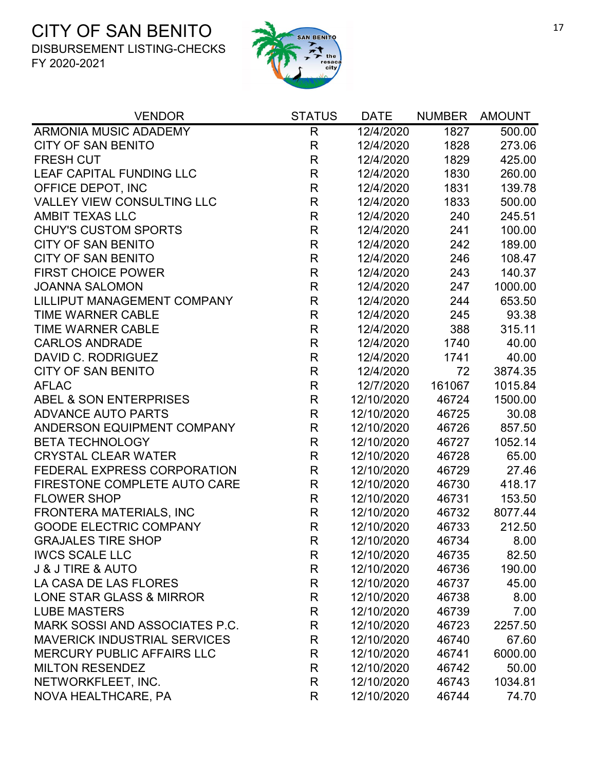

| <b>VENDOR</b>                       | <b>STATUS</b> | <b>DATE</b> | <b>NUMBER</b> | <b>AMOUNT</b> |
|-------------------------------------|---------------|-------------|---------------|---------------|
| ARMONIA MUSIC ADADEMY               | $\mathsf{R}$  | 12/4/2020   | 1827          | 500.00        |
| <b>CITY OF SAN BENITO</b>           | $\mathsf{R}$  | 12/4/2020   | 1828          | 273.06        |
| <b>FRESH CUT</b>                    | $\mathsf{R}$  | 12/4/2020   | 1829          | 425.00        |
| LEAF CAPITAL FUNDING LLC            | $\mathsf{R}$  | 12/4/2020   | 1830          | 260.00        |
| OFFICE DEPOT, INC                   | $\mathsf{R}$  | 12/4/2020   | 1831          | 139.78        |
| <b>VALLEY VIEW CONSULTING LLC</b>   | $\mathsf{R}$  | 12/4/2020   | 1833          | 500.00        |
| <b>AMBIT TEXAS LLC</b>              | $\mathsf{R}$  | 12/4/2020   | 240           | 245.51        |
| <b>CHUY'S CUSTOM SPORTS</b>         | $\mathsf{R}$  | 12/4/2020   | 241           | 100.00        |
| <b>CITY OF SAN BENITO</b>           | $\mathsf{R}$  | 12/4/2020   | 242           | 189.00        |
| <b>CITY OF SAN BENITO</b>           | $\mathsf R$   | 12/4/2020   | 246           | 108.47        |
| <b>FIRST CHOICE POWER</b>           | $\mathsf{R}$  | 12/4/2020   | 243           | 140.37        |
| <b>JOANNA SALOMON</b>               | $\mathsf{R}$  | 12/4/2020   | 247           | 1000.00       |
| LILLIPUT MANAGEMENT COMPANY         | $\mathsf{R}$  | 12/4/2020   | 244           | 653.50        |
| <b>TIME WARNER CABLE</b>            | $\mathsf{R}$  | 12/4/2020   | 245           | 93.38         |
| <b>TIME WARNER CABLE</b>            | $\mathsf{R}$  | 12/4/2020   | 388           | 315.11        |
| <b>CARLOS ANDRADE</b>               | $\mathsf{R}$  | 12/4/2020   | 1740          | 40.00         |
| DAVID C. RODRIGUEZ                  | $\mathsf{R}$  | 12/4/2020   | 1741          | 40.00         |
| <b>CITY OF SAN BENITO</b>           | $\mathsf{R}$  | 12/4/2020   | 72            | 3874.35       |
| <b>AFLAC</b>                        | $\mathsf{R}$  | 12/7/2020   | 161067        | 1015.84       |
| <b>ABEL &amp; SON ENTERPRISES</b>   | $\mathsf{R}$  | 12/10/2020  | 46724         | 1500.00       |
| <b>ADVANCE AUTO PARTS</b>           | R             | 12/10/2020  | 46725         | 30.08         |
| ANDERSON EQUIPMENT COMPANY          | $\mathsf R$   | 12/10/2020  | 46726         | 857.50        |
| <b>BETA TECHNOLOGY</b>              | $\mathsf{R}$  | 12/10/2020  | 46727         | 1052.14       |
| <b>CRYSTAL CLEAR WATER</b>          | $\mathsf{R}$  | 12/10/2020  | 46728         | 65.00         |
| FEDERAL EXPRESS CORPORATION         | $\mathsf R$   | 12/10/2020  | 46729         | 27.46         |
| FIRESTONE COMPLETE AUTO CARE        | $\mathsf{R}$  | 12/10/2020  | 46730         | 418.17        |
| <b>FLOWER SHOP</b>                  | R             | 12/10/2020  | 46731         | 153.50        |
| FRONTERA MATERIALS, INC             | $\mathsf{R}$  | 12/10/2020  | 46732         | 8077.44       |
| <b>GOODE ELECTRIC COMPANY</b>       | $\mathsf{R}$  | 12/10/2020  | 46733         | 212.50        |
| <b>GRAJALES TIRE SHOP</b>           | R             | 12/10/2020  | 46734         | 8.00          |
| <b>IWCS SCALE LLC</b>               | R             | 12/10/2020  | 46735         | 82.50         |
| <b>J &amp; J TIRE &amp; AUTO</b>    | R             | 12/10/2020  | 46736         | 190.00        |
| LA CASA DE LAS FLORES               | R             | 12/10/2020  | 46737         | 45.00         |
| LONE STAR GLASS & MIRROR            | R             | 12/10/2020  | 46738         | 8.00          |
| <b>LUBE MASTERS</b>                 | R             | 12/10/2020  | 46739         | 7.00          |
| MARK SOSSI AND ASSOCIATES P.C.      | R             | 12/10/2020  | 46723         | 2257.50       |
| <b>MAVERICK INDUSTRIAL SERVICES</b> | R             | 12/10/2020  | 46740         | 67.60         |
| <b>MERCURY PUBLIC AFFAIRS LLC</b>   | R             | 12/10/2020  | 46741         | 6000.00       |
| <b>MILTON RESENDEZ</b>              | R             | 12/10/2020  | 46742         | 50.00         |
| NETWORKFLEET, INC.                  | R             | 12/10/2020  | 46743         | 1034.81       |
| NOVA HEALTHCARE, PA                 | R             | 12/10/2020  | 46744         | 74.70         |
|                                     |               |             |               |               |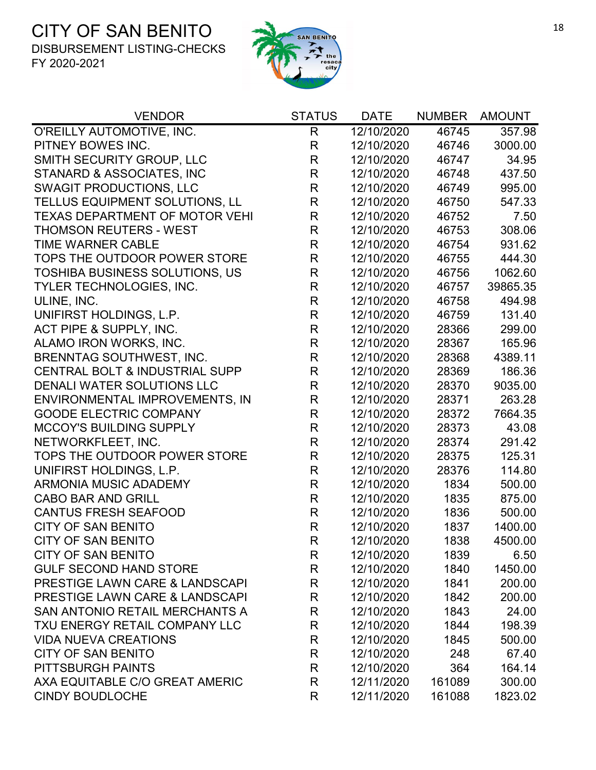

| <b>VENDOR</b>                             | <b>STATUS</b> | <b>DATE</b> | <b>NUMBER</b> | <b>AMOUNT</b> |
|-------------------------------------------|---------------|-------------|---------------|---------------|
| O'REILLY AUTOMOTIVE, INC.                 | $\mathsf{R}$  | 12/10/2020  | 46745         | 357.98        |
| PITNEY BOWES INC.                         | R             | 12/10/2020  | 46746         | 3000.00       |
| <b>SMITH SECURITY GROUP, LLC</b>          | R             | 12/10/2020  | 46747         | 34.95         |
| STANARD & ASSOCIATES, INC                 | R             | 12/10/2020  | 46748         | 437.50        |
| <b>SWAGIT PRODUCTIONS, LLC</b>            | $\mathsf R$   | 12/10/2020  | 46749         | 995.00        |
| TELLUS EQUIPMENT SOLUTIONS, LL            | R             | 12/10/2020  | 46750         | 547.33        |
| <b>TEXAS DEPARTMENT OF MOTOR VEHI</b>     | $\mathsf R$   | 12/10/2020  | 46752         | 7.50          |
| <b>THOMSON REUTERS - WEST</b>             | $\mathsf R$   | 12/10/2020  | 46753         | 308.06        |
| <b>TIME WARNER CABLE</b>                  | R             | 12/10/2020  | 46754         | 931.62        |
| TOPS THE OUTDOOR POWER STORE              | R             | 12/10/2020  | 46755         | 444.30        |
| <b>TOSHIBA BUSINESS SOLUTIONS, US</b>     | $\mathsf R$   | 12/10/2020  | 46756         | 1062.60       |
| TYLER TECHNOLOGIES, INC.                  | R             | 12/10/2020  | 46757         | 39865.35      |
| ULINE, INC.                               | $\mathsf{R}$  | 12/10/2020  | 46758         | 494.98        |
| UNIFIRST HOLDINGS, L.P.                   | R             | 12/10/2020  | 46759         | 131.40        |
| ACT PIPE & SUPPLY, INC.                   | R             | 12/10/2020  | 28366         | 299.00        |
| ALAMO IRON WORKS, INC.                    | R             | 12/10/2020  | 28367         | 165.96        |
| <b>BRENNTAG SOUTHWEST, INC.</b>           | $\mathsf{R}$  | 12/10/2020  | 28368         | 4389.11       |
| <b>CENTRAL BOLT &amp; INDUSTRIAL SUPP</b> | R             | 12/10/2020  | 28369         | 186.36        |
| DENALI WATER SOLUTIONS LLC                | $\mathsf R$   | 12/10/2020  | 28370         | 9035.00       |
| ENVIRONMENTAL IMPROVEMENTS, IN            | $\mathsf{R}$  | 12/10/2020  | 28371         | 263.28        |
| <b>GOODE ELECTRIC COMPANY</b>             | $\mathsf{R}$  | 12/10/2020  | 28372         | 7664.35       |
| <b>MCCOY'S BUILDING SUPPLY</b>            | $\mathsf R$   | 12/10/2020  | 28373         | 43.08         |
| NETWORKFLEET, INC.                        | $\mathsf{R}$  | 12/10/2020  | 28374         | 291.42        |
| TOPS THE OUTDOOR POWER STORE              | $\mathsf{R}$  | 12/10/2020  | 28375         | 125.31        |
| UNIFIRST HOLDINGS, L.P.                   | $\mathsf{R}$  | 12/10/2020  | 28376         | 114.80        |
| <b>ARMONIA MUSIC ADADEMY</b>              | R             | 12/10/2020  | 1834          | 500.00        |
| <b>CABO BAR AND GRILL</b>                 | R             | 12/10/2020  | 1835          | 875.00        |
| <b>CANTUS FRESH SEAFOOD</b>               | R             | 12/10/2020  | 1836          | 500.00        |
| <b>CITY OF SAN BENITO</b>                 | R             | 12/10/2020  | 1837          | 1400.00       |
| CITY OF SAN BENITO                        | R             | 12/10/2020  | 1838          | 4500.00       |
| <b>CITY OF SAN BENITO</b>                 | R             | 12/10/2020  | 1839          | 6.50          |
| <b>GULF SECOND HAND STORE</b>             | R             | 12/10/2020  | 1840          | 1450.00       |
| <b>PRESTIGE LAWN CARE &amp; LANDSCAPI</b> | $\mathsf{R}$  | 12/10/2020  | 1841          | 200.00        |
| <b>PRESTIGE LAWN CARE &amp; LANDSCAPI</b> | R             | 12/10/2020  | 1842          | 200.00        |
| SAN ANTONIO RETAIL MERCHANTS A            | R             | 12/10/2020  | 1843          | 24.00         |
| TXU ENERGY RETAIL COMPANY LLC             | $\mathsf{R}$  | 12/10/2020  | 1844          | 198.39        |
| <b>VIDA NUEVA CREATIONS</b>               | $\mathsf{R}$  | 12/10/2020  | 1845          | 500.00        |
| <b>CITY OF SAN BENITO</b>                 | R             | 12/10/2020  | 248           | 67.40         |
| PITTSBURGH PAINTS                         | R             | 12/10/2020  | 364           | 164.14        |
| AXA EQUITABLE C/O GREAT AMERIC            | R             | 12/11/2020  | 161089        | 300.00        |
| <b>CINDY BOUDLOCHE</b>                    | R             | 12/11/2020  | 161088        | 1823.02       |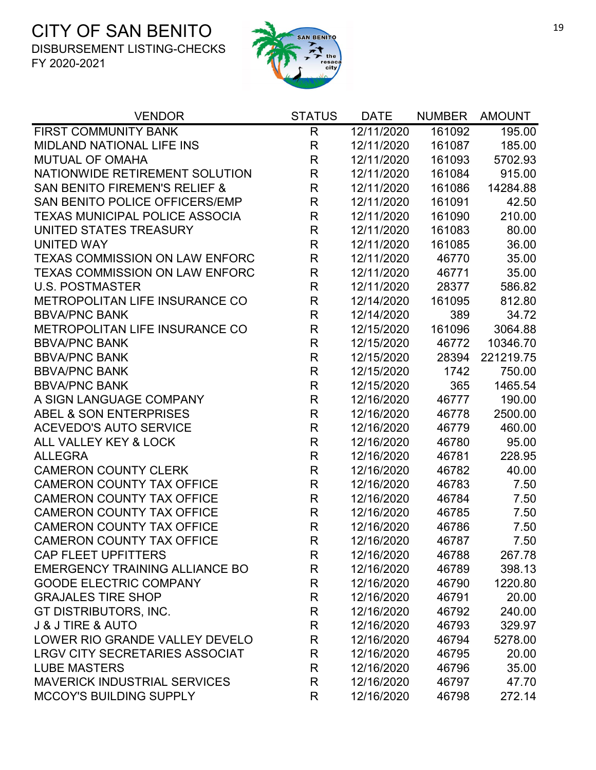

| <b>VENDOR</b>                            | <b>STATUS</b> | <b>DATE</b> | <b>NUMBER</b> | <b>AMOUNT</b> |
|------------------------------------------|---------------|-------------|---------------|---------------|
| FIRST COMMUNITY BANK                     | $\mathsf{R}$  | 12/11/2020  | 161092        | 195.00        |
| <b>MIDLAND NATIONAL LIFE INS</b>         | $\mathsf{R}$  | 12/11/2020  | 161087        | 185.00        |
| <b>MUTUAL OF OMAHA</b>                   | $\mathsf R$   | 12/11/2020  | 161093        | 5702.93       |
| NATIONWIDE RETIREMENT SOLUTION           | $\mathsf R$   | 12/11/2020  | 161084        | 915.00        |
| <b>SAN BENITO FIREMEN'S RELIEF &amp;</b> | $\mathsf R$   | 12/11/2020  | 161086        | 14284.88      |
| SAN BENITO POLICE OFFICERS/EMP           | R             | 12/11/2020  | 161091        | 42.50         |
| <b>TEXAS MUNICIPAL POLICE ASSOCIA</b>    | R             | 12/11/2020  | 161090        | 210.00        |
| UNITED STATES TREASURY                   | $\mathsf R$   | 12/11/2020  | 161083        | 80.00         |
| <b>UNITED WAY</b>                        | $\mathsf R$   | 12/11/2020  | 161085        | 36.00         |
| <b>TEXAS COMMISSION ON LAW ENFORC</b>    | $\mathsf R$   | 12/11/2020  | 46770         | 35.00         |
| <b>TEXAS COMMISSION ON LAW ENFORC</b>    | $\mathsf R$   | 12/11/2020  | 46771         | 35.00         |
| <b>U.S. POSTMASTER</b>                   | R             | 12/11/2020  | 28377         | 586.82        |
| METROPOLITAN LIFE INSURANCE CO           | $\mathsf{R}$  | 12/14/2020  | 161095        | 812.80        |
| <b>BBVA/PNC BANK</b>                     | R             | 12/14/2020  | 389           | 34.72         |
| METROPOLITAN LIFE INSURANCE CO           | $\mathsf R$   | 12/15/2020  | 161096        | 3064.88       |
| <b>BBVA/PNC BANK</b>                     | $\mathsf R$   | 12/15/2020  | 46772         | 10346.70      |
| <b>BBVA/PNC BANK</b>                     | $\mathsf{R}$  | 12/15/2020  | 28394         | 221219.75     |
| <b>BBVA/PNC BANK</b>                     | R             | 12/15/2020  | 1742          | 750.00        |
| <b>BBVA/PNC BANK</b>                     | $\mathsf{R}$  | 12/15/2020  | 365           | 1465.54       |
| A SIGN LANGUAGE COMPANY                  | R             | 12/16/2020  | 46777         | 190.00        |
| ABEL & SON ENTERPRISES                   | $\mathsf R$   | 12/16/2020  | 46778         | 2500.00       |
| <b>ACEVEDO'S AUTO SERVICE</b>            | $\mathsf R$   | 12/16/2020  | 46779         | 460.00        |
| ALL VALLEY KEY & LOCK                    | $\mathsf{R}$  | 12/16/2020  | 46780         | 95.00         |
| <b>ALLEGRA</b>                           | $\mathsf{R}$  | 12/16/2020  | 46781         | 228.95        |
| <b>CAMERON COUNTY CLERK</b>              | $\mathsf{R}$  | 12/16/2020  | 46782         | 40.00         |
| <b>CAMERON COUNTY TAX OFFICE</b>         | $\mathsf{R}$  | 12/16/2020  | 46783         | 7.50          |
| <b>CAMERON COUNTY TAX OFFICE</b>         | $\mathsf{R}$  | 12/16/2020  | 46784         | 7.50          |
| <b>CAMERON COUNTY TAX OFFICE</b>         | $\mathsf R$   | 12/16/2020  | 46785         | 7.50          |
| <b>CAMERON COUNTY TAX OFFICE</b>         | $\mathsf{R}$  | 12/16/2020  | 46786         | 7.50          |
| <b>CAMERON COUNTY TAX OFFICE</b>         | R             | 12/16/2020  | 46787         | 7.50          |
| <b>CAP FLEET UPFITTERS</b>               | R             | 12/16/2020  | 46788         | 267.78        |
| <b>EMERGENCY TRAINING ALLIANCE BO</b>    | R             | 12/16/2020  | 46789         | 398.13        |
| <b>GOODE ELECTRIC COMPANY</b>            | R             | 12/16/2020  | 46790         | 1220.80       |
| <b>GRAJALES TIRE SHOP</b>                | R             | 12/16/2020  | 46791         | 20.00         |
| GT DISTRIBUTORS, INC.                    | $\mathsf{R}$  | 12/16/2020  | 46792         | 240.00        |
| <b>J &amp; J TIRE &amp; AUTO</b>         | $\mathsf{R}$  | 12/16/2020  | 46793         | 329.97        |
| LOWER RIO GRANDE VALLEY DEVELO           | R             | 12/16/2020  | 46794         | 5278.00       |
| <b>LRGV CITY SECRETARIES ASSOCIAT</b>    | $\mathsf R$   | 12/16/2020  | 46795         | 20.00         |
| <b>LUBE MASTERS</b>                      | R             | 12/16/2020  | 46796         | 35.00         |
| <b>MAVERICK INDUSTRIAL SERVICES</b>      | $\mathsf{R}$  | 12/16/2020  | 46797         | 47.70         |
| <b>MCCOY'S BUILDING SUPPLY</b>           | R             | 12/16/2020  | 46798         | 272.14        |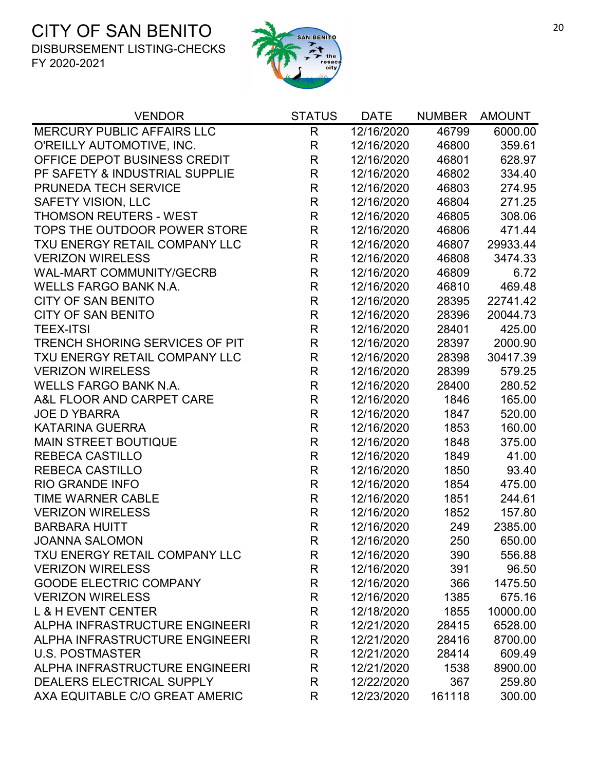

| <b>VENDOR</b>                         | <b>STATUS</b> | <b>DATE</b> | <b>NUMBER</b> | <b>AMOUNT</b> |
|---------------------------------------|---------------|-------------|---------------|---------------|
| <b>MERCURY PUBLIC AFFAIRS LLC</b>     | R             | 12/16/2020  | 46799         | 6000.00       |
| O'REILLY AUTOMOTIVE, INC.             | $\mathsf{R}$  | 12/16/2020  | 46800         | 359.61        |
| OFFICE DEPOT BUSINESS CREDIT          | R             | 12/16/2020  | 46801         | 628.97        |
| PF SAFETY & INDUSTRIAL SUPPLIE        | $\mathsf{R}$  | 12/16/2020  | 46802         | 334.40        |
| PRUNEDA TECH SERVICE                  | R             | 12/16/2020  | 46803         | 274.95        |
| <b>SAFETY VISION, LLC</b>             | $\mathsf R$   | 12/16/2020  | 46804         | 271.25        |
| <b>THOMSON REUTERS - WEST</b>         | R             | 12/16/2020  | 46805         | 308.06        |
| TOPS THE OUTDOOR POWER STORE          | R             | 12/16/2020  | 46806         | 471.44        |
| TXU ENERGY RETAIL COMPANY LLC         | R             | 12/16/2020  | 46807         | 29933.44      |
| <b>VERIZON WIRELESS</b>               | $\mathsf R$   | 12/16/2020  | 46808         | 3474.33       |
| <b>WAL-MART COMMUNITY/GECRB</b>       | $\mathsf{R}$  | 12/16/2020  | 46809         | 6.72          |
| <b>WELLS FARGO BANK N.A.</b>          | R             | 12/16/2020  | 46810         | 469.48        |
| <b>CITY OF SAN BENITO</b>             | R             | 12/16/2020  | 28395         | 22741.42      |
| <b>CITY OF SAN BENITO</b>             | R             | 12/16/2020  | 28396         | 20044.73      |
| <b>TEEX-ITSI</b>                      | R             | 12/16/2020  | 28401         | 425.00        |
| <b>TRENCH SHORING SERVICES OF PIT</b> | $\mathsf{R}$  | 12/16/2020  | 28397         | 2000.90       |
| TXU ENERGY RETAIL COMPANY LLC         | R             | 12/16/2020  | 28398         | 30417.39      |
| <b>VERIZON WIRELESS</b>               | R             | 12/16/2020  | 28399         | 579.25        |
| <b>WELLS FARGO BANK N.A.</b>          | R             | 12/16/2020  | 28400         | 280.52        |
| A&L FLOOR AND CARPET CARE             | R             | 12/16/2020  | 1846          | 165.00        |
| <b>JOE D YBARRA</b>                   | R             | 12/16/2020  | 1847          | 520.00        |
| <b>KATARINA GUERRA</b>                | R             | 12/16/2020  | 1853          | 160.00        |
| <b>MAIN STREET BOUTIQUE</b>           | $\mathsf{R}$  | 12/16/2020  | 1848          | 375.00        |
| <b>REBECA CASTILLO</b>                | $\mathsf{R}$  | 12/16/2020  | 1849          | 41.00         |
| <b>REBECA CASTILLO</b>                | R             | 12/16/2020  | 1850          | 93.40         |
| <b>RIO GRANDE INFO</b>                | R             | 12/16/2020  | 1854          | 475.00        |
| <b>TIME WARNER CABLE</b>              | R             | 12/16/2020  | 1851          | 244.61        |
| <b>VERIZON WIRELESS</b>               | R             | 12/16/2020  | 1852          | 157.80        |
| <b>BARBARA HUITT</b>                  | $\mathsf{R}$  | 12/16/2020  | 249           | 2385.00       |
| <b>JOANNA SALOMON</b>                 | R             | 12/16/2020  | 250           | 650.00        |
| TXU ENERGY RETAIL COMPANY LLC         | R             | 12/16/2020  | 390           | 556.88        |
| <b>VERIZON WIRELESS</b>               | R             | 12/16/2020  | 391           | 96.50         |
| <b>GOODE ELECTRIC COMPANY</b>         | R             | 12/16/2020  | 366           | 1475.50       |
| <b>VERIZON WIRELESS</b>               | R             | 12/16/2020  | 1385          | 675.16        |
| <b>L &amp; H EVENT CENTER</b>         | R             | 12/18/2020  | 1855          | 10000.00      |
| ALPHA INFRASTRUCTURE ENGINEERI        | R             | 12/21/2020  | 28415         | 6528.00       |
| ALPHA INFRASTRUCTURE ENGINEERI        | R             | 12/21/2020  | 28416         | 8700.00       |
| <b>U.S. POSTMASTER</b>                | R             | 12/21/2020  | 28414         | 609.49        |
| ALPHA INFRASTRUCTURE ENGINEERI        | R             | 12/21/2020  | 1538          | 8900.00       |
| DEALERS ELECTRICAL SUPPLY             | R             | 12/22/2020  | 367           | 259.80        |
| AXA EQUITABLE C/O GREAT AMERIC        | R             | 12/23/2020  | 161118        | 300.00        |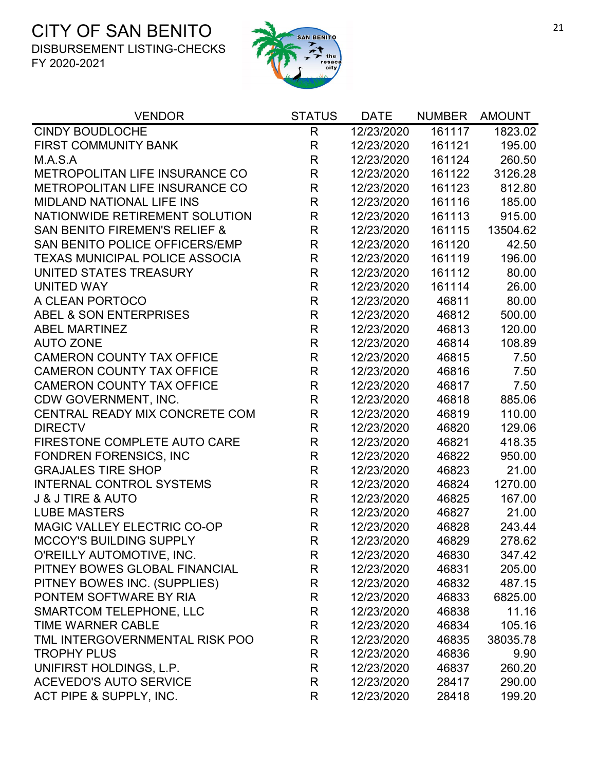

| <b>VENDOR</b>                            | <b>STATUS</b> | <b>DATE</b> | <b>NUMBER</b> | <b>AMOUNT</b> |
|------------------------------------------|---------------|-------------|---------------|---------------|
| <b>CINDY BOUDLOCHE</b>                   | R             | 12/23/2020  | 161117        | 1823.02       |
| <b>FIRST COMMUNITY BANK</b>              | $\mathsf{R}$  | 12/23/2020  | 161121        | 195.00        |
| M.A.S.A                                  | $\mathsf{R}$  | 12/23/2020  | 161124        | 260.50        |
| METROPOLITAN LIFE INSURANCE CO           | $\mathsf{R}$  | 12/23/2020  | 161122        | 3126.28       |
| METROPOLITAN LIFE INSURANCE CO           | $\mathsf R$   | 12/23/2020  | 161123        | 812.80        |
| <b>MIDLAND NATIONAL LIFE INS</b>         | $\mathsf{R}$  | 12/23/2020  | 161116        | 185.00        |
| NATIONWIDE RETIREMENT SOLUTION           | $\mathsf R$   | 12/23/2020  | 161113        | 915.00        |
| <b>SAN BENITO FIREMEN'S RELIEF &amp;</b> | $\mathsf{R}$  | 12/23/2020  | 161115        | 13504.62      |
| SAN BENITO POLICE OFFICERS/EMP           | $\mathsf R$   | 12/23/2020  | 161120        | 42.50         |
| <b>TEXAS MUNICIPAL POLICE ASSOCIA</b>    | $\mathsf{R}$  | 12/23/2020  | 161119        | 196.00        |
| UNITED STATES TREASURY                   | $\mathsf{R}$  | 12/23/2020  | 161112        | 80.00         |
| <b>UNITED WAY</b>                        | $\mathsf{R}$  | 12/23/2020  | 161114        | 26.00         |
| A CLEAN PORTOCO                          | $\mathsf{R}$  | 12/23/2020  | 46811         | 80.00         |
| ABEL & SON ENTERPRISES                   | $\mathsf R$   | 12/23/2020  | 46812         | 500.00        |
| <b>ABEL MARTINEZ</b>                     | $\mathsf{R}$  | 12/23/2020  | 46813         | 120.00        |
| <b>AUTO ZONE</b>                         | $\mathsf{R}$  | 12/23/2020  | 46814         | 108.89        |
| <b>CAMERON COUNTY TAX OFFICE</b>         | R             | 12/23/2020  | 46815         | 7.50          |
| <b>CAMERON COUNTY TAX OFFICE</b>         | $\mathsf{R}$  | 12/23/2020  | 46816         | 7.50          |
| <b>CAMERON COUNTY TAX OFFICE</b>         | $\mathsf{R}$  | 12/23/2020  | 46817         | 7.50          |
| CDW GOVERNMENT, INC.                     | $\mathsf R$   | 12/23/2020  | 46818         | 885.06        |
| CENTRAL READY MIX CONCRETE COM           | $\mathsf R$   | 12/23/2020  | 46819         | 110.00        |
| <b>DIRECTV</b>                           | R             | 12/23/2020  | 46820         | 129.06        |
| FIRESTONE COMPLETE AUTO CARE             | $\mathsf{R}$  | 12/23/2020  | 46821         | 418.35        |
| <b>FONDREN FORENSICS, INC</b>            | $\mathsf R$   | 12/23/2020  | 46822         | 950.00        |
| <b>GRAJALES TIRE SHOP</b>                | $\mathsf{R}$  | 12/23/2020  | 46823         | 21.00         |
| <b>INTERNAL CONTROL SYSTEMS</b>          | $\mathsf{R}$  | 12/23/2020  | 46824         | 1270.00       |
| <b>J &amp; J TIRE &amp; AUTO</b>         | $\mathsf{R}$  | 12/23/2020  | 46825         | 167.00        |
| <b>LUBE MASTERS</b>                      | R             | 12/23/2020  | 46827         | 21.00         |
| MAGIC VALLEY ELECTRIC CO-OP              | $\mathsf{R}$  | 12/23/2020  | 46828         | 243.44        |
| <b>MCCOY'S BUILDING SUPPLY</b>           | R             | 12/23/2020  | 46829         | 278.62        |
| O'REILLY AUTOMOTIVE, INC.                | R             | 12/23/2020  | 46830         | 347.42        |
| PITNEY BOWES GLOBAL FINANCIAL            | R             | 12/23/2020  | 46831         | 205.00        |
| PITNEY BOWES INC. (SUPPLIES)             | R             | 12/23/2020  | 46832         | 487.15        |
| PONTEM SOFTWARE BY RIA                   | R             | 12/23/2020  | 46833         | 6825.00       |
| <b>SMARTCOM TELEPHONE, LLC</b>           | R             | 12/23/2020  | 46838         | 11.16         |
| <b>TIME WARNER CABLE</b>                 | R             | 12/23/2020  | 46834         | 105.16        |
| TML INTERGOVERNMENTAL RISK POO           | R             | 12/23/2020  | 46835         | 38035.78      |
| <b>TROPHY PLUS</b>                       | R             | 12/23/2020  | 46836         | 9.90          |
| UNIFIRST HOLDINGS, L.P.                  | R             | 12/23/2020  | 46837         | 260.20        |
| <b>ACEVEDO'S AUTO SERVICE</b>            | R             | 12/23/2020  | 28417         | 290.00        |
| ACT PIPE & SUPPLY, INC.                  | R             | 12/23/2020  | 28418         | 199.20        |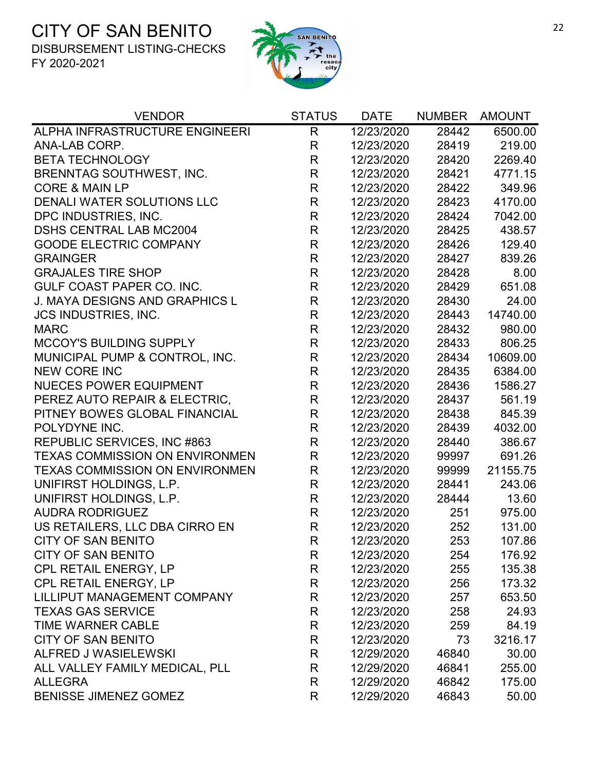

| <b>VENDOR</b>                         | <b>STATUS</b> | <b>DATE</b> | <b>NUMBER</b> | <b>AMOUNT</b> |
|---------------------------------------|---------------|-------------|---------------|---------------|
| ALPHA INFRASTRUCTURE ENGINEERI        | R             | 12/23/2020  | 28442         | 6500.00       |
| ANA-LAB CORP.                         | R             | 12/23/2020  | 28419         | 219.00        |
| <b>BETA TECHNOLOGY</b>                | R             | 12/23/2020  | 28420         | 2269.40       |
| <b>BRENNTAG SOUTHWEST, INC.</b>       | R             | 12/23/2020  | 28421         | 4771.15       |
| <b>CORE &amp; MAIN LP</b>             | R             | 12/23/2020  | 28422         | 349.96        |
| <b>DENALI WATER SOLUTIONS LLC</b>     | $\mathsf{R}$  | 12/23/2020  | 28423         | 4170.00       |
| DPC INDUSTRIES, INC.                  | $\mathsf{R}$  | 12/23/2020  | 28424         | 7042.00       |
| <b>DSHS CENTRAL LAB MC2004</b>        | R             | 12/23/2020  | 28425         | 438.57        |
| <b>GOODE ELECTRIC COMPANY</b>         | R             | 12/23/2020  | 28426         | 129.40        |
| <b>GRAINGER</b>                       | R             | 12/23/2020  | 28427         | 839.26        |
| <b>GRAJALES TIRE SHOP</b>             | R             | 12/23/2020  | 28428         | 8.00          |
| <b>GULF COAST PAPER CO. INC.</b>      | $\mathsf{R}$  | 12/23/2020  | 28429         | 651.08        |
| <b>J. MAYA DESIGNS AND GRAPHICS L</b> | R             | 12/23/2020  | 28430         | 24.00         |
| <b>JCS INDUSTRIES, INC.</b>           | $\mathsf{R}$  | 12/23/2020  | 28443         | 14740.00      |
| <b>MARC</b>                           | R             | 12/23/2020  | 28432         | 980.00        |
| <b>MCCOY'S BUILDING SUPPLY</b>        | $\mathsf{R}$  | 12/23/2020  | 28433         | 806.25        |
| MUNICIPAL PUMP & CONTROL, INC.        | R             | 12/23/2020  | 28434         | 10609.00      |
| <b>NEW CORE INC</b>                   | R             | 12/23/2020  | 28435         | 6384.00       |
| <b>NUECES POWER EQUIPMENT</b>         | $\mathsf R$   | 12/23/2020  | 28436         | 1586.27       |
| PEREZ AUTO REPAIR & ELECTRIC,         | R             | 12/23/2020  | 28437         | 561.19        |
| PITNEY BOWES GLOBAL FINANCIAL         | $\mathsf{R}$  | 12/23/2020  | 28438         | 845.39        |
| POLYDYNE INC.                         | $\mathsf{R}$  | 12/23/2020  | 28439         | 4032.00       |
| REPUBLIC SERVICES, INC #863           | R             | 12/23/2020  | 28440         | 386.67        |
| <b>TEXAS COMMISSION ON ENVIRONMEN</b> | $\mathsf R$   | 12/23/2020  | 99997         | 691.26        |
| <b>TEXAS COMMISSION ON ENVIRONMEN</b> | $\mathsf{R}$  | 12/23/2020  | 99999         | 21155.75      |
| UNIFIRST HOLDINGS, L.P.               | $\mathsf{R}$  | 12/23/2020  | 28441         | 243.06        |
| UNIFIRST HOLDINGS, L.P.               | R             | 12/23/2020  | 28444         | 13.60         |
| <b>AUDRA RODRIGUEZ</b>                | R             | 12/23/2020  | 251           | 975.00        |
| US RETAILERS, LLC DBA CIRRO EN        | $\mathsf{R}$  | 12/23/2020  | 252           | 131.00        |
| <b>CITY OF SAN BENITO</b>             | $\mathsf{R}$  | 12/23/2020  | 253           | 107.86        |
| <b>CITY OF SAN BENITO</b>             | R             | 12/23/2020  | 254           | 176.92        |
| CPL RETAIL ENERGY, LP                 | R             | 12/23/2020  | 255           | 135.38        |
| CPL RETAIL ENERGY, LP                 | R             | 12/23/2020  | 256           | 173.32        |
| LILLIPUT MANAGEMENT COMPANY           | R             | 12/23/2020  | 257           | 653.50        |
| <b>TEXAS GAS SERVICE</b>              | R             | 12/23/2020  | 258           | 24.93         |
| <b>TIME WARNER CABLE</b>              | R             | 12/23/2020  | 259           | 84.19         |
| <b>CITY OF SAN BENITO</b>             | R             | 12/23/2020  | 73            | 3216.17       |
| <b>ALFRED J WASIELEWSKI</b>           | R             | 12/29/2020  | 46840         | 30.00         |
| ALL VALLEY FAMILY MEDICAL, PLL        | R             | 12/29/2020  | 46841         | 255.00        |
| <b>ALLEGRA</b>                        | R             | 12/29/2020  | 46842         | 175.00        |
| <b>BENISSE JIMENEZ GOMEZ</b>          | R             | 12/29/2020  | 46843         | 50.00         |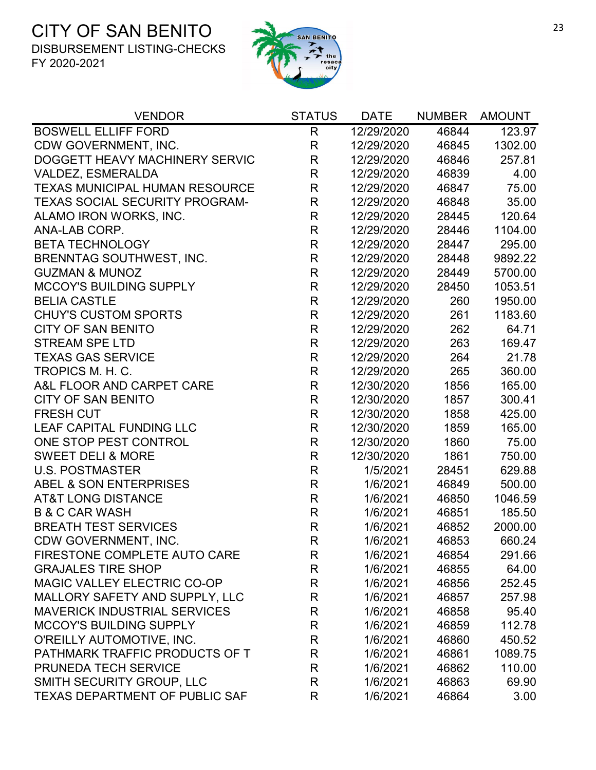

| <b>VENDOR</b>                         | <b>STATUS</b> | <b>DATE</b> | <b>NUMBER</b> | <b>AMOUNT</b> |
|---------------------------------------|---------------|-------------|---------------|---------------|
| <b>BOSWELL ELLIFF FORD</b>            | $\mathsf{R}$  | 12/29/2020  | 46844         | 123.97        |
| CDW GOVERNMENT, INC.                  | R             | 12/29/2020  | 46845         | 1302.00       |
| DOGGETT HEAVY MACHINERY SERVIC        | R             | 12/29/2020  | 46846         | 257.81        |
| VALDEZ, ESMERALDA                     | R             | 12/29/2020  | 46839         | 4.00          |
| <b>TEXAS MUNICIPAL HUMAN RESOURCE</b> | R             | 12/29/2020  | 46847         | 75.00         |
| <b>TEXAS SOCIAL SECURITY PROGRAM-</b> | R             | 12/29/2020  | 46848         | 35.00         |
| ALAMO IRON WORKS, INC.                | R             | 12/29/2020  | 28445         | 120.64        |
| ANA-LAB CORP.                         | $\mathsf{R}$  | 12/29/2020  | 28446         | 1104.00       |
| <b>BETA TECHNOLOGY</b>                | R             | 12/29/2020  | 28447         | 295.00        |
| <b>BRENNTAG SOUTHWEST, INC.</b>       | R             | 12/29/2020  | 28448         | 9892.22       |
| <b>GUZMAN &amp; MUNOZ</b>             | R             | 12/29/2020  | 28449         | 5700.00       |
| <b>MCCOY'S BUILDING SUPPLY</b>        | R             | 12/29/2020  | 28450         | 1053.51       |
| <b>BELIA CASTLE</b>                   | R             | 12/29/2020  | 260           | 1950.00       |
| <b>CHUY'S CUSTOM SPORTS</b>           | R             | 12/29/2020  | 261           | 1183.60       |
| <b>CITY OF SAN BENITO</b>             | R             | 12/29/2020  | 262           | 64.71         |
| <b>STREAM SPE LTD</b>                 | R             | 12/29/2020  | 263           | 169.47        |
| <b>TEXAS GAS SERVICE</b>              | R             | 12/29/2020  | 264           | 21.78         |
| TROPICS M. H. C.                      | R             | 12/29/2020  | 265           | 360.00        |
| A&L FLOOR AND CARPET CARE             | R             | 12/30/2020  | 1856          | 165.00        |
| <b>CITY OF SAN BENITO</b>             | R             | 12/30/2020  | 1857          | 300.41        |
| <b>FRESH CUT</b>                      | $\mathsf{R}$  | 12/30/2020  | 1858          | 425.00        |
| LEAF CAPITAL FUNDING LLC              | R             | 12/30/2020  | 1859          | 165.00        |
| ONE STOP PEST CONTROL                 | R             | 12/30/2020  | 1860          | 75.00         |
| <b>SWEET DELI &amp; MORE</b>          | R             | 12/30/2020  | 1861          | 750.00        |
| <b>U.S. POSTMASTER</b>                | $\mathsf{R}$  | 1/5/2021    | 28451         | 629.88        |
| ABEL & SON ENTERPRISES                | R             | 1/6/2021    | 46849         | 500.00        |
| <b>AT&amp;T LONG DISTANCE</b>         | $\mathsf{R}$  | 1/6/2021    | 46850         | 1046.59       |
| <b>B &amp; C CAR WASH</b>             | R             | 1/6/2021    | 46851         | 185.50        |
| <b>BREATH TEST SERVICES</b>           | R             | 1/6/2021    | 46852         | 2000.00       |
| CDW GOVERNMENT, INC.                  | R             | 1/6/2021    | 46853         | 660.24        |
| FIRESTONE COMPLETE AUTO CARE          | R             | 1/6/2021    | 46854         | 291.66        |
| <b>GRAJALES TIRE SHOP</b>             | R             | 1/6/2021    | 46855         | 64.00         |
| MAGIC VALLEY ELECTRIC CO-OP           | R             | 1/6/2021    | 46856         | 252.45        |
| MALLORY SAFETY AND SUPPLY, LLC        | R             | 1/6/2021    | 46857         | 257.98        |
| <b>MAVERICK INDUSTRIAL SERVICES</b>   | R             | 1/6/2021    | 46858         | 95.40         |
| <b>MCCOY'S BUILDING SUPPLY</b>        | R             | 1/6/2021    | 46859         | 112.78        |
| O'REILLY AUTOMOTIVE, INC.             | R             | 1/6/2021    | 46860         | 450.52        |
| PATHMARK TRAFFIC PRODUCTS OF T        | R             | 1/6/2021    | 46861         | 1089.75       |
| <b>PRUNEDA TECH SERVICE</b>           | R             | 1/6/2021    | 46862         | 110.00        |
| SMITH SECURITY GROUP, LLC             | R             | 1/6/2021    | 46863         | 69.90         |
| <b>TEXAS DEPARTMENT OF PUBLIC SAF</b> | R             | 1/6/2021    | 46864         | 3.00          |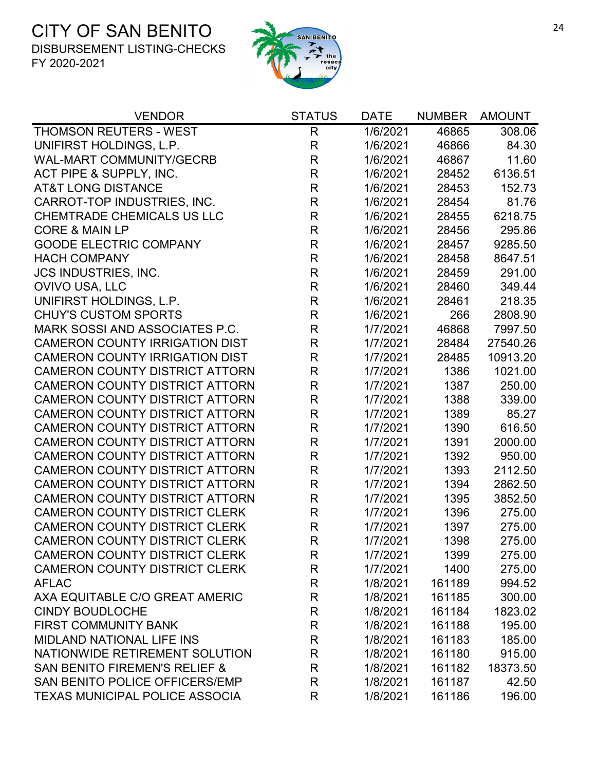

| <b>VENDOR</b>                            | <b>STATUS</b> | <b>DATE</b> | <b>NUMBER</b> | <b>AMOUNT</b> |
|------------------------------------------|---------------|-------------|---------------|---------------|
| <b>THOMSON REUTERS - WEST</b>            | $\mathsf{R}$  | 1/6/2021    | 46865         | 308.06        |
| UNIFIRST HOLDINGS, L.P.                  | $\mathsf R$   | 1/6/2021    | 46866         | 84.30         |
| <b>WAL-MART COMMUNITY/GECRB</b>          | $\mathsf R$   | 1/6/2021    | 46867         | 11.60         |
| ACT PIPE & SUPPLY, INC.                  | R             | 1/6/2021    | 28452         | 6136.51       |
| <b>AT&amp;T LONG DISTANCE</b>            | R             | 1/6/2021    | 28453         | 152.73        |
| CARROT-TOP INDUSTRIES, INC.              | R             | 1/6/2021    | 28454         | 81.76         |
| <b>CHEMTRADE CHEMICALS US LLC</b>        | $\mathsf R$   | 1/6/2021    | 28455         | 6218.75       |
| <b>CORE &amp; MAIN LP</b>                | $\mathsf R$   | 1/6/2021    | 28456         | 295.86        |
| <b>GOODE ELECTRIC COMPANY</b>            | R             | 1/6/2021    | 28457         | 9285.50       |
| <b>HACH COMPANY</b>                      | R             | 1/6/2021    | 28458         | 8647.51       |
| <b>JCS INDUSTRIES, INC.</b>              | $\mathsf R$   | 1/6/2021    | 28459         | 291.00        |
| OVIVO USA, LLC                           | $\mathsf R$   | 1/6/2021    | 28460         | 349.44        |
| UNIFIRST HOLDINGS, L.P.                  | $\mathsf R$   | 1/6/2021    | 28461         | 218.35        |
| <b>CHUY'S CUSTOM SPORTS</b>              | R             | 1/6/2021    | 266           | 2808.90       |
| <b>MARK SOSSI AND ASSOCIATES P.C.</b>    | R             | 1/7/2021    | 46868         | 7997.50       |
| <b>CAMERON COUNTY IRRIGATION DIST</b>    | R             | 1/7/2021    | 28484         | 27540.26      |
| <b>CAMERON COUNTY IRRIGATION DIST</b>    | $\mathsf R$   | 1/7/2021    | 28485         | 10913.20      |
| <b>CAMERON COUNTY DISTRICT ATTORN</b>    | $\mathsf R$   | 1/7/2021    | 1386          | 1021.00       |
| <b>CAMERON COUNTY DISTRICT ATTORN</b>    | $\mathsf R$   | 1/7/2021    | 1387          | 250.00        |
| <b>CAMERON COUNTY DISTRICT ATTORN</b>    | R             | 1/7/2021    | 1388          | 339.00        |
| <b>CAMERON COUNTY DISTRICT ATTORN</b>    | $\mathsf R$   | 1/7/2021    | 1389          | 85.27         |
| <b>CAMERON COUNTY DISTRICT ATTORN</b>    | $\mathsf R$   | 1/7/2021    | 1390          | 616.50        |
| <b>CAMERON COUNTY DISTRICT ATTORN</b>    | R             | 1/7/2021    | 1391          | 2000.00       |
| <b>CAMERON COUNTY DISTRICT ATTORN</b>    | R             | 1/7/2021    | 1392          | 950.00        |
| <b>CAMERON COUNTY DISTRICT ATTORN</b>    | $\mathsf R$   | 1/7/2021    | 1393          | 2112.50       |
| <b>CAMERON COUNTY DISTRICT ATTORN</b>    | $\mathsf R$   | 1/7/2021    | 1394          | 2862.50       |
| <b>CAMERON COUNTY DISTRICT ATTORN</b>    | $\mathsf R$   | 1/7/2021    | 1395          | 3852.50       |
| <b>CAMERON COUNTY DISTRICT CLERK</b>     | R             | 1/7/2021    | 1396          | 275.00        |
| <b>CAMERON COUNTY DISTRICT CLERK</b>     | R             | 1/7/2021    | 1397          | 275.00        |
| CAMERON COUNTY DISTRICT CLERK            | R             | 1/7/2021    | 1398          | 275.00        |
| <b>CAMERON COUNTY DISTRICT CLERK</b>     | R             | 1/7/2021    | 1399          | 275.00        |
| <b>CAMERON COUNTY DISTRICT CLERK</b>     | R             | 1/7/2021    | 1400          | 275.00        |
| <b>AFLAC</b>                             | R             | 1/8/2021    | 161189        | 994.52        |
| AXA EQUITABLE C/O GREAT AMERIC           | R             | 1/8/2021    | 161185        | 300.00        |
| <b>CINDY BOUDLOCHE</b>                   | R             | 1/8/2021    | 161184        | 1823.02       |
| <b>FIRST COMMUNITY BANK</b>              | R             | 1/8/2021    | 161188        | 195.00        |
| <b>MIDLAND NATIONAL LIFE INS</b>         | R             | 1/8/2021    | 161183        | 185.00        |
| NATIONWIDE RETIREMENT SOLUTION           | R             | 1/8/2021    | 161180        | 915.00        |
| <b>SAN BENITO FIREMEN'S RELIEF &amp;</b> | R             | 1/8/2021    | 161182        | 18373.50      |
| SAN BENITO POLICE OFFICERS/EMP           | $\mathsf{R}$  | 1/8/2021    | 161187        | 42.50         |
| <b>TEXAS MUNICIPAL POLICE ASSOCIA</b>    | R             | 1/8/2021    | 161186        | 196.00        |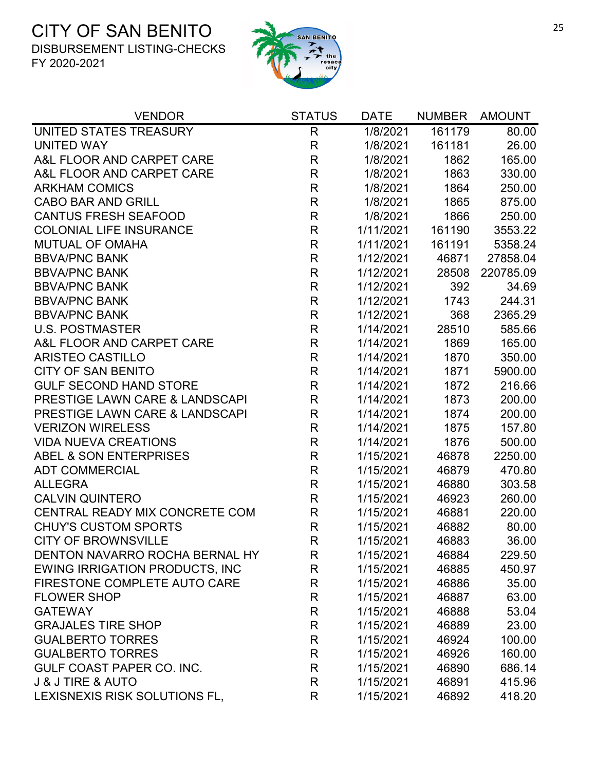

| UNITED STATES TREASURY<br>$\mathsf R$<br>161179<br>1/8/2021<br><b>UNITED WAY</b><br>$\mathsf{R}$<br>161181<br>1/8/2021<br>$\mathsf{R}$<br>A&L FLOOR AND CARPET CARE<br>1862<br>1/8/2021<br>$\mathsf{R}$<br>A&L FLOOR AND CARPET CARE<br>1/8/2021<br>1863<br>$\mathsf R$<br><b>ARKHAM COMICS</b><br>1/8/2021<br>1864<br><b>CABO BAR AND GRILL</b><br>$\mathsf R$<br>1865<br>1/8/2021<br>$\mathsf{R}$<br><b>CANTUS FRESH SEAFOOD</b><br>1/8/2021<br>1866<br><b>COLONIAL LIFE INSURANCE</b><br>$\mathsf{R}$<br>1/11/2021<br>161190<br>$\mathsf{R}$<br><b>MUTUAL OF OMAHA</b><br>1/11/2021<br>161191<br>$\mathsf R$<br><b>BBVA/PNC BANK</b><br>1/12/2021<br>46871<br>$\mathsf{R}$<br><b>BBVA/PNC BANK</b><br>1/12/2021<br>28508<br><b>BBVA/PNC BANK</b><br>$\mathsf{R}$<br>392<br>1/12/2021<br>$\mathsf R$<br><b>BBVA/PNC BANK</b><br>1/12/2021<br>1743<br><b>BBVA/PNC BANK</b><br>$\mathsf{R}$<br>1/12/2021<br>368<br>$\mathsf R$<br><b>U.S. POSTMASTER</b><br>28510<br>1/14/2021<br>$\mathsf{R}$<br>A&L FLOOR AND CARPET CARE<br>1/14/2021<br>1869<br>$\mathsf R$<br><b>ARISTEO CASTILLO</b><br>1870<br>1/14/2021 | <b>VENDOR</b>             | <b>STATUS</b> | <b>DATE</b> | <b>NUMBER</b> | <b>AMOUNT</b> |
|-----------------------------------------------------------------------------------------------------------------------------------------------------------------------------------------------------------------------------------------------------------------------------------------------------------------------------------------------------------------------------------------------------------------------------------------------------------------------------------------------------------------------------------------------------------------------------------------------------------------------------------------------------------------------------------------------------------------------------------------------------------------------------------------------------------------------------------------------------------------------------------------------------------------------------------------------------------------------------------------------------------------------------------------------------------------------------------------------------------------|---------------------------|---------------|-------------|---------------|---------------|
|                                                                                                                                                                                                                                                                                                                                                                                                                                                                                                                                                                                                                                                                                                                                                                                                                                                                                                                                                                                                                                                                                                                 |                           |               |             |               | 80.00         |
|                                                                                                                                                                                                                                                                                                                                                                                                                                                                                                                                                                                                                                                                                                                                                                                                                                                                                                                                                                                                                                                                                                                 |                           |               |             |               | 26.00         |
|                                                                                                                                                                                                                                                                                                                                                                                                                                                                                                                                                                                                                                                                                                                                                                                                                                                                                                                                                                                                                                                                                                                 |                           |               |             |               | 165.00        |
|                                                                                                                                                                                                                                                                                                                                                                                                                                                                                                                                                                                                                                                                                                                                                                                                                                                                                                                                                                                                                                                                                                                 |                           |               |             |               | 330.00        |
|                                                                                                                                                                                                                                                                                                                                                                                                                                                                                                                                                                                                                                                                                                                                                                                                                                                                                                                                                                                                                                                                                                                 |                           |               |             |               | 250.00        |
|                                                                                                                                                                                                                                                                                                                                                                                                                                                                                                                                                                                                                                                                                                                                                                                                                                                                                                                                                                                                                                                                                                                 |                           |               |             |               | 875.00        |
|                                                                                                                                                                                                                                                                                                                                                                                                                                                                                                                                                                                                                                                                                                                                                                                                                                                                                                                                                                                                                                                                                                                 |                           |               |             |               | 250.00        |
|                                                                                                                                                                                                                                                                                                                                                                                                                                                                                                                                                                                                                                                                                                                                                                                                                                                                                                                                                                                                                                                                                                                 |                           |               |             |               | 3553.22       |
|                                                                                                                                                                                                                                                                                                                                                                                                                                                                                                                                                                                                                                                                                                                                                                                                                                                                                                                                                                                                                                                                                                                 |                           |               |             |               | 5358.24       |
|                                                                                                                                                                                                                                                                                                                                                                                                                                                                                                                                                                                                                                                                                                                                                                                                                                                                                                                                                                                                                                                                                                                 |                           |               |             |               | 27858.04      |
|                                                                                                                                                                                                                                                                                                                                                                                                                                                                                                                                                                                                                                                                                                                                                                                                                                                                                                                                                                                                                                                                                                                 |                           |               |             |               | 220785.09     |
|                                                                                                                                                                                                                                                                                                                                                                                                                                                                                                                                                                                                                                                                                                                                                                                                                                                                                                                                                                                                                                                                                                                 |                           |               |             |               | 34.69         |
|                                                                                                                                                                                                                                                                                                                                                                                                                                                                                                                                                                                                                                                                                                                                                                                                                                                                                                                                                                                                                                                                                                                 |                           |               |             |               | 244.31        |
|                                                                                                                                                                                                                                                                                                                                                                                                                                                                                                                                                                                                                                                                                                                                                                                                                                                                                                                                                                                                                                                                                                                 |                           |               |             |               | 2365.29       |
|                                                                                                                                                                                                                                                                                                                                                                                                                                                                                                                                                                                                                                                                                                                                                                                                                                                                                                                                                                                                                                                                                                                 |                           |               |             |               | 585.66        |
|                                                                                                                                                                                                                                                                                                                                                                                                                                                                                                                                                                                                                                                                                                                                                                                                                                                                                                                                                                                                                                                                                                                 |                           |               |             |               | 165.00        |
|                                                                                                                                                                                                                                                                                                                                                                                                                                                                                                                                                                                                                                                                                                                                                                                                                                                                                                                                                                                                                                                                                                                 |                           |               |             |               | 350.00        |
|                                                                                                                                                                                                                                                                                                                                                                                                                                                                                                                                                                                                                                                                                                                                                                                                                                                                                                                                                                                                                                                                                                                 | <b>CITY OF SAN BENITO</b> | $\mathsf R$   | 1/14/2021   | 1871          | 5900.00       |
| <b>GULF SECOND HAND STORE</b><br>$\mathsf{R}$<br>1/14/2021<br>1872                                                                                                                                                                                                                                                                                                                                                                                                                                                                                                                                                                                                                                                                                                                                                                                                                                                                                                                                                                                                                                              |                           |               |             |               | 216.66        |
| PRESTIGE LAWN CARE & LANDSCAPI<br>R<br>1/14/2021<br>1873                                                                                                                                                                                                                                                                                                                                                                                                                                                                                                                                                                                                                                                                                                                                                                                                                                                                                                                                                                                                                                                        |                           |               |             |               | 200.00        |
| $\mathsf{R}$<br>PRESTIGE LAWN CARE & LANDSCAPI<br>1/14/2021<br>1874                                                                                                                                                                                                                                                                                                                                                                                                                                                                                                                                                                                                                                                                                                                                                                                                                                                                                                                                                                                                                                             |                           |               |             |               | 200.00        |
| $\mathsf{R}$<br><b>VERIZON WIRELESS</b><br>1/14/2021<br>1875                                                                                                                                                                                                                                                                                                                                                                                                                                                                                                                                                                                                                                                                                                                                                                                                                                                                                                                                                                                                                                                    |                           |               |             |               | 157.80        |
| $\mathsf{R}$<br><b>VIDA NUEVA CREATIONS</b><br>1/14/2021<br>1876                                                                                                                                                                                                                                                                                                                                                                                                                                                                                                                                                                                                                                                                                                                                                                                                                                                                                                                                                                                                                                                |                           |               |             |               | 500.00        |
| <b>ABEL &amp; SON ENTERPRISES</b><br>R<br>1/15/2021<br>46878                                                                                                                                                                                                                                                                                                                                                                                                                                                                                                                                                                                                                                                                                                                                                                                                                                                                                                                                                                                                                                                    |                           |               |             |               | 2250.00       |
| $\mathsf{R}$<br><b>ADT COMMERCIAL</b><br>1/15/2021<br>46879                                                                                                                                                                                                                                                                                                                                                                                                                                                                                                                                                                                                                                                                                                                                                                                                                                                                                                                                                                                                                                                     |                           |               |             |               | 470.80        |
| $\mathsf{R}$<br><b>ALLEGRA</b><br>1/15/2021<br>46880                                                                                                                                                                                                                                                                                                                                                                                                                                                                                                                                                                                                                                                                                                                                                                                                                                                                                                                                                                                                                                                            |                           |               |             |               | 303.58        |
| <b>CALVIN QUINTERO</b><br>R<br>1/15/2021<br>46923                                                                                                                                                                                                                                                                                                                                                                                                                                                                                                                                                                                                                                                                                                                                                                                                                                                                                                                                                                                                                                                               |                           |               |             |               | 260.00        |
| CENTRAL READY MIX CONCRETE COM<br>R<br>1/15/2021<br>46881                                                                                                                                                                                                                                                                                                                                                                                                                                                                                                                                                                                                                                                                                                                                                                                                                                                                                                                                                                                                                                                       |                           |               |             |               | 220.00        |
| $\mathsf R$<br><b>CHUY'S CUSTOM SPORTS</b><br>1/15/2021<br>46882                                                                                                                                                                                                                                                                                                                                                                                                                                                                                                                                                                                                                                                                                                                                                                                                                                                                                                                                                                                                                                                |                           |               |             |               | 80.00         |
| <b>CITY OF BROWNSVILLE</b><br>R<br>1/15/2021<br>46883                                                                                                                                                                                                                                                                                                                                                                                                                                                                                                                                                                                                                                                                                                                                                                                                                                                                                                                                                                                                                                                           |                           |               |             |               | 36.00         |
| DENTON NAVARRO ROCHA BERNAL HY<br>1/15/2021<br>46884<br>R                                                                                                                                                                                                                                                                                                                                                                                                                                                                                                                                                                                                                                                                                                                                                                                                                                                                                                                                                                                                                                                       |                           |               |             |               | 229.50        |
| <b>EWING IRRIGATION PRODUCTS, INC</b><br>R<br>1/15/2021<br>46885                                                                                                                                                                                                                                                                                                                                                                                                                                                                                                                                                                                                                                                                                                                                                                                                                                                                                                                                                                                                                                                |                           |               |             |               | 450.97        |
| R<br>FIRESTONE COMPLETE AUTO CARE<br>1/15/2021<br>46886                                                                                                                                                                                                                                                                                                                                                                                                                                                                                                                                                                                                                                                                                                                                                                                                                                                                                                                                                                                                                                                         |                           |               |             |               | 35.00         |
| R<br><b>FLOWER SHOP</b><br>1/15/2021<br>46887                                                                                                                                                                                                                                                                                                                                                                                                                                                                                                                                                                                                                                                                                                                                                                                                                                                                                                                                                                                                                                                                   |                           |               |             |               | 63.00         |
| <b>GATEWAY</b><br>R<br>1/15/2021<br>46888                                                                                                                                                                                                                                                                                                                                                                                                                                                                                                                                                                                                                                                                                                                                                                                                                                                                                                                                                                                                                                                                       |                           |               |             |               | 53.04         |
| R<br><b>GRAJALES TIRE SHOP</b><br>1/15/2021<br>46889                                                                                                                                                                                                                                                                                                                                                                                                                                                                                                                                                                                                                                                                                                                                                                                                                                                                                                                                                                                                                                                            |                           |               |             |               | 23.00         |
| <b>GUALBERTO TORRES</b><br>R<br>1/15/2021<br>46924                                                                                                                                                                                                                                                                                                                                                                                                                                                                                                                                                                                                                                                                                                                                                                                                                                                                                                                                                                                                                                                              |                           |               |             |               | 100.00        |
| <b>GUALBERTO TORRES</b><br>R<br>1/15/2021<br>46926                                                                                                                                                                                                                                                                                                                                                                                                                                                                                                                                                                                                                                                                                                                                                                                                                                                                                                                                                                                                                                                              |                           |               |             |               | 160.00        |
| <b>GULF COAST PAPER CO. INC.</b><br>R<br>1/15/2021<br>46890                                                                                                                                                                                                                                                                                                                                                                                                                                                                                                                                                                                                                                                                                                                                                                                                                                                                                                                                                                                                                                                     |                           |               |             |               | 686.14        |
| <b>J &amp; J TIRE &amp; AUTO</b><br>$\mathsf{R}$<br>1/15/2021<br>46891                                                                                                                                                                                                                                                                                                                                                                                                                                                                                                                                                                                                                                                                                                                                                                                                                                                                                                                                                                                                                                          |                           |               |             |               | 415.96        |
| LEXISNEXIS RISK SOLUTIONS FL,<br>R<br>1/15/2021<br>46892                                                                                                                                                                                                                                                                                                                                                                                                                                                                                                                                                                                                                                                                                                                                                                                                                                                                                                                                                                                                                                                        |                           |               |             |               | 418.20        |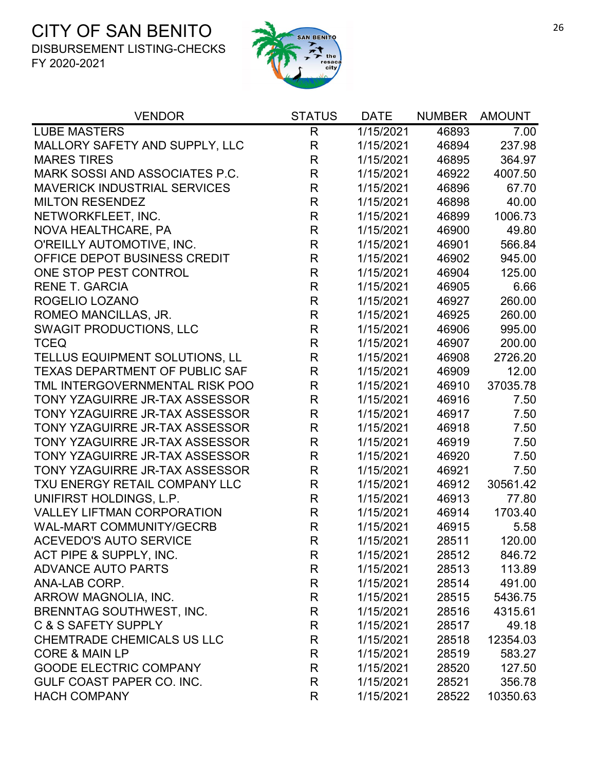

| <b>VENDOR</b>                         | <b>STATUS</b> | <b>DATE</b> | <b>NUMBER</b> | <b>AMOUNT</b> |
|---------------------------------------|---------------|-------------|---------------|---------------|
| <b>LUBE MASTERS</b>                   | R             | 1/15/2021   | 46893         | 7.00          |
| MALLORY SAFETY AND SUPPLY, LLC        | R             | 1/15/2021   | 46894         | 237.98        |
| <b>MARES TIRES</b>                    | R             | 1/15/2021   | 46895         | 364.97        |
| MARK SOSSI AND ASSOCIATES P.C.        | $\mathsf{R}$  | 1/15/2021   | 46922         | 4007.50       |
| <b>MAVERICK INDUSTRIAL SERVICES</b>   | R             | 1/15/2021   | 46896         | 67.70         |
| <b>MILTON RESENDEZ</b>                | $\mathsf R$   | 1/15/2021   | 46898         | 40.00         |
| NETWORKFLEET, INC.                    | R             | 1/15/2021   | 46899         | 1006.73       |
| NOVA HEALTHCARE, PA                   | R             | 1/15/2021   | 46900         | 49.80         |
| O'REILLY AUTOMOTIVE, INC.             | R             | 1/15/2021   | 46901         | 566.84        |
| OFFICE DEPOT BUSINESS CREDIT          | $\mathsf{R}$  | 1/15/2021   | 46902         | 945.00        |
| ONE STOP PEST CONTROL                 | $\mathsf{R}$  | 1/15/2021   | 46904         | 125.00        |
| <b>RENE T. GARCIA</b>                 | R             | 1/15/2021   | 46905         | 6.66          |
| ROGELIO LOZANO                        | $\mathsf{R}$  | 1/15/2021   | 46927         | 260.00        |
| ROMEO MANCILLAS, JR.                  | $\mathsf{R}$  | 1/15/2021   | 46925         | 260.00        |
| <b>SWAGIT PRODUCTIONS, LLC</b>        | R             | 1/15/2021   | 46906         | 995.00        |
| <b>TCEQ</b>                           | R             | 1/15/2021   | 46907         | 200.00        |
| TELLUS EQUIPMENT SOLUTIONS, LL        | $\mathsf R$   | 1/15/2021   | 46908         | 2726.20       |
| <b>TEXAS DEPARTMENT OF PUBLIC SAF</b> | R             | 1/15/2021   | 46909         | 12.00         |
| TML INTERGOVERNMENTAL RISK POO        | $\mathsf R$   | 1/15/2021   | 46910         | 37035.78      |
| TONY YZAGUIRRE JR-TAX ASSESSOR        | $\mathsf R$   | 1/15/2021   | 46916         | 7.50          |
| TONY YZAGUIRRE JR-TAX ASSESSOR        | $\mathsf{R}$  | 1/15/2021   | 46917         | 7.50          |
| TONY YZAGUIRRE JR-TAX ASSESSOR        | R             | 1/15/2021   | 46918         | 7.50          |
| TONY YZAGUIRRE JR-TAX ASSESSOR        | R             | 1/15/2021   | 46919         | 7.50          |
| TONY YZAGUIRRE JR-TAX ASSESSOR        | $\mathsf R$   | 1/15/2021   | 46920         | 7.50          |
| TONY YZAGUIRRE JR-TAX ASSESSOR        | R             | 1/15/2021   | 46921         | 7.50          |
| TXU ENERGY RETAIL COMPANY LLC         | $\mathsf R$   | 1/15/2021   | 46912         | 30561.42      |
| UNIFIRST HOLDINGS, L.P.               | R             | 1/15/2021   | 46913         | 77.80         |
| <b>VALLEY LIFTMAN CORPORATION</b>     | R             | 1/15/2021   | 46914         | 1703.40       |
| <b>WAL-MART COMMUNITY/GECRB</b>       | $\mathsf{R}$  | 1/15/2021   | 46915         | 5.58          |
| <b>ACEVEDO'S AUTO SERVICE</b>         | R             | 1/15/2021   | 28511         | 120.00        |
| ACT PIPE & SUPPLY, INC.               | R             | 1/15/2021   | 28512         | 846.72        |
| <b>ADVANCE AUTO PARTS</b>             | R             | 1/15/2021   | 28513         | 113.89        |
| ANA-LAB CORP.                         | R             | 1/15/2021   | 28514         | 491.00        |
| ARROW MAGNOLIA, INC.                  | R             | 1/15/2021   | 28515         | 5436.75       |
| <b>BRENNTAG SOUTHWEST, INC.</b>       | R             | 1/15/2021   | 28516         | 4315.61       |
| C & S SAFETY SUPPLY                   | R             | 1/15/2021   | 28517         | 49.18         |
| <b>CHEMTRADE CHEMICALS US LLC</b>     | R             | 1/15/2021   | 28518         | 12354.03      |
| <b>CORE &amp; MAIN LP</b>             | R             | 1/15/2021   | 28519         | 583.27        |
| <b>GOODE ELECTRIC COMPANY</b>         | R             | 1/15/2021   | 28520         | 127.50        |
| GULF COAST PAPER CO. INC.             | R             | 1/15/2021   | 28521         | 356.78        |
| <b>HACH COMPANY</b>                   | R             | 1/15/2021   | 28522         | 10350.63      |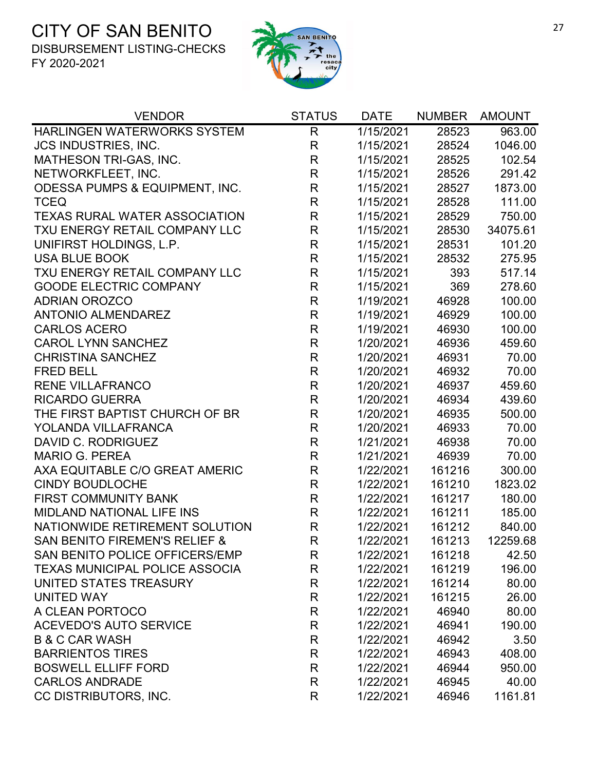

| HARLINGEN WATERWORKS SYSTEM<br>$\mathsf{R}$<br>$\overline{1/15/2021}$<br>28523<br><b>JCS INDUSTRIES, INC.</b><br>R<br>1/15/2021<br>28524<br>$\mathsf{R}$<br>MATHESON TRI-GAS, INC.<br>1/15/2021<br>28525<br>R<br>NETWORKFLEET, INC.<br>1/15/2021<br>28526<br>$\mathsf R$<br>ODESSA PUMPS & EQUIPMENT, INC.<br>1/15/2021<br>28527<br>R<br><b>TCEQ</b><br>1/15/2021<br>28528<br>$\mathsf{R}$<br><b>TEXAS RURAL WATER ASSOCIATION</b><br>1/15/2021<br>28529<br>$\mathsf{R}$<br>TXU ENERGY RETAIL COMPANY LLC<br>1/15/2021<br>28530<br>R<br>UNIFIRST HOLDINGS, L.P.<br>1/15/2021<br>28531 | 963.00<br>1046.00<br>102.54<br>291.42<br>1873.00<br>111.00<br>750.00<br>34075.61<br>101.20<br>275.95<br>517.14<br>278.60<br>100.00<br>100.00<br>100.00 |
|---------------------------------------------------------------------------------------------------------------------------------------------------------------------------------------------------------------------------------------------------------------------------------------------------------------------------------------------------------------------------------------------------------------------------------------------------------------------------------------------------------------------------------------------------------------------------------------|--------------------------------------------------------------------------------------------------------------------------------------------------------|
|                                                                                                                                                                                                                                                                                                                                                                                                                                                                                                                                                                                       |                                                                                                                                                        |
|                                                                                                                                                                                                                                                                                                                                                                                                                                                                                                                                                                                       |                                                                                                                                                        |
|                                                                                                                                                                                                                                                                                                                                                                                                                                                                                                                                                                                       |                                                                                                                                                        |
|                                                                                                                                                                                                                                                                                                                                                                                                                                                                                                                                                                                       |                                                                                                                                                        |
|                                                                                                                                                                                                                                                                                                                                                                                                                                                                                                                                                                                       |                                                                                                                                                        |
|                                                                                                                                                                                                                                                                                                                                                                                                                                                                                                                                                                                       |                                                                                                                                                        |
|                                                                                                                                                                                                                                                                                                                                                                                                                                                                                                                                                                                       |                                                                                                                                                        |
|                                                                                                                                                                                                                                                                                                                                                                                                                                                                                                                                                                                       |                                                                                                                                                        |
|                                                                                                                                                                                                                                                                                                                                                                                                                                                                                                                                                                                       |                                                                                                                                                        |
| $\mathsf{R}$<br><b>USA BLUE BOOK</b><br>28532<br>1/15/2021                                                                                                                                                                                                                                                                                                                                                                                                                                                                                                                            |                                                                                                                                                        |
| $\mathsf R$<br>TXU ENERGY RETAIL COMPANY LLC<br>1/15/2021<br>393                                                                                                                                                                                                                                                                                                                                                                                                                                                                                                                      |                                                                                                                                                        |
| $\mathsf R$<br><b>GOODE ELECTRIC COMPANY</b><br>1/15/2021<br>369                                                                                                                                                                                                                                                                                                                                                                                                                                                                                                                      |                                                                                                                                                        |
| $\mathsf{R}$<br><b>ADRIAN OROZCO</b><br>1/19/2021<br>46928                                                                                                                                                                                                                                                                                                                                                                                                                                                                                                                            |                                                                                                                                                        |
| <b>ANTONIO ALMENDAREZ</b><br>R<br>1/19/2021<br>46929                                                                                                                                                                                                                                                                                                                                                                                                                                                                                                                                  |                                                                                                                                                        |
| $\mathsf R$<br><b>CARLOS ACERO</b><br>1/19/2021<br>46930                                                                                                                                                                                                                                                                                                                                                                                                                                                                                                                              |                                                                                                                                                        |
| $\mathsf{R}$<br><b>CAROL LYNN SANCHEZ</b><br>1/20/2021<br>46936                                                                                                                                                                                                                                                                                                                                                                                                                                                                                                                       | 459.60                                                                                                                                                 |
| <b>CHRISTINA SANCHEZ</b><br>R<br>1/20/2021<br>46931                                                                                                                                                                                                                                                                                                                                                                                                                                                                                                                                   | 70.00                                                                                                                                                  |
| $\mathsf R$<br><b>FRED BELL</b><br>1/20/2021<br>46932                                                                                                                                                                                                                                                                                                                                                                                                                                                                                                                                 | 70.00                                                                                                                                                  |
| <b>RENE VILLAFRANCO</b><br>R<br>1/20/2021<br>46937                                                                                                                                                                                                                                                                                                                                                                                                                                                                                                                                    | 459.60                                                                                                                                                 |
| <b>RICARDO GUERRA</b><br>R<br>1/20/2021<br>46934                                                                                                                                                                                                                                                                                                                                                                                                                                                                                                                                      | 439.60                                                                                                                                                 |
| $\mathsf{R}$<br>THE FIRST BAPTIST CHURCH OF BR<br>1/20/2021<br>46935                                                                                                                                                                                                                                                                                                                                                                                                                                                                                                                  | 500.00                                                                                                                                                 |
| $\mathsf{R}$<br>YOLANDA VILLAFRANCA<br>1/20/2021<br>46933                                                                                                                                                                                                                                                                                                                                                                                                                                                                                                                             | 70.00                                                                                                                                                  |
| R<br>DAVID C. RODRIGUEZ<br>1/21/2021<br>46938                                                                                                                                                                                                                                                                                                                                                                                                                                                                                                                                         | 70.00                                                                                                                                                  |
| <b>MARIO G. PEREA</b><br>$\mathsf{R}$<br>1/21/2021<br>46939                                                                                                                                                                                                                                                                                                                                                                                                                                                                                                                           | 70.00                                                                                                                                                  |
| $\mathsf R$<br>AXA EQUITABLE C/O GREAT AMERIC<br>1/22/2021<br>161216                                                                                                                                                                                                                                                                                                                                                                                                                                                                                                                  | 300.00                                                                                                                                                 |
| R<br><b>CINDY BOUDLOCHE</b><br>1/22/2021<br>161210                                                                                                                                                                                                                                                                                                                                                                                                                                                                                                                                    | 1823.02                                                                                                                                                |
| $\mathsf{R}$<br><b>FIRST COMMUNITY BANK</b><br>1/22/2021<br>161217                                                                                                                                                                                                                                                                                                                                                                                                                                                                                                                    | 180.00                                                                                                                                                 |
| R<br><b>MIDLAND NATIONAL LIFE INS</b><br>1/22/2021<br>161211                                                                                                                                                                                                                                                                                                                                                                                                                                                                                                                          | 185.00                                                                                                                                                 |
| NATIONWIDE RETIREMENT SOLUTION<br>R<br>1/22/2021<br>161212                                                                                                                                                                                                                                                                                                                                                                                                                                                                                                                            | 840.00                                                                                                                                                 |
| SAN BENITO FIREMEN'S RELIEF &<br>R<br>1/22/2021<br>161213                                                                                                                                                                                                                                                                                                                                                                                                                                                                                                                             | 12259.68                                                                                                                                               |
| SAN BENITO POLICE OFFICERS/EMP<br>1/22/2021<br>161218<br>R                                                                                                                                                                                                                                                                                                                                                                                                                                                                                                                            | 42.50                                                                                                                                                  |
| <b>TEXAS MUNICIPAL POLICE ASSOCIA</b><br>R<br>1/22/2021<br>161219                                                                                                                                                                                                                                                                                                                                                                                                                                                                                                                     | 196.00                                                                                                                                                 |
| UNITED STATES TREASURY<br>R<br>1/22/2021<br>161214                                                                                                                                                                                                                                                                                                                                                                                                                                                                                                                                    | 80.00                                                                                                                                                  |
| R<br><b>UNITED WAY</b><br>1/22/2021<br>161215                                                                                                                                                                                                                                                                                                                                                                                                                                                                                                                                         | 26.00                                                                                                                                                  |
| R<br>A CLEAN PORTOCO<br>1/22/2021<br>46940                                                                                                                                                                                                                                                                                                                                                                                                                                                                                                                                            | 80.00                                                                                                                                                  |
| <b>ACEVEDO'S AUTO SERVICE</b><br>R<br>1/22/2021<br>46941                                                                                                                                                                                                                                                                                                                                                                                                                                                                                                                              | 190.00                                                                                                                                                 |
| R<br><b>B &amp; C CAR WASH</b><br>1/22/2021<br>46942                                                                                                                                                                                                                                                                                                                                                                                                                                                                                                                                  | 3.50                                                                                                                                                   |
| R<br><b>BARRIENTOS TIRES</b><br>1/22/2021<br>46943                                                                                                                                                                                                                                                                                                                                                                                                                                                                                                                                    | 408.00                                                                                                                                                 |
| <b>BOSWELL ELLIFF FORD</b><br>R<br>1/22/2021<br>46944                                                                                                                                                                                                                                                                                                                                                                                                                                                                                                                                 | 950.00                                                                                                                                                 |
| R<br><b>CARLOS ANDRADE</b><br>1/22/2021<br>46945                                                                                                                                                                                                                                                                                                                                                                                                                                                                                                                                      | 40.00                                                                                                                                                  |
| CC DISTRIBUTORS, INC.<br>R<br>1/22/2021<br>46946                                                                                                                                                                                                                                                                                                                                                                                                                                                                                                                                      | 1161.81                                                                                                                                                |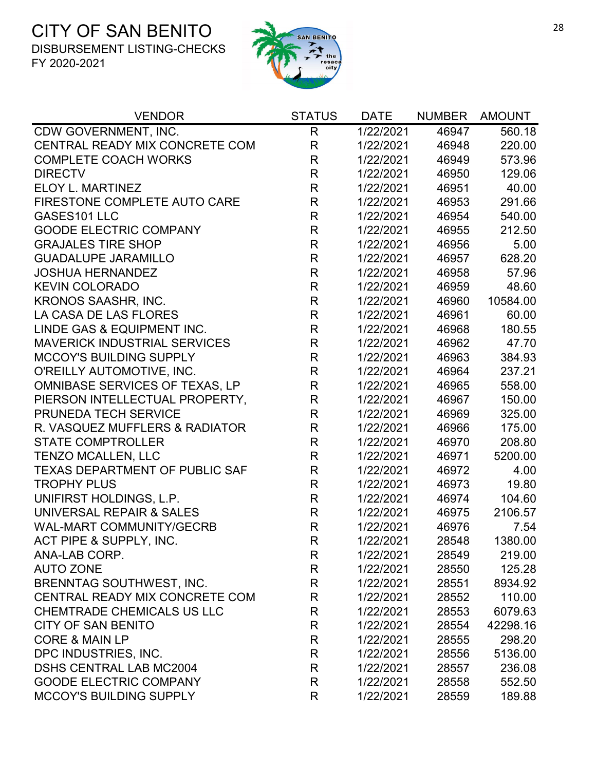

| <b>VENDOR</b>                         | <b>STATUS</b> | <b>DATE</b> | <b>NUMBER</b> | <b>AMOUNT</b> |
|---------------------------------------|---------------|-------------|---------------|---------------|
| CDW GOVERNMENT, INC.                  | R             | 1/22/2021   | 46947         | 560.18        |
| CENTRAL READY MIX CONCRETE COM        | $\mathsf{R}$  | 1/22/2021   | 46948         | 220.00        |
| <b>COMPLETE COACH WORKS</b>           | R             | 1/22/2021   | 46949         | 573.96        |
| <b>DIRECTV</b>                        | $\mathsf R$   | 1/22/2021   | 46950         | 129.06        |
| ELOY L. MARTINEZ                      | $\mathsf{R}$  | 1/22/2021   | 46951         | 40.00         |
| FIRESTONE COMPLETE AUTO CARE          | $\mathsf R$   | 1/22/2021   | 46953         | 291.66        |
| GASES101 LLC                          | R             | 1/22/2021   | 46954         | 540.00        |
| <b>GOODE ELECTRIC COMPANY</b>         | $\mathsf{R}$  | 1/22/2021   | 46955         | 212.50        |
| <b>GRAJALES TIRE SHOP</b>             | $\mathsf{R}$  | 1/22/2021   | 46956         | 5.00          |
| <b>GUADALUPE JARAMILLO</b>            | $\mathsf{R}$  | 1/22/2021   | 46957         | 628.20        |
| <b>JOSHUA HERNANDEZ</b>               | $\mathsf{R}$  | 1/22/2021   | 46958         | 57.96         |
| <b>KEVIN COLORADO</b>                 | $\mathsf{R}$  | 1/22/2021   | 46959         | 48.60         |
| KRONOS SAASHR, INC.                   | $\mathsf{R}$  | 1/22/2021   | 46960         | 10584.00      |
| LA CASA DE LAS FLORES                 | $\mathsf R$   | 1/22/2021   | 46961         | 60.00         |
| LINDE GAS & EQUIPMENT INC.            | $\mathsf{R}$  | 1/22/2021   | 46968         | 180.55        |
| <b>MAVERICK INDUSTRIAL SERVICES</b>   | $\mathsf{R}$  | 1/22/2021   | 46962         | 47.70         |
| <b>MCCOY'S BUILDING SUPPLY</b>        | $\mathsf{R}$  | 1/22/2021   | 46963         | 384.93        |
| O'REILLY AUTOMOTIVE, INC.             | $\mathsf{R}$  | 1/22/2021   | 46964         | 237.21        |
| OMNIBASE SERVICES OF TEXAS, LP        | R             | 1/22/2021   | 46965         | 558.00        |
| PIERSON INTELLECTUAL PROPERTY,        | $\mathsf{R}$  | 1/22/2021   | 46967         | 150.00        |
| PRUNEDA TECH SERVICE                  | $\mathsf{R}$  | 1/22/2021   | 46969         | 325.00        |
| R. VASQUEZ MUFFLERS & RADIATOR        | $\mathsf R$   | 1/22/2021   | 46966         | 175.00        |
| <b>STATE COMPTROLLER</b>              | $\mathsf{R}$  | 1/22/2021   | 46970         | 208.80        |
| <b>TENZO MCALLEN, LLC</b>             | $\mathsf{R}$  | 1/22/2021   | 46971         | 5200.00       |
| <b>TEXAS DEPARTMENT OF PUBLIC SAF</b> | $\mathsf{R}$  | 1/22/2021   | 46972         | 4.00          |
| <b>TROPHY PLUS</b>                    | R             | 1/22/2021   | 46973         | 19.80         |
| UNIFIRST HOLDINGS, L.P.               | $\mathsf{R}$  | 1/22/2021   | 46974         | 104.60        |
| UNIVERSAL REPAIR & SALES              | $\mathsf{R}$  | 1/22/2021   | 46975         | 2106.57       |
| <b>WAL-MART COMMUNITY/GECRB</b>       | $\mathsf{R}$  | 1/22/2021   | 46976         | 7.54          |
| ACT PIPE & SUPPLY, INC.               | R             | 1/22/2021   | 28548         | 1380.00       |
| ANA-LAB CORP.                         | R             | 1/22/2021   | 28549         | 219.00        |
| <b>AUTO ZONE</b>                      | R             | 1/22/2021   | 28550         | 125.28        |
| <b>BRENNTAG SOUTHWEST, INC.</b>       | R             | 1/22/2021   | 28551         | 8934.92       |
| CENTRAL READY MIX CONCRETE COM        | R             | 1/22/2021   | 28552         | 110.00        |
| <b>CHEMTRADE CHEMICALS US LLC</b>     | R             | 1/22/2021   | 28553         | 6079.63       |
| <b>CITY OF SAN BENITO</b>             | R             | 1/22/2021   | 28554         | 42298.16      |
| <b>CORE &amp; MAIN LP</b>             | R             | 1/22/2021   | 28555         | 298.20        |
| DPC INDUSTRIES, INC.                  | R             | 1/22/2021   | 28556         | 5136.00       |
| <b>DSHS CENTRAL LAB MC2004</b>        | R             | 1/22/2021   | 28557         | 236.08        |
| <b>GOODE ELECTRIC COMPANY</b>         | R             | 1/22/2021   | 28558         | 552.50        |
| <b>MCCOY'S BUILDING SUPPLY</b>        | R             | 1/22/2021   | 28559         | 189.88        |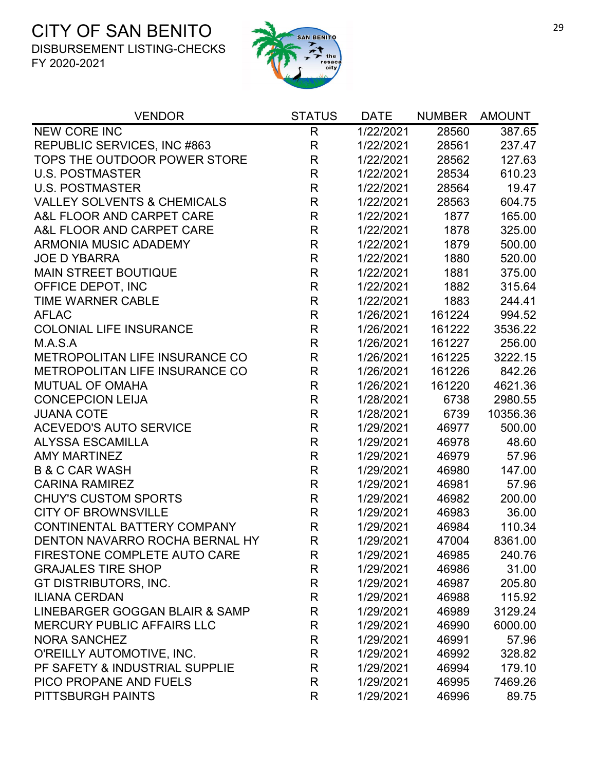

| <b>VENDOR</b>                          | <b>STATUS</b> | <b>DATE</b> | <b>NUMBER</b> | <b>AMOUNT</b> |
|----------------------------------------|---------------|-------------|---------------|---------------|
| <b>NEW CORE INC</b>                    | $\mathsf{R}$  | 1/22/2021   | 28560         | 387.65        |
| REPUBLIC SERVICES, INC #863            | $\mathsf{R}$  | 1/22/2021   | 28561         | 237.47        |
| TOPS THE OUTDOOR POWER STORE           | $\mathsf{R}$  | 1/22/2021   | 28562         | 127.63        |
| <b>U.S. POSTMASTER</b>                 | $\mathsf{R}$  | 1/22/2021   | 28534         | 610.23        |
| <b>U.S. POSTMASTER</b>                 | $\mathsf{R}$  | 1/22/2021   | 28564         | 19.47         |
| <b>VALLEY SOLVENTS &amp; CHEMICALS</b> | $\mathsf{R}$  | 1/22/2021   | 28563         | 604.75        |
| A&L FLOOR AND CARPET CARE              | $\mathsf{R}$  | 1/22/2021   | 1877          | 165.00        |
| A&L FLOOR AND CARPET CARE              | $\mathsf{R}$  | 1/22/2021   | 1878          | 325.00        |
| <b>ARMONIA MUSIC ADADEMY</b>           | $\mathsf{R}$  | 1/22/2021   | 1879          | 500.00        |
| <b>JOE D YBARRA</b>                    | $\mathsf{R}$  | 1/22/2021   | 1880          | 520.00        |
| <b>MAIN STREET BOUTIQUE</b>            | $\mathsf{R}$  | 1/22/2021   | 1881          | 375.00        |
| OFFICE DEPOT, INC                      | $\mathsf{R}$  | 1/22/2021   | 1882          | 315.64        |
| TIME WARNER CABLE                      | $\mathsf{R}$  | 1/22/2021   | 1883          | 244.41        |
| <b>AFLAC</b>                           | $\mathsf{R}$  | 1/26/2021   | 161224        | 994.52        |
| <b>COLONIAL LIFE INSURANCE</b>         | $\mathsf{R}$  | 1/26/2021   | 161222        | 3536.22       |
| M.A.S.A                                | $\mathsf{R}$  | 1/26/2021   | 161227        | 256.00        |
| METROPOLITAN LIFE INSURANCE CO         | R             | 1/26/2021   | 161225        | 3222.15       |
| <b>METROPOLITAN LIFE INSURANCE CO</b>  | $\mathsf R$   | 1/26/2021   | 161226        | 842.26        |
| <b>MUTUAL OF OMAHA</b>                 | $\mathsf R$   | 1/26/2021   | 161220        | 4621.36       |
| <b>CONCEPCION LEIJA</b>                | $\mathsf{R}$  | 1/28/2021   | 6738          | 2980.55       |
| <b>JUANA COTE</b>                      | $\mathsf R$   | 1/28/2021   | 6739          | 10356.36      |
| <b>ACEVEDO'S AUTO SERVICE</b>          | $\mathsf R$   | 1/29/2021   | 46977         | 500.00        |
| <b>ALYSSA ESCAMILLA</b>                | $\mathsf{R}$  | 1/29/2021   | 46978         | 48.60         |
| <b>AMY MARTINEZ</b>                    | $\mathsf{R}$  | 1/29/2021   | 46979         | 57.96         |
| <b>B &amp; C CAR WASH</b>              | $\mathsf{R}$  | 1/29/2021   | 46980         | 147.00        |
| <b>CARINA RAMIREZ</b>                  | $\mathsf{R}$  | 1/29/2021   | 46981         | 57.96         |
| <b>CHUY'S CUSTOM SPORTS</b>            | $\mathsf{R}$  | 1/29/2021   | 46982         | 200.00        |
| <b>CITY OF BROWNSVILLE</b>             | $\mathsf{R}$  | 1/29/2021   | 46983         | 36.00         |
| CONTINENTAL BATTERY COMPANY            | $\mathsf{R}$  | 1/29/2021   | 46984         | 110.34        |
| DENTON NAVARRO ROCHA BERNAL HY         | R             | 1/29/2021   | 47004         | 8361.00       |
| FIRESTONE COMPLETE AUTO CARE           | R             | 1/29/2021   | 46985         | 240.76        |
| <b>GRAJALES TIRE SHOP</b>              | $\mathsf{R}$  | 1/29/2021   | 46986         | 31.00         |
| GT DISTRIBUTORS, INC.                  | $\mathsf{R}$  | 1/29/2021   | 46987         | 205.80        |
| <b>ILIANA CERDAN</b>                   | $\mathsf{R}$  | 1/29/2021   | 46988         | 115.92        |
| LINEBARGER GOGGAN BLAIR & SAMP         | R             | 1/29/2021   | 46989         | 3129.24       |
| <b>MERCURY PUBLIC AFFAIRS LLC</b>      | R             | 1/29/2021   | 46990         | 6000.00       |
| <b>NORA SANCHEZ</b>                    | $\mathsf R$   | 1/29/2021   | 46991         | 57.96         |
| O'REILLY AUTOMOTIVE, INC.              | $\mathsf{R}$  | 1/29/2021   | 46992         | 328.82        |
| PF SAFETY & INDUSTRIAL SUPPLIE         | R             | 1/29/2021   | 46994         | 179.10        |
| PICO PROPANE AND FUELS                 | $\mathsf{R}$  | 1/29/2021   | 46995         | 7469.26       |
| PITTSBURGH PAINTS                      | R             | 1/29/2021   | 46996         | 89.75         |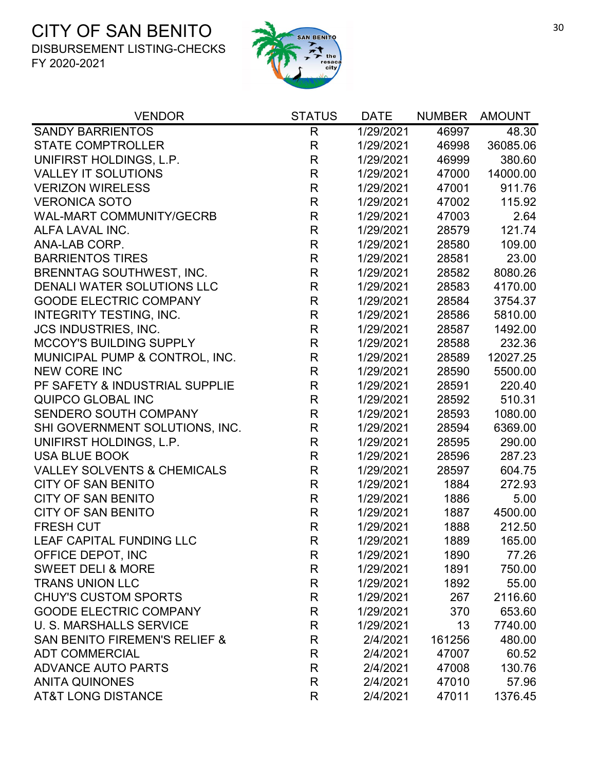

| <b>VENDOR</b>                            | <b>STATUS</b> | <b>DATE</b> | <b>NUMBER</b> | <b>AMOUNT</b> |
|------------------------------------------|---------------|-------------|---------------|---------------|
| <b>SANDY BARRIENTOS</b>                  | R             | 1/29/2021   | 46997         | 48.30         |
| <b>STATE COMPTROLLER</b>                 | R             | 1/29/2021   | 46998         | 36085.06      |
| UNIFIRST HOLDINGS, L.P.                  | $\mathsf R$   | 1/29/2021   | 46999         | 380.60        |
| <b>VALLEY IT SOLUTIONS</b>               | $\mathsf{R}$  | 1/29/2021   | 47000         | 14000.00      |
| <b>VERIZON WIRELESS</b>                  | $\mathsf R$   | 1/29/2021   | 47001         | 911.76        |
| <b>VERONICA SOTO</b>                     | $\mathsf R$   | 1/29/2021   | 47002         | 115.92        |
| <b>WAL-MART COMMUNITY/GECRB</b>          | $\mathsf R$   | 1/29/2021   | 47003         | 2.64          |
| ALFA LAVAL INC.                          | R             | 1/29/2021   | 28579         | 121.74        |
| ANA-LAB CORP.                            | $\mathsf R$   | 1/29/2021   | 28580         | 109.00        |
| <b>BARRIENTOS TIRES</b>                  | $\mathsf{R}$  | 1/29/2021   | 28581         | 23.00         |
| BRENNTAG SOUTHWEST, INC.                 | R             | 1/29/2021   | 28582         | 8080.26       |
| DENALI WATER SOLUTIONS LLC               | $\mathsf R$   | 1/29/2021   | 28583         | 4170.00       |
| <b>GOODE ELECTRIC COMPANY</b>            | $\mathsf{R}$  | 1/29/2021   | 28584         | 3754.37       |
| <b>INTEGRITY TESTING, INC.</b>           | R             | 1/29/2021   | 28586         | 5810.00       |
| <b>JCS INDUSTRIES, INC.</b>              | $\mathsf R$   | 1/29/2021   | 28587         | 1492.00       |
| <b>MCCOY'S BUILDING SUPPLY</b>           | $\mathsf{R}$  | 1/29/2021   | 28588         | 232.36        |
| MUNICIPAL PUMP & CONTROL, INC.           | $\mathsf R$   | 1/29/2021   | 28589         | 12027.25      |
| <b>NEW CORE INC</b>                      | $\mathsf{R}$  | 1/29/2021   | 28590         | 5500.00       |
| PF SAFETY & INDUSTRIAL SUPPLIE           | $\mathsf{R}$  | 1/29/2021   | 28591         | 220.40        |
| QUIPCO GLOBAL INC                        | $\mathsf R$   | 1/29/2021   | 28592         | 510.31        |
| SENDERO SOUTH COMPANY                    | $\mathsf{R}$  | 1/29/2021   | 28593         | 1080.00       |
| SHI GOVERNMENT SOLUTIONS, INC.           | $\mathsf R$   | 1/29/2021   | 28594         | 6369.00       |
| UNIFIRST HOLDINGS, L.P.                  | $\mathsf{R}$  | 1/29/2021   | 28595         | 290.00        |
| <b>USA BLUE BOOK</b>                     | $\mathsf{R}$  | 1/29/2021   | 28596         | 287.23        |
| <b>VALLEY SOLVENTS &amp; CHEMICALS</b>   | R             | 1/29/2021   | 28597         | 604.75        |
| <b>CITY OF SAN BENITO</b>                | $\mathsf R$   | 1/29/2021   | 1884          | 272.93        |
| <b>CITY OF SAN BENITO</b>                | R             | 1/29/2021   | 1886          | 5.00          |
| <b>CITY OF SAN BENITO</b>                | R             | 1/29/2021   | 1887          | 4500.00       |
| <b>FRESH CUT</b>                         | $\mathsf R$   | 1/29/2021   | 1888          | 212.50        |
| <b>LEAF CAPITAL FUNDING LLC</b>          | R             | 1/29/2021   | 1889          | 165.00        |
| OFFICE DEPOT, INC                        | R             | 1/29/2021   | 1890          | 77.26         |
| <b>SWEET DELI &amp; MORE</b>             | R             | 1/29/2021   | 1891          | 750.00        |
| <b>TRANS UNION LLC</b>                   | R             | 1/29/2021   | 1892          | 55.00         |
| <b>CHUY'S CUSTOM SPORTS</b>              | R             | 1/29/2021   | 267           | 2116.60       |
| <b>GOODE ELECTRIC COMPANY</b>            | R             | 1/29/2021   | 370           | 653.60        |
| <b>U. S. MARSHALLS SERVICE</b>           | R             | 1/29/2021   | 13            | 7740.00       |
| <b>SAN BENITO FIREMEN'S RELIEF &amp;</b> | R             | 2/4/2021    | 161256        | 480.00        |
| <b>ADT COMMERCIAL</b>                    | $\mathsf R$   | 2/4/2021    | 47007         | 60.52         |
| <b>ADVANCE AUTO PARTS</b>                | R             | 2/4/2021    | 47008         | 130.76        |
| <b>ANITA QUINONES</b>                    | R             | 2/4/2021    | 47010         | 57.96         |
| <b>AT&amp;T LONG DISTANCE</b>            | R             | 2/4/2021    | 47011         | 1376.45       |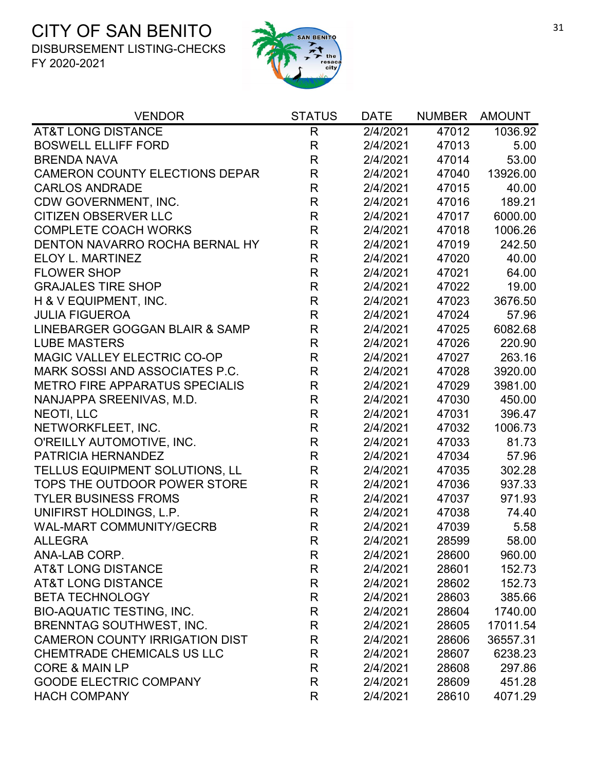

| <b>VENDOR</b>                         | <b>STATUS</b> | <b>DATE</b> | <b>NUMBER</b> | <b>AMOUNT</b> |
|---------------------------------------|---------------|-------------|---------------|---------------|
| <b>AT&amp;T LONG DISTANCE</b>         | $\mathsf{R}$  | 2/4/2021    | 47012         | 1036.92       |
| <b>BOSWELL ELLIFF FORD</b>            | $\mathsf{R}$  | 2/4/2021    | 47013         | 5.00          |
| <b>BRENDA NAVA</b>                    | $\mathsf R$   | 2/4/2021    | 47014         | 53.00         |
| CAMERON COUNTY ELECTIONS DEPAR        | $\mathsf R$   | 2/4/2021    | 47040         | 13926.00      |
| <b>CARLOS ANDRADE</b>                 | $\mathsf{R}$  | 2/4/2021    | 47015         | 40.00         |
| CDW GOVERNMENT, INC.                  | $\mathsf R$   | 2/4/2021    | 47016         | 189.21        |
| <b>CITIZEN OBSERVER LLC</b>           | $\mathsf R$   | 2/4/2021    | 47017         | 6000.00       |
| <b>COMPLETE COACH WORKS</b>           | $\mathsf R$   | 2/4/2021    | 47018         | 1006.26       |
| DENTON NAVARRO ROCHA BERNAL HY        | $\mathsf R$   | 2/4/2021    | 47019         | 242.50        |
| ELOY L. MARTINEZ                      | $\mathsf R$   | 2/4/2021    | 47020         | 40.00         |
| <b>FLOWER SHOP</b>                    | R             | 2/4/2021    | 47021         | 64.00         |
| <b>GRAJALES TIRE SHOP</b>             | $\mathsf R$   | 2/4/2021    | 47022         | 19.00         |
| H & V EQUIPMENT, INC.                 | $\mathsf R$   | 2/4/2021    | 47023         | 3676.50       |
| <b>JULIA FIGUEROA</b>                 | R             | 2/4/2021    | 47024         | 57.96         |
| LINEBARGER GOGGAN BLAIR & SAMP        | $\mathsf R$   | 2/4/2021    | 47025         | 6082.68       |
| <b>LUBE MASTERS</b>                   | $\mathsf{R}$  | 2/4/2021    | 47026         | 220.90        |
| MAGIC VALLEY ELECTRIC CO-OP           | $\mathsf R$   | 2/4/2021    | 47027         | 263.16        |
| MARK SOSSI AND ASSOCIATES P.C.        | $\mathsf R$   | 2/4/2021    | 47028         | 3920.00       |
| <b>METRO FIRE APPARATUS SPECIALIS</b> | $\mathsf{R}$  | 2/4/2021    | 47029         | 3981.00       |
| NANJAPPA SREENIVAS, M.D.              | R             | 2/4/2021    | 47030         | 450.00        |
| NEOTI, LLC                            | $\mathsf R$   | 2/4/2021    | 47031         | 396.47        |
| NETWORKFLEET, INC.                    | $\mathsf R$   | 2/4/2021    | 47032         | 1006.73       |
| O'REILLY AUTOMOTIVE, INC.             | $\mathsf R$   | 2/4/2021    | 47033         | 81.73         |
| PATRICIA HERNANDEZ                    | $\mathsf R$   | 2/4/2021    | 47034         | 57.96         |
| TELLUS EQUIPMENT SOLUTIONS, LL        | $\mathsf R$   | 2/4/2021    | 47035         | 302.28        |
| TOPS THE OUTDOOR POWER STORE          | $\mathsf R$   | 2/4/2021    | 47036         | 937.33        |
| <b>TYLER BUSINESS FROMS</b>           | $\mathsf{R}$  | 2/4/2021    | 47037         | 971.93        |
| UNIFIRST HOLDINGS, L.P.               | $\mathsf R$   | 2/4/2021    | 47038         | 74.40         |
| <b>WAL-MART COMMUNITY/GECRB</b>       | $\mathsf R$   | 2/4/2021    | 47039         | 5.58          |
| <b>ALLEGRA</b>                        | R             | 2/4/2021    | 28599         | 58.00         |
| ANA-LAB CORP.                         | R             | 2/4/2021    | 28600         | 960.00        |
| <b>AT&amp;T LONG DISTANCE</b>         | R             | 2/4/2021    | 28601         | 152.73        |
| <b>AT&amp;T LONG DISTANCE</b>         | R             | 2/4/2021    | 28602         | 152.73        |
| <b>BETA TECHNOLOGY</b>                | R             | 2/4/2021    | 28603         | 385.66        |
| <b>BIO-AQUATIC TESTING, INC.</b>      | R             | 2/4/2021    | 28604         | 1740.00       |
| BRENNTAG SOUTHWEST, INC.              | R             | 2/4/2021    | 28605         | 17011.54      |
| <b>CAMERON COUNTY IRRIGATION DIST</b> | R             | 2/4/2021    | 28606         | 36557.31      |
| CHEMTRADE CHEMICALS US LLC            | R             | 2/4/2021    | 28607         | 6238.23       |
| <b>CORE &amp; MAIN LP</b>             | R             | 2/4/2021    | 28608         | 297.86        |
| <b>GOODE ELECTRIC COMPANY</b>         | R             | 2/4/2021    | 28609         | 451.28        |
| <b>HACH COMPANY</b>                   | R             | 2/4/2021    | 28610         | 4071.29       |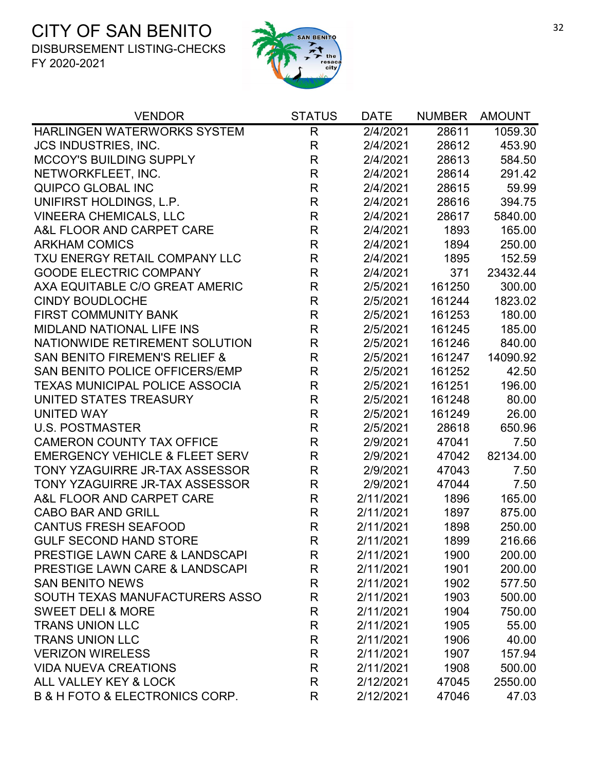

| <b>VENDOR</b>                                 | <b>STATUS</b> | <b>DATE</b> | <b>NUMBER</b> | <b>AMOUNT</b> |
|-----------------------------------------------|---------------|-------------|---------------|---------------|
| <b>HARLINGEN WATERWORKS SYSTEM</b>            | $\mathsf{R}$  | 2/4/2021    | 28611         | 1059.30       |
| <b>JCS INDUSTRIES, INC.</b>                   | $\mathsf{R}$  | 2/4/2021    | 28612         | 453.90        |
| <b>MCCOY'S BUILDING SUPPLY</b>                | $\mathsf{R}$  | 2/4/2021    | 28613         | 584.50        |
| NETWORKFLEET, INC.                            | $\mathsf{R}$  | 2/4/2021    | 28614         | 291.42        |
| QUIPCO GLOBAL INC                             | $\mathsf{R}$  | 2/4/2021    | 28615         | 59.99         |
| UNIFIRST HOLDINGS, L.P.                       | $\mathsf{R}$  | 2/4/2021    | 28616         | 394.75        |
| <b>VINEERA CHEMICALS, LLC</b>                 | $\mathsf R$   | 2/4/2021    | 28617         | 5840.00       |
| A&L FLOOR AND CARPET CARE                     | $\mathsf{R}$  | 2/4/2021    | 1893          | 165.00        |
| <b>ARKHAM COMICS</b>                          | $\mathsf R$   | 2/4/2021    | 1894          | 250.00        |
| TXU ENERGY RETAIL COMPANY LLC                 | $\mathsf{R}$  | 2/4/2021    | 1895          | 152.59        |
| <b>GOODE ELECTRIC COMPANY</b>                 | $\mathsf{R}$  | 2/4/2021    | 371           | 23432.44      |
| AXA EQUITABLE C/O GREAT AMERIC                | $\mathsf R$   | 2/5/2021    | 161250        | 300.00        |
| <b>CINDY BOUDLOCHE</b>                        | $\mathsf{R}$  | 2/5/2021    | 161244        | 1823.02       |
| <b>FIRST COMMUNITY BANK</b>                   | $\mathsf R$   | 2/5/2021    | 161253        | 180.00        |
| <b>MIDLAND NATIONAL LIFE INS</b>              | $\mathsf{R}$  | 2/5/2021    | 161245        | 185.00        |
| NATIONWIDE RETIREMENT SOLUTION                | $\mathsf{R}$  | 2/5/2021    | 161246        | 840.00        |
| <b>SAN BENITO FIREMEN'S RELIEF &amp;</b>      | $\mathsf{R}$  | 2/5/2021    | 161247        | 14090.92      |
| SAN BENITO POLICE OFFICERS/EMP                | $\mathsf{R}$  | 2/5/2021    | 161252        | 42.50         |
| <b>TEXAS MUNICIPAL POLICE ASSOCIA</b>         | $\mathsf R$   | 2/5/2021    | 161251        | 196.00        |
| UNITED STATES TREASURY                        | $\mathsf{R}$  | 2/5/2021    | 161248        | 80.00         |
| <b>UNITED WAY</b>                             | $\mathsf{R}$  | 2/5/2021    | 161249        | 26.00         |
| <b>U.S. POSTMASTER</b>                        | $\mathsf{R}$  | 2/5/2021    | 28618         | 650.96        |
| <b>CAMERON COUNTY TAX OFFICE</b>              | $\mathsf{R}$  | 2/9/2021    | 47041         | 7.50          |
| <b>EMERGENCY VEHICLE &amp; FLEET SERV</b>     | $\mathsf{R}$  | 2/9/2021    | 47042         | 82134.00      |
| TONY YZAGUIRRE JR-TAX ASSESSOR                | $\mathsf{R}$  | 2/9/2021    | 47043         | 7.50          |
| TONY YZAGUIRRE JR-TAX ASSESSOR                | $\mathsf R$   | 2/9/2021    | 47044         | 7.50          |
| A&L FLOOR AND CARPET CARE                     | $\mathsf R$   | 2/11/2021   | 1896          | 165.00        |
| <b>CABO BAR AND GRILL</b>                     | $\mathsf{R}$  | 2/11/2021   | 1897          | 875.00        |
| <b>CANTUS FRESH SEAFOOD</b>                   | $\mathsf{R}$  | 2/11/2021   | 1898          | 250.00        |
| <b>GULF SECOND HAND STORE</b>                 | R             | 2/11/2021   | 1899          | 216.66        |
| PRESTIGE LAWN CARE & LANDSCAPI                | R             | 2/11/2021   | 1900          | 200.00        |
| PRESTIGE LAWN CARE & LANDSCAPI                | $\mathsf{R}$  | 2/11/2021   | 1901          | 200.00        |
| <b>SAN BENITO NEWS</b>                        | $\mathsf R$   | 2/11/2021   | 1902          | 577.50        |
| SOUTH TEXAS MANUFACTURERS ASSO                | R             | 2/11/2021   | 1903          | 500.00        |
| <b>SWEET DELI &amp; MORE</b>                  | R             | 2/11/2021   | 1904          | 750.00        |
| <b>TRANS UNION LLC</b>                        | $\mathsf R$   | 2/11/2021   | 1905          | 55.00         |
| <b>TRANS UNION LLC</b>                        | R             | 2/11/2021   | 1906          | 40.00         |
| <b>VERIZON WIRELESS</b>                       | R             | 2/11/2021   | 1907          | 157.94        |
| <b>VIDA NUEVA CREATIONS</b>                   | R             | 2/11/2021   | 1908          | 500.00        |
| ALL VALLEY KEY & LOCK                         | R             | 2/12/2021   | 47045         | 2550.00       |
| <b>B &amp; H FOTO &amp; ELECTRONICS CORP.</b> | R             | 2/12/2021   | 47046         | 47.03         |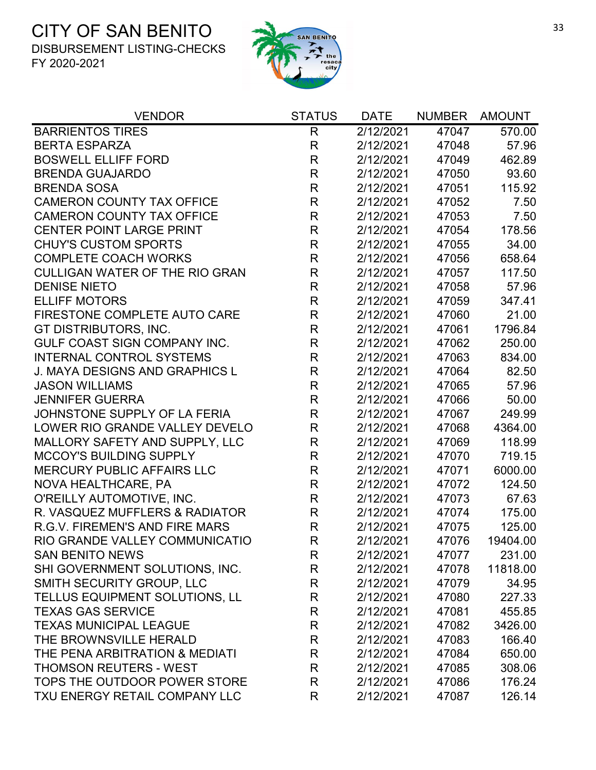

| <b>VENDOR</b>                         | <b>STATUS</b> | <b>DATE</b> | <b>NUMBER</b> | <b>AMOUNT</b> |
|---------------------------------------|---------------|-------------|---------------|---------------|
| <b>BARRIENTOS TIRES</b>               | R             | 2/12/2021   | 47047         | 570.00        |
| <b>BERTA ESPARZA</b>                  | $\mathsf{R}$  | 2/12/2021   | 47048         | 57.96         |
| <b>BOSWELL ELLIFF FORD</b>            | $\mathsf{R}$  | 2/12/2021   | 47049         | 462.89        |
| <b>BRENDA GUAJARDO</b>                | $\mathsf{R}$  | 2/12/2021   | 47050         | 93.60         |
| <b>BRENDA SOSA</b>                    | $\mathsf{R}$  | 2/12/2021   | 47051         | 115.92        |
| <b>CAMERON COUNTY TAX OFFICE</b>      | $\mathsf R$   | 2/12/2021   | 47052         | 7.50          |
| <b>CAMERON COUNTY TAX OFFICE</b>      | $\mathsf{R}$  | 2/12/2021   | 47053         | 7.50          |
| <b>CENTER POINT LARGE PRINT</b>       | $\mathsf{R}$  | 2/12/2021   | 47054         | 178.56        |
| <b>CHUY'S CUSTOM SPORTS</b>           | $\mathsf{R}$  | 2/12/2021   | 47055         | 34.00         |
| <b>COMPLETE COACH WORKS</b>           | $\mathsf R$   | 2/12/2021   | 47056         | 658.64        |
| <b>CULLIGAN WATER OF THE RIO GRAN</b> | $\mathsf{R}$  | 2/12/2021   | 47057         | 117.50        |
| <b>DENISE NIETO</b>                   | $\mathsf{R}$  | 2/12/2021   | 47058         | 57.96         |
| <b>ELLIFF MOTORS</b>                  | $\mathsf R$   | 2/12/2021   | 47059         | 347.41        |
| FIRESTONE COMPLETE AUTO CARE          | $\mathsf{R}$  | 2/12/2021   | 47060         | 21.00         |
| GT DISTRIBUTORS, INC.                 | $\mathsf R$   | 2/12/2021   | 47061         | 1796.84       |
| GULF COAST SIGN COMPANY INC.          | $\mathsf R$   | 2/12/2021   | 47062         | 250.00        |
| <b>INTERNAL CONTROL SYSTEMS</b>       | $\mathsf{R}$  | 2/12/2021   | 47063         | 834.00        |
| <b>J. MAYA DESIGNS AND GRAPHICS L</b> | $\mathsf R$   | 2/12/2021   | 47064         | 82.50         |
| <b>JASON WILLIAMS</b>                 | $\mathsf{R}$  | 2/12/2021   | 47065         | 57.96         |
| <b>JENNIFER GUERRA</b>                | $\mathsf{R}$  | 2/12/2021   | 47066         | 50.00         |
| JOHNSTONE SUPPLY OF LA FERIA          | $\mathsf R$   | 2/12/2021   | 47067         | 249.99        |
| LOWER RIO GRANDE VALLEY DEVELO        | $\mathsf R$   | 2/12/2021   | 47068         | 4364.00       |
| MALLORY SAFETY AND SUPPLY, LLC        | $\mathsf R$   | 2/12/2021   | 47069         | 118.99        |
| <b>MCCOY'S BUILDING SUPPLY</b>        | $\mathsf R$   | 2/12/2021   | 47070         | 719.15        |
| <b>MERCURY PUBLIC AFFAIRS LLC</b>     | $\mathsf{R}$  | 2/12/2021   | 47071         | 6000.00       |
| NOVA HEALTHCARE, PA                   | $\mathsf{R}$  | 2/12/2021   | 47072         | 124.50        |
| O'REILLY AUTOMOTIVE, INC.             | $\mathsf R$   | 2/12/2021   | 47073         | 67.63         |
| R. VASQUEZ MUFFLERS & RADIATOR        | $\mathsf{R}$  | 2/12/2021   | 47074         | 175.00        |
| R.G.V. FIREMEN'S AND FIRE MARS        | $\mathsf{R}$  | 2/12/2021   | 47075         | 125.00        |
| RIO GRANDE VALLEY COMMUNICATIO        | $\mathsf{R}$  | 2/12/2021   | 47076         | 19404.00      |
| <b>SAN BENITO NEWS</b>                | R             | 2/12/2021   | 47077         | 231.00        |
| SHI GOVERNMENT SOLUTIONS, INC.        | R             | 2/12/2021   | 47078         | 11818.00      |
| SMITH SECURITY GROUP, LLC             | R             | 2/12/2021   | 47079         | 34.95         |
| TELLUS EQUIPMENT SOLUTIONS, LL        | R             | 2/12/2021   | 47080         | 227.33        |
| <b>TEXAS GAS SERVICE</b>              | R             | 2/12/2021   | 47081         | 455.85        |
| <b>TEXAS MUNICIPAL LEAGUE</b>         | R             | 2/12/2021   | 47082         | 3426.00       |
| THE BROWNSVILLE HERALD                | R             | 2/12/2021   | 47083         | 166.40        |
| THE PENA ARBITRATION & MEDIATI        | R             | 2/12/2021   | 47084         | 650.00        |
| <b>THOMSON REUTERS - WEST</b>         | R             | 2/12/2021   | 47085         | 308.06        |
| TOPS THE OUTDOOR POWER STORE          | R             | 2/12/2021   | 47086         | 176.24        |
| TXU ENERGY RETAIL COMPANY LLC         | R             | 2/12/2021   | 47087         | 126.14        |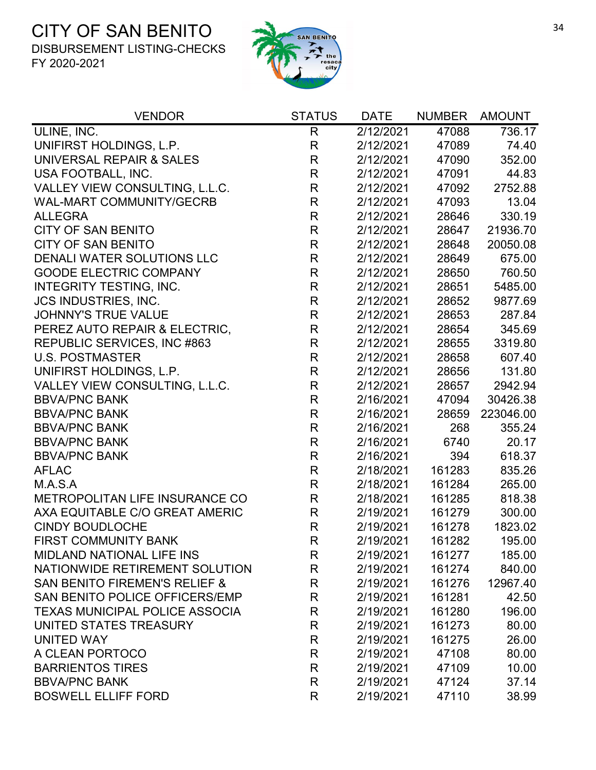

| <b>VENDOR</b>                            | <b>STATUS</b> | <b>DATE</b> | <b>NUMBER</b> | <b>AMOUNT</b> |
|------------------------------------------|---------------|-------------|---------------|---------------|
| ULINE, INC.                              | $\mathsf{R}$  | 2/12/2021   | 47088         | 736.17        |
| UNIFIRST HOLDINGS, L.P.                  | R             | 2/12/2021   | 47089         | 74.40         |
| UNIVERSAL REPAIR & SALES                 | R             | 2/12/2021   | 47090         | 352.00        |
| USA FOOTBALL, INC.                       | $\mathsf{R}$  | 2/12/2021   | 47091         | 44.83         |
| VALLEY VIEW CONSULTING, L.L.C.           | R             | 2/12/2021   | 47092         | 2752.88       |
| <b>WAL-MART COMMUNITY/GECRB</b>          | $\mathsf R$   | 2/12/2021   | 47093         | 13.04         |
| <b>ALLEGRA</b>                           | $\mathsf{R}$  | 2/12/2021   | 28646         | 330.19        |
| <b>CITY OF SAN BENITO</b>                | $\mathsf{R}$  | 2/12/2021   | 28647         | 21936.70      |
| <b>CITY OF SAN BENITO</b>                | $\mathsf{R}$  | 2/12/2021   | 28648         | 20050.08      |
| DENALI WATER SOLUTIONS LLC               | $\mathsf{R}$  | 2/12/2021   | 28649         | 675.00        |
| <b>GOODE ELECTRIC COMPANY</b>            | $\mathsf{R}$  | 2/12/2021   | 28650         | 760.50        |
| <b>INTEGRITY TESTING, INC.</b>           | $\mathsf R$   | 2/12/2021   | 28651         | 5485.00       |
| <b>JCS INDUSTRIES, INC.</b>              | $\mathsf{R}$  | 2/12/2021   | 28652         | 9877.69       |
| <b>JOHNNY'S TRUE VALUE</b>               | $\mathsf{R}$  | 2/12/2021   | 28653         | 287.84        |
| PEREZ AUTO REPAIR & ELECTRIC,            | R             | 2/12/2021   | 28654         | 345.69        |
| REPUBLIC SERVICES, INC #863              | $\mathsf{R}$  | 2/12/2021   | 28655         | 3319.80       |
| <b>U.S. POSTMASTER</b>                   | $\mathsf{R}$  | 2/12/2021   | 28658         | 607.40        |
| UNIFIRST HOLDINGS, L.P.                  | $\mathsf{R}$  | 2/12/2021   | 28656         | 131.80        |
| VALLEY VIEW CONSULTING, L.L.C.           | $\mathsf R$   | 2/12/2021   | 28657         | 2942.94       |
| <b>BBVA/PNC BANK</b>                     | $\mathsf{R}$  | 2/16/2021   | 47094         | 30426.38      |
| <b>BBVA/PNC BANK</b>                     | $\mathsf R$   | 2/16/2021   | 28659         | 223046.00     |
| <b>BBVA/PNC BANK</b>                     | $\mathsf R$   | 2/16/2021   | 268           | 355.24        |
| <b>BBVA/PNC BANK</b>                     | $\mathsf{R}$  | 2/16/2021   | 6740          | 20.17         |
| <b>BBVA/PNC BANK</b>                     | $\mathsf R$   | 2/16/2021   | 394           | 618.37        |
| <b>AFLAC</b>                             | $\mathsf{R}$  | 2/18/2021   | 161283        | 835.26        |
| M.A.S.A                                  | $\mathsf{R}$  | 2/18/2021   | 161284        | 265.00        |
| METROPOLITAN LIFE INSURANCE CO           | $\mathsf{R}$  | 2/18/2021   | 161285        | 818.38        |
| AXA EQUITABLE C/O GREAT AMERIC           | $\mathsf{R}$  | 2/19/2021   | 161279        | 300.00        |
| <b>CINDY BOUDLOCHE</b>                   | $\mathsf{R}$  | 2/19/2021   | 161278        | 1823.02       |
| <b>FIRST COMMUNITY BANK</b>              | R             | 2/19/2021   | 161282        | 195.00        |
| <b>MIDLAND NATIONAL LIFE INS</b>         | R             | 2/19/2021   | 161277        | 185.00        |
| NATIONWIDE RETIREMENT SOLUTION           | $\mathsf{R}$  | 2/19/2021   | 161274        | 840.00        |
| <b>SAN BENITO FIREMEN'S RELIEF &amp;</b> | R             | 2/19/2021   | 161276        | 12967.40      |
| SAN BENITO POLICE OFFICERS/EMP           | R             | 2/19/2021   | 161281        | 42.50         |
| <b>TEXAS MUNICIPAL POLICE ASSOCIA</b>    | R             | 2/19/2021   | 161280        | 196.00        |
| UNITED STATES TREASURY                   | R             | 2/19/2021   | 161273        | 80.00         |
| <b>UNITED WAY</b>                        | $\mathsf R$   | 2/19/2021   | 161275        | 26.00         |
| A CLEAN PORTOCO                          | $\mathsf{R}$  | 2/19/2021   | 47108         | 80.00         |
| <b>BARRIENTOS TIRES</b>                  | R             | 2/19/2021   | 47109         | 10.00         |
| <b>BBVA/PNC BANK</b>                     | $\mathsf{R}$  | 2/19/2021   | 47124         | 37.14         |
| <b>BOSWELL ELLIFF FORD</b>               | R             | 2/19/2021   | 47110         | 38.99         |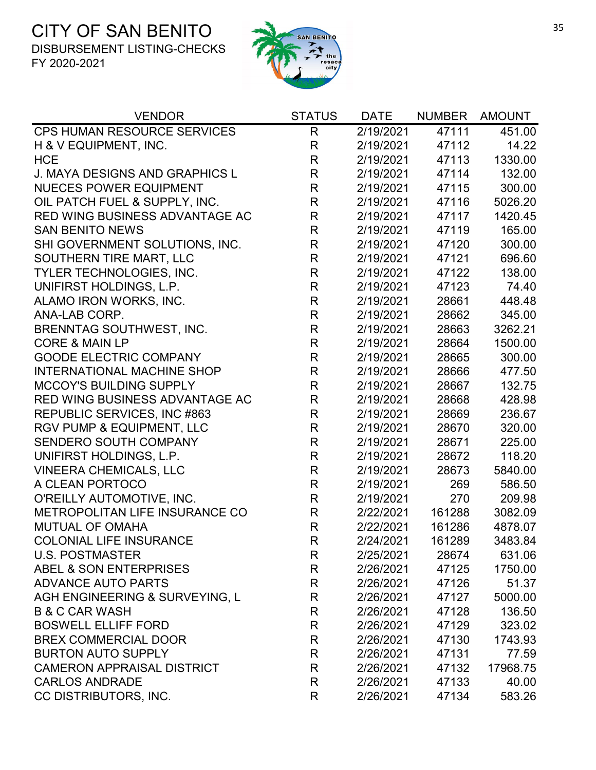

| <b>VENDOR</b>                        | <b>STATUS</b> | <b>DATE</b> | <b>NUMBER</b> | <b>AMOUNT</b> |
|--------------------------------------|---------------|-------------|---------------|---------------|
| <b>CPS HUMAN RESOURCE SERVICES</b>   | R             | 2/19/2021   | 47111         | 451.00        |
| H & V EQUIPMENT, INC.                | $\mathsf{R}$  | 2/19/2021   | 47112         | 14.22         |
| <b>HCE</b>                           | $\mathsf R$   | 2/19/2021   | 47113         | 1330.00       |
| J. MAYA DESIGNS AND GRAPHICS L       | $\mathsf{R}$  | 2/19/2021   | 47114         | 132.00        |
| <b>NUECES POWER EQUIPMENT</b>        | R             | 2/19/2021   | 47115         | 300.00        |
| OIL PATCH FUEL & SUPPLY, INC.        | $\mathsf R$   | 2/19/2021   | 47116         | 5026.20       |
| RED WING BUSINESS ADVANTAGE AC       | $\mathsf R$   | 2/19/2021   | 47117         | 1420.45       |
| <b>SAN BENITO NEWS</b>               | $\mathsf{R}$  | 2/19/2021   | 47119         | 165.00        |
| SHI GOVERNMENT SOLUTIONS, INC.       | $\mathsf R$   | 2/19/2021   | 47120         | 300.00        |
| SOUTHERN TIRE MART, LLC              | $\mathsf{R}$  | 2/19/2021   | 47121         | 696.60        |
| <b>TYLER TECHNOLOGIES, INC.</b>      | $\mathsf{R}$  | 2/19/2021   | 47122         | 138.00        |
| UNIFIRST HOLDINGS, L.P.              | $\mathsf{R}$  | 2/19/2021   | 47123         | 74.40         |
| ALAMO IRON WORKS, INC.               | $\mathsf{R}$  | 2/19/2021   | 28661         | 448.48        |
| ANA-LAB CORP.                        | $\mathsf{R}$  | 2/19/2021   | 28662         | 345.00        |
| <b>BRENNTAG SOUTHWEST, INC.</b>      | $\mathsf{R}$  | 2/19/2021   | 28663         | 3262.21       |
| <b>CORE &amp; MAIN LP</b>            | $\mathsf{R}$  | 2/19/2021   | 28664         | 1500.00       |
| <b>GOODE ELECTRIC COMPANY</b>        | $\mathsf{R}$  | 2/19/2021   | 28665         | 300.00        |
| <b>INTERNATIONAL MACHINE SHOP</b>    | $\mathsf{R}$  | 2/19/2021   | 28666         | 477.50        |
| <b>MCCOY'S BUILDING SUPPLY</b>       | R             | 2/19/2021   | 28667         | 132.75        |
| RED WING BUSINESS ADVANTAGE AC       | $\mathsf{R}$  | 2/19/2021   | 28668         | 428.98        |
| REPUBLIC SERVICES, INC #863          | $\mathsf R$   | 2/19/2021   | 28669         | 236.67        |
| <b>RGV PUMP &amp; EQUIPMENT, LLC</b> | $\mathsf{R}$  | 2/19/2021   | 28670         | 320.00        |
| SENDERO SOUTH COMPANY                | $\mathsf{R}$  | 2/19/2021   | 28671         | 225.00        |
| UNIFIRST HOLDINGS, L.P.              | $\mathsf{R}$  | 2/19/2021   | 28672         | 118.20        |
| <b>VINEERA CHEMICALS, LLC</b>        | $\mathsf{R}$  | 2/19/2021   | 28673         | 5840.00       |
| A CLEAN PORTOCO                      | $\mathsf{R}$  | 2/19/2021   | 269           | 586.50        |
| O'REILLY AUTOMOTIVE, INC.            | R             | 2/19/2021   | 270           | 209.98        |
| METROPOLITAN LIFE INSURANCE CO       | $\mathsf{R}$  | 2/22/2021   | 161288        | 3082.09       |
| <b>MUTUAL OF OMAHA</b>               | $\mathsf{R}$  | 2/22/2021   | 161286        | 4878.07       |
| <b>COLONIAL LIFE INSURANCE</b>       | R             | 2/24/2021   | 161289        | 3483.84       |
| <b>U.S. POSTMASTER</b>               | R             | 2/25/2021   | 28674         | 631.06        |
| ABEL & SON ENTERPRISES               | $\mathsf{R}$  | 2/26/2021   | 47125         | 1750.00       |
| <b>ADVANCE AUTO PARTS</b>            | $\mathsf{R}$  | 2/26/2021   | 47126         | 51.37         |
| AGH ENGINEERING & SURVEYING, L       | R             | 2/26/2021   | 47127         | 5000.00       |
| <b>B &amp; C CAR WASH</b>            | R             | 2/26/2021   | 47128         | 136.50        |
| <b>BOSWELL ELLIFF FORD</b>           | $\mathsf{R}$  | 2/26/2021   | 47129         | 323.02        |
| <b>BREX COMMERCIAL DOOR</b>          | R             | 2/26/2021   | 47130         | 1743.93       |
| <b>BURTON AUTO SUPPLY</b>            | R             | 2/26/2021   | 47131         | 77.59         |
| <b>CAMERON APPRAISAL DISTRICT</b>    | $\mathsf{R}$  | 2/26/2021   | 47132         | 17968.75      |
| <b>CARLOS ANDRADE</b>                | $\mathsf{R}$  | 2/26/2021   | 47133         | 40.00         |
| CC DISTRIBUTORS, INC.                | R             | 2/26/2021   | 47134         | 583.26        |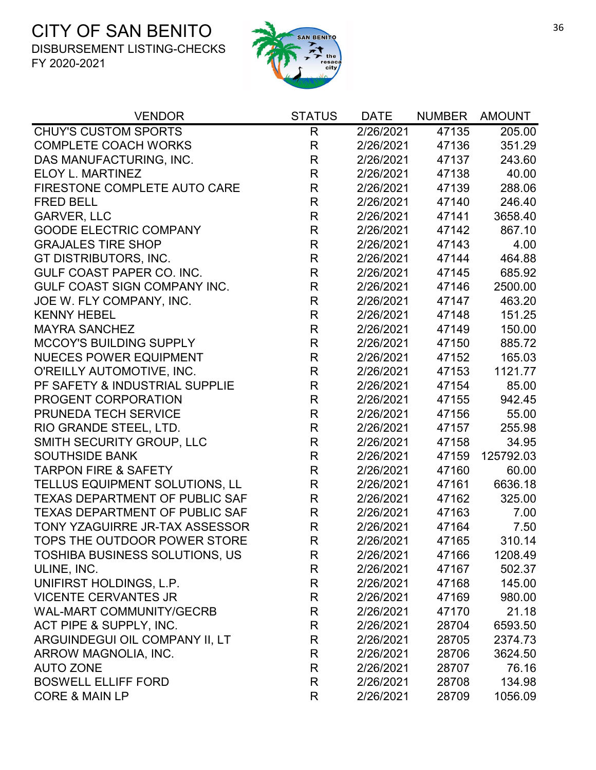

| <b>VENDOR</b>                         | <b>STATUS</b> | DATE      | <b>NUMBER</b> | AMOUNT    |
|---------------------------------------|---------------|-----------|---------------|-----------|
| <b>CHUY'S CUSTOM SPORTS</b>           | R             | 2/26/2021 | 47135         | 205.00    |
| <b>COMPLETE COACH WORKS</b>           | R             | 2/26/2021 | 47136         | 351.29    |
| DAS MANUFACTURING, INC.               | R             | 2/26/2021 | 47137         | 243.60    |
| ELOY L. MARTINEZ                      | R             | 2/26/2021 | 47138         | 40.00     |
| FIRESTONE COMPLETE AUTO CARE          | $\mathsf{R}$  | 2/26/2021 | 47139         | 288.06    |
| <b>FRED BELL</b>                      | $\mathsf{R}$  | 2/26/2021 | 47140         | 246.40    |
| <b>GARVER, LLC</b>                    | $\mathsf R$   | 2/26/2021 | 47141         | 3658.40   |
| <b>GOODE ELECTRIC COMPANY</b>         | $\mathsf{R}$  | 2/26/2021 | 47142         | 867.10    |
| <b>GRAJALES TIRE SHOP</b>             | R             | 2/26/2021 | 47143         | 4.00      |
| GT DISTRIBUTORS, INC.                 | $\mathsf{R}$  | 2/26/2021 | 47144         | 464.88    |
| GULF COAST PAPER CO. INC.             | $\mathsf R$   | 2/26/2021 | 47145         | 685.92    |
| GULF COAST SIGN COMPANY INC.          | $\mathsf{R}$  | 2/26/2021 | 47146         | 2500.00   |
| JOE W. FLY COMPANY, INC.              | $\mathsf{R}$  | 2/26/2021 | 47147         | 463.20    |
| <b>KENNY HEBEL</b>                    | $\mathsf{R}$  | 2/26/2021 | 47148         | 151.25    |
| <b>MAYRA SANCHEZ</b>                  | R             | 2/26/2021 | 47149         | 150.00    |
| <b>MCCOY'S BUILDING SUPPLY</b>        | $\mathsf{R}$  | 2/26/2021 | 47150         | 885.72    |
| <b>NUECES POWER EQUIPMENT</b>         | $\mathsf R$   | 2/26/2021 | 47152         | 165.03    |
| O'REILLY AUTOMOTIVE, INC.             | $\mathsf{R}$  | 2/26/2021 | 47153         | 1121.77   |
| PF SAFETY & INDUSTRIAL SUPPLIE        | $\mathsf R$   | 2/26/2021 | 47154         | 85.00     |
| PROGENT CORPORATION                   | $\mathsf{R}$  | 2/26/2021 | 47155         | 942.45    |
| PRUNEDA TECH SERVICE                  | $\mathsf{R}$  | 2/26/2021 | 47156         | 55.00     |
| RIO GRANDE STEEL, LTD.                | R             | 2/26/2021 | 47157         | 255.98    |
| SMITH SECURITY GROUP, LLC             | R             | 2/26/2021 | 47158         | 34.95     |
| <b>SOUTHSIDE BANK</b>                 | $\mathsf{R}$  | 2/26/2021 | 47159         | 125792.03 |
| <b>TARPON FIRE &amp; SAFETY</b>       | $\mathsf{R}$  | 2/26/2021 | 47160         | 60.00     |
| TELLUS EQUIPMENT SOLUTIONS, LL        | $\mathsf{R}$  | 2/26/2021 | 47161         | 6636.18   |
| <b>TEXAS DEPARTMENT OF PUBLIC SAF</b> | R             | 2/26/2021 | 47162         | 325.00    |
| TEXAS DEPARTMENT OF PUBLIC SAF        | $\mathsf{R}$  | 2/26/2021 | 47163         | 7.00      |
| TONY YZAGUIRRE JR-TAX ASSESSOR        | $\mathsf{R}$  | 2/26/2021 | 47164         | 7.50      |
| TOPS THE OUTDOOR POWER STORE          | R             | 2/26/2021 | 47165         | 310.14    |
| <b>TOSHIBA BUSINESS SOLUTIONS, US</b> | R             | 2/26/2021 | 47166         | 1208.49   |
| ULINE, INC.                           | R             | 2/26/2021 | 47167         | 502.37    |
| UNIFIRST HOLDINGS, L.P.               | R             | 2/26/2021 | 47168         | 145.00    |
| <b>VICENTE CERVANTES JR</b>           | R             | 2/26/2021 | 47169         | 980.00    |
| <b>WAL-MART COMMUNITY/GECRB</b>       | R             | 2/26/2021 | 47170         | 21.18     |
| ACT PIPE & SUPPLY, INC.               | R             | 2/26/2021 | 28704         | 6593.50   |
| ARGUINDEGUI OIL COMPANY II, LT        | R             | 2/26/2021 | 28705         | 2374.73   |
| ARROW MAGNOLIA, INC.                  | R             | 2/26/2021 | 28706         | 3624.50   |
| <b>AUTO ZONE</b>                      | R             | 2/26/2021 | 28707         | 76.16     |
| <b>BOSWELL ELLIFF FORD</b>            | R             | 2/26/2021 | 28708         | 134.98    |
| <b>CORE &amp; MAIN LP</b>             | R             | 2/26/2021 | 28709         | 1056.09   |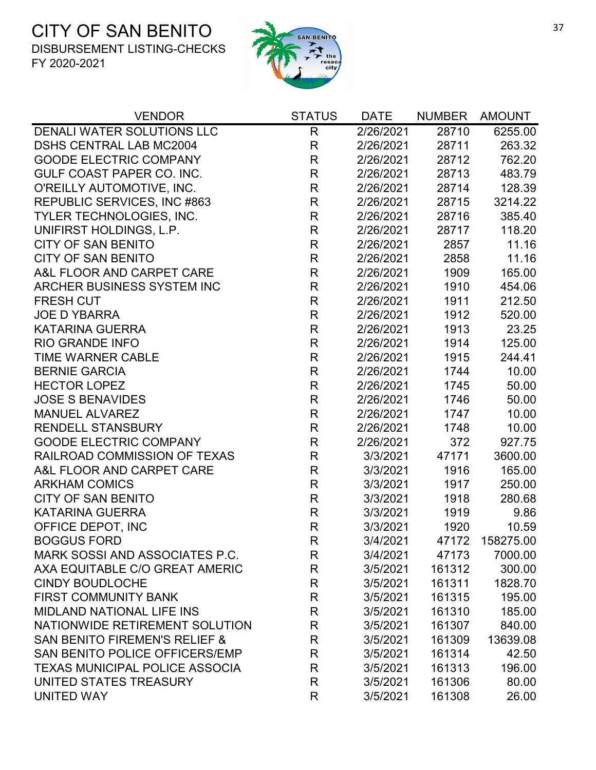

| <b>VENDOR</b>                            | <b>STATUS</b> | <b>DATE</b> | <b>NUMBER</b> | <b>AMOUNT</b> |
|------------------------------------------|---------------|-------------|---------------|---------------|
| DENALI WATER SOLUTIONS LLC               | $\mathsf{R}$  | 2/26/2021   | 28710         | 6255.00       |
| <b>DSHS CENTRAL LAB MC2004</b>           | R             | 2/26/2021   | 28711         | 263.32        |
| <b>GOODE ELECTRIC COMPANY</b>            | $\mathsf{R}$  | 2/26/2021   | 28712         | 762.20        |
| GULF COAST PAPER CO. INC.                | R             | 2/26/2021   | 28713         | 483.79        |
| O'REILLY AUTOMOTIVE, INC.                | R             | 2/26/2021   | 28714         | 128.39        |
| REPUBLIC SERVICES, INC #863              | R             | 2/26/2021   | 28715         | 3214.22       |
| TYLER TECHNOLOGIES, INC.                 | $\mathsf{R}$  | 2/26/2021   | 28716         | 385.40        |
| UNIFIRST HOLDINGS, L.P.                  | $\mathsf{R}$  | 2/26/2021   | 28717         | 118.20        |
| <b>CITY OF SAN BENITO</b>                | R             | 2/26/2021   | 2857          | 11.16         |
| <b>CITY OF SAN BENITO</b>                | R             | 2/26/2021   | 2858          | 11.16         |
| A&L FLOOR AND CARPET CARE                | $\mathsf{R}$  | 2/26/2021   | 1909          | 165.00        |
| ARCHER BUSINESS SYSTEM INC               | R             | 2/26/2021   | 1910          | 454.06        |
| <b>FRESH CUT</b>                         | $\mathsf{R}$  | 2/26/2021   | 1911          | 212.50        |
| <b>JOE D YBARRA</b>                      | $\mathsf{R}$  | 2/26/2021   | 1912          | 520.00        |
| <b>KATARINA GUERRA</b>                   | R             | 2/26/2021   | 1913          | 23.25         |
| <b>RIO GRANDE INFO</b>                   | $\mathsf{R}$  | 2/26/2021   | 1914          | 125.00        |
| <b>TIME WARNER CABLE</b>                 | R             | 2/26/2021   | 1915          | 244.41        |
| <b>BERNIE GARCIA</b>                     | $\mathsf{R}$  | 2/26/2021   | 1744          | 10.00         |
| <b>HECTOR LOPEZ</b>                      | $\mathsf{R}$  | 2/26/2021   | 1745          | 50.00         |
| <b>JOSE S BENAVIDES</b>                  | $\mathsf{R}$  | 2/26/2021   | 1746          | 50.00         |
| <b>MANUEL ALVAREZ</b>                    | $\mathsf{R}$  | 2/26/2021   | 1747          | 10.00         |
| <b>RENDELL STANSBURY</b>                 | $\mathsf{R}$  | 2/26/2021   | 1748          | 10.00         |
| <b>GOODE ELECTRIC COMPANY</b>            | R             | 2/26/2021   | 372           | 927.75        |
| RAILROAD COMMISSION OF TEXAS             | $\mathsf{R}$  | 3/3/2021    | 47171         | 3600.00       |
| A&L FLOOR AND CARPET CARE                | $\mathsf{R}$  | 3/3/2021    | 1916          | 165.00        |
| <b>ARKHAM COMICS</b>                     | $\mathsf{R}$  | 3/3/2021    | 1917          | 250.00        |
| <b>CITY OF SAN BENITO</b>                | $\mathsf R$   | 3/3/2021    | 1918          | 280.68        |
| <b>KATARINA GUERRA</b>                   | R             | 3/3/2021    | 1919          | 9.86          |
| OFFICE DEPOT, INC                        | R             | 3/3/2021    | 1920          | 10.59         |
| <b>BOGGUS FORD</b>                       | R             | 3/4/2021    | 47172         | 158275.00     |
| MARK SOSSI AND ASSOCIATES P.C.           | R             | 3/4/2021    | 47173         | 7000.00       |
| AXA EQUITABLE C/O GREAT AMERIC           | R             | 3/5/2021    | 161312        | 300.00        |
| <b>CINDY BOUDLOCHE</b>                   | $\mathsf{R}$  | 3/5/2021    | 161311        | 1828.70       |
| <b>FIRST COMMUNITY BANK</b>              | R             | 3/5/2021    | 161315        | 195.00        |
| <b>MIDLAND NATIONAL LIFE INS</b>         | R             | 3/5/2021    | 161310        | 185.00        |
| NATIONWIDE RETIREMENT SOLUTION           | R             | 3/5/2021    | 161307        | 840.00        |
| <b>SAN BENITO FIREMEN'S RELIEF &amp;</b> | R             | 3/5/2021    | 161309        | 13639.08      |
| SAN BENITO POLICE OFFICERS/EMP           | R             | 3/5/2021    | 161314        | 42.50         |
| <b>TEXAS MUNICIPAL POLICE ASSOCIA</b>    | $\mathsf{R}$  | 3/5/2021    | 161313        | 196.00        |
| UNITED STATES TREASURY                   | $\mathsf{R}$  | 3/5/2021    | 161306        | 80.00         |
| <b>UNITED WAY</b>                        | R             | 3/5/2021    | 161308        | 26.00         |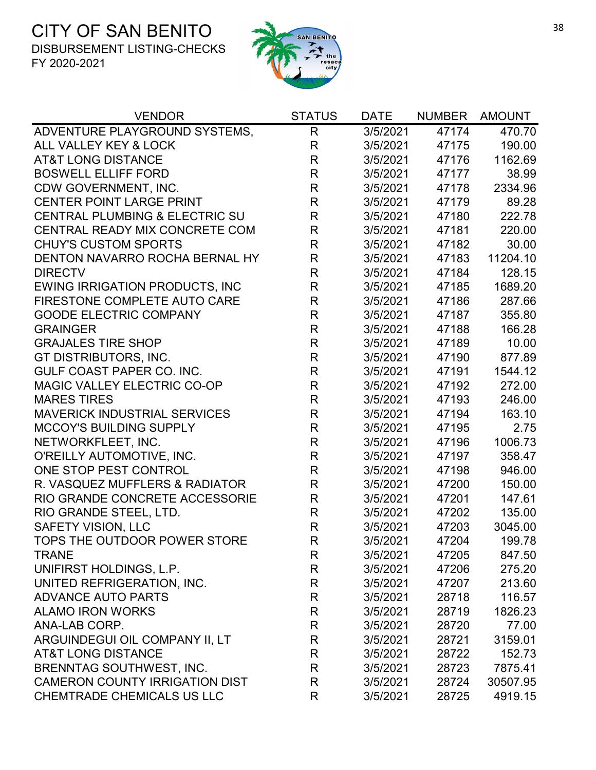

| <b>VENDOR</b>                         | <b>STATUS</b>           | <b>DATE</b> | <b>NUMBER</b> | <b>AMOUNT</b> |
|---------------------------------------|-------------------------|-------------|---------------|---------------|
| ADVENTURE PLAYGROUND SYSTEMS,         | $\mathsf{R}$            | 3/5/2021    | 47174         | 470.70        |
| ALL VALLEY KEY & LOCK                 | $\mathsf{R}$            | 3/5/2021    | 47175         | 190.00        |
| <b>AT&amp;T LONG DISTANCE</b>         | $\mathsf R$             | 3/5/2021    | 47176         | 1162.69       |
| <b>BOSWELL ELLIFF FORD</b>            | $\mathsf{R}$            | 3/5/2021    | 47177         | 38.99         |
| CDW GOVERNMENT, INC.                  | $\mathsf{R}$            | 3/5/2021    | 47178         | 2334.96       |
| <b>CENTER POINT LARGE PRINT</b>       | R                       | 3/5/2021    | 47179         | 89.28         |
| CENTRAL PLUMBING & ELECTRIC SU        | $\mathsf{R}$            | 3/5/2021    | 47180         | 222.78        |
| CENTRAL READY MIX CONCRETE COM        | R                       | 3/5/2021    | 47181         | 220.00        |
| <b>CHUY'S CUSTOM SPORTS</b>           | $\mathsf{R}$            | 3/5/2021    | 47182         | 30.00         |
| DENTON NAVARRO ROCHA BERNAL HY        | $\mathsf{R}$            | 3/5/2021    | 47183         | 11204.10      |
| <b>DIRECTV</b>                        | $\mathsf{R}$            | 3/5/2021    | 47184         | 128.15        |
| <b>EWING IRRIGATION PRODUCTS, INC</b> | $\mathsf{R}$            | 3/5/2021    | 47185         | 1689.20       |
| FIRESTONE COMPLETE AUTO CARE          | $\mathsf{R}$            | 3/5/2021    | 47186         | 287.66        |
| <b>GOODE ELECTRIC COMPANY</b>         | R                       | 3/5/2021    | 47187         | 355.80        |
| <b>GRAINGER</b>                       | $\mathsf{R}$            | 3/5/2021    | 47188         | 166.28        |
| <b>GRAJALES TIRE SHOP</b>             | $\mathsf{R}$            | 3/5/2021    | 47189         | 10.00         |
| GT DISTRIBUTORS, INC.                 | $\mathsf{R}$            | 3/5/2021    | 47190         | 877.89        |
| GULF COAST PAPER CO. INC.             | $\mathsf{R}$            | 3/5/2021    | 47191         | 1544.12       |
| MAGIC VALLEY ELECTRIC CO-OP           | $\mathsf{R}$            | 3/5/2021    | 47192         | 272.00        |
| <b>MARES TIRES</b>                    | $\mathsf{R}$            | 3/5/2021    | 47193         | 246.00        |
| <b>MAVERICK INDUSTRIAL SERVICES</b>   | $\overline{R}$          | 3/5/2021    | 47194         | 163.10        |
| <b>MCCOY'S BUILDING SUPPLY</b>        | $\mathsf{R}$            | 3/5/2021    | 47195         | 2.75          |
| NETWORKFLEET, INC.                    | $\mathsf{R}$            | 3/5/2021    | 47196         | 1006.73       |
| O'REILLY AUTOMOTIVE, INC.             | $\mathsf{R}$            | 3/5/2021    | 47197         | 358.47        |
| ONE STOP PEST CONTROL                 | R                       | 3/5/2021    | 47198         | 946.00        |
| R. VASQUEZ MUFFLERS & RADIATOR        | $\mathsf{R}$            | 3/5/2021    | 47200         | 150.00        |
| RIO GRANDE CONCRETE ACCESSORIE        | $\mathsf{R}$            | 3/5/2021    | 47201         | 147.61        |
| RIO GRANDE STEEL, LTD.                | $\mathsf{R}$            | 3/5/2021    | 47202         | 135.00        |
| <b>SAFETY VISION, LLC</b>             | $\overline{\mathsf{R}}$ | 3/5/2021    | 47203         | 3045.00       |
| TOPS THE OUTDOOR POWER STORE          | R                       | 3/5/2021    | 47204         | 199.78        |
| <b>TRANE</b>                          | R                       | 3/5/2021    | 47205         | 847.50        |
| UNIFIRST HOLDINGS, L.P.               | R                       | 3/5/2021    | 47206         | 275.20        |
| UNITED REFRIGERATION, INC.            | R                       | 3/5/2021    | 47207         | 213.60        |
| <b>ADVANCE AUTO PARTS</b>             | R                       | 3/5/2021    | 28718         | 116.57        |
| <b>ALAMO IRON WORKS</b>               | R                       | 3/5/2021    | 28719         | 1826.23       |
| ANA-LAB CORP.                         | R                       | 3/5/2021    | 28720         | 77.00         |
| ARGUINDEGUI OIL COMPANY II, LT        | R                       | 3/5/2021    | 28721         | 3159.01       |
| <b>AT&amp;T LONG DISTANCE</b>         | R                       | 3/5/2021    | 28722         | 152.73        |
| <b>BRENNTAG SOUTHWEST, INC.</b>       | R                       | 3/5/2021    | 28723         | 7875.41       |
| <b>CAMERON COUNTY IRRIGATION DIST</b> | R                       | 3/5/2021    | 28724         | 30507.95      |
| CHEMTRADE CHEMICALS US LLC            | R                       | 3/5/2021    | 28725         | 4919.15       |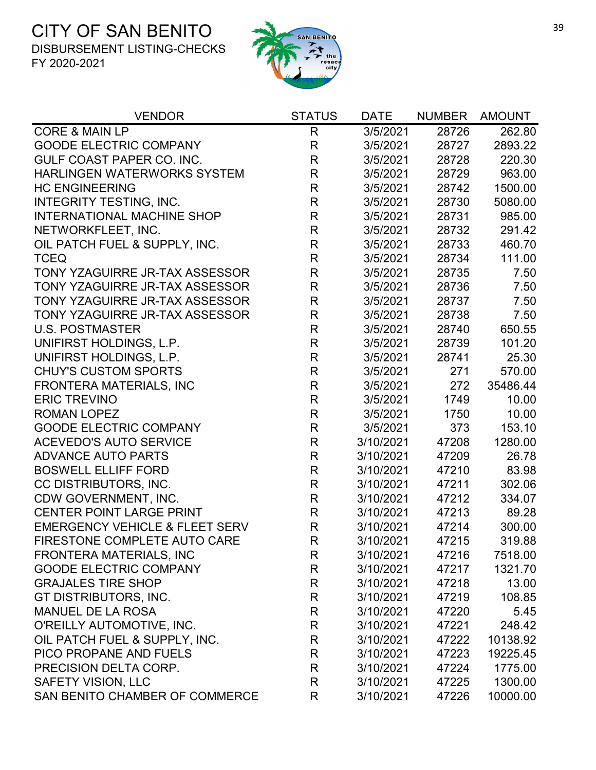

| <b>VENDOR</b>                             | <b>STATUS</b> | <b>DATE</b> | <b>NUMBER</b> | <b>AMOUNT</b> |
|-------------------------------------------|---------------|-------------|---------------|---------------|
| <b>CORE &amp; MAIN LP</b>                 | R             | 3/5/2021    | 28726         | 262.80        |
| <b>GOODE ELECTRIC COMPANY</b>             | $\mathsf{R}$  | 3/5/2021    | 28727         | 2893.22       |
| <b>GULF COAST PAPER CO. INC.</b>          | $\mathsf R$   | 3/5/2021    | 28728         | 220.30        |
| <b>HARLINGEN WATERWORKS SYSTEM</b>        | $\mathsf{R}$  | 3/5/2021    | 28729         | 963.00        |
| <b>HC ENGINEERING</b>                     | $\mathsf{R}$  | 3/5/2021    | 28742         | 1500.00       |
| <b>INTEGRITY TESTING, INC.</b>            | $\mathsf{R}$  | 3/5/2021    | 28730         | 5080.00       |
| <b>INTERNATIONAL MACHINE SHOP</b>         | $\mathsf R$   | 3/5/2021    | 28731         | 985.00        |
| NETWORKFLEET, INC.                        | $\mathsf R$   | 3/5/2021    | 28732         | 291.42        |
| OIL PATCH FUEL & SUPPLY, INC.             | $\mathsf R$   | 3/5/2021    | 28733         | 460.70        |
| <b>TCEQ</b>                               | R             | 3/5/2021    | 28734         | 111.00        |
| TONY YZAGUIRRE JR-TAX ASSESSOR            | $\mathsf R$   | 3/5/2021    | 28735         | 7.50          |
| TONY YZAGUIRRE JR-TAX ASSESSOR            | $\mathsf R$   | 3/5/2021    | 28736         | 7.50          |
| TONY YZAGUIRRE JR-TAX ASSESSOR            | $\mathsf R$   | 3/5/2021    | 28737         | 7.50          |
| TONY YZAGUIRRE JR-TAX ASSESSOR            | R             | 3/5/2021    | 28738         | 7.50          |
| <b>U.S. POSTMASTER</b>                    | $\mathsf R$   | 3/5/2021    | 28740         | 650.55        |
| UNIFIRST HOLDINGS, L.P.                   | $\mathsf R$   | 3/5/2021    | 28739         | 101.20        |
| UNIFIRST HOLDINGS, L.P.                   | $\mathsf R$   | 3/5/2021    | 28741         | 25.30         |
| <b>CHUY'S CUSTOM SPORTS</b>               | $\mathsf R$   | 3/5/2021    | 271           | 570.00        |
| FRONTERA MATERIALS, INC                   | $\mathsf R$   | 3/5/2021    | 272           | 35486.44      |
| <b>ERIC TREVINO</b>                       | $\mathsf R$   | 3/5/2021    | 1749          | 10.00         |
| <b>ROMAN LOPEZ</b>                        | $\mathsf R$   | 3/5/2021    | 1750          | 10.00         |
| <b>GOODE ELECTRIC COMPANY</b>             | $\mathsf R$   | 3/5/2021    | 373           | 153.10        |
| <b>ACEVEDO'S AUTO SERVICE</b>             | $\mathsf R$   | 3/10/2021   | 47208         | 1280.00       |
| <b>ADVANCE AUTO PARTS</b>                 | $\mathsf R$   | 3/10/2021   | 47209         | 26.78         |
| <b>BOSWELL ELLIFF FORD</b>                | $\mathsf{R}$  | 3/10/2021   | 47210         | 83.98         |
| CC DISTRIBUTORS, INC.                     | R             | 3/10/2021   | 47211         | 302.06        |
| CDW GOVERNMENT, INC.                      | $\mathsf R$   | 3/10/2021   | 47212         | 334.07        |
| <b>CENTER POINT LARGE PRINT</b>           | R             | 3/10/2021   | 47213         | 89.28         |
| <b>EMERGENCY VEHICLE &amp; FLEET SERV</b> | R             | 3/10/2021   | 47214         | 300.00        |
| FIRESTONE COMPLETE AUTO CARE              | R             | 3/10/2021   | 47215         | 319.88        |
| <b>FRONTERA MATERIALS, INC</b>            | R             | 3/10/2021   | 47216         | 7518.00       |
| <b>GOODE ELECTRIC COMPANY</b>             | R             | 3/10/2021   | 47217         | 1321.70       |
| <b>GRAJALES TIRE SHOP</b>                 | R             | 3/10/2021   | 47218         | 13.00         |
| GT DISTRIBUTORS, INC.                     | R             | 3/10/2021   | 47219         | 108.85        |
| <b>MANUEL DE LA ROSA</b>                  | R             | 3/10/2021   | 47220         | 5.45          |
| O'REILLY AUTOMOTIVE, INC.                 | R             | 3/10/2021   | 47221         | 248.42        |
| OIL PATCH FUEL & SUPPLY, INC.             | R             | 3/10/2021   | 47222         | 10138.92      |
| PICO PROPANE AND FUELS                    | R             | 3/10/2021   | 47223         | 19225.45      |
| PRECISION DELTA CORP.                     | R             | 3/10/2021   | 47224         | 1775.00       |
| <b>SAFETY VISION, LLC</b>                 | R             | 3/10/2021   | 47225         | 1300.00       |
| SAN BENITO CHAMBER OF COMMERCE            | R             | 3/10/2021   | 47226         | 10000.00      |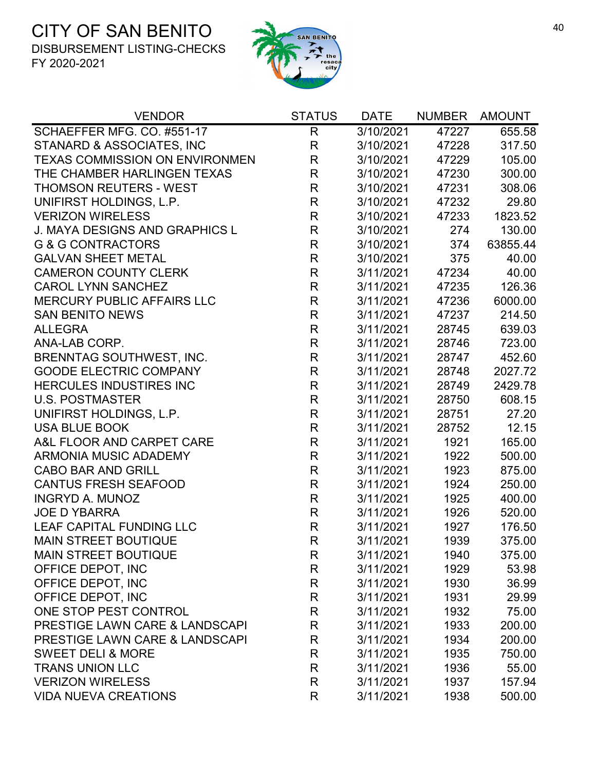

| <b>VENDOR</b>                         | <b>STATUS</b> | <b>DATE</b> | NUMBER AMOUNT |          |
|---------------------------------------|---------------|-------------|---------------|----------|
| SCHAEFFER MFG. CO. #551-17            | R             | 3/10/2021   | 47227         | 655.58   |
| STANARD & ASSOCIATES, INC             | R             | 3/10/2021   | 47228         | 317.50   |
| <b>TEXAS COMMISSION ON ENVIRONMEN</b> | $\mathsf R$   | 3/10/2021   | 47229         | 105.00   |
| THE CHAMBER HARLINGEN TEXAS           | R             | 3/10/2021   | 47230         | 300.00   |
| <b>THOMSON REUTERS - WEST</b>         | R             | 3/10/2021   | 47231         | 308.06   |
| UNIFIRST HOLDINGS, L.P.               | $\mathsf{R}$  | 3/10/2021   | 47232         | 29.80    |
| <b>VERIZON WIRELESS</b>               | $\mathsf{R}$  | 3/10/2021   | 47233         | 1823.52  |
| J. MAYA DESIGNS AND GRAPHICS L        | $\mathsf{R}$  | 3/10/2021   | 274           | 130.00   |
| <b>G &amp; G CONTRACTORS</b>          | $\mathsf{R}$  | 3/10/2021   | 374           | 63855.44 |
| <b>GALVAN SHEET METAL</b>             | $\mathsf{R}$  | 3/10/2021   | 375           | 40.00    |
| <b>CAMERON COUNTY CLERK</b>           | $\mathsf{R}$  | 3/11/2021   | 47234         | 40.00    |
| <b>CAROL LYNN SANCHEZ</b>             | R             | 3/11/2021   | 47235         | 126.36   |
| <b>MERCURY PUBLIC AFFAIRS LLC</b>     | $\mathsf{R}$  | 3/11/2021   | 47236         | 6000.00  |
| <b>SAN BENITO NEWS</b>                | R             | 3/11/2021   | 47237         | 214.50   |
| <b>ALLEGRA</b>                        | $\mathsf{R}$  | 3/11/2021   | 28745         | 639.03   |
| ANA-LAB CORP.                         | R             | 3/11/2021   | 28746         | 723.00   |
| BRENNTAG SOUTHWEST, INC.              | $\mathsf{R}$  | 3/11/2021   | 28747         | 452.60   |
| <b>GOODE ELECTRIC COMPANY</b>         | R             | 3/11/2021   | 28748         | 2027.72  |
| HERCULES INDUSTIRES INC               | $\mathsf{R}$  | 3/11/2021   | 28749         | 2429.78  |
| <b>U.S. POSTMASTER</b>                | $\mathsf{R}$  | 3/11/2021   | 28750         | 608.15   |
| UNIFIRST HOLDINGS, L.P.               | $\mathsf{R}$  | 3/11/2021   | 28751         | 27.20    |
| <b>USA BLUE BOOK</b>                  | R             | 3/11/2021   | 28752         | 12.15    |
| A&L FLOOR AND CARPET CARE             | R             | 3/11/2021   | 1921          | 165.00   |
| <b>ARMONIA MUSIC ADADEMY</b>          | $\mathsf{R}$  | 3/11/2021   | 1922          | 500.00   |
| <b>CABO BAR AND GRILL</b>             | R             | 3/11/2021   | 1923          | 875.00   |
| <b>CANTUS FRESH SEAFOOD</b>           | R             | 3/11/2021   | 1924          | 250.00   |
| <b>INGRYD A. MUNOZ</b>                | R             | 3/11/2021   | 1925          | 400.00   |
| <b>JOE D YBARRA</b>                   | R             | 3/11/2021   | 1926          | 520.00   |
| LEAF CAPITAL FUNDING LLC              | $\mathsf{R}$  | 3/11/2021   | 1927          | 176.50   |
| <b>MAIN STREET BOUTIQUE</b>           | R             | 3/11/2021   | 1939          | 375.00   |
| <b>MAIN STREET BOUTIQUE</b>           | R             | 3/11/2021   | 1940          | 375.00   |
| OFFICE DEPOT, INC                     | R             | 3/11/2021   | 1929          | 53.98    |
| OFFICE DEPOT, INC                     | R             | 3/11/2021   | 1930          | 36.99    |
| OFFICE DEPOT, INC                     | R             | 3/11/2021   | 1931          | 29.99    |
| ONE STOP PEST CONTROL                 | R             | 3/11/2021   | 1932          | 75.00    |
| PRESTIGE LAWN CARE & LANDSCAPI        | R             | 3/11/2021   | 1933          | 200.00   |
| PRESTIGE LAWN CARE & LANDSCAPI        | R             | 3/11/2021   | 1934          | 200.00   |
| <b>SWEET DELI &amp; MORE</b>          | R             | 3/11/2021   | 1935          | 750.00   |
| <b>TRANS UNION LLC</b>                | R             | 3/11/2021   | 1936          | 55.00    |
| <b>VERIZON WIRELESS</b>               | R             | 3/11/2021   | 1937          | 157.94   |
| <b>VIDA NUEVA CREATIONS</b>           | R             | 3/11/2021   | 1938          | 500.00   |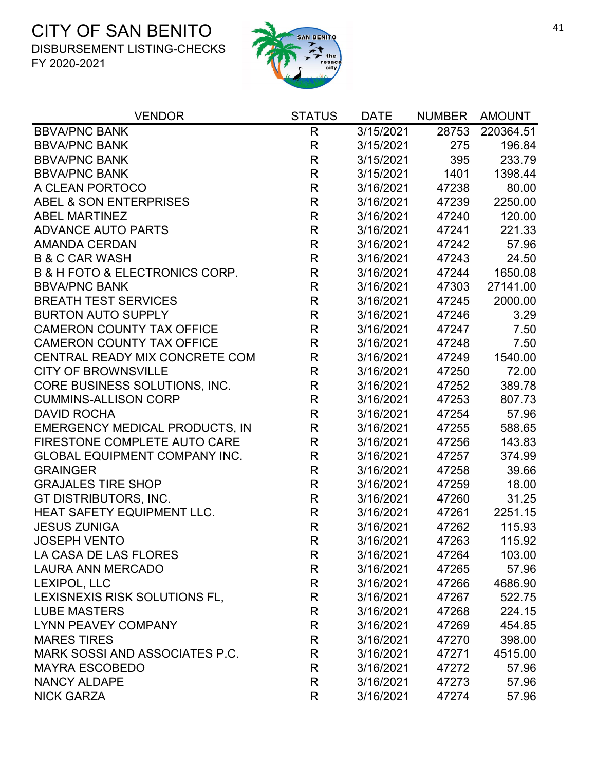

| <b>VENDOR</b>                                 | <b>STATUS</b> | <b>DATE</b> | <b>NUMBER</b> | <b>AMOUNT</b> |
|-----------------------------------------------|---------------|-------------|---------------|---------------|
| <b>BBVA/PNC BANK</b>                          | $\mathsf{R}$  | 3/15/2021   | 28753         | 220364.51     |
| <b>BBVA/PNC BANK</b>                          | R             | 3/15/2021   | 275           | 196.84        |
| <b>BBVA/PNC BANK</b>                          | R             | 3/15/2021   | 395           | 233.79        |
| <b>BBVA/PNC BANK</b>                          | $\mathsf{R}$  | 3/15/2021   | 1401          | 1398.44       |
| A CLEAN PORTOCO                               | $\mathsf{R}$  | 3/16/2021   | 47238         | 80.00         |
| ABEL & SON ENTERPRISES                        | $\mathsf{R}$  | 3/16/2021   | 47239         | 2250.00       |
| <b>ABEL MARTINEZ</b>                          | $\mathsf{R}$  | 3/16/2021   | 47240         | 120.00        |
| <b>ADVANCE AUTO PARTS</b>                     | R             | 3/16/2021   | 47241         | 221.33        |
| <b>AMANDA CERDAN</b>                          | R             | 3/16/2021   | 47242         | 57.96         |
| <b>B &amp; C CAR WASH</b>                     | $\mathsf{R}$  | 3/16/2021   | 47243         | 24.50         |
| <b>B &amp; H FOTO &amp; ELECTRONICS CORP.</b> | $\mathsf R$   | 3/16/2021   | 47244         | 1650.08       |
| <b>BBVA/PNC BANK</b>                          | $\mathsf{R}$  | 3/16/2021   | 47303         | 27141.00      |
| <b>BREATH TEST SERVICES</b>                   | $\mathsf{R}$  | 3/16/2021   | 47245         | 2000.00       |
| <b>BURTON AUTO SUPPLY</b>                     | $\mathsf{R}$  | 3/16/2021   | 47246         | 3.29          |
| <b>CAMERON COUNTY TAX OFFICE</b>              | R             | 3/16/2021   | 47247         | 7.50          |
| <b>CAMERON COUNTY TAX OFFICE</b>              | $\mathsf{R}$  | 3/16/2021   | 47248         | 7.50          |
| CENTRAL READY MIX CONCRETE COM                | $\mathsf{R}$  | 3/16/2021   | 47249         | 1540.00       |
| <b>CITY OF BROWNSVILLE</b>                    | $\mathsf{R}$  | 3/16/2021   | 47250         | 72.00         |
| CORE BUSINESS SOLUTIONS, INC.                 | $\mathsf{R}$  | 3/16/2021   | 47252         | 389.78        |
| <b>CUMMINS-ALLISON CORP</b>                   | $\mathsf{R}$  | 3/16/2021   | 47253         | 807.73        |
| <b>DAVID ROCHA</b>                            | $\mathsf{R}$  | 3/16/2021   | 47254         | 57.96         |
| EMERGENCY MEDICAL PRODUCTS, IN                | R             | 3/16/2021   | 47255         | 588.65        |
| FIRESTONE COMPLETE AUTO CARE                  | R             | 3/16/2021   | 47256         | 143.83        |
| <b>GLOBAL EQUIPMENT COMPANY INC.</b>          | $\mathsf{R}$  | 3/16/2021   | 47257         | 374.99        |
| <b>GRAINGER</b>                               | $\mathsf{R}$  | 3/16/2021   | 47258         | 39.66         |
| <b>GRAJALES TIRE SHOP</b>                     | $\mathsf{R}$  | 3/16/2021   | 47259         | 18.00         |
| GT DISTRIBUTORS, INC.                         | R             | 3/16/2021   | 47260         | 31.25         |
| HEAT SAFETY EQUIPMENT LLC.                    | $\mathsf{R}$  | 3/16/2021   | 47261         | 2251.15       |
| <b>JESUS ZUNIGA</b>                           | $\mathsf R$   | 3/16/2021   | 47262         | 115.93        |
| <b>JOSEPH VENTO</b>                           | $\mathsf{R}$  | 3/16/2021   | 47263         | 115.92        |
| LA CASA DE LAS FLORES                         | R             | 3/16/2021   | 47264         | 103.00        |
| <b>LAURA ANN MERCADO</b>                      | R             | 3/16/2021   | 47265         | 57.96         |
| LEXIPOL, LLC                                  | R             | 3/16/2021   | 47266         | 4686.90       |
| LEXISNEXIS RISK SOLUTIONS FL.                 | R             | 3/16/2021   | 47267         | 522.75        |
| <b>LUBE MASTERS</b>                           | R             | 3/16/2021   | 47268         | 224.15        |
| <b>LYNN PEAVEY COMPANY</b>                    | R             | 3/16/2021   | 47269         | 454.85        |
| <b>MARES TIRES</b>                            | R             | 3/16/2021   | 47270         | 398.00        |
| MARK SOSSI AND ASSOCIATES P.C.                | R             | 3/16/2021   | 47271         | 4515.00       |
| <b>MAYRA ESCOBEDO</b>                         | R             | 3/16/2021   | 47272         | 57.96         |
| <b>NANCY ALDAPE</b>                           | R             | 3/16/2021   | 47273         | 57.96         |
| <b>NICK GARZA</b>                             | R             | 3/16/2021   | 47274         | 57.96         |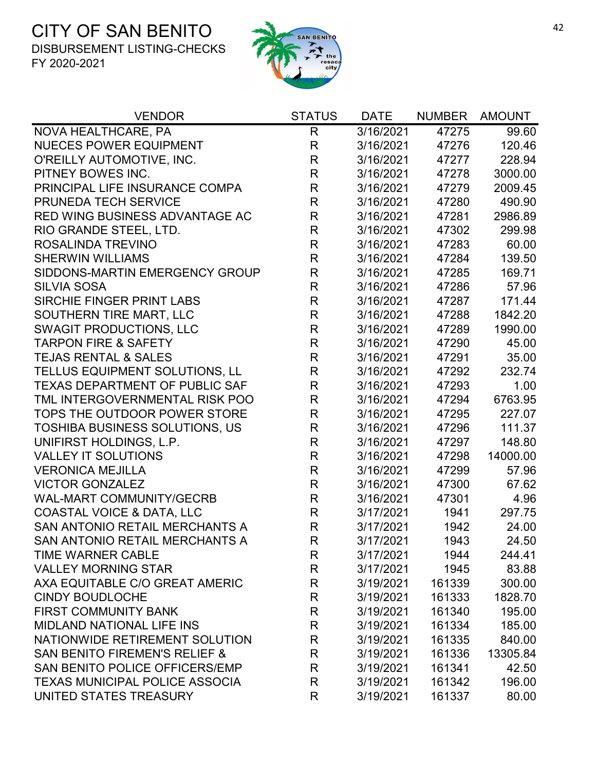

| <b>VENDOR</b>                            | <b>STATUS</b> | <b>DATE</b> | <b>NUMBER</b> | <b>AMOUNT</b> |
|------------------------------------------|---------------|-------------|---------------|---------------|
| NOVA HEALTHCARE, PA                      | R             | 3/16/2021   | 47275         | 99.60         |
| <b>NUECES POWER EQUIPMENT</b>            | R             | 3/16/2021   | 47276         | 120.46        |
| O'REILLY AUTOMOTIVE, INC.                | $\mathsf{R}$  | 3/16/2021   | 47277         | 228.94        |
| PITNEY BOWES INC.                        | $\mathsf{R}$  | 3/16/2021   | 47278         | 3000.00       |
| PRINCIPAL LIFE INSURANCE COMPA           | $\mathsf{R}$  | 3/16/2021   | 47279         | 2009.45       |
| PRUNEDA TECH SERVICE                     | $\mathsf{R}$  | 3/16/2021   | 47280         | 490.90        |
| RED WING BUSINESS ADVANTAGE AC           | R             | 3/16/2021   | 47281         | 2986.89       |
| RIO GRANDE STEEL, LTD.                   | R             | 3/16/2021   | 47302         | 299.98        |
| ROSALINDA TREVINO                        | $\mathsf{R}$  | 3/16/2021   | 47283         | 60.00         |
| <b>SHERWIN WILLIAMS</b>                  | R             | 3/16/2021   | 47284         | 139.50        |
| SIDDONS-MARTIN EMERGENCY GROUP           | $\mathsf R$   | 3/16/2021   | 47285         | 169.71        |
| <b>SILVIA SOSA</b>                       | R             | 3/16/2021   | 47286         | 57.96         |
| SIRCHIE FINGER PRINT LABS                | $\mathsf{R}$  | 3/16/2021   | 47287         | 171.44        |
| SOUTHERN TIRE MART, LLC                  | R             | 3/16/2021   | 47288         | 1842.20       |
| <b>SWAGIT PRODUCTIONS, LLC</b>           | $\mathsf{R}$  | 3/16/2021   | 47289         | 1990.00       |
| <b>TARPON FIRE &amp; SAFETY</b>          | $\mathsf{R}$  | 3/16/2021   | 47290         | 45.00         |
| <b>TEJAS RENTAL &amp; SALES</b>          | R             | 3/16/2021   | 47291         | 35.00         |
| TELLUS EQUIPMENT SOLUTIONS, LL           | R             | 3/16/2021   | 47292         | 232.74        |
| <b>TEXAS DEPARTMENT OF PUBLIC SAF</b>    | R             | 3/16/2021   | 47293         | 1.00          |
| TML INTERGOVERNMENTAL RISK POO           | $\mathsf{R}$  | 3/16/2021   | 47294         | 6763.95       |
| TOPS THE OUTDOOR POWER STORE             | $\mathsf{R}$  | 3/16/2021   | 47295         | 227.07        |
| <b>TOSHIBA BUSINESS SOLUTIONS, US</b>    | R             | 3/16/2021   | 47296         | 111.37        |
| UNIFIRST HOLDINGS, L.P.                  | R             | 3/16/2021   | 47297         | 148.80        |
| <b>VALLEY IT SOLUTIONS</b>               | $\mathsf{R}$  | 3/16/2021   | 47298         | 14000.00      |
| <b>VERONICA MEJILLA</b>                  | $\mathsf{R}$  | 3/16/2021   | 47299         | 57.96         |
| <b>VICTOR GONZALEZ</b>                   | R             | 3/16/2021   | 47300         | 67.62         |
| <b>WAL-MART COMMUNITY/GECRB</b>          | R             | 3/16/2021   | 47301         | 4.96          |
| <b>COASTAL VOICE &amp; DATA, LLC</b>     | $\mathsf{R}$  | 3/17/2021   | 1941          | 297.75        |
| SAN ANTONIO RETAIL MERCHANTS A           | $\mathsf{R}$  | 3/17/2021   | 1942          | 24.00         |
| <b>SAN ANTONIO RETAIL MERCHANTS A</b>    | R             | 3/17/2021   | 1943          | 24.50         |
| <b>TIME WARNER CABLE</b>                 | R             | 3/17/2021   | 1944          | 244.41        |
| <b>VALLEY MORNING STAR</b>               | R             | 3/17/2021   | 1945          | 83.88         |
| AXA EQUITABLE C/O GREAT AMERIC           | R             | 3/19/2021   | 161339        | 300.00        |
| <b>CINDY BOUDLOCHE</b>                   | R             | 3/19/2021   | 161333        | 1828.70       |
| <b>FIRST COMMUNITY BANK</b>              | R             | 3/19/2021   | 161340        | 195.00        |
| <b>MIDLAND NATIONAL LIFE INS</b>         | R             | 3/19/2021   | 161334        | 185.00        |
| NATIONWIDE RETIREMENT SOLUTION           | R             | 3/19/2021   | 161335        | 840.00        |
| <b>SAN BENITO FIREMEN'S RELIEF &amp;</b> | R             | 3/19/2021   | 161336        | 13305.84      |
| SAN BENITO POLICE OFFICERS/EMP           | R             | 3/19/2021   | 161341        | 42.50         |
| <b>TEXAS MUNICIPAL POLICE ASSOCIA</b>    | R             | 3/19/2021   | 161342        | 196.00        |
| UNITED STATES TREASURY                   | R             | 3/19/2021   | 161337        | 80.00         |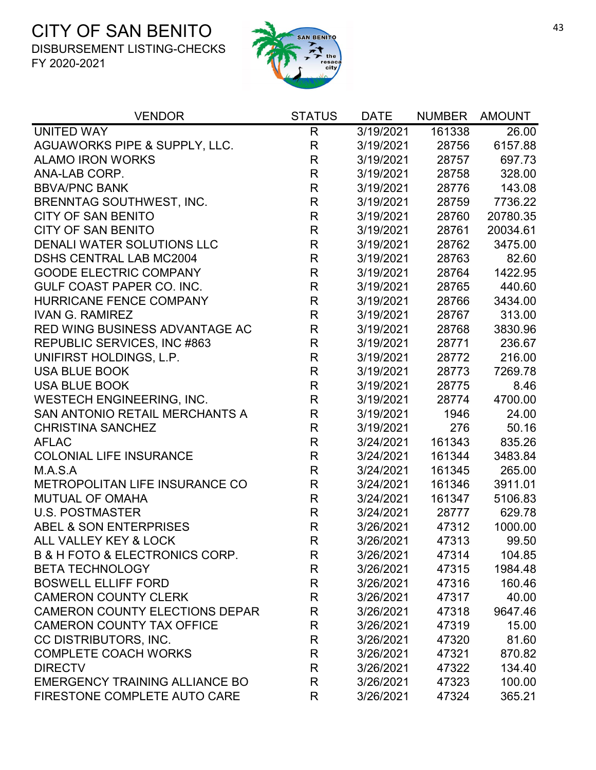

| <b>VENDOR</b>                                 | <b>STATUS</b> | <b>DATE</b> | <b>NUMBER</b> | <b>AMOUNT</b> |
|-----------------------------------------------|---------------|-------------|---------------|---------------|
| <b>UNITED WAY</b>                             | $\mathsf{R}$  | 3/19/2021   | 161338        | 26.00         |
| AGUAWORKS PIPE & SUPPLY, LLC.                 | R             | 3/19/2021   | 28756         | 6157.88       |
| <b>ALAMO IRON WORKS</b>                       | R             | 3/19/2021   | 28757         | 697.73        |
| ANA-LAB CORP.                                 | $\mathsf{R}$  | 3/19/2021   | 28758         | 328.00        |
| <b>BBVA/PNC BANK</b>                          | R             | 3/19/2021   | 28776         | 143.08        |
| BRENNTAG SOUTHWEST, INC.                      | R             | 3/19/2021   | 28759         | 7736.22       |
| <b>CITY OF SAN BENITO</b>                     | R             | 3/19/2021   | 28760         | 20780.35      |
| <b>CITY OF SAN BENITO</b>                     | R             | 3/19/2021   | 28761         | 20034.61      |
| DENALI WATER SOLUTIONS LLC                    | R             | 3/19/2021   | 28762         | 3475.00       |
| <b>DSHS CENTRAL LAB MC2004</b>                | R             | 3/19/2021   | 28763         | 82.60         |
| <b>GOODE ELECTRIC COMPANY</b>                 | R             | 3/19/2021   | 28764         | 1422.95       |
| GULF COAST PAPER CO. INC.                     | $\mathsf R$   | 3/19/2021   | 28765         | 440.60        |
| <b>HURRICANE FENCE COMPANY</b>                | R             | 3/19/2021   | 28766         | 3434.00       |
| <b>IVAN G. RAMIREZ</b>                        | R             | 3/19/2021   | 28767         | 313.00        |
| RED WING BUSINESS ADVANTAGE AC                | R             | 3/19/2021   | 28768         | 3830.96       |
| REPUBLIC SERVICES, INC #863                   | R             | 3/19/2021   | 28771         | 236.67        |
| UNIFIRST HOLDINGS, L.P.                       | R             | 3/19/2021   | 28772         | 216.00        |
| <b>USA BLUE BOOK</b>                          | R             | 3/19/2021   | 28773         | 7269.78       |
| <b>USA BLUE BOOK</b>                          | R             | 3/19/2021   | 28775         | 8.46          |
| <b>WESTECH ENGINEERING, INC.</b>              | $\mathsf{R}$  | 3/19/2021   | 28774         | 4700.00       |
| SAN ANTONIO RETAIL MERCHANTS A                | $\mathsf{R}$  | 3/19/2021   | 1946          | 24.00         |
| <b>CHRISTINA SANCHEZ</b>                      | R             | 3/19/2021   | 276           | 50.16         |
| <b>AFLAC</b>                                  | R             | 3/24/2021   | 161343        | 835.26        |
| <b>COLONIAL LIFE INSURANCE</b>                | R             | 3/24/2021   | 161344        | 3483.84       |
| M.A.S.A                                       | R             | 3/24/2021   | 161345        | 265.00        |
| METROPOLITAN LIFE INSURANCE CO                | R             | 3/24/2021   | 161346        | 3911.01       |
| <b>MUTUAL OF OMAHA</b>                        | R             | 3/24/2021   | 161347        | 5106.83       |
| <b>U.S. POSTMASTER</b>                        | R             | 3/24/2021   | 28777         | 629.78        |
| ABEL & SON ENTERPRISES                        | $\mathsf R$   | 3/26/2021   | 47312         | 1000.00       |
| ALL VALLEY KEY & LOCK                         | R             | 3/26/2021   | 47313         | 99.50         |
| <b>B &amp; H FOTO &amp; ELECTRONICS CORP.</b> | R             | 3/26/2021   | 47314         | 104.85        |
| <b>BETA TECHNOLOGY</b>                        | R             | 3/26/2021   | 47315         | 1984.48       |
| <b>BOSWELL ELLIFF FORD</b>                    | R             | 3/26/2021   | 47316         | 160.46        |
| <b>CAMERON COUNTY CLERK</b>                   | R             | 3/26/2021   | 47317         | 40.00         |
| <b>CAMERON COUNTY ELECTIONS DEPAR</b>         | R             | 3/26/2021   | 47318         | 9647.46       |
| <b>CAMERON COUNTY TAX OFFICE</b>              | R             | 3/26/2021   | 47319         | 15.00         |
| CC DISTRIBUTORS, INC.                         | R             | 3/26/2021   | 47320         | 81.60         |
| <b>COMPLETE COACH WORKS</b>                   | R             | 3/26/2021   | 47321         | 870.82        |
| <b>DIRECTV</b>                                | R             | 3/26/2021   | 47322         | 134.40        |
| <b>EMERGENCY TRAINING ALLIANCE BO</b>         | R             | 3/26/2021   | 47323         | 100.00        |
| FIRESTONE COMPLETE AUTO CARE                  | R             | 3/26/2021   | 47324         | 365.21        |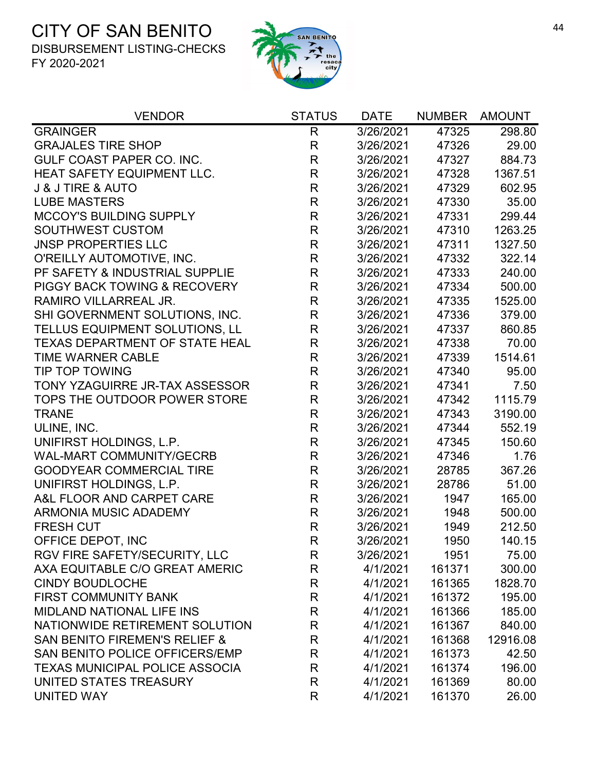

| <b>VENDOR</b>                            | <b>STATUS</b> | <b>DATE</b> | <b>NUMBER</b> | <b>AMOUNT</b> |
|------------------------------------------|---------------|-------------|---------------|---------------|
| <b>GRAINGER</b>                          | R             | 3/26/2021   | 47325         | 298.80        |
| <b>GRAJALES TIRE SHOP</b>                | $\mathsf{R}$  | 3/26/2021   | 47326         | 29.00         |
| <b>GULF COAST PAPER CO. INC.</b>         | R             | 3/26/2021   | 47327         | 884.73        |
| HEAT SAFETY EQUIPMENT LLC.               | R             | 3/26/2021   | 47328         | 1367.51       |
| <b>J &amp; J TIRE &amp; AUTO</b>         | $\mathsf{R}$  | 3/26/2021   | 47329         | 602.95        |
| <b>LUBE MASTERS</b>                      | $\mathsf{R}$  | 3/26/2021   | 47330         | 35.00         |
| <b>MCCOY'S BUILDING SUPPLY</b>           | $\mathsf R$   | 3/26/2021   | 47331         | 299.44        |
| <b>SOUTHWEST CUSTOM</b>                  | $\mathsf{R}$  | 3/26/2021   | 47310         | 1263.25       |
| <b>JNSP PROPERTIES LLC</b>               | $\mathsf{R}$  | 3/26/2021   | 47311         | 1327.50       |
| O'REILLY AUTOMOTIVE, INC.                | $\mathsf{R}$  | 3/26/2021   | 47332         | 322.14        |
| PF SAFETY & INDUSTRIAL SUPPLIE           | $\mathsf R$   | 3/26/2021   | 47333         | 240.00        |
| <b>PIGGY BACK TOWING &amp; RECOVERY</b>  | $\mathsf{R}$  | 3/26/2021   | 47334         | 500.00        |
| RAMIRO VILLARREAL JR.                    | $\mathsf{R}$  | 3/26/2021   | 47335         | 1525.00       |
| SHI GOVERNMENT SOLUTIONS, INC.           | $\mathsf R$   | 3/26/2021   | 47336         | 379.00        |
| TELLUS EQUIPMENT SOLUTIONS, LL           | R             | 3/26/2021   | 47337         | 860.85        |
| <b>TEXAS DEPARTMENT OF STATE HEAL</b>    | $\mathsf{R}$  | 3/26/2021   | 47338         | 70.00         |
| <b>TIME WARNER CABLE</b>                 | $\mathsf{R}$  | 3/26/2021   | 47339         | 1514.61       |
| <b>TIP TOP TOWING</b>                    | $\mathsf{R}$  | 3/26/2021   | 47340         | 95.00         |
| TONY YZAGUIRRE JR-TAX ASSESSOR           | $\mathsf R$   | 3/26/2021   | 47341         | 7.50          |
| TOPS THE OUTDOOR POWER STORE             | $\mathsf{R}$  | 3/26/2021   | 47342         | 1115.79       |
| <b>TRANE</b>                             | $\mathsf{R}$  | 3/26/2021   | 47343         | 3190.00       |
| ULINE, INC.                              | $\mathsf{R}$  | 3/26/2021   | 47344         | 552.19        |
| UNIFIRST HOLDINGS, L.P.                  | $\mathsf{R}$  | 3/26/2021   | 47345         | 150.60        |
| <b>WAL-MART COMMUNITY/GECRB</b>          | $\mathsf R$   | 3/26/2021   | 47346         | 1.76          |
| <b>GOODYEAR COMMERCIAL TIRE</b>          | $\mathsf{R}$  | 3/26/2021   | 28785         | 367.26        |
| UNIFIRST HOLDINGS, L.P.                  | $\mathsf R$   | 3/26/2021   | 28786         | 51.00         |
| A&L FLOOR AND CARPET CARE                | $\mathsf{R}$  | 3/26/2021   | 1947          | 165.00        |
| ARMONIA MUSIC ADADEMY                    | $\mathsf{R}$  | 3/26/2021   | 1948          | 500.00        |
| <b>FRESH CUT</b>                         | $\mathsf R$   | 3/26/2021   | 1949          | 212.50        |
| OFFICE DEPOT, INC                        | $\mathsf R$   | 3/26/2021   | 1950          | 140.15        |
| RGV FIRE SAFETY/SECURITY, LLC            | R             | 3/26/2021   | 1951          | 75.00         |
| AXA EQUITABLE C/O GREAT AMERIC           | R             | 4/1/2021    | 161371        | 300.00        |
| <b>CINDY BOUDLOCHE</b>                   | $\mathsf{R}$  | 4/1/2021    | 161365        | 1828.70       |
| <b>FIRST COMMUNITY BANK</b>              | R             | 4/1/2021    | 161372        | 195.00        |
| <b>MIDLAND NATIONAL LIFE INS</b>         | R             | 4/1/2021    | 161366        | 185.00        |
| NATIONWIDE RETIREMENT SOLUTION           | R             | 4/1/2021    | 161367        | 840.00        |
| <b>SAN BENITO FIREMEN'S RELIEF &amp;</b> | R             | 4/1/2021    | 161368        | 12916.08      |
| SAN BENITO POLICE OFFICERS/EMP           | R             | 4/1/2021    | 161373        | 42.50         |
| <b>TEXAS MUNICIPAL POLICE ASSOCIA</b>    | R             | 4/1/2021    | 161374        | 196.00        |
| UNITED STATES TREASURY                   | R             | 4/1/2021    | 161369        | 80.00         |
| UNITED WAY                               | R             | 4/1/2021    | 161370        | 26.00         |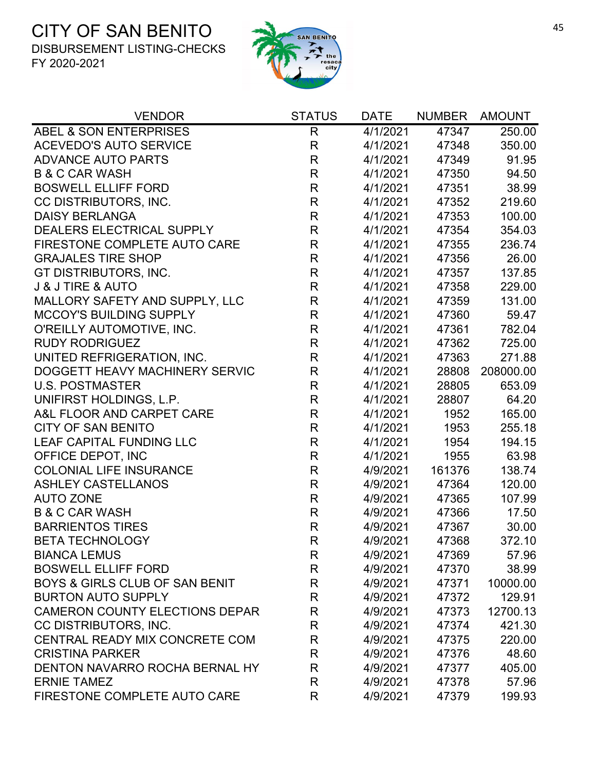

| <b>VENDOR</b>                         | <b>STATUS</b> | <b>DATE</b> | <b>NUMBER</b> | AMOUNT    |
|---------------------------------------|---------------|-------------|---------------|-----------|
| ABEL & SON ENTERPRISES                | $\mathsf{R}$  | 4/1/2021    | 47347         | 250.00    |
| <b>ACEVEDO'S AUTO SERVICE</b>         | $\mathsf{R}$  | 4/1/2021    | 47348         | 350.00    |
| <b>ADVANCE AUTO PARTS</b>             | R             | 4/1/2021    | 47349         | 91.95     |
| <b>B &amp; C CAR WASH</b>             | $\mathsf{R}$  | 4/1/2021    | 47350         | 94.50     |
| <b>BOSWELL ELLIFF FORD</b>            | $\mathsf{R}$  | 4/1/2021    | 47351         | 38.99     |
| CC DISTRIBUTORS, INC.                 | $\mathsf{R}$  | 4/1/2021    | 47352         | 219.60    |
| <b>DAISY BERLANGA</b>                 | $\mathsf{R}$  | 4/1/2021    | 47353         | 100.00    |
| DEALERS ELECTRICAL SUPPLY             | $\mathsf{R}$  | 4/1/2021    | 47354         | 354.03    |
| FIRESTONE COMPLETE AUTO CARE          | $\mathsf{R}$  | 4/1/2021    | 47355         | 236.74    |
| <b>GRAJALES TIRE SHOP</b>             | $\mathsf{R}$  | 4/1/2021    | 47356         | 26.00     |
| GT DISTRIBUTORS, INC.                 | $\mathsf{R}$  | 4/1/2021    | 47357         | 137.85    |
| <b>J &amp; J TIRE &amp; AUTO</b>      | $\mathsf{R}$  | 4/1/2021    | 47358         | 229.00    |
| MALLORY SAFETY AND SUPPLY, LLC        | $\mathsf{R}$  | 4/1/2021    | 47359         | 131.00    |
| <b>MCCOY'S BUILDING SUPPLY</b>        | $\mathsf{R}$  | 4/1/2021    | 47360         | 59.47     |
| O'REILLY AUTOMOTIVE, INC.             | $\mathsf{R}$  | 4/1/2021    | 47361         | 782.04    |
| <b>RUDY RODRIGUEZ</b>                 | $\mathsf{R}$  | 4/1/2021    | 47362         | 725.00    |
| UNITED REFRIGERATION, INC.            | $\mathsf{R}$  | 4/1/2021    | 47363         | 271.88    |
| DOGGETT HEAVY MACHINERY SERVIC        | $\mathsf{R}$  | 4/1/2021    | 28808         | 208000.00 |
| <b>U.S. POSTMASTER</b>                | $\mathsf{R}$  | 4/1/2021    | 28805         | 653.09    |
| UNIFIRST HOLDINGS, L.P.               | $\mathsf{R}$  | 4/1/2021    | 28807         | 64.20     |
| A&L FLOOR AND CARPET CARE             | $\mathsf{R}$  | 4/1/2021    | 1952          | 165.00    |
| <b>CITY OF SAN BENITO</b>             | $\mathsf{R}$  | 4/1/2021    | 1953          | 255.18    |
| <b>LEAF CAPITAL FUNDING LLC</b>       | $\mathsf{R}$  | 4/1/2021    | 1954          | 194.15    |
| OFFICE DEPOT, INC                     | $\mathsf{R}$  | 4/1/2021    | 1955          | 63.98     |
| <b>COLONIAL LIFE INSURANCE</b>        | $\mathsf{R}$  | 4/9/2021    | 161376        | 138.74    |
| <b>ASHLEY CASTELLANOS</b>             | $\mathsf{R}$  | 4/9/2021    | 47364         | 120.00    |
| <b>AUTO ZONE</b>                      | $\mathsf{R}$  | 4/9/2021    | 47365         | 107.99    |
| <b>B &amp; C CAR WASH</b>             | $\mathsf{R}$  | 4/9/2021    | 47366         | 17.50     |
| <b>BARRIENTOS TIRES</b>               | $\mathsf{R}$  | 4/9/2021    | 47367         | 30.00     |
| <b>BETA TECHNOLOGY</b>                | R             | 4/9/2021    | 47368         | 372.10    |
| <b>BIANCA LEMUS</b>                   | R             | 4/9/2021    | 47369         | 57.96     |
| <b>BOSWELL ELLIFF FORD</b>            | R             | 4/9/2021    | 47370         | 38.99     |
| BOYS & GIRLS CLUB OF SAN BENIT        | R             | 4/9/2021    | 47371         | 10000.00  |
| <b>BURTON AUTO SUPPLY</b>             | R             | 4/9/2021    | 47372         | 129.91    |
| <b>CAMERON COUNTY ELECTIONS DEPAR</b> | R             | 4/9/2021    | 47373         | 12700.13  |
| CC DISTRIBUTORS, INC.                 | R             | 4/9/2021    | 47374         | 421.30    |
| CENTRAL READY MIX CONCRETE COM        | R             | 4/9/2021    | 47375         | 220.00    |
| <b>CRISTINA PARKER</b>                | R             | 4/9/2021    | 47376         | 48.60     |
| DENTON NAVARRO ROCHA BERNAL HY        | R             | 4/9/2021    | 47377         | 405.00    |
| <b>ERNIE TAMEZ</b>                    | R             | 4/9/2021    | 47378         | 57.96     |
| FIRESTONE COMPLETE AUTO CARE          | R             | 4/9/2021    | 47379         | 199.93    |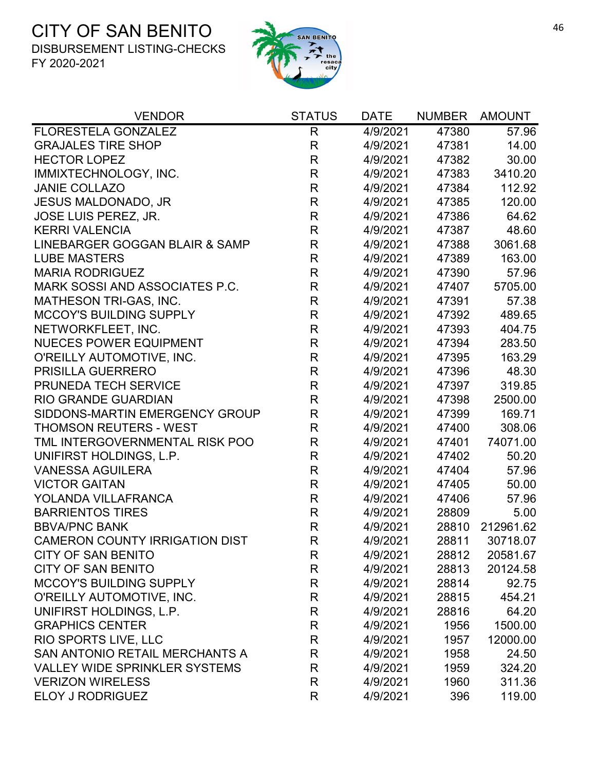

| <b>VENDOR</b>                         | <b>STATUS</b> | <b>DATE</b> | <b>NUMBER</b> | <b>AMOUNT</b> |
|---------------------------------------|---------------|-------------|---------------|---------------|
| <b>FLORESTELA GONZALEZ</b>            | $\mathsf{R}$  | 4/9/2021    | 47380         | 57.96         |
| <b>GRAJALES TIRE SHOP</b>             | $\mathsf{R}$  | 4/9/2021    | 47381         | 14.00         |
| <b>HECTOR LOPEZ</b>                   | $\mathsf{R}$  | 4/9/2021    | 47382         | 30.00         |
| IMMIXTECHNOLOGY, INC.                 | $\mathsf{R}$  | 4/9/2021    | 47383         | 3410.20       |
| <b>JANIE COLLAZO</b>                  | $\mathsf{R}$  | 4/9/2021    | 47384         | 112.92        |
| <b>JESUS MALDONADO, JR</b>            | $\mathsf{R}$  | 4/9/2021    | 47385         | 120.00        |
| <b>JOSE LUIS PEREZ, JR.</b>           | $\mathsf{R}$  | 4/9/2021    | 47386         | 64.62         |
| <b>KERRI VALENCIA</b>                 | $\mathsf{R}$  | 4/9/2021    | 47387         | 48.60         |
| LINEBARGER GOGGAN BLAIR & SAMP        | $\mathsf{R}$  | 4/9/2021    | 47388         | 3061.68       |
| <b>LUBE MASTERS</b>                   | $\mathsf{R}$  | 4/9/2021    | 47389         | 163.00        |
| <b>MARIA RODRIGUEZ</b>                | $\mathsf{R}$  | 4/9/2021    | 47390         | 57.96         |
| MARK SOSSI AND ASSOCIATES P.C.        | $\mathsf{R}$  | 4/9/2021    | 47407         | 5705.00       |
| MATHESON TRI-GAS, INC.                | $\mathsf{R}$  | 4/9/2021    | 47391         | 57.38         |
| MCCOY'S BUILDING SUPPLY               | $\mathsf{R}$  | 4/9/2021    | 47392         | 489.65        |
| NETWORKFLEET, INC.                    | $\mathsf{R}$  | 4/9/2021    | 47393         | 404.75        |
| <b>NUECES POWER EQUIPMENT</b>         | $\mathsf{R}$  | 4/9/2021    | 47394         | 283.50        |
| O'REILLY AUTOMOTIVE, INC.             | $\mathsf{R}$  | 4/9/2021    | 47395         | 163.29        |
| <b>PRISILLA GUERRERO</b>              | $\mathsf{R}$  | 4/9/2021    | 47396         | 48.30         |
| PRUNEDA TECH SERVICE                  | $\mathsf{R}$  | 4/9/2021    | 47397         | 319.85        |
| <b>RIO GRANDE GUARDIAN</b>            | $\mathsf{R}$  | 4/9/2021    | 47398         | 2500.00       |
| SIDDONS-MARTIN EMERGENCY GROUP        | $\mathsf{R}$  | 4/9/2021    | 47399         | 169.71        |
| <b>THOMSON REUTERS - WEST</b>         | R             | 4/9/2021    | 47400         | 308.06        |
| TML INTERGOVERNMENTAL RISK POO        | $\mathsf R$   | 4/9/2021    | 47401         | 74071.00      |
| UNIFIRST HOLDINGS, L.P.               | $\mathsf{R}$  | 4/9/2021    | 47402         | 50.20         |
| <b>VANESSA AGUILERA</b>               | $\mathsf{R}$  | 4/9/2021    | 47404         | 57.96         |
| <b>VICTOR GAITAN</b>                  | $\mathsf{R}$  | 4/9/2021    | 47405         | 50.00         |
| YOLANDA VILLAFRANCA                   | $\mathsf{R}$  | 4/9/2021    | 47406         | 57.96         |
| <b>BARRIENTOS TIRES</b>               | $\mathsf{R}$  | 4/9/2021    | 28809         | 5.00          |
| <b>BBVA/PNC BANK</b>                  | $\mathsf{R}$  | 4/9/2021    | 28810         | 212961.62     |
| <b>CAMERON COUNTY IRRIGATION DIST</b> | R             | 4/9/2021    | 28811         | 30718.07      |
| <b>CITY OF SAN BENITO</b>             | R             | 4/9/2021    | 28812         | 20581.67      |
| <b>CITY OF SAN BENITO</b>             | R             | 4/9/2021    | 28813         | 20124.58      |
| <b>MCCOY'S BUILDING SUPPLY</b>        | R             | 4/9/2021    | 28814         | 92.75         |
| O'REILLY AUTOMOTIVE, INC.             | R             | 4/9/2021    | 28815         | 454.21        |
| UNIFIRST HOLDINGS, L.P.               | R             | 4/9/2021    | 28816         | 64.20         |
| <b>GRAPHICS CENTER</b>                | $\mathsf{R}$  | 4/9/2021    | 1956          | 1500.00       |
| RIO SPORTS LIVE, LLC                  | R             | 4/9/2021    | 1957          | 12000.00      |
| SAN ANTONIO RETAIL MERCHANTS A        | R             | 4/9/2021    | 1958          | 24.50         |
| <b>VALLEY WIDE SPRINKLER SYSTEMS</b>  | R             | 4/9/2021    | 1959          | 324.20        |
| <b>VERIZON WIRELESS</b>               | R             | 4/9/2021    | 1960          | 311.36        |
| <b>ELOY J RODRIGUEZ</b>               | R             | 4/9/2021    | 396           | 119.00        |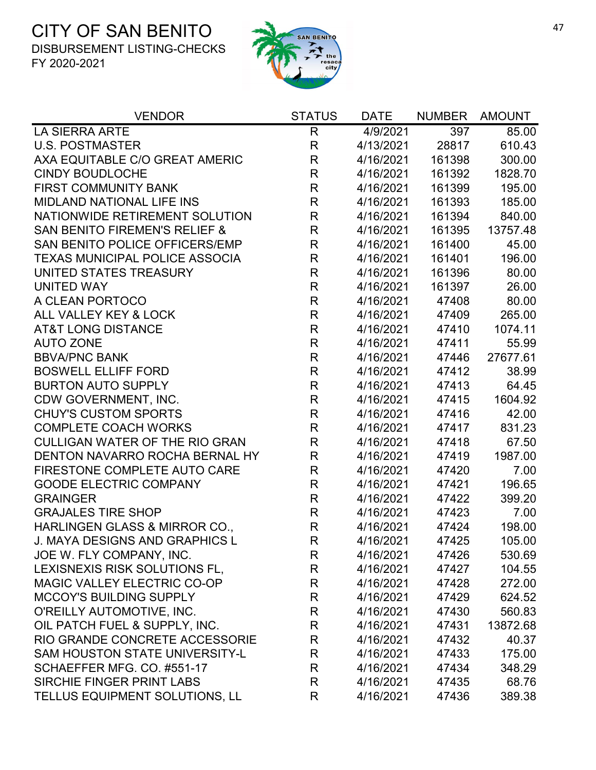

| <b>VENDOR</b>                            | <b>STATUS</b> | <b>DATE</b>       | <b>NUMBER</b> | <b>AMOUNT</b> |
|------------------------------------------|---------------|-------------------|---------------|---------------|
| <b>LA SIERRA ARTE</b>                    | $\mathsf{R}$  | $\sqrt{4}/9/2021$ | 397           | 85.00         |
| <b>U.S. POSTMASTER</b>                   | $\mathsf{R}$  | 4/13/2021         | 28817         | 610.43        |
| AXA EQUITABLE C/O GREAT AMERIC           | $\mathsf R$   | 4/16/2021         | 161398        | 300.00        |
| <b>CINDY BOUDLOCHE</b>                   | R             | 4/16/2021         | 161392        | 1828.70       |
| FIRST COMMUNITY BANK                     | $\mathsf R$   | 4/16/2021         | 161399        | 195.00        |
| <b>MIDLAND NATIONAL LIFE INS</b>         | R             | 4/16/2021         | 161393        | 185.00        |
| NATIONWIDE RETIREMENT SOLUTION           | $\mathsf R$   | 4/16/2021         | 161394        | 840.00        |
| <b>SAN BENITO FIREMEN'S RELIEF &amp;</b> | $\mathsf R$   | 4/16/2021         | 161395        | 13757.48      |
| SAN BENITO POLICE OFFICERS/EMP           | $\mathsf R$   | 4/16/2021         | 161400        | 45.00         |
| <b>TEXAS MUNICIPAL POLICE ASSOCIA</b>    | $\mathsf R$   | 4/16/2021         | 161401        | 196.00        |
| UNITED STATES TREASURY                   | $\mathsf R$   | 4/16/2021         | 161396        | 80.00         |
| <b>UNITED WAY</b>                        | $\mathsf R$   | 4/16/2021         | 161397        | 26.00         |
| A CLEAN PORTOCO                          | $\mathsf R$   | 4/16/2021         | 47408         | 80.00         |
| ALL VALLEY KEY & LOCK                    | R             | 4/16/2021         | 47409         | 265.00        |
| <b>AT&amp;T LONG DISTANCE</b>            | $\mathsf R$   | 4/16/2021         | 47410         | 1074.11       |
| <b>AUTO ZONE</b>                         | $\mathsf{R}$  | 4/16/2021         | 47411         | 55.99         |
| <b>BBVA/PNC BANK</b>                     | R             | 4/16/2021         | 47446         | 27677.61      |
| <b>BOSWELL ELLIFF FORD</b>               | $\mathsf R$   | 4/16/2021         | 47412         | 38.99         |
| <b>BURTON AUTO SUPPLY</b>                | $\mathsf R$   | 4/16/2021         | 47413         | 64.45         |
| CDW GOVERNMENT, INC.                     | R             | 4/16/2021         | 47415         | 1604.92       |
| <b>CHUY'S CUSTOM SPORTS</b>              | $\mathsf R$   | 4/16/2021         | 47416         | 42.00         |
| <b>COMPLETE COACH WORKS</b>              | $\mathsf R$   | 4/16/2021         | 47417         | 831.23        |
| <b>CULLIGAN WATER OF THE RIO GRAN</b>    | R             | 4/16/2021         | 47418         | 67.50         |
| DENTON NAVARRO ROCHA BERNAL HY           | $\mathsf R$   | 4/16/2021         | 47419         | 1987.00       |
| FIRESTONE COMPLETE AUTO CARE             | $\mathsf R$   | 4/16/2021         | 47420         | 7.00          |
| <b>GOODE ELECTRIC COMPANY</b>            | $\mathsf R$   | 4/16/2021         | 47421         | 196.65        |
| <b>GRAINGER</b>                          | $\mathsf R$   | 4/16/2021         | 47422         | 399.20        |
| <b>GRAJALES TIRE SHOP</b>                | R             | 4/16/2021         | 47423         | 7.00          |
| HARLINGEN GLASS & MIRROR CO.,            | $\mathsf R$   | 4/16/2021         | 47424         | 198.00        |
| J. MAYA DESIGNS AND GRAPHICS L           | R             | 4/16/2021         | 47425         | 105.00        |
| JOE W. FLY COMPANY, INC.                 | R             | 4/16/2021         | 47426         | 530.69        |
| LEXISNEXIS RISK SOLUTIONS FL,            | R             | 4/16/2021         | 47427         | 104.55        |
| <b>MAGIC VALLEY ELECTRIC CO-OP</b>       | R             | 4/16/2021         | 47428         | 272.00        |
| <b>MCCOY'S BUILDING SUPPLY</b>           | R             | 4/16/2021         | 47429         | 624.52        |
| O'REILLY AUTOMOTIVE, INC.                | R             | 4/16/2021         | 47430         | 560.83        |
| OIL PATCH FUEL & SUPPLY, INC.            | R             | 4/16/2021         | 47431         | 13872.68      |
| RIO GRANDE CONCRETE ACCESSORIE           | R             | 4/16/2021         | 47432         | 40.37         |
| <b>SAM HOUSTON STATE UNIVERSITY-L</b>    | $\mathsf{R}$  | 4/16/2021         | 47433         | 175.00        |
| SCHAEFFER MFG. CO. #551-17               | R             | 4/16/2021         | 47434         | 348.29        |
| SIRCHIE FINGER PRINT LABS                | R             | 4/16/2021         | 47435         | 68.76         |
| TELLUS EQUIPMENT SOLUTIONS, LL           | R             | 4/16/2021         | 47436         | 389.38        |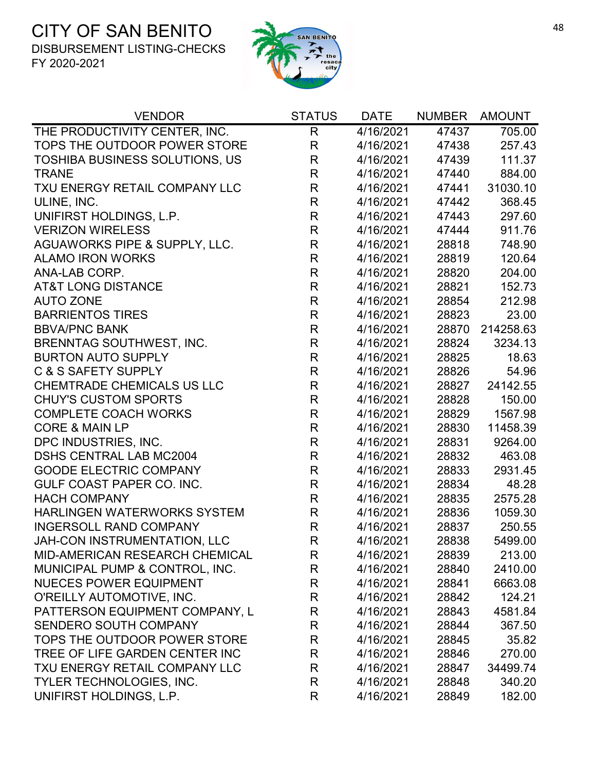

| <b>VENDOR</b>                         | <b>STATUS</b> | <b>DATE</b> | <b>NUMBER</b> | <b>AMOUNT</b> |
|---------------------------------------|---------------|-------------|---------------|---------------|
| THE PRODUCTIVITY CENTER, INC.         | $\mathsf{R}$  | 4/16/2021   | 47437         | 705.00        |
| TOPS THE OUTDOOR POWER STORE          | R             | 4/16/2021   | 47438         | 257.43        |
| <b>TOSHIBA BUSINESS SOLUTIONS, US</b> | R             | 4/16/2021   | 47439         | 111.37        |
| <b>TRANE</b>                          | R             | 4/16/2021   | 47440         | 884.00        |
| TXU ENERGY RETAIL COMPANY LLC         | $\mathsf R$   | 4/16/2021   | 47441         | 31030.10      |
| ULINE, INC.                           | $\mathsf{R}$  | 4/16/2021   | 47442         | 368.45        |
| UNIFIRST HOLDINGS, L.P.               | $\mathsf{R}$  | 4/16/2021   | 47443         | 297.60        |
| <b>VERIZON WIRELESS</b>               | R             | 4/16/2021   | 47444         | 911.76        |
| AGUAWORKS PIPE & SUPPLY, LLC.         | R             | 4/16/2021   | 28818         | 748.90        |
| <b>ALAMO IRON WORKS</b>               | R             | 4/16/2021   | 28819         | 120.64        |
| ANA-LAB CORP.                         | $\mathsf{R}$  | 4/16/2021   | 28820         | 204.00        |
| <b>AT&amp;T LONG DISTANCE</b>         | $\mathsf{R}$  | 4/16/2021   | 28821         | 152.73        |
| <b>AUTO ZONE</b>                      | R             | 4/16/2021   | 28854         | 212.98        |
| <b>BARRIENTOS TIRES</b>               | $\mathsf R$   | 4/16/2021   | 28823         | 23.00         |
| <b>BBVA/PNC BANK</b>                  | $\mathsf{R}$  | 4/16/2021   | 28870         | 214258.63     |
| <b>BRENNTAG SOUTHWEST, INC.</b>       | R             | 4/16/2021   | 28824         | 3234.13       |
| <b>BURTON AUTO SUPPLY</b>             | $\mathsf R$   | 4/16/2021   | 28825         | 18.63         |
| C & S SAFETY SUPPLY                   | R             | 4/16/2021   | 28826         | 54.96         |
| <b>CHEMTRADE CHEMICALS US LLC</b>     | $\mathsf R$   | 4/16/2021   | 28827         | 24142.55      |
| <b>CHUY'S CUSTOM SPORTS</b>           | $\mathsf{R}$  | 4/16/2021   | 28828         | 150.00        |
| <b>COMPLETE COACH WORKS</b>           | $\mathsf R$   | 4/16/2021   | 28829         | 1567.98       |
| <b>CORE &amp; MAIN LP</b>             | R             | 4/16/2021   | 28830         | 11458.39      |
| DPC INDUSTRIES, INC.                  | $\mathsf{R}$  | 4/16/2021   | 28831         | 9264.00       |
| <b>DSHS CENTRAL LAB MC2004</b>        | R             | 4/16/2021   | 28832         | 463.08        |
| <b>GOODE ELECTRIC COMPANY</b>         | R             | 4/16/2021   | 28833         | 2931.45       |
| GULF COAST PAPER CO. INC.             | $\mathsf{R}$  | 4/16/2021   | 28834         | 48.28         |
| <b>HACH COMPANY</b>                   | R             | 4/16/2021   | 28835         | 2575.28       |
| HARLINGEN WATERWORKS SYSTEM           | R             | 4/16/2021   | 28836         | 1059.30       |
| <b>INGERSOLL RAND COMPANY</b>         | $\mathsf{R}$  | 4/16/2021   | 28837         | 250.55        |
| JAH-CON INSTRUMENTATION. LLC          | R             | 4/16/2021   | 28838         | 5499.00       |
| MID-AMERICAN RESEARCH CHEMICAL        | R             | 4/16/2021   | 28839         | 213.00        |
| MUNICIPAL PUMP & CONTROL, INC.        | R             | 4/16/2021   | 28840         | 2410.00       |
| <b>NUECES POWER EQUIPMENT</b>         | R             | 4/16/2021   | 28841         | 6663.08       |
| O'REILLY AUTOMOTIVE, INC.             | R             | 4/16/2021   | 28842         | 124.21        |
| PATTERSON EQUIPMENT COMPANY, L        | R             | 4/16/2021   | 28843         | 4581.84       |
| SENDERO SOUTH COMPANY                 | R             | 4/16/2021   | 28844         | 367.50        |
| TOPS THE OUTDOOR POWER STORE          | R             | 4/16/2021   | 28845         | 35.82         |
| TREE OF LIFE GARDEN CENTER INC        | R             | 4/16/2021   | 28846         | 270.00        |
| TXU ENERGY RETAIL COMPANY LLC         | R             | 4/16/2021   | 28847         | 34499.74      |
| <b>TYLER TECHNOLOGIES, INC.</b>       | R             | 4/16/2021   | 28848         | 340.20        |
| UNIFIRST HOLDINGS, L.P.               | R             | 4/16/2021   | 28849         | 182.00        |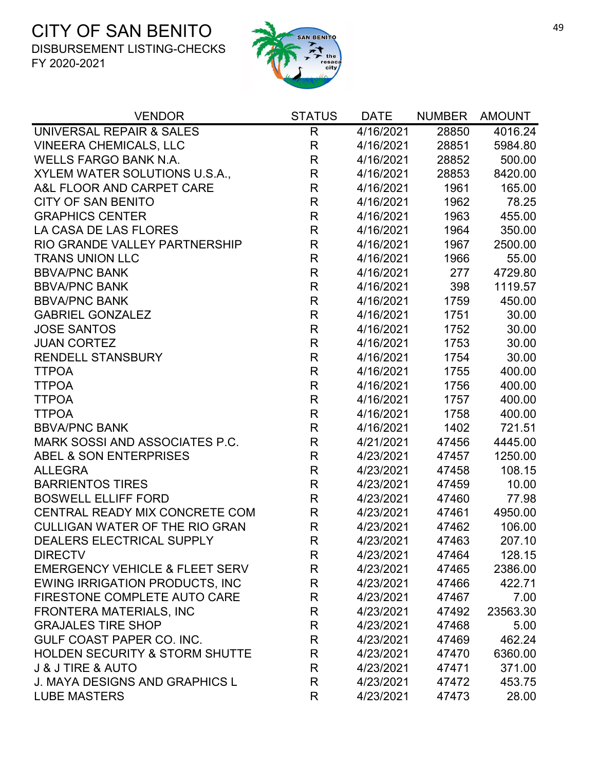

| <b>VENDOR</b>                             | <b>STATUS</b>  | <b>DATE</b>          | <b>NUMBER</b> | <b>AMOUNT</b> |
|-------------------------------------------|----------------|----------------------|---------------|---------------|
| UNIVERSAL REPAIR & SALES                  | $\overline{R}$ | $\frac{1}{4}$ 6/2021 | 28850         | 4016.24       |
| <b>VINEERA CHEMICALS, LLC</b>             | R              | 4/16/2021            | 28851         | 5984.80       |
| <b>WELLS FARGO BANK N.A.</b>              | $\mathsf{R}$   | 4/16/2021            | 28852         | 500.00        |
| XYLEM WATER SOLUTIONS U.S.A.,             | $\mathsf{R}$   | 4/16/2021            | 28853         | 8420.00       |
| A&L FLOOR AND CARPET CARE                 | $\mathsf{R}$   | 4/16/2021            | 1961          | 165.00        |
| <b>CITY OF SAN BENITO</b>                 | $\mathsf R$    | 4/16/2021            | 1962          | 78.25         |
| <b>GRAPHICS CENTER</b>                    | $\mathsf{R}$   | 4/16/2021            | 1963          | 455.00        |
| LA CASA DE LAS FLORES                     | $\mathsf{R}$   | 4/16/2021            | 1964          | 350.00        |
| RIO GRANDE VALLEY PARTNERSHIP             | $\mathsf{R}$   | 4/16/2021            | 1967          | 2500.00       |
| <b>TRANS UNION LLC</b>                    | $\mathsf{R}$   | 4/16/2021            | 1966          | 55.00         |
| <b>BBVA/PNC BANK</b>                      | $\mathsf{R}$   | 4/16/2021            | 277           | 4729.80       |
| <b>BBVA/PNC BANK</b>                      | $\mathsf R$    | 4/16/2021            | 398           | 1119.57       |
| <b>BBVA/PNC BANK</b>                      | $\mathsf{R}$   | 4/16/2021            | 1759          | 450.00        |
| <b>GABRIEL GONZALEZ</b>                   | R              | 4/16/2021            | 1751          | 30.00         |
| <b>JOSE SANTOS</b>                        | $\mathsf{R}$   | 4/16/2021            | 1752          | 30.00         |
| <b>JUAN CORTEZ</b>                        | $\mathsf{R}$   | 4/16/2021            | 1753          | 30.00         |
| <b>RENDELL STANSBURY</b>                  | $\mathsf R$    | 4/16/2021            | 1754          | 30.00         |
| <b>TTPOA</b>                              | $\mathsf{R}$   | 4/16/2021            | 1755          | 400.00        |
| <b>TTPOA</b>                              | $\mathsf{R}$   | 4/16/2021            | 1756          | 400.00        |
| <b>TTPOA</b>                              | R              | 4/16/2021            | 1757          | 400.00        |
| <b>TTPOA</b>                              | $\mathsf R$    | 4/16/2021            | 1758          | 400.00        |
| <b>BBVA/PNC BANK</b>                      | $\mathsf{R}$   | 4/16/2021            | 1402          | 721.51        |
| MARK SOSSI AND ASSOCIATES P.C.            | $\mathsf{R}$   | 4/21/2021            | 47456         | 4445.00       |
| ABEL & SON ENTERPRISES                    | $\mathsf{R}$   | 4/23/2021            | 47457         | 1250.00       |
| <b>ALLEGRA</b>                            | $\mathsf{R}$   | 4/23/2021            | 47458         | 108.15        |
| <b>BARRIENTOS TIRES</b>                   | R              | 4/23/2021            | 47459         | 10.00         |
| <b>BOSWELL ELLIFF FORD</b>                | $\mathsf{R}$   | 4/23/2021            | 47460         | 77.98         |
| CENTRAL READY MIX CONCRETE COM            | R              | 4/23/2021            | 47461         | 4950.00       |
| <b>CULLIGAN WATER OF THE RIO GRAN</b>     | $\mathsf R$    | 4/23/2021            | 47462         | 106.00        |
| DEALERS ELECTRICAL SUPPLY                 | R              | 4/23/2021            | 47463         | 207.10        |
| <b>DIRECTV</b>                            | R              | 4/23/2021            | 47464         | 128.15        |
| <b>EMERGENCY VEHICLE &amp; FLEET SERV</b> | R              | 4/23/2021            | 47465         | 2386.00       |
| <b>EWING IRRIGATION PRODUCTS, INC.</b>    | R              | 4/23/2021            | 47466         | 422.71        |
| FIRESTONE COMPLETE AUTO CARE              | R              | 4/23/2021            | 47467         | 7.00          |
| <b>FRONTERA MATERIALS, INC</b>            | R              | 4/23/2021            | 47492         | 23563.30      |
| <b>GRAJALES TIRE SHOP</b>                 | R              | 4/23/2021            | 47468         | 5.00          |
| <b>GULF COAST PAPER CO. INC.</b>          | R              | 4/23/2021            | 47469         | 462.24        |
| <b>HOLDEN SECURITY &amp; STORM SHUTTE</b> | R              | 4/23/2021            | 47470         | 6360.00       |
| <b>J &amp; J TIRE &amp; AUTO</b>          | R              | 4/23/2021            | 47471         | 371.00        |
| <b>J. MAYA DESIGNS AND GRAPHICS L</b>     | R              | 4/23/2021            | 47472         | 453.75        |
| <b>LUBE MASTERS</b>                       | R              | 4/23/2021            | 47473         | 28.00         |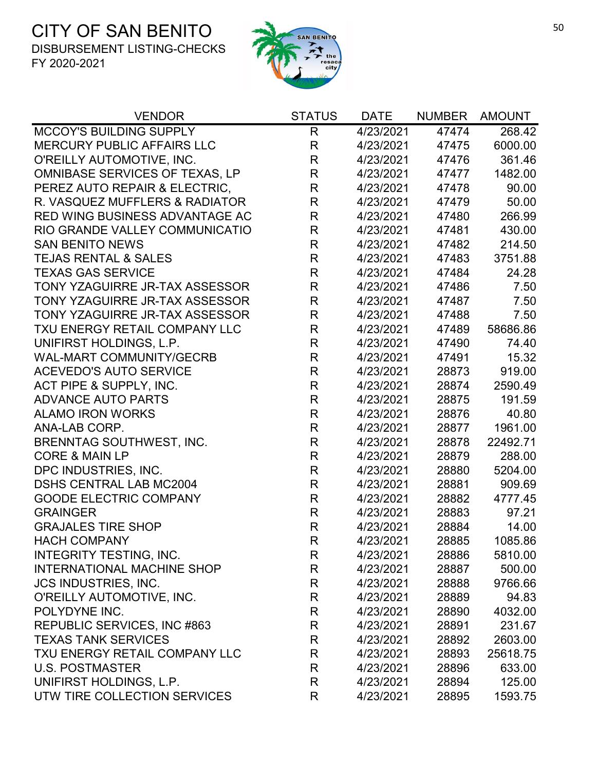

| <b>VENDOR</b>                     | <b>STATUS</b> | <b>DATE</b> | <b>NUMBER</b> | <b>AMOUNT</b> |
|-----------------------------------|---------------|-------------|---------------|---------------|
| MCCOY'S BUILDING SUPPLY           | $\mathsf{R}$  | 4/23/2021   | 47474         | 268.42        |
| <b>MERCURY PUBLIC AFFAIRS LLC</b> | R             | 4/23/2021   | 47475         | 6000.00       |
| O'REILLY AUTOMOTIVE, INC.         | R             | 4/23/2021   | 47476         | 361.46        |
| OMNIBASE SERVICES OF TEXAS, LP    | R             | 4/23/2021   | 47477         | 1482.00       |
| PEREZ AUTO REPAIR & ELECTRIC,     | R             | 4/23/2021   | 47478         | 90.00         |
| R. VASQUEZ MUFFLERS & RADIATOR    | $\mathsf R$   | 4/23/2021   | 47479         | 50.00         |
| RED WING BUSINESS ADVANTAGE AC    | $\mathsf R$   | 4/23/2021   | 47480         | 266.99        |
| RIO GRANDE VALLEY COMMUNICATIO    | R             | 4/23/2021   | 47481         | 430.00        |
| <b>SAN BENITO NEWS</b>            | R             | 4/23/2021   | 47482         | 214.50        |
| <b>TEJAS RENTAL &amp; SALES</b>   | $\mathsf{R}$  | 4/23/2021   | 47483         | 3751.88       |
| <b>TEXAS GAS SERVICE</b>          | R             | 4/23/2021   | 47484         | 24.28         |
| TONY YZAGUIRRE JR-TAX ASSESSOR    | $\mathsf R$   | 4/23/2021   | 47486         | 7.50          |
| TONY YZAGUIRRE JR-TAX ASSESSOR    | R             | 4/23/2021   | 47487         | 7.50          |
| TONY YZAGUIRRE JR-TAX ASSESSOR    | $\mathsf R$   | 4/23/2021   | 47488         | 7.50          |
| TXU ENERGY RETAIL COMPANY LLC     | R             | 4/23/2021   | 47489         | 58686.86      |
| UNIFIRST HOLDINGS, L.P.           | $\mathsf{R}$  | 4/23/2021   | 47490         | 74.40         |
| <b>WAL-MART COMMUNITY/GECRB</b>   | $\mathsf{R}$  | 4/23/2021   | 47491         | 15.32         |
| <b>ACEVEDO'S AUTO SERVICE</b>     | $\mathsf{R}$  | 4/23/2021   | 28873         | 919.00        |
| ACT PIPE & SUPPLY, INC.           | R             | 4/23/2021   | 28874         | 2590.49       |
| <b>ADVANCE AUTO PARTS</b>         | R             | 4/23/2021   | 28875         | 191.59        |
| <b>ALAMO IRON WORKS</b>           | $\mathsf{R}$  | 4/23/2021   | 28876         | 40.80         |
| ANA-LAB CORP.                     | R             | 4/23/2021   | 28877         | 1961.00       |
| <b>BRENNTAG SOUTHWEST, INC.</b>   | R             | 4/23/2021   | 28878         | 22492.71      |
| <b>CORE &amp; MAIN LP</b>         | $\mathsf{R}$  | 4/23/2021   | 28879         | 288.00        |
| DPC INDUSTRIES, INC.              | R             | 4/23/2021   | 28880         | 5204.00       |
| <b>DSHS CENTRAL LAB MC2004</b>    | R             | 4/23/2021   | 28881         | 909.69        |
| <b>GOODE ELECTRIC COMPANY</b>     | $\mathsf{R}$  | 4/23/2021   | 28882         | 4777.45       |
| <b>GRAINGER</b>                   | R             | 4/23/2021   | 28883         | 97.21         |
| <b>GRAJALES TIRE SHOP</b>         | $\mathsf R$   | 4/23/2021   | 28884         | 14.00         |
| <b>HACH COMPANY</b>               | R             | 4/23/2021   | 28885         | 1085.86       |
| INTEGRITY TESTING, INC.           | R             | 4/23/2021   | 28886         | 5810.00       |
| <b>INTERNATIONAL MACHINE SHOP</b> | R             | 4/23/2021   | 28887         | 500.00        |
| <b>JCS INDUSTRIES, INC.</b>       | R             | 4/23/2021   | 28888         | 9766.66       |
| O'REILLY AUTOMOTIVE, INC.         | R             | 4/23/2021   | 28889         | 94.83         |
| POLYDYNE INC.                     | R             | 4/23/2021   | 28890         | 4032.00       |
| REPUBLIC SERVICES, INC #863       | R             | 4/23/2021   | 28891         | 231.67        |
| <b>TEXAS TANK SERVICES</b>        | R             | 4/23/2021   | 28892         | 2603.00       |
| TXU ENERGY RETAIL COMPANY LLC     | R             | 4/23/2021   | 28893         | 25618.75      |
| <b>U.S. POSTMASTER</b>            | R             | 4/23/2021   | 28896         | 633.00        |
| UNIFIRST HOLDINGS, L.P.           | R             | 4/23/2021   | 28894         | 125.00        |
| UTW TIRE COLLECTION SERVICES      | R             | 4/23/2021   | 28895         | 1593.75       |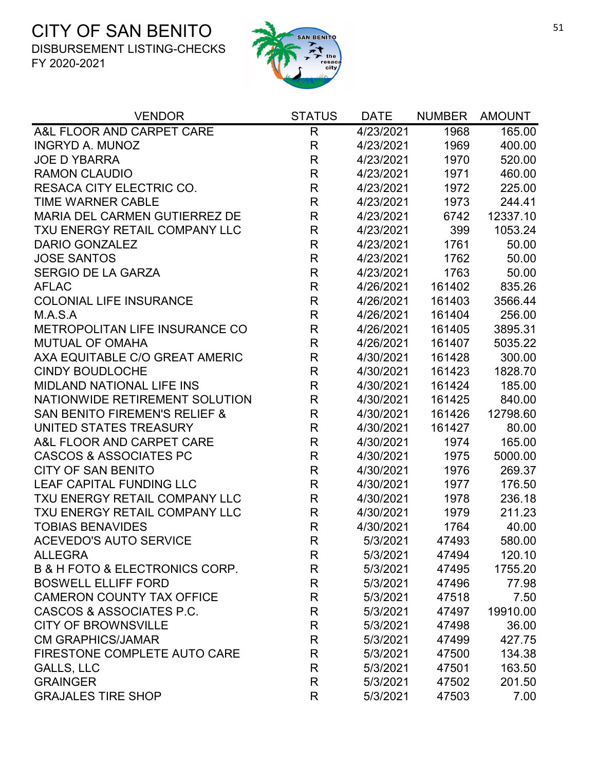

| <b>VENDOR</b>                                 | <b>STATUS</b> | <b>DATE</b> | <b>NUMBER</b> | AMOUNT   |
|-----------------------------------------------|---------------|-------------|---------------|----------|
| A&L FLOOR AND CARPET CARE                     | $\mathsf{R}$  | 4/23/2021   | 1968          | 165.00   |
| <b>INGRYD A. MUNOZ</b>                        | R             | 4/23/2021   | 1969          | 400.00   |
| <b>JOE D YBARRA</b>                           | $\mathsf{R}$  | 4/23/2021   | 1970          | 520.00   |
| <b>RAMON CLAUDIO</b>                          | $\mathsf{R}$  | 4/23/2021   | 1971          | 460.00   |
| <b>RESACA CITY ELECTRIC CO.</b>               | $\mathsf{R}$  | 4/23/2021   | 1972          | 225.00   |
| <b>TIME WARNER CABLE</b>                      | $\mathsf{R}$  | 4/23/2021   | 1973          | 244.41   |
| MARIA DEL CARMEN GUTIERREZ DE                 | $\mathsf{R}$  | 4/23/2021   | 6742          | 12337.10 |
| TXU ENERGY RETAIL COMPANY LLC                 | $\mathsf{R}$  | 4/23/2021   | 399           | 1053.24  |
| <b>DARIO GONZALEZ</b>                         | R             | 4/23/2021   | 1761          | 50.00    |
| <b>JOSE SANTOS</b>                            | $\mathsf R$   | 4/23/2021   | 1762          | 50.00    |
| <b>SERGIO DE LA GARZA</b>                     | $\mathsf{R}$  | 4/23/2021   | 1763          | 50.00    |
| <b>AFLAC</b>                                  | $\mathsf{R}$  | 4/26/2021   | 161402        | 835.26   |
| <b>COLONIAL LIFE INSURANCE</b>                | R             | 4/26/2021   | 161403        | 3566.44  |
| M.A.S.A                                       | $\mathsf{R}$  | 4/26/2021   | 161404        | 256.00   |
| METROPOLITAN LIFE INSURANCE CO                | $\mathsf R$   | 4/26/2021   | 161405        | 3895.31  |
| <b>MUTUAL OF OMAHA</b>                        | R             | 4/26/2021   | 161407        | 5035.22  |
| AXA EQUITABLE C/O GREAT AMERIC                | $\mathsf{R}$  | 4/30/2021   | 161428        | 300.00   |
| <b>CINDY BOUDLOCHE</b>                        | $\mathsf{R}$  | 4/30/2021   | 161423        | 1828.70  |
| MIDLAND NATIONAL LIFE INS                     | $\mathsf{R}$  | 4/30/2021   | 161424        | 185.00   |
| NATIONWIDE RETIREMENT SOLUTION                | R             | 4/30/2021   | 161425        | 840.00   |
| <b>SAN BENITO FIREMEN'S RELIEF &amp;</b>      | $\mathsf{R}$  | 4/30/2021   | 161426        | 12798.60 |
| UNITED STATES TREASURY                        | $\mathsf{R}$  | 4/30/2021   | 161427        | 80.00    |
| A&L FLOOR AND CARPET CARE                     | $\mathsf{R}$  | 4/30/2021   | 1974          | 165.00   |
| <b>CASCOS &amp; ASSOCIATES PC</b>             | $\mathsf R$   | 4/30/2021   | 1975          | 5000.00  |
| <b>CITY OF SAN BENITO</b>                     | $\mathsf{R}$  | 4/30/2021   | 1976          | 269.37   |
| LEAF CAPITAL FUNDING LLC                      | $\mathsf{R}$  | 4/30/2021   | 1977          | 176.50   |
| TXU ENERGY RETAIL COMPANY LLC                 | R             | 4/30/2021   | 1978          | 236.18   |
| TXU ENERGY RETAIL COMPANY LLC                 | R             | 4/30/2021   | 1979          | 211.23   |
| <b>TOBIAS BENAVIDES</b>                       | $\mathsf{R}$  | 4/30/2021   | 1764          | 40.00    |
| <b>ACEVEDO'S AUTO SERVICE</b>                 | R             | 5/3/2021    | 47493         | 580.00   |
| <b>ALLEGRA</b>                                | R             | 5/3/2021    | 47494         | 120.10   |
| <b>B &amp; H FOTO &amp; ELECTRONICS CORP.</b> | R             | 5/3/2021    | 47495         | 1755.20  |
| <b>BOSWELL ELLIFF FORD</b>                    | R             | 5/3/2021    | 47496         | 77.98    |
| <b>CAMERON COUNTY TAX OFFICE</b>              | R             | 5/3/2021    | 47518         | 7.50     |
| CASCOS & ASSOCIATES P.C.                      | R             | 5/3/2021    | 47497         | 19910.00 |
| <b>CITY OF BROWNSVILLE</b>                    | R             | 5/3/2021    | 47498         | 36.00    |
| <b>CM GRAPHICS/JAMAR</b>                      | R             | 5/3/2021    | 47499         | 427.75   |
| FIRESTONE COMPLETE AUTO CARE                  | R             | 5/3/2021    | 47500         | 134.38   |
| <b>GALLS, LLC</b>                             | R             | 5/3/2021    | 47501         | 163.50   |
| <b>GRAINGER</b>                               | R             | 5/3/2021    | 47502         | 201.50   |
| <b>GRAJALES TIRE SHOP</b>                     | R             | 5/3/2021    | 47503         | 7.00     |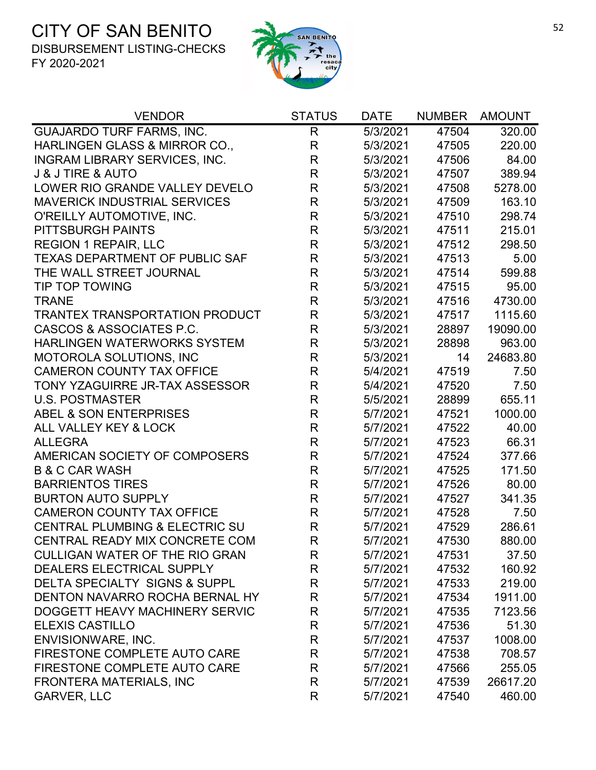

| <b>VENDOR</b>                             | <b>STATUS</b>           | <b>DATE</b> | <b>NUMBER</b> | <b>AMOUNT</b> |
|-------------------------------------------|-------------------------|-------------|---------------|---------------|
| <b>GUAJARDO TURF FARMS, INC.</b>          | R                       | 5/3/2021    | 47504         | 320.00        |
| <b>HARLINGEN GLASS &amp; MIRROR CO.,</b>  | $\mathsf R$             | 5/3/2021    | 47505         | 220.00        |
| <b>INGRAM LIBRARY SERVICES, INC.</b>      | $\mathsf{R}$            | 5/3/2021    | 47506         | 84.00         |
| <b>J &amp; J TIRE &amp; AUTO</b>          | R                       | 5/3/2021    | 47507         | 389.94        |
| LOWER RIO GRANDE VALLEY DEVELO            | $\mathsf{R}$            | 5/3/2021    | 47508         | 5278.00       |
| <b>MAVERICK INDUSTRIAL SERVICES</b>       | $\mathsf{R}$            | 5/3/2021    | 47509         | 163.10        |
| O'REILLY AUTOMOTIVE, INC.                 | $\mathsf R$             | 5/3/2021    | 47510         | 298.74        |
| PITTSBURGH PAINTS                         | $\mathsf{R}$            | 5/3/2021    | 47511         | 215.01        |
| <b>REGION 1 REPAIR, LLC</b>               | $\mathsf{R}$            | 5/3/2021    | 47512         | 298.50        |
| <b>TEXAS DEPARTMENT OF PUBLIC SAF</b>     | $\mathsf{R}$            | 5/3/2021    | 47513         | 5.00          |
| THE WALL STREET JOURNAL                   | $\mathsf{R}$            | 5/3/2021    | 47514         | 599.88        |
| <b>TIP TOP TOWING</b>                     | $\mathsf{R}$            | 5/3/2021    | 47515         | 95.00         |
| <b>TRANE</b>                              | $\mathsf{R}$            | 5/3/2021    | 47516         | 4730.00       |
| <b>TRANTEX TRANSPORTATION PRODUCT</b>     | $\mathsf R$             | 5/3/2021    | 47517         | 1115.60       |
| CASCOS & ASSOCIATES P.C.                  | $\mathsf{R}$            | 5/3/2021    | 28897         | 19090.00      |
| <b>HARLINGEN WATERWORKS SYSTEM</b>        | $\overline{\mathsf{R}}$ | 5/3/2021    | 28898         | 963.00        |
| <b>MOTOROLA SOLUTIONS, INC</b>            | $\mathsf{R}$            | 5/3/2021    | 14            | 24683.80      |
| <b>CAMERON COUNTY TAX OFFICE</b>          | R                       | 5/4/2021    | 47519         | 7.50          |
| TONY YZAGUIRRE JR-TAX ASSESSOR            | $\mathsf R$             | 5/4/2021    | 47520         | 7.50          |
| <b>U.S. POSTMASTER</b>                    | $\mathsf{R}$            | 5/5/2021    | 28899         | 655.11        |
| ABEL & SON ENTERPRISES                    | $\mathsf R$             | 5/7/2021    | 47521         | 1000.00       |
| ALL VALLEY KEY & LOCK                     | $\mathsf{R}$            | 5/7/2021    | 47522         | 40.00         |
| <b>ALLEGRA</b>                            | $\mathsf{R}$            | 5/7/2021    | 47523         | 66.31         |
| AMERICAN SOCIETY OF COMPOSERS             | R                       | 5/7/2021    | 47524         | 377.66        |
| <b>B &amp; C CAR WASH</b>                 | $\mathsf{R}$            | 5/7/2021    | 47525         | 171.50        |
| <b>BARRIENTOS TIRES</b>                   | $\mathsf R$             | 5/7/2021    | 47526         | 80.00         |
| <b>BURTON AUTO SUPPLY</b>                 | $\mathsf{R}$            | 5/7/2021    | 47527         | 341.35        |
| <b>CAMERON COUNTY TAX OFFICE</b>          | $\mathsf{R}$            | 5/7/2021    | 47528         | 7.50          |
| <b>CENTRAL PLUMBING &amp; ELECTRIC SU</b> | $\mathsf{R}$            | 5/7/2021    | 47529         | 286.61        |
| CENTRAL READY MIX CONCRETE COM            | R                       | 5/7/2021    | 47530         | 880.00        |
| <b>CULLIGAN WATER OF THE RIO GRAN</b>     | R                       | 5/7/2021    | 47531         | 37.50         |
| DEALERS ELECTRICAL SUPPLY                 | R                       | 5/7/2021    | 47532         | 160.92        |
| <b>DELTA SPECIALTY SIGNS &amp; SUPPL</b>  | R                       | 5/7/2021    | 47533         | 219.00        |
| DENTON NAVARRO ROCHA BERNAL HY            | R                       | 5/7/2021    | 47534         | 1911.00       |
| DOGGETT HEAVY MACHINERY SERVIC            | R                       | 5/7/2021    | 47535         | 7123.56       |
| <b>ELEXIS CASTILLO</b>                    | R                       | 5/7/2021    | 47536         | 51.30         |
| ENVISIONWARE, INC.                        | R                       | 5/7/2021    | 47537         | 1008.00       |
| FIRESTONE COMPLETE AUTO CARE              | R                       | 5/7/2021    | 47538         | 708.57        |
| FIRESTONE COMPLETE AUTO CARE              | R                       | 5/7/2021    | 47566         | 255.05        |
| <b>FRONTERA MATERIALS, INC</b>            | R                       | 5/7/2021    | 47539         | 26617.20      |
| <b>GARVER, LLC</b>                        | R                       | 5/7/2021    | 47540         | 460.00        |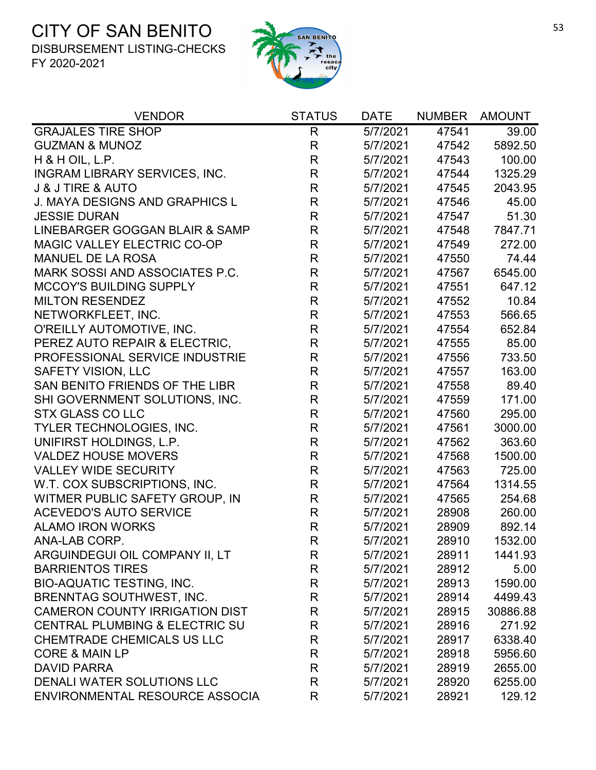

| <b>VENDOR</b>                             | <b>STATUS</b> | <b>DATE</b> | <b>NUMBER</b> | <b>AMOUNT</b> |
|-------------------------------------------|---------------|-------------|---------------|---------------|
| <b>GRAJALES TIRE SHOP</b>                 | $\mathsf{R}$  | 5/7/2021    | 47541         | 39.00         |
| <b>GUZMAN &amp; MUNOZ</b>                 | $\mathsf{R}$  | 5/7/2021    | 47542         | 5892.50       |
| $H$ & H OIL, L.P.                         | $\mathsf{R}$  | 5/7/2021    | 47543         | 100.00        |
| INGRAM LIBRARY SERVICES, INC.             | $\mathsf{R}$  | 5/7/2021    | 47544         | 1325.29       |
| <b>J &amp; J TIRE &amp; AUTO</b>          | $\mathsf{R}$  | 5/7/2021    | 47545         | 2043.95       |
| <b>J. MAYA DESIGNS AND GRAPHICS L</b>     | $\mathsf{R}$  | 5/7/2021    | 47546         | 45.00         |
| <b>JESSIE DURAN</b>                       | $\mathsf R$   | 5/7/2021    | 47547         | 51.30         |
| LINEBARGER GOGGAN BLAIR & SAMP            | $\mathsf R$   | 5/7/2021    | 47548         | 7847.71       |
| MAGIC VALLEY ELECTRIC CO-OP               | $\mathsf R$   | 5/7/2021    | 47549         | 272.00        |
| <b>MANUEL DE LA ROSA</b>                  | $\mathsf R$   | 5/7/2021    | 47550         | 74.44         |
| MARK SOSSI AND ASSOCIATES P.C.            | $\mathsf R$   | 5/7/2021    | 47567         | 6545.00       |
| <b>MCCOY'S BUILDING SUPPLY</b>            | $\mathsf R$   | 5/7/2021    | 47551         | 647.12        |
| <b>MILTON RESENDEZ</b>                    | $\mathsf{R}$  | 5/7/2021    | 47552         | 10.84         |
| NETWORKFLEET, INC.                        | $\mathsf{R}$  | 5/7/2021    | 47553         | 566.65        |
| O'REILLY AUTOMOTIVE, INC.                 | R             | 5/7/2021    | 47554         | 652.84        |
| PEREZ AUTO REPAIR & ELECTRIC,             | $\mathsf R$   | 5/7/2021    | 47555         | 85.00         |
| PROFESSIONAL SERVICE INDUSTRIE            | $\mathsf R$   | 5/7/2021    | 47556         | 733.50        |
| <b>SAFETY VISION, LLC</b>                 | $\mathsf R$   | 5/7/2021    | 47557         | 163.00        |
| SAN BENITO FRIENDS OF THE LIBR            | $\mathsf{R}$  | 5/7/2021    | 47558         | 89.40         |
| SHI GOVERNMENT SOLUTIONS, INC.            | $\mathsf R$   | 5/7/2021    | 47559         | 171.00        |
| <b>STX GLASS CO LLC</b>                   | $\mathsf R$   | 5/7/2021    | 47560         | 295.00        |
| TYLER TECHNOLOGIES, INC.                  | $\mathsf{R}$  | 5/7/2021    | 47561         | 3000.00       |
| UNIFIRST HOLDINGS, L.P.                   | $\mathsf{R}$  | 5/7/2021    | 47562         | 363.60        |
| <b>VALDEZ HOUSE MOVERS</b>                | $\mathsf{R}$  | 5/7/2021    | 47568         | 1500.00       |
| <b>VALLEY WIDE SECURITY</b>               | $\mathsf{R}$  | 5/7/2021    | 47563         | 725.00        |
| W.T. COX SUBSCRIPTIONS, INC.              | $\mathsf{R}$  | 5/7/2021    | 47564         | 1314.55       |
| WITMER PUBLIC SAFETY GROUP, IN            | R             | 5/7/2021    | 47565         | 254.68        |
| <b>ACEVEDO'S AUTO SERVICE</b>             | $\mathsf R$   | 5/7/2021    | 28908         | 260.00        |
| <b>ALAMO IRON WORKS</b>                   | R             | 5/7/2021    | 28909         | 892.14        |
| ANA-LAB CORP.                             | R             | 5/7/2021    | 28910         | 1532.00       |
| ARGUINDEGUI OIL COMPANY II, LT            | R             | 5/7/2021    | 28911         | 1441.93       |
| <b>BARRIENTOS TIRES</b>                   | R             | 5/7/2021    | 28912         | 5.00          |
| <b>BIO-AQUATIC TESTING, INC.</b>          | $\mathsf R$   | 5/7/2021    | 28913         | 1590.00       |
| <b>BRENNTAG SOUTHWEST, INC.</b>           | R             | 5/7/2021    | 28914         | 4499.43       |
| <b>CAMERON COUNTY IRRIGATION DIST</b>     | R             | 5/7/2021    | 28915         | 30886.88      |
| <b>CENTRAL PLUMBING &amp; ELECTRIC SU</b> | R             | 5/7/2021    | 28916         | 271.92        |
| <b>CHEMTRADE CHEMICALS US LLC</b>         | $\mathsf{R}$  | 5/7/2021    | 28917         | 6338.40       |
| <b>CORE &amp; MAIN LP</b>                 | $\mathsf{R}$  | 5/7/2021    | 28918         | 5956.60       |
| <b>DAVID PARRA</b>                        | R             | 5/7/2021    | 28919         | 2655.00       |
| DENALI WATER SOLUTIONS LLC                | $\mathsf{R}$  | 5/7/2021    | 28920         | 6255.00       |
| ENVIRONMENTAL RESOURCE ASSOCIA            | R             | 5/7/2021    | 28921         | 129.12        |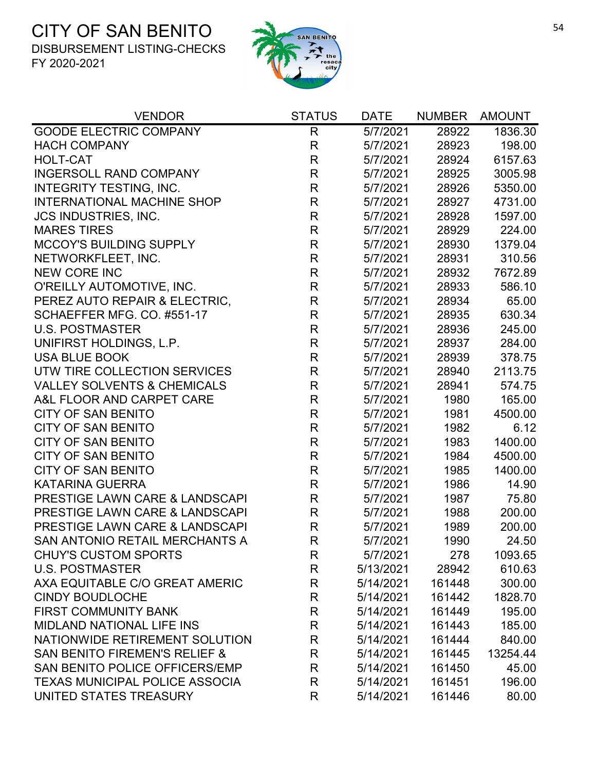

| <b>VENDOR</b>                             | <b>STATUS</b> | <b>DATE</b> | <b>NUMBER</b> | <b>AMOUNT</b> |
|-------------------------------------------|---------------|-------------|---------------|---------------|
| <b>GOODE ELECTRIC COMPANY</b>             | R.            | 5/7/2021    | 28922         | 1836.30       |
| <b>HACH COMPANY</b>                       | R             | 5/7/2021    | 28923         | 198.00        |
| <b>HOLT-CAT</b>                           | $\mathsf{R}$  | 5/7/2021    | 28924         | 6157.63       |
| <b>INGERSOLL RAND COMPANY</b>             | $\mathsf{R}$  | 5/7/2021    | 28925         | 3005.98       |
| INTEGRITY TESTING, INC.                   | $\mathsf{R}$  | 5/7/2021    | 28926         | 5350.00       |
| <b>INTERNATIONAL MACHINE SHOP</b>         | R             | 5/7/2021    | 28927         | 4731.00       |
| <b>JCS INDUSTRIES, INC.</b>               | $\mathsf{R}$  | 5/7/2021    | 28928         | 1597.00       |
| <b>MARES TIRES</b>                        | $\mathsf{R}$  | 5/7/2021    | 28929         | 224.00        |
| <b>MCCOY'S BUILDING SUPPLY</b>            | R             | 5/7/2021    | 28930         | 1379.04       |
| NETWORKFLEET, INC.                        | $\mathsf R$   | 5/7/2021    | 28931         | 310.56        |
| <b>NEW CORE INC</b>                       | $\mathsf R$   | 5/7/2021    | 28932         | 7672.89       |
| O'REILLY AUTOMOTIVE, INC.                 | $\mathsf{R}$  | 5/7/2021    | 28933         | 586.10        |
| PEREZ AUTO REPAIR & ELECTRIC.             | R             | 5/7/2021    | 28934         | 65.00         |
| SCHAEFFER MFG. CO. #551-17                | $\mathsf{R}$  | 5/7/2021    | 28935         | 630.34        |
| <b>U.S. POSTMASTER</b>                    | $\mathsf R$   | 5/7/2021    | 28936         | 245.00        |
| UNIFIRST HOLDINGS, L.P.                   | $\mathsf{R}$  | 5/7/2021    | 28937         | 284.00        |
| <b>USA BLUE BOOK</b>                      | $\mathsf R$   | 5/7/2021    | 28939         | 378.75        |
| UTW TIRE COLLECTION SERVICES              | $\mathsf{R}$  | 5/7/2021    | 28940         | 2113.75       |
| <b>VALLEY SOLVENTS &amp; CHEMICALS</b>    | $\mathsf{R}$  | 5/7/2021    | 28941         | 574.75        |
| A&L FLOOR AND CARPET CARE                 | R             | 5/7/2021    | 1980          | 165.00        |
| <b>CITY OF SAN BENITO</b>                 | $\mathsf R$   | 5/7/2021    | 1981          | 4500.00       |
| <b>CITY OF SAN BENITO</b>                 | $\mathsf{R}$  | 5/7/2021    | 1982          | 6.12          |
| <b>CITY OF SAN BENITO</b>                 | $\mathsf{R}$  | 5/7/2021    | 1983          | 1400.00       |
| <b>CITY OF SAN BENITO</b>                 | $\mathsf R$   | 5/7/2021    | 1984          | 4500.00       |
| <b>CITY OF SAN BENITO</b>                 | $\mathsf{R}$  | 5/7/2021    | 1985          | 1400.00       |
| <b>KATARINA GUERRA</b>                    | $\mathsf{R}$  | 5/7/2021    | 1986          | 14.90         |
| <b>PRESTIGE LAWN CARE &amp; LANDSCAPI</b> | R             | 5/7/2021    | 1987          | 75.80         |
| PRESTIGE LAWN CARE & LANDSCAPI            | $\mathsf{R}$  | 5/7/2021    | 1988          | 200.00        |
| PRESTIGE LAWN CARE & LANDSCAPI            | $\mathsf R$   | 5/7/2021    | 1989          | 200.00        |
| <b>SAN ANTONIO RETAIL MERCHANTS A</b>     | R             | 5/7/2021    | 1990          | 24.50         |
| <b>CHUY'S CUSTOM SPORTS</b>               | R             | 5/7/2021    | 278           | 1093.65       |
| <b>U.S. POSTMASTER</b>                    | R             | 5/13/2021   | 28942         | 610.63        |
| AXA EQUITABLE C/O GREAT AMERIC            | R             | 5/14/2021   | 161448        | 300.00        |
| <b>CINDY BOUDLOCHE</b>                    | R             | 5/14/2021   | 161442        | 1828.70       |
| <b>FIRST COMMUNITY BANK</b>               | R             | 5/14/2021   | 161449        | 195.00        |
| <b>MIDLAND NATIONAL LIFE INS</b>          | R             | 5/14/2021   | 161443        | 185.00        |
| NATIONWIDE RETIREMENT SOLUTION            | R             | 5/14/2021   | 161444        | 840.00        |
| <b>SAN BENITO FIREMEN'S RELIEF &amp;</b>  | R             | 5/14/2021   | 161445        | 13254.44      |
| SAN BENITO POLICE OFFICERS/EMP            | R             | 5/14/2021   | 161450        | 45.00         |
| <b>TEXAS MUNICIPAL POLICE ASSOCIA</b>     | R             | 5/14/2021   | 161451        | 196.00        |
| UNITED STATES TREASURY                    | R             | 5/14/2021   | 161446        | 80.00         |
|                                           |               |             |               |               |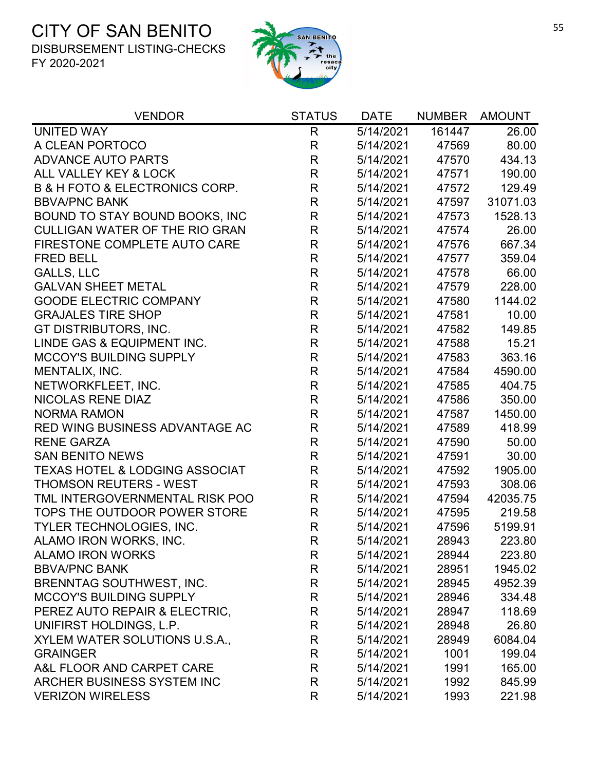

| <b>VENDOR</b>                                 | <b>STATUS</b> | <b>DATE</b>            | <b>NUMBER</b> | <b>AMOUNT</b> |
|-----------------------------------------------|---------------|------------------------|---------------|---------------|
| UNITED WAY                                    | $\mathsf{R}$  | $\overline{5}/14/2021$ | 161447        | 26.00         |
| A CLEAN PORTOCO                               | $\mathsf{R}$  | 5/14/2021              | 47569         | 80.00         |
| <b>ADVANCE AUTO PARTS</b>                     | $\mathsf{R}$  | 5/14/2021              | 47570         | 434.13        |
| ALL VALLEY KEY & LOCK                         | R             | 5/14/2021              | 47571         | 190.00        |
| <b>B &amp; H FOTO &amp; ELECTRONICS CORP.</b> | $\mathsf R$   | 5/14/2021              | 47572         | 129.49        |
| <b>BBVA/PNC BANK</b>                          | $\mathsf{R}$  | 5/14/2021              | 47597         | 31071.03      |
| BOUND TO STAY BOUND BOOKS, INC                | $\mathsf R$   | 5/14/2021              | 47573         | 1528.13       |
| <b>CULLIGAN WATER OF THE RIO GRAN</b>         | $\mathsf{R}$  | 5/14/2021              | 47574         | 26.00         |
| FIRESTONE COMPLETE AUTO CARE                  | $\mathsf R$   | 5/14/2021              | 47576         | 667.34        |
| <b>FRED BELL</b>                              | $\mathsf{R}$  | 5/14/2021              | 47577         | 359.04        |
| <b>GALLS, LLC</b>                             | $\mathsf R$   | 5/14/2021              | 47578         | 66.00         |
| <b>GALVAN SHEET METAL</b>                     | $\mathsf{R}$  | 5/14/2021              | 47579         | 228.00        |
| <b>GOODE ELECTRIC COMPANY</b>                 | R             | 5/14/2021              | 47580         | 1144.02       |
| <b>GRAJALES TIRE SHOP</b>                     | $\mathsf R$   | 5/14/2021              | 47581         | 10.00         |
| GT DISTRIBUTORS, INC.                         | $\mathsf R$   | 5/14/2021              | 47582         | 149.85        |
| LINDE GAS & EQUIPMENT INC.                    | $\mathsf{R}$  | 5/14/2021              | 47588         | 15.21         |
| <b>MCCOY'S BUILDING SUPPLY</b>                | $\mathsf{R}$  | 5/14/2021              | 47583         | 363.16        |
| MENTALIX, INC.                                | R             | 5/14/2021              | 47584         | 4590.00       |
| NETWORKFLEET, INC.                            | $\mathsf{R}$  | 5/14/2021              | 47585         | 404.75        |
| <b>NICOLAS RENE DIAZ</b>                      | $\mathsf R$   | 5/14/2021              | 47586         | 350.00        |
| <b>NORMA RAMON</b>                            | $\mathsf R$   | 5/14/2021              | 47587         | 1450.00       |
| RED WING BUSINESS ADVANTAGE AC                | $\mathsf{R}$  | 5/14/2021              | 47589         | 418.99        |
| <b>RENE GARZA</b>                             | R             | 5/14/2021              | 47590         | 50.00         |
| <b>SAN BENITO NEWS</b>                        | $\mathsf R$   | 5/14/2021              | 47591         | 30.00         |
| <b>TEXAS HOTEL &amp; LODGING ASSOCIAT</b>     | R             | 5/14/2021              | 47592         | 1905.00       |
| <b>THOMSON REUTERS - WEST</b>                 | $\mathsf R$   | 5/14/2021              | 47593         | 308.06        |
| TML INTERGOVERNMENTAL RISK POO                | $\mathsf{R}$  | 5/14/2021              | 47594         | 42035.75      |
| TOPS THE OUTDOOR POWER STORE                  | R             | 5/14/2021              | 47595         | 219.58        |
| TYLER TECHNOLOGIES, INC.                      | $\mathsf R$   | 5/14/2021              | 47596         | 5199.91       |
| ALAMO IRON WORKS, INC.                        | R             | 5/14/2021              | 28943         | 223.80        |
| <b>ALAMO IRON WORKS</b>                       | R.            | 5/14/2021              | 28944         | 223.80        |
| <b>BBVA/PNC BANK</b>                          | R             | 5/14/2021              | 28951         | 1945.02       |
| BRENNTAG SOUTHWEST, INC.                      | R             | 5/14/2021              | 28945         | 4952.39       |
| <b>MCCOY'S BUILDING SUPPLY</b>                | R             | 5/14/2021              | 28946         | 334.48        |
| PEREZ AUTO REPAIR & ELECTRIC,                 | R             | 5/14/2021              | 28947         | 118.69        |
| UNIFIRST HOLDINGS, L.P.                       | R             | 5/14/2021              | 28948         | 26.80         |
| XYLEM WATER SOLUTIONS U.S.A.,                 | R             | 5/14/2021              | 28949         | 6084.04       |
| <b>GRAINGER</b>                               | R             | 5/14/2021              | 1001          | 199.04        |
| A&L FLOOR AND CARPET CARE                     | R             | 5/14/2021              | 1991          | 165.00        |
| ARCHER BUSINESS SYSTEM INC                    | R             | 5/14/2021              | 1992          | 845.99        |
| <b>VERIZON WIRELESS</b>                       | R             | 5/14/2021              | 1993          | 221.98        |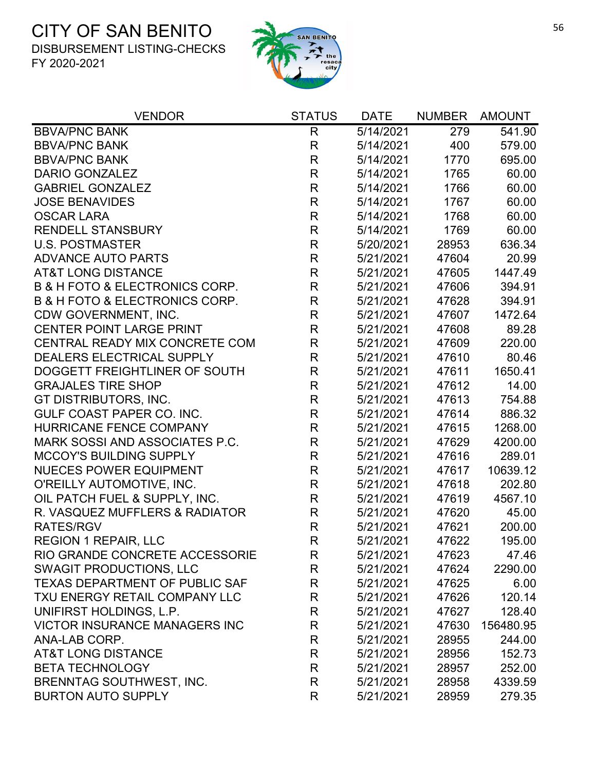

| <b>VENDOR</b>                                 | <b>STATUS</b> | <b>DATE</b> | <b>NUMBER</b> | <b>AMOUNT</b> |
|-----------------------------------------------|---------------|-------------|---------------|---------------|
| <b>BBVA/PNC BANK</b>                          | R             | 5/14/2021   | 279           | 541.90        |
| <b>BBVA/PNC BANK</b>                          | $\mathsf R$   | 5/14/2021   | 400           | 579.00        |
| <b>BBVA/PNC BANK</b>                          | R             | 5/14/2021   | 1770          | 695.00        |
| <b>DARIO GONZALEZ</b>                         | $\mathsf{R}$  | 5/14/2021   | 1765          | 60.00         |
| <b>GABRIEL GONZALEZ</b>                       | R             | 5/14/2021   | 1766          | 60.00         |
| <b>JOSE BENAVIDES</b>                         | $\mathsf{R}$  | 5/14/2021   | 1767          | 60.00         |
| <b>OSCAR LARA</b>                             | $\mathsf R$   | 5/14/2021   | 1768          | 60.00         |
| <b>RENDELL STANSBURY</b>                      | R             | 5/14/2021   | 1769          | 60.00         |
| <b>U.S. POSTMASTER</b>                        | $\mathsf R$   | 5/20/2021   | 28953         | 636.34        |
| <b>ADVANCE AUTO PARTS</b>                     | $\mathsf{R}$  | 5/21/2021   | 47604         | 20.99         |
| <b>AT&amp;T LONG DISTANCE</b>                 | $\mathsf{R}$  | 5/21/2021   | 47605         | 1447.49       |
| <b>B &amp; H FOTO &amp; ELECTRONICS CORP.</b> | $\mathsf R$   | 5/21/2021   | 47606         | 394.91        |
| <b>B &amp; H FOTO &amp; ELECTRONICS CORP.</b> | $\mathsf R$   | 5/21/2021   | 47628         | 394.91        |
| CDW GOVERNMENT, INC.                          | $\mathsf{R}$  | 5/21/2021   | 47607         | 1472.64       |
| <b>CENTER POINT LARGE PRINT</b>               | R             | 5/21/2021   | 47608         | 89.28         |
| CENTRAL READY MIX CONCRETE COM                | $\mathsf{R}$  | 5/21/2021   | 47609         | 220.00        |
| DEALERS ELECTRICAL SUPPLY                     | $\mathsf{R}$  | 5/21/2021   | 47610         | 80.46         |
| DOGGETT FREIGHTLINER OF SOUTH                 | R             | 5/21/2021   | 47611         | 1650.41       |
| <b>GRAJALES TIRE SHOP</b>                     | $\mathsf{R}$  | 5/21/2021   | 47612         | 14.00         |
| GT DISTRIBUTORS, INC.                         | $\mathsf{R}$  | 5/21/2021   | 47613         | 754.88        |
| GULF COAST PAPER CO. INC.                     | $\mathsf{R}$  | 5/21/2021   | 47614         | 886.32        |
| HURRICANE FENCE COMPANY                       | R             | 5/21/2021   | 47615         | 1268.00       |
| MARK SOSSI AND ASSOCIATES P.C.                | $\mathsf R$   | 5/21/2021   | 47629         | 4200.00       |
| <b>MCCOY'S BUILDING SUPPLY</b>                | $\mathsf{R}$  | 5/21/2021   | 47616         | 289.01        |
| <b>NUECES POWER EQUIPMENT</b>                 | R             | 5/21/2021   | 47617         | 10639.12      |
| O'REILLY AUTOMOTIVE, INC.                     | $\mathsf R$   | 5/21/2021   | 47618         | 202.80        |
| OIL PATCH FUEL & SUPPLY, INC.                 | R             | 5/21/2021   | 47619         | 4567.10       |
| R. VASQUEZ MUFFLERS & RADIATOR                | $\mathsf{R}$  | 5/21/2021   | 47620         | 45.00         |
| <b>RATES/RGV</b>                              | $\mathsf R$   | 5/21/2021   | 47621         | 200.00        |
| <b>REGION 1 REPAIR, LLC</b>                   | R             | 5/21/2021   | 47622         | 195.00        |
| RIO GRANDE CONCRETE ACCESSORIE                | R             | 5/21/2021   | 47623         | 47.46         |
| <b>SWAGIT PRODUCTIONS, LLC</b>                | R             | 5/21/2021   | 47624         | 2290.00       |
| TEXAS DEPARTMENT OF PUBLIC SAF                | $\mathsf{R}$  | 5/21/2021   | 47625         | 6.00          |
| TXU ENERGY RETAIL COMPANY LLC                 | R             | 5/21/2021   | 47626         | 120.14        |
| UNIFIRST HOLDINGS, L.P.                       | R             | 5/21/2021   | 47627         | 128.40        |
| <b>VICTOR INSURANCE MANAGERS INC</b>          | R             | 5/21/2021   | 47630         | 156480.95     |
| ANA-LAB CORP.                                 | R             | 5/21/2021   | 28955         | 244.00        |
| <b>AT&amp;T LONG DISTANCE</b>                 | R             | 5/21/2021   | 28956         | 152.73        |
| <b>BETA TECHNOLOGY</b>                        | R             | 5/21/2021   | 28957         | 252.00        |
| <b>BRENNTAG SOUTHWEST, INC.</b>               | R             | 5/21/2021   | 28958         | 4339.59       |
| <b>BURTON AUTO SUPPLY</b>                     | R             | 5/21/2021   | 28959         | 279.35        |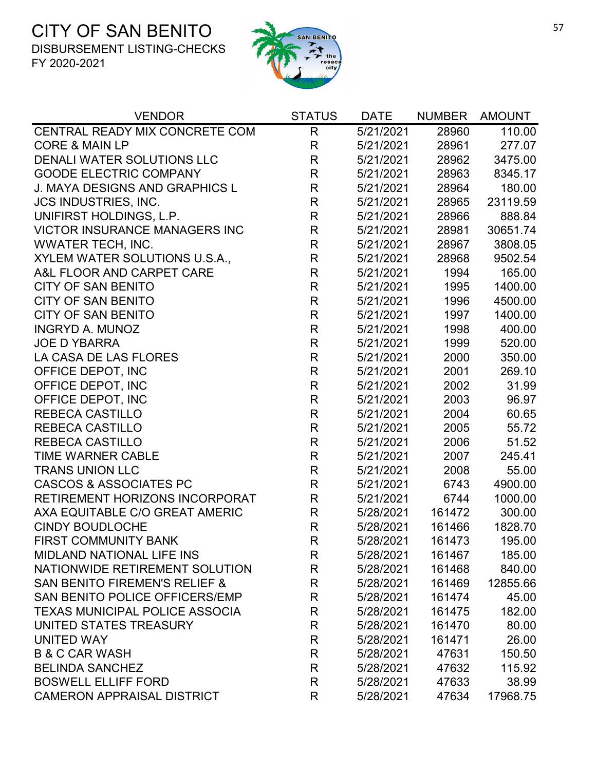

| <b>VENDOR</b>                            | <b>STATUS</b> | <b>DATE</b> | <b>NUMBER</b> | <b>AMOUNT</b> |
|------------------------------------------|---------------|-------------|---------------|---------------|
| CENTRAL READY MIX CONCRETE COM           | $\mathsf{R}$  | 5/21/2021   | 28960         | 110.00        |
| <b>CORE &amp; MAIN LP</b>                | $\mathsf{R}$  | 5/21/2021   | 28961         | 277.07        |
| DENALI WATER SOLUTIONS LLC               | $\mathsf R$   | 5/21/2021   | 28962         | 3475.00       |
| <b>GOODE ELECTRIC COMPANY</b>            | $\mathsf{R}$  | 5/21/2021   | 28963         | 8345.17       |
| J. MAYA DESIGNS AND GRAPHICS L           | $\mathsf R$   | 5/21/2021   | 28964         | 180.00        |
| <b>JCS INDUSTRIES, INC.</b>              | $\mathsf{R}$  | 5/21/2021   | 28965         | 23119.59      |
| UNIFIRST HOLDINGS, L.P.                  | $\mathsf{R}$  | 5/21/2021   | 28966         | 888.84        |
| <b>VICTOR INSURANCE MANAGERS INC</b>     | R             | 5/21/2021   | 28981         | 30651.74      |
| <b>WWATER TECH, INC.</b>                 | $\mathsf{R}$  | 5/21/2021   | 28967         | 3808.05       |
| XYLEM WATER SOLUTIONS U.S.A.,            | $\mathsf{R}$  | 5/21/2021   | 28968         | 9502.54       |
| A&L FLOOR AND CARPET CARE                | $\mathsf{R}$  | 5/21/2021   | 1994          | 165.00        |
| <b>CITY OF SAN BENITO</b>                | ${\sf R}$     | 5/21/2021   | 1995          | 1400.00       |
| <b>CITY OF SAN BENITO</b>                | $\mathsf{R}$  | 5/21/2021   | 1996          | 4500.00       |
| <b>CITY OF SAN BENITO</b>                | $\mathsf R$   | 5/21/2021   | 1997          | 1400.00       |
| <b>INGRYD A. MUNOZ</b>                   | $\mathsf R$   | 5/21/2021   | 1998          | 400.00        |
| <b>JOE D YBARRA</b>                      | $\mathsf{R}$  | 5/21/2021   | 1999          | 520.00        |
| LA CASA DE LAS FLORES                    | $\mathsf{R}$  | 5/21/2021   | 2000          | 350.00        |
| OFFICE DEPOT, INC                        | $\mathsf{R}$  | 5/21/2021   | 2001          | 269.10        |
| OFFICE DEPOT, INC                        | $\mathsf{R}$  | 5/21/2021   | 2002          | 31.99         |
| OFFICE DEPOT, INC                        | $\mathsf R$   | 5/21/2021   | 2003          | 96.97         |
| <b>REBECA CASTILLO</b>                   | ${\sf R}$     | 5/21/2021   | 2004          | 60.65         |
| <b>REBECA CASTILLO</b>                   | $\mathsf{R}$  | 5/21/2021   | 2005          | 55.72         |
| <b>REBECA CASTILLO</b>                   | $\mathsf{R}$  | 5/21/2021   | 2006          | 51.52         |
| <b>TIME WARNER CABLE</b>                 | $\mathsf{R}$  | 5/21/2021   | 2007          | 245.41        |
| <b>TRANS UNION LLC</b>                   | $\mathsf{R}$  | 5/21/2021   | 2008          | 55.00         |
| <b>CASCOS &amp; ASSOCIATES PC</b>        | $\mathsf{R}$  | 5/21/2021   | 6743          | 4900.00       |
| <b>RETIREMENT HORIZONS INCORPORAT</b>    | R             | 5/21/2021   | 6744          | 1000.00       |
| AXA EQUITABLE C/O GREAT AMERIC           | $\mathsf{R}$  | 5/28/2021   | 161472        | 300.00        |
| <b>CINDY BOUDLOCHE</b>                   | $\mathsf{R}$  | 5/28/2021   | 161466        | 1828.70       |
| <b>FIRST COMMUNITY BANK</b>              | R             | 5/28/2021   | 161473        | 195.00        |
| <b>MIDLAND NATIONAL LIFE INS</b>         | R             | 5/28/2021   | 161467        | 185.00        |
| NATIONWIDE RETIREMENT SOLUTION           | R             | 5/28/2021   | 161468        | 840.00        |
| <b>SAN BENITO FIREMEN'S RELIEF &amp;</b> | $\mathsf R$   | 5/28/2021   | 161469        | 12855.66      |
| SAN BENITO POLICE OFFICERS/EMP           | R             | 5/28/2021   | 161474        | 45.00         |
| <b>TEXAS MUNICIPAL POLICE ASSOCIA</b>    | R             | 5/28/2021   | 161475        | 182.00        |
| UNITED STATES TREASURY                   | R             | 5/28/2021   | 161470        | 80.00         |
| <b>UNITED WAY</b>                        | $\mathsf R$   | 5/28/2021   | 161471        | 26.00         |
| <b>B &amp; C CAR WASH</b>                | R             | 5/28/2021   | 47631         | 150.50        |
| <b>BELINDA SANCHEZ</b>                   | R             | 5/28/2021   | 47632         | 115.92        |
| <b>BOSWELL ELLIFF FORD</b>               | $\mathsf R$   | 5/28/2021   | 47633         | 38.99         |
| <b>CAMERON APPRAISAL DISTRICT</b>        | R             | 5/28/2021   | 47634         | 17968.75      |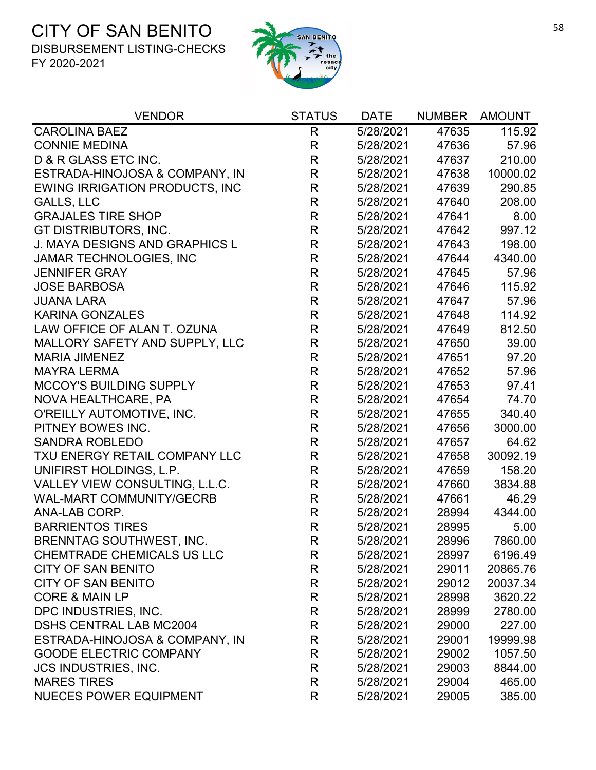

| <b>VENDOR</b>                         | <b>STATUS</b> | <b>DATE</b> | <b>NUMBER</b> | <b>AMOUNT</b> |
|---------------------------------------|---------------|-------------|---------------|---------------|
| <b>CAROLINA BAEZ</b>                  | $\mathsf{R}$  | 5/28/2021   | 47635         | 115.92        |
| <b>CONNIE MEDINA</b>                  | $\mathsf{R}$  | 5/28/2021   | 47636         | 57.96         |
| D & R GLASS ETC INC.                  | $\mathsf{R}$  | 5/28/2021   | 47637         | 210.00        |
| ESTRADA-HINOJOSA & COMPANY, IN        | R             | 5/28/2021   | 47638         | 10000.02      |
| <b>EWING IRRIGATION PRODUCTS, INC</b> | $\mathsf R$   | 5/28/2021   | 47639         | 290.85        |
| <b>GALLS, LLC</b>                     | $\mathsf R$   | 5/28/2021   | 47640         | 208.00        |
| <b>GRAJALES TIRE SHOP</b>             | $\mathsf R$   | 5/28/2021   | 47641         | 8.00          |
| GT DISTRIBUTORS, INC.                 | $\mathsf{R}$  | 5/28/2021   | 47642         | 997.12        |
| <b>J. MAYA DESIGNS AND GRAPHICS L</b> | $\mathsf{R}$  | 5/28/2021   | 47643         | 198.00        |
| JAMAR TECHNOLOGIES, INC               | $\mathsf R$   | 5/28/2021   | 47644         | 4340.00       |
| <b>JENNIFER GRAY</b>                  | $\mathsf R$   | 5/28/2021   | 47645         | 57.96         |
| <b>JOSE BARBOSA</b>                   | $\mathsf{R}$  | 5/28/2021   | 47646         | 115.92        |
| <b>JUANA LARA</b>                     | $\mathsf{R}$  | 5/28/2021   | 47647         | 57.96         |
| <b>KARINA GONZALES</b>                | $\mathsf{R}$  | 5/28/2021   | 47648         | 114.92        |
| LAW OFFICE OF ALAN T. OZUNA           | R             | 5/28/2021   | 47649         | 812.50        |
| MALLORY SAFETY AND SUPPLY, LLC        | R             | 5/28/2021   | 47650         | 39.00         |
| <b>MARIA JIMENEZ</b>                  | $\mathsf R$   | 5/28/2021   | 47651         | 97.20         |
| <b>MAYRA LERMA</b>                    | $\mathsf{R}$  | 5/28/2021   | 47652         | 57.96         |
| <b>MCCOY'S BUILDING SUPPLY</b>        | $\mathsf{R}$  | 5/28/2021   | 47653         | 97.41         |
| NOVA HEALTHCARE, PA                   | $\mathsf{R}$  | 5/28/2021   | 47654         | 74.70         |
| O'REILLY AUTOMOTIVE, INC.             | $\mathsf{R}$  | 5/28/2021   | 47655         | 340.40        |
| PITNEY BOWES INC.                     | $\mathsf{R}$  | 5/28/2021   | 47656         | 3000.00       |
| <b>SANDRA ROBLEDO</b>                 | $\mathsf{R}$  | 5/28/2021   | 47657         | 64.62         |
| TXU ENERGY RETAIL COMPANY LLC         | $\mathsf R$   | 5/28/2021   | 47658         | 30092.19      |
| UNIFIRST HOLDINGS, L.P.               | $\mathsf R$   | 5/28/2021   | 47659         | 158.20        |
| VALLEY VIEW CONSULTING, L.L.C.        | $\mathsf R$   | 5/28/2021   | 47660         | 3834.88       |
| <b>WAL-MART COMMUNITY/GECRB</b>       | $\mathsf R$   | 5/28/2021   | 47661         | 46.29         |
| ANA-LAB CORP.                         | R             | 5/28/2021   | 28994         | 4344.00       |
| <b>BARRIENTOS TIRES</b>               | R             | 5/28/2021   | 28995         | 5.00          |
| BRENNTAG SOUTHWEST, INC.              | R             | 5/28/2021   | 28996         | 7860.00       |
| <b>CHEMTRADE CHEMICALS US LLC</b>     | R             | 5/28/2021   | 28997         | 6196.49       |
| <b>CITY OF SAN BENITO</b>             | R             | 5/28/2021   | 29011         | 20865.76      |
| <b>CITY OF SAN BENITO</b>             | R             | 5/28/2021   | 29012         | 20037.34      |
| <b>CORE &amp; MAIN LP</b>             | R             | 5/28/2021   | 28998         | 3620.22       |
| DPC INDUSTRIES, INC.                  | R             | 5/28/2021   | 28999         | 2780.00       |
| <b>DSHS CENTRAL LAB MC2004</b>        | R             | 5/28/2021   | 29000         | 227.00        |
| ESTRADA-HINOJOSA & COMPANY, IN        | R             | 5/28/2021   | 29001         | 19999.98      |
| <b>GOODE ELECTRIC COMPANY</b>         | R             | 5/28/2021   | 29002         | 1057.50       |
| <b>JCS INDUSTRIES, INC.</b>           | R             | 5/28/2021   | 29003         | 8844.00       |
| <b>MARES TIRES</b>                    | R             | 5/28/2021   | 29004         | 465.00        |
| <b>NUECES POWER EQUIPMENT</b>         | R             | 5/28/2021   | 29005         | 385.00        |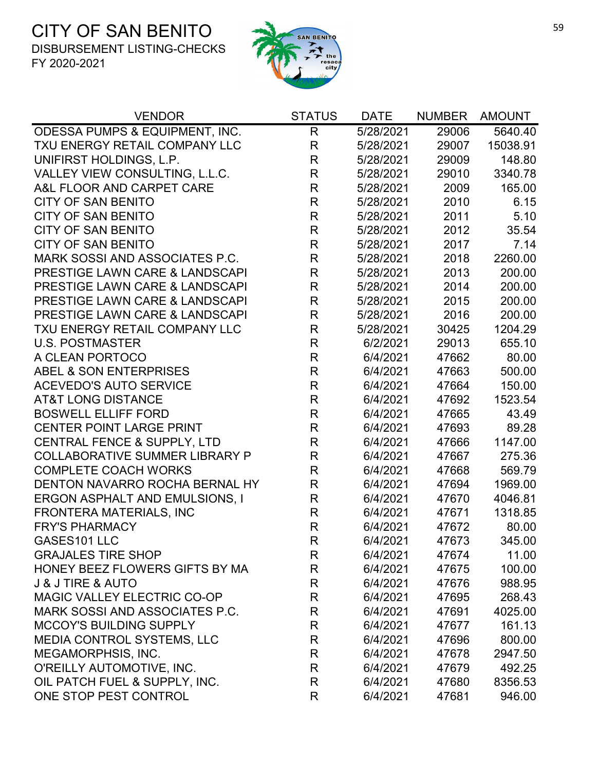

| <b>VENDOR</b>                             | <b>STATUS</b> | <b>DATE</b> | <b>NUMBER</b> | <b>AMOUNT</b> |
|-------------------------------------------|---------------|-------------|---------------|---------------|
| ODESSA PUMPS & EQUIPMENT, INC.            | R             | 5/28/2021   | 29006         | 5640.40       |
| TXU ENERGY RETAIL COMPANY LLC             | $\mathsf{R}$  | 5/28/2021   | 29007         | 15038.91      |
| UNIFIRST HOLDINGS, L.P.                   | $\mathsf{R}$  | 5/28/2021   | 29009         | 148.80        |
| VALLEY VIEW CONSULTING, L.L.C.            | $\mathsf{R}$  | 5/28/2021   | 29010         | 3340.78       |
| A&L FLOOR AND CARPET CARE                 | $\mathsf{R}$  | 5/28/2021   | 2009          | 165.00        |
| <b>CITY OF SAN BENITO</b>                 | $\mathsf{R}$  | 5/28/2021   | 2010          | 6.15          |
| <b>CITY OF SAN BENITO</b>                 | $\mathsf{R}$  | 5/28/2021   | 2011          | 5.10          |
| <b>CITY OF SAN BENITO</b>                 | $\mathsf{R}$  | 5/28/2021   | 2012          | 35.54         |
| <b>CITY OF SAN BENITO</b>                 | $\mathsf{R}$  | 5/28/2021   | 2017          | 7.14          |
| MARK SOSSI AND ASSOCIATES P.C.            | $\mathsf{R}$  | 5/28/2021   | 2018          | 2260.00       |
| <b>PRESTIGE LAWN CARE &amp; LANDSCAPI</b> | $\mathsf R$   | 5/28/2021   | 2013          | 200.00        |
| PRESTIGE LAWN CARE & LANDSCAPI            | $\mathsf{R}$  | 5/28/2021   | 2014          | 200.00        |
| <b>PRESTIGE LAWN CARE &amp; LANDSCAPI</b> | $\mathsf{R}$  | 5/28/2021   | 2015          | 200.00        |
| PRESTIGE LAWN CARE & LANDSCAPI            | $\mathsf{R}$  | 5/28/2021   | 2016          | 200.00        |
| TXU ENERGY RETAIL COMPANY LLC             | $\mathsf{R}$  | 5/28/2021   | 30425         | 1204.29       |
| <b>U.S. POSTMASTER</b>                    | $\mathsf{R}$  | 6/2/2021    | 29013         | 655.10        |
| A CLEAN PORTOCO                           | $\mathsf{R}$  | 6/4/2021    | 47662         | 80.00         |
| ABEL & SON ENTERPRISES                    | $\mathsf{R}$  | 6/4/2021    | 47663         | 500.00        |
| <b>ACEVEDO'S AUTO SERVICE</b>             | $\mathsf{R}$  | 6/4/2021    | 47664         | 150.00        |
| <b>AT&amp;T LONG DISTANCE</b>             | $\mathsf{R}$  | 6/4/2021    | 47692         | 1523.54       |
| <b>BOSWELL ELLIFF FORD</b>                | $\mathsf{R}$  | 6/4/2021    | 47665         | 43.49         |
| <b>CENTER POINT LARGE PRINT</b>           | $\mathsf{R}$  | 6/4/2021    | 47693         | 89.28         |
| CENTRAL FENCE & SUPPLY, LTD               | $\mathsf{R}$  | 6/4/2021    | 47666         | 1147.00       |
| <b>COLLABORATIVE SUMMER LIBRARY P</b>     | $\mathsf{R}$  | 6/4/2021    | 47667         | 275.36        |
| <b>COMPLETE COACH WORKS</b>               | $\mathsf{R}$  | 6/4/2021    | 47668         | 569.79        |
| DENTON NAVARRO ROCHA BERNAL HY            | $\mathsf{R}$  | 6/4/2021    | 47694         | 1969.00       |
| <b>ERGON ASPHALT AND EMULSIONS, I</b>     | R             | 6/4/2021    | 47670         | 4046.81       |
| <b>FRONTERA MATERIALS, INC</b>            | R             | 6/4/2021    | 47671         | 1318.85       |
| <b>FRY'S PHARMACY</b>                     | $\mathsf{R}$  | 6/4/2021    | 47672         | 80.00         |
| GASES101 LLC                              | $\mathsf{R}$  | 6/4/2021    | 47673         | 345.00        |
| <b>GRAJALES TIRE SHOP</b>                 | R             | 6/4/2021    | 47674         | 11.00         |
| HONEY BEEZ FLOWERS GIFTS BY MA            | R             | 6/4/2021    | 47675         | 100.00        |
| <b>J &amp; J TIRE &amp; AUTO</b>          | R             | 6/4/2021    | 47676         | 988.95        |
| MAGIC VALLEY ELECTRIC CO-OP               | R             | 6/4/2021    | 47695         | 268.43        |
| MARK SOSSI AND ASSOCIATES P.C.            | R             | 6/4/2021    | 47691         | 4025.00       |
| <b>MCCOY'S BUILDING SUPPLY</b>            | R             | 6/4/2021    | 47677         | 161.13        |
| MEDIA CONTROL SYSTEMS, LLC                | R             | 6/4/2021    | 47696         | 800.00        |
| MEGAMORPHSIS, INC.                        | R             | 6/4/2021    | 47678         | 2947.50       |
| O'REILLY AUTOMOTIVE, INC.                 | R             | 6/4/2021    | 47679         | 492.25        |
| OIL PATCH FUEL & SUPPLY, INC.             | R             | 6/4/2021    | 47680         | 8356.53       |
| ONE STOP PEST CONTROL                     | R             | 6/4/2021    | 47681         | 946.00        |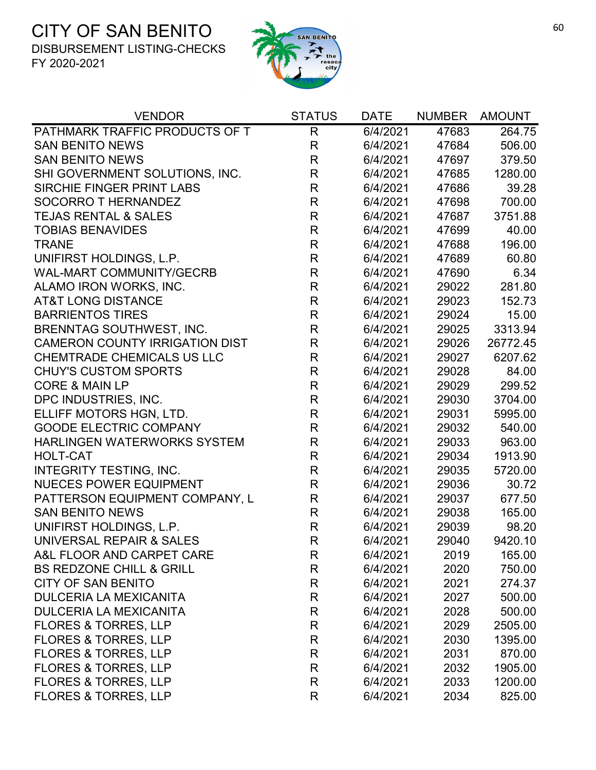

| <b>VENDOR</b>                         | <b>STATUS</b> | <b>DATE</b> | <b>NUMBER</b> | <b>AMOUNT</b> |
|---------------------------------------|---------------|-------------|---------------|---------------|
| PATHMARK TRAFFIC PRODUCTS OF T        | R             | 6/4/2021    | 47683         | 264.75        |
| <b>SAN BENITO NEWS</b>                | $\mathsf R$   | 6/4/2021    | 47684         | 506.00        |
| <b>SAN BENITO NEWS</b>                | $\mathsf{R}$  | 6/4/2021    | 47697         | 379.50        |
| SHI GOVERNMENT SOLUTIONS, INC.        | $\mathsf R$   | 6/4/2021    | 47685         | 1280.00       |
| SIRCHIE FINGER PRINT LABS             | $\mathsf R$   | 6/4/2021    | 47686         | 39.28         |
| <b>SOCORRO T HERNANDEZ</b>            | $\mathsf{R}$  | 6/4/2021    | 47698         | 700.00        |
| <b>TEJAS RENTAL &amp; SALES</b>       | $\mathsf R$   | 6/4/2021    | 47687         | 3751.88       |
| <b>TOBIAS BENAVIDES</b>               | $\mathsf R$   | 6/4/2021    | 47699         | 40.00         |
| <b>TRANE</b>                          | R             | 6/4/2021    | 47688         | 196.00        |
| UNIFIRST HOLDINGS, L.P.               | $\mathsf R$   | 6/4/2021    | 47689         | 60.80         |
| <b>WAL-MART COMMUNITY/GECRB</b>       | $\mathsf{R}$  | 6/4/2021    | 47690         | 6.34          |
| ALAMO IRON WORKS, INC.                | R             | 6/4/2021    | 29022         | 281.80        |
| <b>AT&amp;T LONG DISTANCE</b>         | $\mathsf R$   | 6/4/2021    | 29023         | 152.73        |
| <b>BARRIENTOS TIRES</b>               | $\mathsf{R}$  | 6/4/2021    | 29024         | 15.00         |
| <b>BRENNTAG SOUTHWEST, INC.</b>       | R             | 6/4/2021    | 29025         | 3313.94       |
| <b>CAMERON COUNTY IRRIGATION DIST</b> | $\mathsf R$   | 6/4/2021    | 29026         | 26772.45      |
| CHEMTRADE CHEMICALS US LLC            | $\mathsf{R}$  | 6/4/2021    | 29027         | 6207.62       |
| <b>CHUY'S CUSTOM SPORTS</b>           | $\mathsf{R}$  | 6/4/2021    | 29028         | 84.00         |
| <b>CORE &amp; MAIN LP</b>             | $\mathsf{R}$  | 6/4/2021    | 29029         | 299.52        |
| DPC INDUSTRIES, INC.                  | $\mathsf{R}$  | 6/4/2021    | 29030         | 3704.00       |
| ELLIFF MOTORS HGN, LTD.               | $\mathsf R$   | 6/4/2021    | 29031         | 5995.00       |
| <b>GOODE ELECTRIC COMPANY</b>         | $\mathsf R$   | 6/4/2021    | 29032         | 540.00        |
| HARLINGEN WATERWORKS SYSTEM           | $\mathsf{R}$  | 6/4/2021    | 29033         | 963.00        |
| <b>HOLT-CAT</b>                       | $\mathsf R$   | 6/4/2021    | 29034         | 1913.90       |
| <b>INTEGRITY TESTING, INC.</b>        | $\mathsf{R}$  | 6/4/2021    | 29035         | 5720.00       |
| <b>NUECES POWER EQUIPMENT</b>         | $\mathsf{R}$  | 6/4/2021    | 29036         | 30.72         |
| PATTERSON EQUIPMENT COMPANY, L        | $\mathsf{R}$  | 6/4/2021    | 29037         | 677.50        |
| <b>SAN BENITO NEWS</b>                | $\mathsf{R}$  | 6/4/2021    | 29038         | 165.00        |
| UNIFIRST HOLDINGS, L.P.               | $\mathsf R$   | 6/4/2021    | 29039         | 98.20         |
| UNIVERSAL REPAIR & SALES              | R             | 6/4/2021    | 29040         | 9420.10       |
| A&L FLOOR AND CARPET CARE             | R             | 6/4/2021    | 2019          | 165.00        |
| <b>BS REDZONE CHILL &amp; GRILL</b>   | R             | 6/4/2021    | 2020          | 750.00        |
| <b>CITY OF SAN BENITO</b>             | R             | 6/4/2021    | 2021          | 274.37        |
| <b>DULCERIA LA MEXICANITA</b>         | R             | 6/4/2021    | 2027          | 500.00        |
| <b>DULCERIA LA MEXICANITA</b>         | R             | 6/4/2021    | 2028          | 500.00        |
| <b>FLORES &amp; TORRES, LLP</b>       | R             | 6/4/2021    | 2029          | 2505.00       |
| <b>FLORES &amp; TORRES, LLP</b>       | R             | 6/4/2021    | 2030          | 1395.00       |
| <b>FLORES &amp; TORRES, LLP</b>       | R             | 6/4/2021    | 2031          | 870.00        |
| <b>FLORES &amp; TORRES, LLP</b>       | R             | 6/4/2021    | 2032          | 1905.00       |
| <b>FLORES &amp; TORRES, LLP</b>       | R             | 6/4/2021    | 2033          | 1200.00       |
| <b>FLORES &amp; TORRES, LLP</b>       | R             | 6/4/2021    | 2034          | 825.00        |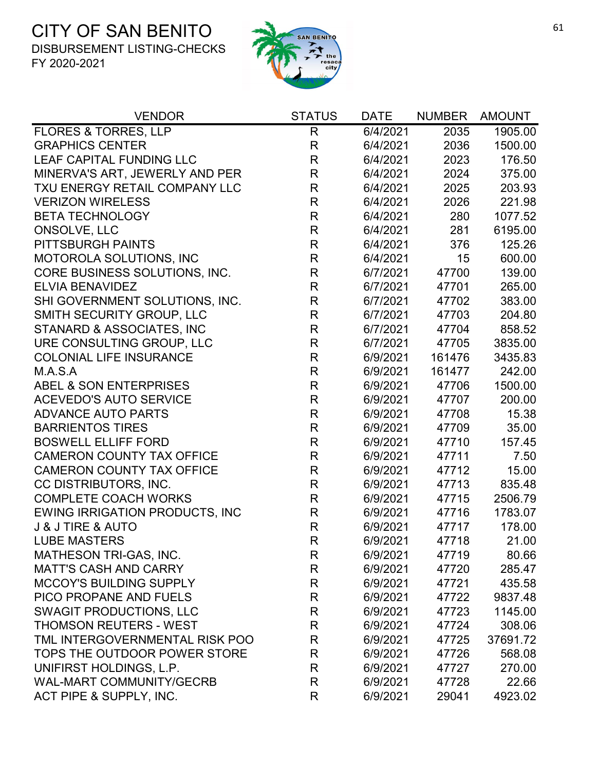

| <b>VENDOR</b>                         | <b>STATUS</b> | <b>DATE</b> | <b>NUMBER</b> | <b>AMOUNT</b> |
|---------------------------------------|---------------|-------------|---------------|---------------|
| <b>FLORES &amp; TORRES, LLP</b>       | $\mathsf{R}$  | 6/4/2021    | 2035          | 1905.00       |
| <b>GRAPHICS CENTER</b>                | $\mathsf{R}$  | 6/4/2021    | 2036          | 1500.00       |
| LEAF CAPITAL FUNDING LLC              | $\mathsf{R}$  | 6/4/2021    | 2023          | 176.50        |
| MINERVA'S ART, JEWERLY AND PER        | $\mathsf{R}$  | 6/4/2021    | 2024          | 375.00        |
| TXU ENERGY RETAIL COMPANY LLC         | $\mathsf{R}$  | 6/4/2021    | 2025          | 203.93        |
| <b>VERIZON WIRELESS</b>               | $\mathsf R$   | 6/4/2021    | 2026          | 221.98        |
| <b>BETA TECHNOLOGY</b>                | $\mathsf R$   | 6/4/2021    | 280           | 1077.52       |
| ONSOLVE, LLC                          | R             | 6/4/2021    | 281           | 6195.00       |
| PITTSBURGH PAINTS                     | $\mathsf R$   | 6/4/2021    | 376           | 125.26        |
| MOTOROLA SOLUTIONS, INC               | $\mathsf R$   | 6/4/2021    | 15            | 600.00        |
| CORE BUSINESS SOLUTIONS, INC.         | $\mathsf R$   | 6/7/2021    | 47700         | 139.00        |
| <b>ELVIA BENAVIDEZ</b>                | $\mathsf R$   | 6/7/2021    | 47701         | 265.00        |
| SHI GOVERNMENT SOLUTIONS, INC.        | $\mathsf R$   | 6/7/2021    | 47702         | 383.00        |
| SMITH SECURITY GROUP, LLC             | R             | 6/7/2021    | 47703         | 204.80        |
| STANARD & ASSOCIATES, INC             | R             | 6/7/2021    | 47704         | 858.52        |
| URE CONSULTING GROUP, LLC             | $\mathsf{R}$  | 6/7/2021    | 47705         | 3835.00       |
| <b>COLONIAL LIFE INSURANCE</b>        | $\mathsf R$   | 6/9/2021    | 161476        | 3435.83       |
| M.A.S.A                               | $\mathsf R$   | 6/9/2021    | 161477        | 242.00        |
| ABEL & SON ENTERPRISES                | $\mathsf R$   | 6/9/2021    | 47706         | 1500.00       |
| <b>ACEVEDO'S AUTO SERVICE</b>         | $\mathsf R$   | 6/9/2021    | 47707         | 200.00        |
| <b>ADVANCE AUTO PARTS</b>             | $\mathsf R$   | 6/9/2021    | 47708         | 15.38         |
| <b>BARRIENTOS TIRES</b>               | $\mathsf R$   | 6/9/2021    | 47709         | 35.00         |
| <b>BOSWELL ELLIFF FORD</b>            | $\mathsf R$   | 6/9/2021    | 47710         | 157.45        |
| <b>CAMERON COUNTY TAX OFFICE</b>      | $\mathsf R$   | 6/9/2021    | 47711         | 7.50          |
| <b>CAMERON COUNTY TAX OFFICE</b>      | $\mathsf R$   | 6/9/2021    | 47712         | 15.00         |
| CC DISTRIBUTORS, INC.                 | $\mathsf R$   | 6/9/2021    | 47713         | 835.48        |
| <b>COMPLETE COACH WORKS</b>           | $\mathsf R$   | 6/9/2021    | 47715         | 2506.79       |
| <b>EWING IRRIGATION PRODUCTS, INC</b> | $\mathsf R$   | 6/9/2021    | 47716         | 1783.07       |
| <b>J &amp; J TIRE &amp; AUTO</b>      | $\mathsf R$   | 6/9/2021    | 47717         | 178.00        |
| <b>LUBE MASTERS</b>                   | R             | 6/9/2021    | 47718         | 21.00         |
| <b>MATHESON TRI-GAS, INC.</b>         | R             | 6/9/2021    | 47719         | 80.66         |
| <b>MATT'S CASH AND CARRY</b>          | R             | 6/9/2021    | 47720         | 285.47        |
| <b>MCCOY'S BUILDING SUPPLY</b>        | R             | 6/9/2021    | 47721         | 435.58        |
| PICO PROPANE AND FUELS                | R             | 6/9/2021    | 47722         | 9837.48       |
| <b>SWAGIT PRODUCTIONS, LLC</b>        | R             | 6/9/2021    | 47723         | 1145.00       |
| <b>THOMSON REUTERS - WEST</b>         | R             | 6/9/2021    | 47724         | 308.06        |
| TML INTERGOVERNMENTAL RISK POO        | R             | 6/9/2021    | 47725         | 37691.72      |
| TOPS THE OUTDOOR POWER STORE          | R             | 6/9/2021    | 47726         | 568.08        |
| UNIFIRST HOLDINGS, L.P.               | R             | 6/9/2021    | 47727         | 270.00        |
| <b>WAL-MART COMMUNITY/GECRB</b>       | R             | 6/9/2021    | 47728         | 22.66         |
| ACT PIPE & SUPPLY, INC.               | R             | 6/9/2021    | 29041         | 4923.02       |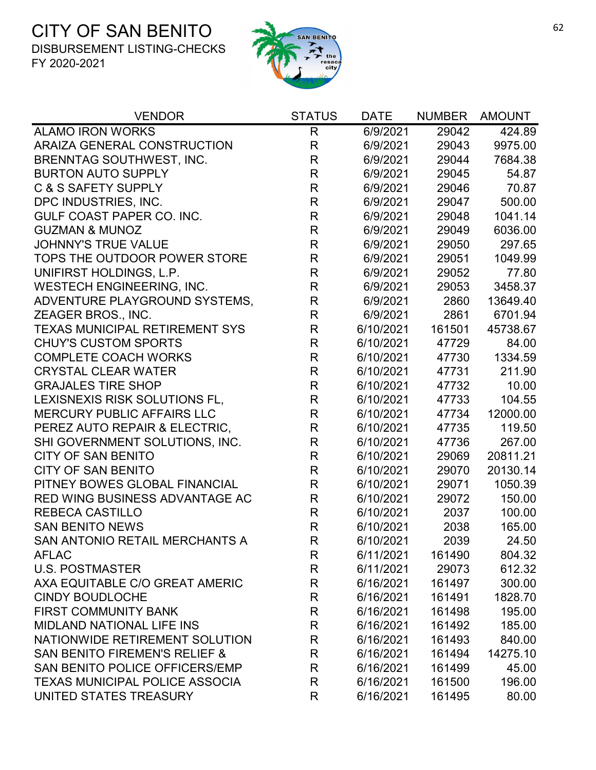

| <b>VENDOR</b>                            | <b>STATUS</b>           | <b>DATE</b> | <b>NUMBER</b> | <b>AMOUNT</b> |
|------------------------------------------|-------------------------|-------------|---------------|---------------|
| <b>ALAMO IRON WORKS</b>                  | R                       | 6/9/2021    | 29042         | 424.89        |
| ARAIZA GENERAL CONSTRUCTION              | $\mathsf R$             | 6/9/2021    | 29043         | 9975.00       |
| <b>BRENNTAG SOUTHWEST, INC.</b>          | $\mathsf{R}$            | 6/9/2021    | 29044         | 7684.38       |
| <b>BURTON AUTO SUPPLY</b>                | $\mathsf{R}$            | 6/9/2021    | 29045         | 54.87         |
| <b>C &amp; S SAFETY SUPPLY</b>           | R                       | 6/9/2021    | 29046         | 70.87         |
| DPC INDUSTRIES, INC.                     | $\mathsf{R}$            | 6/9/2021    | 29047         | 500.00        |
| GULF COAST PAPER CO. INC.                | $\mathsf R$             | 6/9/2021    | 29048         | 1041.14       |
| <b>GUZMAN &amp; MUNOZ</b>                | $\mathsf{R}$            | 6/9/2021    | 29049         | 6036.00       |
| <b>JOHNNY'S TRUE VALUE</b>               | $\mathsf{R}$            | 6/9/2021    | 29050         | 297.65        |
| TOPS THE OUTDOOR POWER STORE             | $\mathsf R$             | 6/9/2021    | 29051         | 1049.99       |
| UNIFIRST HOLDINGS, L.P.                  | $\mathsf{R}$            | 6/9/2021    | 29052         | 77.80         |
| <b>WESTECH ENGINEERING, INC.</b>         | $\mathsf{R}$            | 6/9/2021    | 29053         | 3458.37       |
| ADVENTURE PLAYGROUND SYSTEMS,            | R                       | 6/9/2021    | 2860          | 13649.40      |
| ZEAGER BROS., INC.                       | $\mathsf R$             | 6/9/2021    | 2861          | 6701.94       |
| <b>TEXAS MUNICIPAL RETIREMENT SYS</b>    | $\overline{\mathsf{R}}$ | 6/10/2021   | 161501        | 45738.67      |
| <b>CHUY'S CUSTOM SPORTS</b>              | $\mathsf{R}$            | 6/10/2021   | 47729         | 84.00         |
| <b>COMPLETE COACH WORKS</b>              | $\mathsf R$             | 6/10/2021   | 47730         | 1334.59       |
| <b>CRYSTAL CLEAR WATER</b>               | $\mathsf R$             | 6/10/2021   | 47731         | 211.90        |
| <b>GRAJALES TIRE SHOP</b>                | $\mathsf{R}$            | 6/10/2021   | 47732         | 10.00         |
| LEXISNEXIS RISK SOLUTIONS FL,            | $\mathsf{R}$            | 6/10/2021   | 47733         | 104.55        |
| <b>MERCURY PUBLIC AFFAIRS LLC</b>        | $\mathsf R$             | 6/10/2021   | 47734         | 12000.00      |
| PEREZ AUTO REPAIR & ELECTRIC,            | $\mathsf R$             | 6/10/2021   | 47735         | 119.50        |
| SHI GOVERNMENT SOLUTIONS, INC.           | $\mathsf{R}$            | 6/10/2021   | 47736         | 267.00        |
| <b>CITY OF SAN BENITO</b>                | $\mathsf R$             | 6/10/2021   | 29069         | 20811.21      |
| <b>CITY OF SAN BENITO</b>                | $\mathsf{R}$            | 6/10/2021   | 29070         | 20130.14      |
| PITNEY BOWES GLOBAL FINANCIAL            | $\mathsf R$             | 6/10/2021   | 29071         | 1050.39       |
| <b>RED WING BUSINESS ADVANTAGE AC</b>    | $\mathsf{R}$            | 6/10/2021   | 29072         | 150.00        |
| <b>REBECA CASTILLO</b>                   | $\mathsf{R}$            | 6/10/2021   | 2037          | 100.00        |
| <b>SAN BENITO NEWS</b>                   | $\mathsf{R}$            | 6/10/2021   | 2038          | 165.00        |
| SAN ANTONIO RETAIL MERCHANTS A           | R                       | 6/10/2021   | 2039          | 24.50         |
| <b>AFLAC</b>                             | R                       | 6/11/2021   | 161490        | 804.32        |
| <b>U.S. POSTMASTER</b>                   | R                       | 6/11/2021   | 29073         | 612.32        |
| AXA EQUITABLE C/O GREAT AMERIC           | $\mathsf R$             | 6/16/2021   | 161497        | 300.00        |
| <b>CINDY BOUDLOCHE</b>                   | $\mathsf R$             | 6/16/2021   | 161491        | 1828.70       |
| <b>FIRST COMMUNITY BANK</b>              | R                       | 6/16/2021   | 161498        | 195.00        |
| <b>MIDLAND NATIONAL LIFE INS</b>         | R                       | 6/16/2021   | 161492        | 185.00        |
| NATIONWIDE RETIREMENT SOLUTION           | $\mathsf R$             | 6/16/2021   | 161493        | 840.00        |
| <b>SAN BENITO FIREMEN'S RELIEF &amp;</b> | R                       | 6/16/2021   | 161494        | 14275.10      |
| SAN BENITO POLICE OFFICERS/EMP           | R                       | 6/16/2021   | 161499        | 45.00         |
| <b>TEXAS MUNICIPAL POLICE ASSOCIA</b>    | $\mathsf R$             | 6/16/2021   | 161500        | 196.00        |
| UNITED STATES TREASURY                   | R                       | 6/16/2021   | 161495        | 80.00         |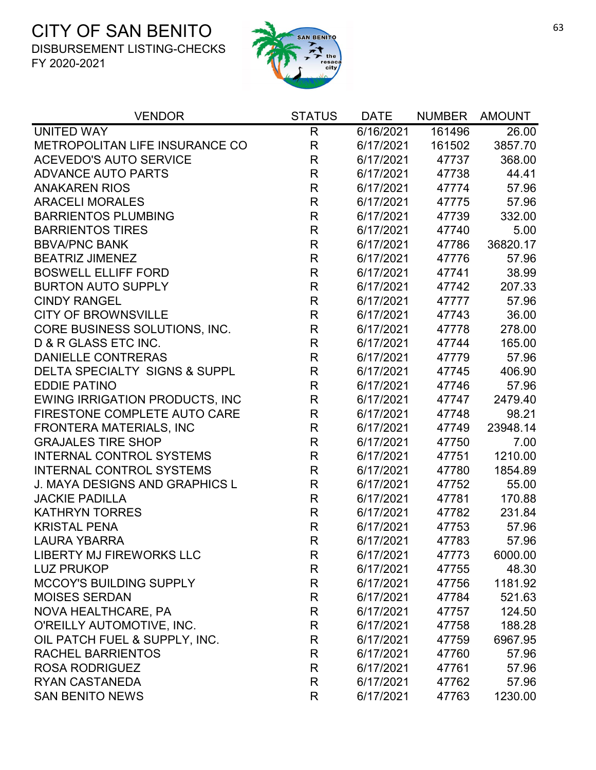

| <b>VENDOR</b>                            | <b>STATUS</b> | <b>DATE</b> | <b>NUMBER</b> | <b>AMOUNT</b> |
|------------------------------------------|---------------|-------------|---------------|---------------|
| <b>UNITED WAY</b>                        | R             | 6/16/2021   | 161496        | 26.00         |
| METROPOLITAN LIFE INSURANCE CO           | $\mathsf R$   | 6/17/2021   | 161502        | 3857.70       |
| <b>ACEVEDO'S AUTO SERVICE</b>            | R             | 6/17/2021   | 47737         | 368.00        |
| <b>ADVANCE AUTO PARTS</b>                | $\mathsf{R}$  | 6/17/2021   | 47738         | 44.41         |
| <b>ANAKAREN RIOS</b>                     | R             | 6/17/2021   | 47774         | 57.96         |
| <b>ARACELI MORALES</b>                   | $\mathsf{R}$  | 6/17/2021   | 47775         | 57.96         |
| <b>BARRIENTOS PLUMBING</b>               | $\mathsf{R}$  | 6/17/2021   | 47739         | 332.00        |
| <b>BARRIENTOS TIRES</b>                  | R             | 6/17/2021   | 47740         | 5.00          |
| <b>BBVA/PNC BANK</b>                     | $\mathsf R$   | 6/17/2021   | 47786         | 36820.17      |
| <b>BEATRIZ JIMENEZ</b>                   | $\mathsf{R}$  | 6/17/2021   | 47776         | 57.96         |
| <b>BOSWELL ELLIFF FORD</b>               | R             | 6/17/2021   | 47741         | 38.99         |
| <b>BURTON AUTO SUPPLY</b>                | R             | 6/17/2021   | 47742         | 207.33        |
| <b>CINDY RANGEL</b>                      | $\mathsf{R}$  | 6/17/2021   | 47777         | 57.96         |
| <b>CITY OF BROWNSVILLE</b>               | $\mathsf{R}$  | 6/17/2021   | 47743         | 36.00         |
| CORE BUSINESS SOLUTIONS, INC.            | R             | 6/17/2021   | 47778         | 278.00        |
| D & R GLASS ETC INC.                     | $\mathsf R$   | 6/17/2021   | 47744         | 165.00        |
| <b>DANIELLE CONTRERAS</b>                | $\mathsf{R}$  | 6/17/2021   | 47779         | 57.96         |
| <b>DELTA SPECIALTY SIGNS &amp; SUPPL</b> | R             | 6/17/2021   | 47745         | 406.90        |
| <b>EDDIE PATINO</b>                      | $\mathsf{R}$  | 6/17/2021   | 47746         | 57.96         |
| <b>EWING IRRIGATION PRODUCTS, INC</b>    | $\mathsf{R}$  | 6/17/2021   | 47747         | 2479.40       |
| FIRESTONE COMPLETE AUTO CARE             | $\mathsf{R}$  | 6/17/2021   | 47748         | 98.21         |
| <b>FRONTERA MATERIALS, INC</b>           | R             | 6/17/2021   | 47749         | 23948.14      |
| <b>GRAJALES TIRE SHOP</b>                | $\mathsf{R}$  | 6/17/2021   | 47750         | 7.00          |
| <b>INTERNAL CONTROL SYSTEMS</b>          | R             | 6/17/2021   | 47751         | 1210.00       |
| <b>INTERNAL CONTROL SYSTEMS</b>          | R             | 6/17/2021   | 47780         | 1854.89       |
| <b>J. MAYA DESIGNS AND GRAPHICS L</b>    | $\mathsf{R}$  | 6/17/2021   | 47752         | 55.00         |
| <b>JACKIE PADILLA</b>                    | R             | 6/17/2021   | 47781         | 170.88        |
| <b>KATHRYN TORRES</b>                    | R             | 6/17/2021   | 47782         | 231.84        |
| <b>KRISTAL PENA</b>                      | $\mathsf R$   | 6/17/2021   | 47753         | 57.96         |
| <b>LAURA YBARRA</b>                      | R             | 6/17/2021   | 47783         | 57.96         |
| LIBERTY MJ FIREWORKS LLC                 | R             | 6/17/2021   | 47773         | 6000.00       |
| <b>LUZ PRUKOP</b>                        | R             | 6/17/2021   | 47755         | 48.30         |
| <b>MCCOY'S BUILDING SUPPLY</b>           | R             | 6/17/2021   | 47756         | 1181.92       |
| <b>MOISES SERDAN</b>                     | R             | 6/17/2021   | 47784         | 521.63        |
| NOVA HEALTHCARE, PA                      | R             | 6/17/2021   | 47757         | 124.50        |
| O'REILLY AUTOMOTIVE, INC.                | R             | 6/17/2021   | 47758         | 188.28        |
| OIL PATCH FUEL & SUPPLY, INC.            | R             | 6/17/2021   | 47759         | 6967.95       |
| <b>RACHEL BARRIENTOS</b>                 | R             | 6/17/2021   | 47760         | 57.96         |
| <b>ROSA RODRIGUEZ</b>                    | R             | 6/17/2021   | 47761         | 57.96         |
| <b>RYAN CASTANEDA</b>                    | R             | 6/17/2021   | 47762         | 57.96         |
| <b>SAN BENITO NEWS</b>                   | R             | 6/17/2021   | 47763         | 1230.00       |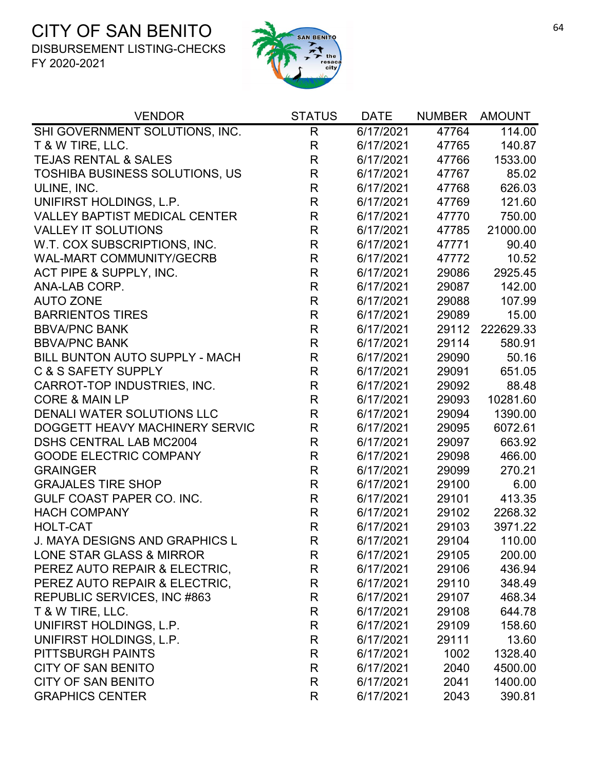

| <b>VENDOR</b>                         | <b>STATUS</b> | <b>DATE</b> | <b>NUMBER</b> | <b>AMOUNT</b> |
|---------------------------------------|---------------|-------------|---------------|---------------|
| SHI GOVERNMENT SOLUTIONS, INC.        | R             | 6/17/2021   | 47764         | 114.00        |
| T & W TIRE, LLC.                      | $\mathsf{R}$  | 6/17/2021   | 47765         | 140.87        |
| <b>TEJAS RENTAL &amp; SALES</b>       | $\mathsf R$   | 6/17/2021   | 47766         | 1533.00       |
| <b>TOSHIBA BUSINESS SOLUTIONS, US</b> | R             | 6/17/2021   | 47767         | 85.02         |
| ULINE, INC.                           | $\mathsf{R}$  | 6/17/2021   | 47768         | 626.03        |
| UNIFIRST HOLDINGS, L.P.               | $\mathsf{R}$  | 6/17/2021   | 47769         | 121.60        |
| <b>VALLEY BAPTIST MEDICAL CENTER</b>  | $\mathsf{R}$  | 6/17/2021   | 47770         | 750.00        |
| <b>VALLEY IT SOLUTIONS</b>            | $\mathsf{R}$  | 6/17/2021   | 47785         | 21000.00      |
| W.T. COX SUBSCRIPTIONS, INC.          | $\mathsf{R}$  | 6/17/2021   | 47771         | 90.40         |
| <b>WAL-MART COMMUNITY/GECRB</b>       | $\mathsf{R}$  | 6/17/2021   | 47772         | 10.52         |
| ACT PIPE & SUPPLY, INC.               | $\mathsf{R}$  | 6/17/2021   | 29086         | 2925.45       |
| ANA-LAB CORP.                         | $\mathsf{R}$  | 6/17/2021   | 29087         | 142.00        |
| <b>AUTO ZONE</b>                      | $\mathsf{R}$  | 6/17/2021   | 29088         | 107.99        |
| <b>BARRIENTOS TIRES</b>               | $\mathsf{R}$  | 6/17/2021   | 29089         | 15.00         |
| <b>BBVA/PNC BANK</b>                  | $\mathsf{R}$  | 6/17/2021   | 29112         | 222629.33     |
| <b>BBVA/PNC BANK</b>                  | $\mathsf{R}$  | 6/17/2021   | 29114         | 580.91        |
| <b>BILL BUNTON AUTO SUPPLY - MACH</b> | $\mathsf{R}$  | 6/17/2021   | 29090         | 50.16         |
| <b>C &amp; S SAFETY SUPPLY</b>        | $\mathsf{R}$  | 6/17/2021   | 29091         | 651.05        |
| CARROT-TOP INDUSTRIES, INC.           | $\mathsf{R}$  | 6/17/2021   | 29092         | 88.48         |
| <b>CORE &amp; MAIN LP</b>             | $\mathsf{R}$  | 6/17/2021   | 29093         | 10281.60      |
| DENALI WATER SOLUTIONS LLC            | $\mathsf{R}$  | 6/17/2021   | 29094         | 1390.00       |
| DOGGETT HEAVY MACHINERY SERVIC        | $\mathsf R$   | 6/17/2021   | 29095         | 6072.61       |
| <b>DSHS CENTRAL LAB MC2004</b>        | $\mathsf{R}$  | 6/17/2021   | 29097         | 663.92        |
| <b>GOODE ELECTRIC COMPANY</b>         | $\mathsf{R}$  | 6/17/2021   | 29098         | 466.00        |
| <b>GRAINGER</b>                       | $\mathsf{R}$  | 6/17/2021   | 29099         | 270.21        |
| <b>GRAJALES TIRE SHOP</b>             | $\mathsf{R}$  | 6/17/2021   | 29100         | 6.00          |
| GULF COAST PAPER CO. INC.             | $\mathsf{R}$  | 6/17/2021   | 29101         | 413.35        |
| <b>HACH COMPANY</b>                   | $\mathsf{R}$  | 6/17/2021   | 29102         | 2268.32       |
| <b>HOLT-CAT</b>                       | $\mathsf{R}$  | 6/17/2021   | 29103         | 3971.22       |
| <b>J. MAYA DESIGNS AND GRAPHICS L</b> | R             | 6/17/2021   | 29104         | 110.00        |
| LONE STAR GLASS & MIRROR              | R             | 6/17/2021   | 29105         | 200.00        |
| PEREZ AUTO REPAIR & ELECTRIC,         | R             | 6/17/2021   | 29106         | 436.94        |
| PEREZ AUTO REPAIR & ELECTRIC,         | R             | 6/17/2021   | 29110         | 348.49        |
| REPUBLIC SERVICES, INC #863           | R             | 6/17/2021   | 29107         | 468.34        |
| T & W TIRE, LLC.                      | R             | 6/17/2021   | 29108         | 644.78        |
| UNIFIRST HOLDINGS, L.P.               | R             | 6/17/2021   | 29109         | 158.60        |
| UNIFIRST HOLDINGS, L.P.               | R             | 6/17/2021   | 29111         | 13.60         |
| PITTSBURGH PAINTS                     | R             | 6/17/2021   | 1002          | 1328.40       |
| <b>CITY OF SAN BENITO</b>             | R             | 6/17/2021   | 2040          | 4500.00       |
| <b>CITY OF SAN BENITO</b>             | R             | 6/17/2021   | 2041          | 1400.00       |
| <b>GRAPHICS CENTER</b>                | R             | 6/17/2021   | 2043          | 390.81        |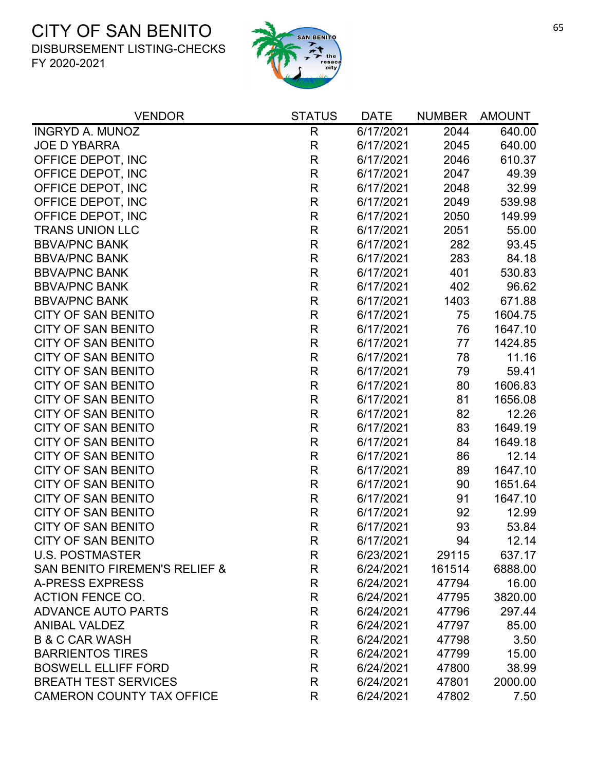

| <b>VENDOR</b>                    | <b>STATUS</b> | <b>DATE</b> | <b>NUMBER</b> | AMOUNT  |
|----------------------------------|---------------|-------------|---------------|---------|
| <b>INGRYD A. MUNOZ</b>           | $\mathsf{R}$  | 6/17/2021   | 2044          | 640.00  |
| <b>JOE D YBARRA</b>              | R             | 6/17/2021   | 2045          | 640.00  |
| OFFICE DEPOT, INC                | $\mathsf R$   | 6/17/2021   | 2046          | 610.37  |
| OFFICE DEPOT, INC                | R             | 6/17/2021   | 2047          | 49.39   |
| OFFICE DEPOT, INC                | $\mathsf R$   | 6/17/2021   | 2048          | 32.99   |
| OFFICE DEPOT, INC                | $\mathsf{R}$  | 6/17/2021   | 2049          | 539.98  |
| OFFICE DEPOT, INC                | $\mathsf{R}$  | 6/17/2021   | 2050          | 149.99  |
| <b>TRANS UNION LLC</b>           | $\mathsf R$   | 6/17/2021   | 2051          | 55.00   |
| <b>BBVA/PNC BANK</b>             | R             | 6/17/2021   | 282           | 93.45   |
| <b>BBVA/PNC BANK</b>             | R             | 6/17/2021   | 283           | 84.18   |
| <b>BBVA/PNC BANK</b>             | $\mathsf R$   | 6/17/2021   | 401           | 530.83  |
| <b>BBVA/PNC BANK</b>             | $\mathsf R$   | 6/17/2021   | 402           | 96.62   |
| <b>BBVA/PNC BANK</b>             | R             | 6/17/2021   | 1403          | 671.88  |
| <b>CITY OF SAN BENITO</b>        | R             | 6/17/2021   | 75            | 1604.75 |
| <b>CITY OF SAN BENITO</b>        | $\mathsf R$   | 6/17/2021   | 76            | 1647.10 |
| <b>CITY OF SAN BENITO</b>        | R             | 6/17/2021   | 77            | 1424.85 |
| <b>CITY OF SAN BENITO</b>        | $\mathsf R$   | 6/17/2021   | 78            | 11.16   |
| <b>CITY OF SAN BENITO</b>        | R             | 6/17/2021   | 79            | 59.41   |
| <b>CITY OF SAN BENITO</b>        | R             | 6/17/2021   | 80            | 1606.83 |
| <b>CITY OF SAN BENITO</b>        | R             | 6/17/2021   | 81            | 1656.08 |
| <b>CITY OF SAN BENITO</b>        | R             | 6/17/2021   | 82            | 12.26   |
| <b>CITY OF SAN BENITO</b>        | $\mathsf R$   | 6/17/2021   | 83            | 1649.19 |
| <b>CITY OF SAN BENITO</b>        | R             | 6/17/2021   | 84            | 1649.18 |
| <b>CITY OF SAN BENITO</b>        | $\mathsf R$   | 6/17/2021   | 86            | 12.14   |
| <b>CITY OF SAN BENITO</b>        | R             | 6/17/2021   | 89            | 1647.10 |
| <b>CITY OF SAN BENITO</b>        | R             | 6/17/2021   | 90            | 1651.64 |
| <b>CITY OF SAN BENITO</b>        | R             | 6/17/2021   | 91            | 1647.10 |
| <b>CITY OF SAN BENITO</b>        | R             | 6/17/2021   | 92            | 12.99   |
| <b>CITY OF SAN BENITO</b>        | $\mathsf R$   | 6/17/2021   | 93            | 53.84   |
| <b>CITY OF SAN BENITO</b>        | R             | 6/17/2021   | 94            | 12.14   |
| <b>U.S. POSTMASTER</b>           | R             | 6/23/2021   | 29115         | 637.17  |
| SAN BENITO FIREMEN'S RELIEF &    | R             | 6/24/2021   | 161514        | 6888.00 |
| <b>A-PRESS EXPRESS</b>           | $\mathsf R$   | 6/24/2021   | 47794         | 16.00   |
| <b>ACTION FENCE CO.</b>          | R             | 6/24/2021   | 47795         | 3820.00 |
| <b>ADVANCE AUTO PARTS</b>        | R             | 6/24/2021   | 47796         | 297.44  |
| <b>ANIBAL VALDEZ</b>             | $\mathsf{R}$  | 6/24/2021   | 47797         | 85.00   |
| <b>B &amp; C CAR WASH</b>        | R             | 6/24/2021   | 47798         | 3.50    |
| <b>BARRIENTOS TIRES</b>          | R             | 6/24/2021   | 47799         | 15.00   |
| <b>BOSWELL ELLIFF FORD</b>       | R             | 6/24/2021   | 47800         | 38.99   |
| <b>BREATH TEST SERVICES</b>      | R             | 6/24/2021   | 47801         | 2000.00 |
| <b>CAMERON COUNTY TAX OFFICE</b> | R             | 6/24/2021   | 47802         | 7.50    |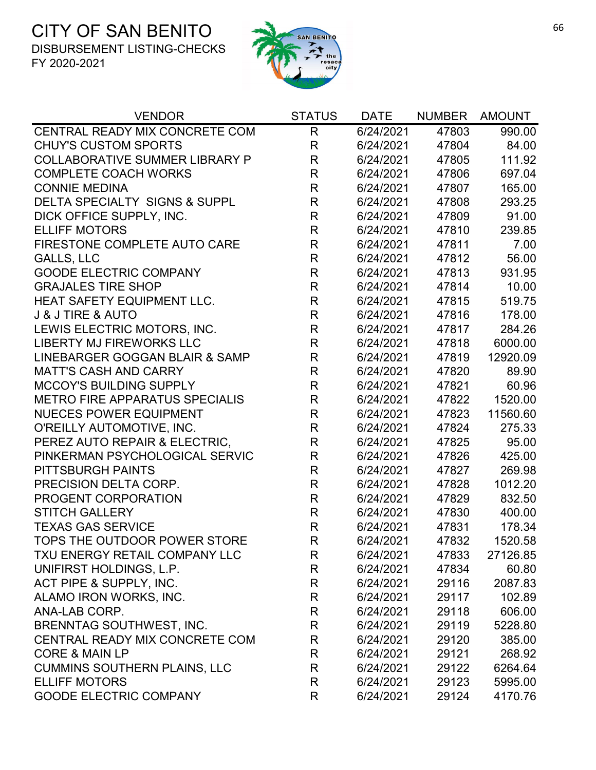

| <b>VENDOR</b>                            | <b>STATUS</b> | <b>DATE</b> | <b>NUMBER</b> | <b>AMOUNT</b> |
|------------------------------------------|---------------|-------------|---------------|---------------|
| CENTRAL READY MIX CONCRETE COM           | $\mathsf{R}$  | 6/24/2021   | 47803         | 990.00        |
| <b>CHUY'S CUSTOM SPORTS</b>              | $\mathsf R$   | 6/24/2021   | 47804         | 84.00         |
| <b>COLLABORATIVE SUMMER LIBRARY P</b>    | $\mathsf{R}$  | 6/24/2021   | 47805         | 111.92        |
| <b>COMPLETE COACH WORKS</b>              | $\mathsf{R}$  | 6/24/2021   | 47806         | 697.04        |
| <b>CONNIE MEDINA</b>                     | R             | 6/24/2021   | 47807         | 165.00        |
| <b>DELTA SPECIALTY SIGNS &amp; SUPPL</b> | $\mathsf R$   | 6/24/2021   | 47808         | 293.25        |
| DICK OFFICE SUPPLY, INC.                 | $\mathsf R$   | 6/24/2021   | 47809         | 91.00         |
| <b>ELLIFF MOTORS</b>                     | $\mathsf R$   | 6/24/2021   | 47810         | 239.85        |
| FIRESTONE COMPLETE AUTO CARE             | $\mathsf R$   | 6/24/2021   | 47811         | 7.00          |
| <b>GALLS, LLC</b>                        | $\mathsf R$   | 6/24/2021   | 47812         | 56.00         |
| <b>GOODE ELECTRIC COMPANY</b>            | $\mathsf{R}$  | 6/24/2021   | 47813         | 931.95        |
| <b>GRAJALES TIRE SHOP</b>                | $\mathsf{R}$  | 6/24/2021   | 47814         | 10.00         |
| HEAT SAFETY EQUIPMENT LLC.               | $\mathsf R$   | 6/24/2021   | 47815         | 519.75        |
| <b>J &amp; J TIRE &amp; AUTO</b>         | $\mathsf R$   | 6/24/2021   | 47816         | 178.00        |
| LEWIS ELECTRIC MOTORS, INC.              | $\mathsf R$   | 6/24/2021   | 47817         | 284.26        |
| <b>LIBERTY MJ FIREWORKS LLC</b>          | $\mathsf{R}$  | 6/24/2021   | 47818         | 6000.00       |
| LINEBARGER GOGGAN BLAIR & SAMP           | $\mathsf R$   | 6/24/2021   | 47819         | 12920.09      |
| <b>MATT'S CASH AND CARRY</b>             | $\mathsf{R}$  | 6/24/2021   | 47820         | 89.90         |
| <b>MCCOY'S BUILDING SUPPLY</b>           | $\mathsf R$   | 6/24/2021   | 47821         | 60.96         |
| <b>METRO FIRE APPARATUS SPECIALIS</b>    | $\mathsf R$   | 6/24/2021   | 47822         | 1520.00       |
| <b>NUECES POWER EQUIPMENT</b>            | $\mathsf R$   | 6/24/2021   | 47823         | 11560.60      |
| O'REILLY AUTOMOTIVE, INC.                | $\mathsf R$   | 6/24/2021   | 47824         | 275.33        |
| PEREZ AUTO REPAIR & ELECTRIC,            | $\mathsf R$   | 6/24/2021   | 47825         | 95.00         |
| PINKERMAN PSYCHOLOGICAL SERVIC           | $\mathsf R$   | 6/24/2021   | 47826         | 425.00        |
| PITTSBURGH PAINTS                        | $\mathsf R$   | 6/24/2021   | 47827         | 269.98        |
| PRECISION DELTA CORP.                    | $\mathsf R$   | 6/24/2021   | 47828         | 1012.20       |
| PROGENT CORPORATION                      | $\mathsf R$   | 6/24/2021   | 47829         | 832.50        |
| <b>STITCH GALLERY</b>                    | $\mathsf{R}$  | 6/24/2021   | 47830         | 400.00        |
| <b>TEXAS GAS SERVICE</b>                 | $\mathsf{R}$  | 6/24/2021   | 47831         | 178.34        |
| TOPS THE OUTDOOR POWER STORE             | R             | 6/24/2021   | 47832         | 1520.58       |
| TXU ENERGY RETAIL COMPANY LLC            | R             | 6/24/2021   | 47833         | 27126.85      |
| UNIFIRST HOLDINGS, L.P.                  | R             | 6/24/2021   | 47834         | 60.80         |
| ACT PIPE & SUPPLY, INC.                  | R             | 6/24/2021   | 29116         | 2087.83       |
| ALAMO IRON WORKS, INC.                   | R             | 6/24/2021   | 29117         | 102.89        |
| ANA-LAB CORP.                            | R             | 6/24/2021   | 29118         | 606.00        |
| <b>BRENNTAG SOUTHWEST, INC.</b>          | R             | 6/24/2021   | 29119         | 5228.80       |
| CENTRAL READY MIX CONCRETE COM           | R             | 6/24/2021   | 29120         | 385.00        |
| <b>CORE &amp; MAIN LP</b>                | R             | 6/24/2021   | 29121         | 268.92        |
| <b>CUMMINS SOUTHERN PLAINS, LLC</b>      | R             | 6/24/2021   | 29122         | 6264.64       |
| <b>ELLIFF MOTORS</b>                     | R             | 6/24/2021   | 29123         | 5995.00       |
| <b>GOODE ELECTRIC COMPANY</b>            | R             | 6/24/2021   | 29124         | 4170.76       |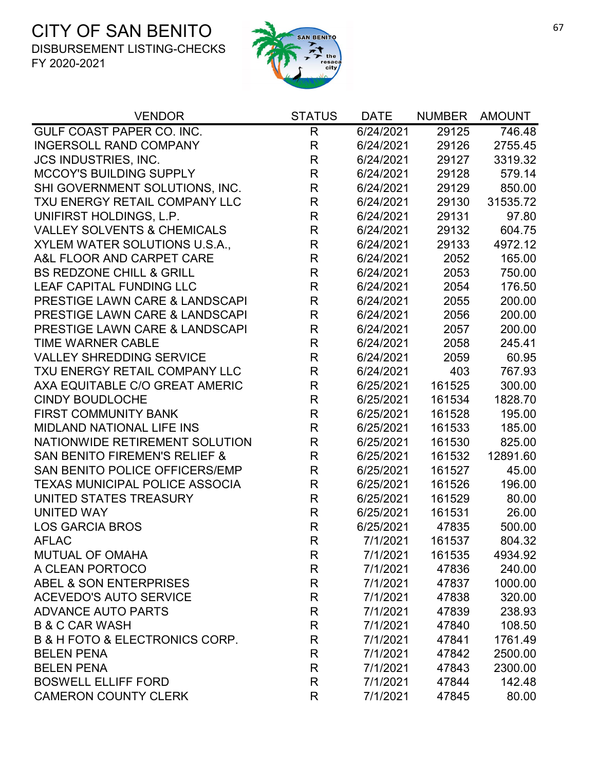

| <b>VENDOR</b>                                 | <b>STATUS</b> | <b>DATE</b> | <b>NUMBER</b> | <b>AMOUNT</b> |
|-----------------------------------------------|---------------|-------------|---------------|---------------|
| GULF COAST PAPER CO. INC.                     | $\mathsf{R}$  | 6/24/2021   | 29125         | 746.48        |
| <b>INGERSOLL RAND COMPANY</b>                 | $\mathsf R$   | 6/24/2021   | 29126         | 2755.45       |
| <b>JCS INDUSTRIES, INC.</b>                   | R             | 6/24/2021   | 29127         | 3319.32       |
| <b>MCCOY'S BUILDING SUPPLY</b>                | R             | 6/24/2021   | 29128         | 579.14        |
| SHI GOVERNMENT SOLUTIONS, INC.                | R             | 6/24/2021   | 29129         | 850.00        |
| TXU ENERGY RETAIL COMPANY LLC                 | R             | 6/24/2021   | 29130         | 31535.72      |
| UNIFIRST HOLDINGS, L.P.                       | $\mathsf R$   | 6/24/2021   | 29131         | 97.80         |
| <b>VALLEY SOLVENTS &amp; CHEMICALS</b>        | $\mathsf{R}$  | 6/24/2021   | 29132         | 604.75        |
| XYLEM WATER SOLUTIONS U.S.A.,                 | R             | 6/24/2021   | 29133         | 4972.12       |
| A&L FLOOR AND CARPET CARE                     | $\mathsf{R}$  | 6/24/2021   | 2052          | 165.00        |
| <b>BS REDZONE CHILL &amp; GRILL</b>           | $\mathsf{R}$  | 6/24/2021   | 2053          | 750.00        |
| LEAF CAPITAL FUNDING LLC                      | $\mathsf R$   | 6/24/2021   | 2054          | 176.50        |
| PRESTIGE LAWN CARE & LANDSCAPI                | R             | 6/24/2021   | 2055          | 200.00        |
| PRESTIGE LAWN CARE & LANDSCAPI                | R             | 6/24/2021   | 2056          | 200.00        |
| PRESTIGE LAWN CARE & LANDSCAPI                | R             | 6/24/2021   | 2057          | 200.00        |
| <b>TIME WARNER CABLE</b>                      | $\mathsf{R}$  | 6/24/2021   | 2058          | 245.41        |
| <b>VALLEY SHREDDING SERVICE</b>               | $\mathsf R$   | 6/24/2021   | 2059          | 60.95         |
| TXU ENERGY RETAIL COMPANY LLC                 | R             | 6/24/2021   | 403           | 767.93        |
| AXA EQUITABLE C/O GREAT AMERIC                | R             | 6/25/2021   | 161525        | 300.00        |
| <b>CINDY BOUDLOCHE</b>                        | R             | 6/25/2021   | 161534        | 1828.70       |
| <b>FIRST COMMUNITY BANK</b>                   | $\mathsf R$   | 6/25/2021   | 161528        | 195.00        |
| <b>MIDLAND NATIONAL LIFE INS</b>              | R             | 6/25/2021   | 161533        | 185.00        |
| NATIONWIDE RETIREMENT SOLUTION                | R             | 6/25/2021   | 161530        | 825.00        |
| <b>SAN BENITO FIREMEN'S RELIEF &amp;</b>      | $\mathsf R$   | 6/25/2021   | 161532        | 12891.60      |
| SAN BENITO POLICE OFFICERS/EMP                | $\mathsf R$   | 6/25/2021   | 161527        | 45.00         |
| <b>TEXAS MUNICIPAL POLICE ASSOCIA</b>         | $\mathsf R$   | 6/25/2021   | 161526        | 196.00        |
| UNITED STATES TREASURY                        | R             | 6/25/2021   | 161529        | 80.00         |
| <b>UNITED WAY</b>                             | R             | 6/25/2021   | 161531        | 26.00         |
| <b>LOS GARCIA BROS</b>                        | R             | 6/25/2021   | 47835         | 500.00        |
| <b>AFLAC</b>                                  | R             | 7/1/2021    | 161537        | 804.32        |
| MUTUAL OF OMAHA                               | R             | 7/1/2021    | 161535        | 4934.92       |
| A CLEAN PORTOCO                               | R             | 7/1/2021    | 47836         | 240.00        |
| ABEL & SON ENTERPRISES                        | R             | 7/1/2021    | 47837         | 1000.00       |
| <b>ACEVEDO'S AUTO SERVICE</b>                 | R             | 7/1/2021    | 47838         | 320.00        |
| <b>ADVANCE AUTO PARTS</b>                     | R             | 7/1/2021    | 47839         | 238.93        |
| <b>B &amp; C CAR WASH</b>                     | R             | 7/1/2021    | 47840         | 108.50        |
| <b>B &amp; H FOTO &amp; ELECTRONICS CORP.</b> | R             | 7/1/2021    | 47841         | 1761.49       |
| <b>BELEN PENA</b>                             | R             | 7/1/2021    | 47842         | 2500.00       |
| <b>BELEN PENA</b>                             | R             | 7/1/2021    | 47843         | 2300.00       |
| <b>BOSWELL ELLIFF FORD</b>                    | R             | 7/1/2021    | 47844         | 142.48        |
| <b>CAMERON COUNTY CLERK</b>                   | R             | 7/1/2021    | 47845         | 80.00         |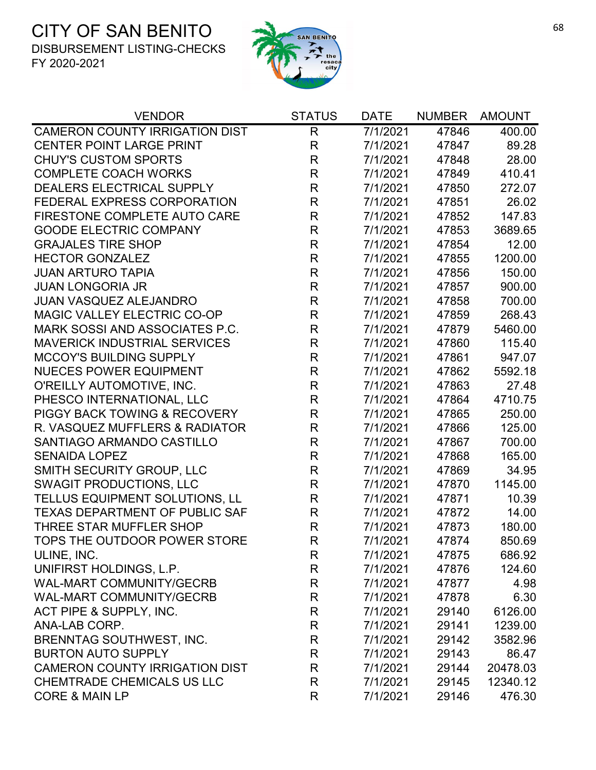

| <b>VENDOR</b>                           | <b>STATUS</b> | <b>DATE</b> | <b>NUMBER</b> | <b>AMOUNT</b> |
|-----------------------------------------|---------------|-------------|---------------|---------------|
| <b>CAMERON COUNTY IRRIGATION DIST</b>   | R             | 7/1/2021    | 47846         | 400.00        |
| <b>CENTER POINT LARGE PRINT</b>         | $\mathsf{R}$  | 7/1/2021    | 47847         | 89.28         |
| <b>CHUY'S CUSTOM SPORTS</b>             | $\mathsf{R}$  | 7/1/2021    | 47848         | 28.00         |
| <b>COMPLETE COACH WORKS</b>             | R             | 7/1/2021    | 47849         | 410.41        |
| DEALERS ELECTRICAL SUPPLY               | $\mathsf{R}$  | 7/1/2021    | 47850         | 272.07        |
| FEDERAL EXPRESS CORPORATION             | $\mathsf{R}$  | 7/1/2021    | 47851         | 26.02         |
| FIRESTONE COMPLETE AUTO CARE            | $\mathsf{R}$  | 7/1/2021    | 47852         | 147.83        |
| <b>GOODE ELECTRIC COMPANY</b>           | $\mathsf{R}$  | 7/1/2021    | 47853         | 3689.65       |
| <b>GRAJALES TIRE SHOP</b>               | $\mathsf{R}$  | 7/1/2021    | 47854         | 12.00         |
| <b>HECTOR GONZALEZ</b>                  | R             | 7/1/2021    | 47855         | 1200.00       |
| <b>JUAN ARTURO TAPIA</b>                | $\mathsf{R}$  | 7/1/2021    | 47856         | 150.00        |
| <b>JUAN LONGORIA JR</b>                 | $\mathsf{R}$  | 7/1/2021    | 47857         | 900.00        |
| <b>JUAN VASQUEZ ALEJANDRO</b>           | R             | 7/1/2021    | 47858         | 700.00        |
| MAGIC VALLEY ELECTRIC CO-OP             | $\mathsf{R}$  | 7/1/2021    | 47859         | 268.43        |
| <b>MARK SOSSI AND ASSOCIATES P.C.</b>   | $\mathsf{R}$  | 7/1/2021    | 47879         | 5460.00       |
| <b>MAVERICK INDUSTRIAL SERVICES</b>     | $\mathsf{R}$  | 7/1/2021    | 47860         | 115.40        |
| <b>MCCOY'S BUILDING SUPPLY</b>          | $\mathsf{R}$  | 7/1/2021    | 47861         | 947.07        |
| <b>NUECES POWER EQUIPMENT</b>           | $\mathsf{R}$  | 7/1/2021    | 47862         | 5592.18       |
| O'REILLY AUTOMOTIVE, INC.               | R             | 7/1/2021    | 47863         | 27.48         |
| PHESCO INTERNATIONAL, LLC               | $\mathsf{R}$  | 7/1/2021    | 47864         | 4710.75       |
| <b>PIGGY BACK TOWING &amp; RECOVERY</b> | $\mathsf{R}$  | 7/1/2021    | 47865         | 250.00        |
| R. VASQUEZ MUFFLERS & RADIATOR          | $\mathsf{R}$  | 7/1/2021    | 47866         | 125.00        |
| SANTIAGO ARMANDO CASTILLO               | R             | 7/1/2021    | 47867         | 700.00        |
| <b>SENAIDA LOPEZ</b>                    | $\mathsf{R}$  | 7/1/2021    | 47868         | 165.00        |
| <b>SMITH SECURITY GROUP, LLC</b>        | R             | 7/1/2021    | 47869         | 34.95         |
| <b>SWAGIT PRODUCTIONS, LLC</b>          | $\mathsf{R}$  | 7/1/2021    | 47870         | 1145.00       |
| TELLUS EQUIPMENT SOLUTIONS, LL          | $\mathsf{R}$  | 7/1/2021    | 47871         | 10.39         |
| <b>TEXAS DEPARTMENT OF PUBLIC SAF</b>   | $\mathsf{R}$  | 7/1/2021    | 47872         | 14.00         |
| THREE STAR MUFFLER SHOP                 | $\mathsf{R}$  | 7/1/2021    | 47873         | 180.00        |
| TOPS THE OUTDOOR POWER STORE            | R             | 7/1/2021    | 47874         | 850.69        |
| ULINE, INC.                             | R             | 7/1/2021    | 47875         | 686.92        |
| UNIFIRST HOLDINGS, L.P.                 | $\mathsf{R}$  | 7/1/2021    | 47876         | 124.60        |
| <b>WAL-MART COMMUNITY/GECRB</b>         | $\mathsf{R}$  | 7/1/2021    | 47877         | 4.98          |
| <b>WAL-MART COMMUNITY/GECRB</b>         | R             | 7/1/2021    | 47878         | 6.30          |
| ACT PIPE & SUPPLY, INC.                 | R             | 7/1/2021    | 29140         | 6126.00       |
| ANA-LAB CORP.                           | R             | 7/1/2021    | 29141         | 1239.00       |
| BRENNTAG SOUTHWEST, INC.                | R             | 7/1/2021    | 29142         | 3582.96       |
| <b>BURTON AUTO SUPPLY</b>               | R             | 7/1/2021    | 29143         | 86.47         |
| <b>CAMERON COUNTY IRRIGATION DIST</b>   | $\mathsf{R}$  | 7/1/2021    | 29144         | 20478.03      |
| CHEMTRADE CHEMICALS US LLC              | R             | 7/1/2021    | 29145         | 12340.12      |
| <b>CORE &amp; MAIN LP</b>               | R             | 7/1/2021    | 29146         | 476.30        |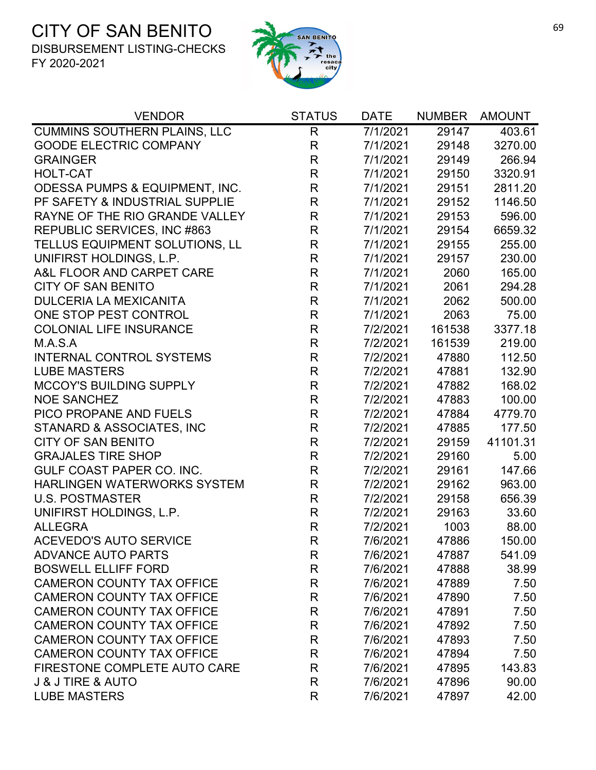

| <b>VENDOR</b><br><b>STATUS</b>                            | <b>DATE</b> | <b>NUMBER</b> | <b>AMOUNT</b> |
|-----------------------------------------------------------|-------------|---------------|---------------|
| <b>CUMMINS SOUTHERN PLAINS, LLC</b><br>R                  | 7/1/2021    | 29147         | 403.61        |
| <b>GOODE ELECTRIC COMPANY</b><br>$\mathsf{R}$             | 7/1/2021    | 29148         | 3270.00       |
| $\mathsf{R}$<br><b>GRAINGER</b>                           | 7/1/2021    | 29149         | 266.94        |
| $\mathsf{R}$<br><b>HOLT-CAT</b>                           | 7/1/2021    | 29150         | 3320.91       |
| $\mathsf{R}$<br><b>ODESSA PUMPS &amp; EQUIPMENT, INC.</b> | 7/1/2021    | 29151         | 2811.20       |
| $\mathsf{R}$<br>PF SAFETY & INDUSTRIAL SUPPLIE            | 7/1/2021    | 29152         | 1146.50       |
| $\mathsf{R}$<br>RAYNE OF THE RIO GRANDE VALLEY            | 7/1/2021    | 29153         | 596.00        |
| $\mathsf{R}$<br>REPUBLIC SERVICES, INC #863               | 7/1/2021    | 29154         | 6659.32       |
| $\mathsf{R}$<br>TELLUS EQUIPMENT SOLUTIONS, LL            | 7/1/2021    | 29155         | 255.00        |
| UNIFIRST HOLDINGS, L.P.<br>$\mathsf{R}$                   | 7/1/2021    | 29157         | 230.00        |
| $\mathsf{R}$<br>A&L FLOOR AND CARPET CARE                 | 7/1/2021    | 2060          | 165.00        |
| $\mathsf{R}$<br><b>CITY OF SAN BENITO</b>                 | 7/1/2021    | 2061          | 294.28        |
| $\mathsf{R}$<br><b>DULCERIA LA MEXICANITA</b>             | 7/1/2021    | 2062          | 500.00        |
| ONE STOP PEST CONTROL<br>$\mathsf{R}$                     | 7/1/2021    | 2063          | 75.00         |
| $\mathsf{R}$<br><b>COLONIAL LIFE INSURANCE</b>            | 7/2/2021    | 161538        | 3377.18       |
| $\mathsf{R}$<br>M.A.S.A                                   | 7/2/2021    | 161539        | 219.00        |
| $\mathsf{R}$<br><b>INTERNAL CONTROL SYSTEMS</b>           | 7/2/2021    | 47880         | 112.50        |
| $\mathsf{R}$<br><b>LUBE MASTERS</b>                       | 7/2/2021    | 47881         | 132.90        |
| $\mathsf{R}$<br><b>MCCOY'S BUILDING SUPPLY</b>            | 7/2/2021    | 47882         | 168.02        |
| <b>NOE SANCHEZ</b><br>$\mathsf{R}$                        | 7/2/2021    | 47883         | 100.00        |
| $\mathsf{R}$<br>PICO PROPANE AND FUELS                    | 7/2/2021    | 47884         | 4779.70       |
| STANARD & ASSOCIATES, INC<br>$\mathsf{R}$                 | 7/2/2021    | 47885         | 177.50        |
| $\mathsf{R}$<br><b>CITY OF SAN BENITO</b>                 | 7/2/2021    | 29159         | 41101.31      |
| $\mathsf{R}$<br><b>GRAJALES TIRE SHOP</b>                 | 7/2/2021    | 29160         | 5.00          |
| $\mathsf{R}$<br>GULF COAST PAPER CO. INC.                 | 7/2/2021    | 29161         | 147.66        |
| $\mathsf{R}$<br><b>HARLINGEN WATERWORKS SYSTEM</b>        | 7/2/2021    | 29162         | 963.00        |
| $\mathsf{R}$<br><b>U.S. POSTMASTER</b>                    | 7/2/2021    | 29158         | 656.39        |
| $\mathsf{R}$<br>UNIFIRST HOLDINGS, L.P.                   | 7/2/2021    | 29163         | 33.60         |
| $\mathsf{R}$<br><b>ALLEGRA</b>                            | 7/2/2021    | 1003          | 88.00         |
| $\mathsf{R}$<br><b>ACEVEDO'S AUTO SERVICE</b>             | 7/6/2021    | 47886         | 150.00        |
| <b>ADVANCE AUTO PARTS</b><br>R                            | 7/6/2021    | 47887         | 541.09        |
| <b>BOSWELL ELLIFF FORD</b><br>R                           | 7/6/2021    | 47888         | 38.99         |
| <b>CAMERON COUNTY TAX OFFICE</b><br>R                     | 7/6/2021    | 47889         | 7.50          |
| <b>CAMERON COUNTY TAX OFFICE</b><br>R                     | 7/6/2021    | 47890         | 7.50          |
| <b>CAMERON COUNTY TAX OFFICE</b><br>R                     | 7/6/2021    | 47891         | 7.50          |
| <b>CAMERON COUNTY TAX OFFICE</b><br>R                     | 7/6/2021    | 47892         | 7.50          |
| <b>CAMERON COUNTY TAX OFFICE</b><br>$\mathsf R$           | 7/6/2021    | 47893         | 7.50          |
| <b>CAMERON COUNTY TAX OFFICE</b><br>R                     | 7/6/2021    | 47894         | 7.50          |
| FIRESTONE COMPLETE AUTO CARE<br>R                         | 7/6/2021    | 47895         | 143.83        |
| <b>J &amp; J TIRE &amp; AUTO</b><br>R                     | 7/6/2021    | 47896         | 90.00         |
| <b>LUBE MASTERS</b><br>R                                  | 7/6/2021    | 47897         | 42.00         |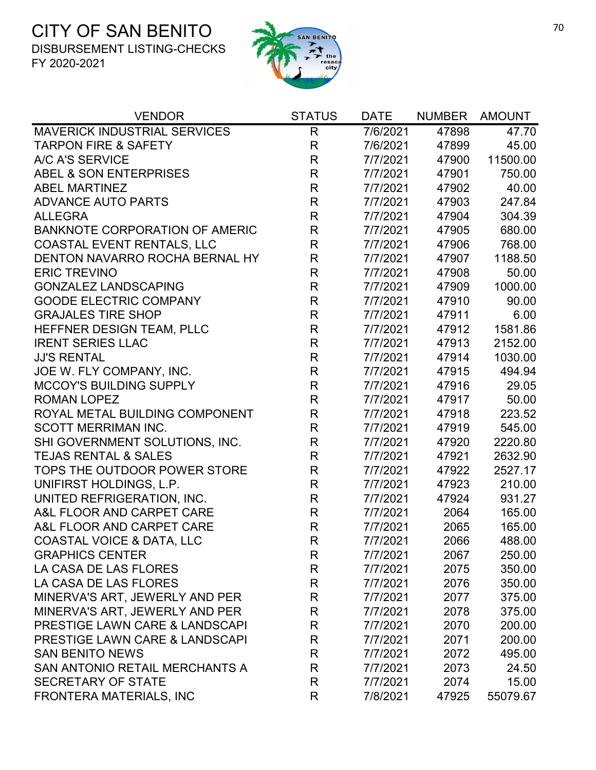

| <b>VENDOR</b>                             | <b>STATUS</b> | <b>DATE</b> | <b>NUMBER</b> | <b>AMOUNT</b> |
|-------------------------------------------|---------------|-------------|---------------|---------------|
| <b>MAVERICK INDUSTRIAL SERVICES</b>       | R             | 7/6/2021    | 47898         | 47.70         |
| <b>TARPON FIRE &amp; SAFETY</b>           | $\mathsf R$   | 7/6/2021    | 47899         | 45.00         |
| A/C A'S SERVICE                           | $\mathsf R$   | 7/7/2021    | 47900         | 11500.00      |
| <b>ABEL &amp; SON ENTERPRISES</b>         | $\mathsf{R}$  | 7/7/2021    | 47901         | 750.00        |
| <b>ABEL MARTINEZ</b>                      | $\mathsf R$   | 7/7/2021    | 47902         | 40.00         |
| <b>ADVANCE AUTO PARTS</b>                 | $\mathsf R$   | 7/7/2021    | 47903         | 247.84        |
| <b>ALLEGRA</b>                            | $\mathsf{R}$  | 7/7/2021    | 47904         | 304.39        |
| <b>BANKNOTE CORPORATION OF AMERIC</b>     | $\mathsf R$   | 7/7/2021    | 47905         | 680.00        |
| <b>COASTAL EVENT RENTALS, LLC</b>         | R             | 7/7/2021    | 47906         | 768.00        |
| DENTON NAVARRO ROCHA BERNAL HY            | R             | 7/7/2021    | 47907         | 1188.50       |
| <b>ERIC TREVINO</b>                       | R             | 7/7/2021    | 47908         | 50.00         |
| <b>GONZALEZ LANDSCAPING</b>               | $\mathsf R$   | 7/7/2021    | 47909         | 1000.00       |
| <b>GOODE ELECTRIC COMPANY</b>             | $\mathsf R$   | 7/7/2021    | 47910         | 90.00         |
| <b>GRAJALES TIRE SHOP</b>                 | $\mathsf{R}$  | 7/7/2021    | 47911         | 6.00          |
| HEFFNER DESIGN TEAM, PLLC                 | R             | 7/7/2021    | 47912         | 1581.86       |
| <b>IRENT SERIES LLAC</b>                  | R             | 7/7/2021    | 47913         | 2152.00       |
| <b>JJ'S RENTAL</b>                        | $\mathsf R$   | 7/7/2021    | 47914         | 1030.00       |
| JOE W. FLY COMPANY, INC.                  | $\mathsf R$   | 7/7/2021    | 47915         | 494.94        |
| <b>MCCOY'S BUILDING SUPPLY</b>            | $\mathsf R$   | 7/7/2021    | 47916         | 29.05         |
| <b>ROMAN LOPEZ</b>                        | $\mathsf R$   | 7/7/2021    | 47917         | 50.00         |
| ROYAL METAL BUILDING COMPONENT            | $\mathsf{R}$  | 7/7/2021    | 47918         | 223.52        |
| <b>SCOTT MERRIMAN INC.</b>                | $\mathsf R$   | 7/7/2021    | 47919         | 545.00        |
| SHI GOVERNMENT SOLUTIONS, INC.            | $\mathsf R$   | 7/7/2021    | 47920         | 2220.80       |
| <b>TEJAS RENTAL &amp; SALES</b>           | $\mathsf R$   | 7/7/2021    | 47921         | 2632.90       |
| TOPS THE OUTDOOR POWER STORE              | $\mathsf R$   | 7/7/2021    | 47922         | 2527.17       |
| UNIFIRST HOLDINGS, L.P.                   | $\mathsf R$   | 7/7/2021    | 47923         | 210.00        |
| UNITED REFRIGERATION, INC.                | $\mathsf R$   | 7/7/2021    | 47924         | 931.27        |
| A&L FLOOR AND CARPET CARE                 | $\mathsf R$   | 7/7/2021    | 2064          | 165.00        |
| A&L FLOOR AND CARPET CARE                 | $\mathsf R$   | 7/7/2021    | 2065          | 165.00        |
| <b>COASTAL VOICE &amp; DATA, LLC</b>      | R             | 7/7/2021    | 2066          | 488.00        |
| <b>GRAPHICS CENTER</b>                    | R             | 7/7/2021    | 2067          | 250.00        |
| LA CASA DE LAS FLORES                     | R             | 7/7/2021    | 2075          | 350.00        |
| LA CASA DE LAS FLORES                     | R             | 7/7/2021    | 2076          | 350.00        |
| MINERVA'S ART, JEWERLY AND PER            | R             | 7/7/2021    | 2077          | 375.00        |
| MINERVA'S ART, JEWERLY AND PER            | R             | 7/7/2021    | 2078          | 375.00        |
| <b>PRESTIGE LAWN CARE &amp; LANDSCAPI</b> | R             | 7/7/2021    | 2070          | 200.00        |
| <b>PRESTIGE LAWN CARE &amp; LANDSCAPI</b> | R             | 7/7/2021    | 2071          | 200.00        |
| <b>SAN BENITO NEWS</b>                    | R             | 7/7/2021    | 2072          | 495.00        |
| SAN ANTONIO RETAIL MERCHANTS A            | R             | 7/7/2021    | 2073          | 24.50         |
| <b>SECRETARY OF STATE</b>                 | R             | 7/7/2021    | 2074          | 15.00         |
| <b>FRONTERA MATERIALS, INC</b>            | R             | 7/8/2021    | 47925         | 55079.67      |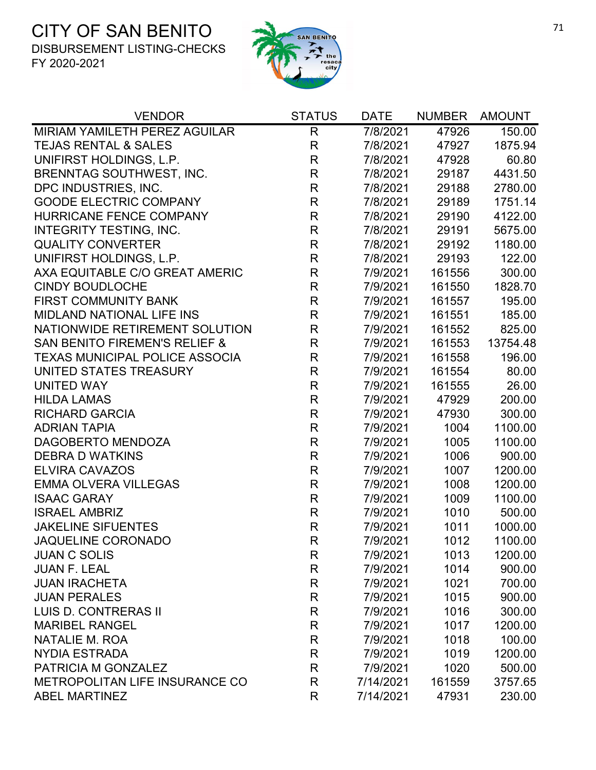

| <b>VENDOR</b>                            | <b>STATUS</b> | <b>DATE</b> | <b>NUMBER</b> | <b>AMOUNT</b> |
|------------------------------------------|---------------|-------------|---------------|---------------|
| MIRIAM YAMILETH PEREZ AGUILAR            | $\mathsf{R}$  | 7/8/2021    | 47926         | 150.00        |
| <b>TEJAS RENTAL &amp; SALES</b>          | $\mathsf{R}$  | 7/8/2021    | 47927         | 1875.94       |
| UNIFIRST HOLDINGS, L.P.                  | $\mathsf R$   | 7/8/2021    | 47928         | 60.80         |
| <b>BRENNTAG SOUTHWEST, INC.</b>          | $\mathsf{R}$  | 7/8/2021    | 29187         | 4431.50       |
| DPC INDUSTRIES, INC.                     | $\mathsf{R}$  | 7/8/2021    | 29188         | 2780.00       |
| <b>GOODE ELECTRIC COMPANY</b>            | $\mathsf{R}$  | 7/8/2021    | 29189         | 1751.14       |
| HURRICANE FENCE COMPANY                  | $\mathsf{R}$  | 7/8/2021    | 29190         | 4122.00       |
| <b>INTEGRITY TESTING, INC.</b>           | $\mathsf{R}$  | 7/8/2021    | 29191         | 5675.00       |
| <b>QUALITY CONVERTER</b>                 | $\mathsf{R}$  | 7/8/2021    | 29192         | 1180.00       |
| UNIFIRST HOLDINGS, L.P.                  | $\mathsf{R}$  | 7/8/2021    | 29193         | 122.00        |
| AXA EQUITABLE C/O GREAT AMERIC           | $\mathsf R$   | 7/9/2021    | 161556        | 300.00        |
| <b>CINDY BOUDLOCHE</b>                   | $\mathsf R$   | 7/9/2021    | 161550        | 1828.70       |
| <b>FIRST COMMUNITY BANK</b>              | R             | 7/9/2021    | 161557        | 195.00        |
| <b>MIDLAND NATIONAL LIFE INS</b>         | $\mathsf{R}$  | 7/9/2021    | 161551        | 185.00        |
| NATIONWIDE RETIREMENT SOLUTION           | $\mathsf{R}$  | 7/9/2021    | 161552        | 825.00        |
| <b>SAN BENITO FIREMEN'S RELIEF &amp;</b> | $\mathsf{R}$  | 7/9/2021    | 161553        | 13754.48      |
| <b>TEXAS MUNICIPAL POLICE ASSOCIA</b>    | $\mathsf R$   | 7/9/2021    | 161558        | 196.00        |
| UNITED STATES TREASURY                   | $\mathsf R$   | 7/9/2021    | 161554        | 80.00         |
| <b>UNITED WAY</b>                        | $\mathsf{R}$  | 7/9/2021    | 161555        | 26.00         |
| <b>HILDA LAMAS</b>                       | $\mathsf{R}$  | 7/9/2021    | 47929         | 200.00        |
| <b>RICHARD GARCIA</b>                    | $\mathsf{R}$  | 7/9/2021    | 47930         | 300.00        |
| <b>ADRIAN TAPIA</b>                      | $\mathsf{R}$  | 7/9/2021    | 1004          | 1100.00       |
| DAGOBERTO MENDOZA                        | $\mathsf{R}$  | 7/9/2021    | 1005          | 1100.00       |
| <b>DEBRA D WATKINS</b>                   | $\mathsf{R}$  | 7/9/2021    | 1006          | 900.00        |
| <b>ELVIRA CAVAZOS</b>                    | $\mathsf R$   | 7/9/2021    | 1007          | 1200.00       |
| <b>EMMA OLVERA VILLEGAS</b>              | $\mathsf{R}$  | 7/9/2021    | 1008          | 1200.00       |
| <b>ISAAC GARAY</b>                       | $\mathsf{R}$  | 7/9/2021    | 1009          | 1100.00       |
| <b>ISRAEL AMBRIZ</b>                     | $\mathsf{R}$  | 7/9/2021    | 1010          | 500.00        |
| <b>JAKELINE SIFUENTES</b>                | $\mathsf{R}$  | 7/9/2021    | 1011          | 1000.00       |
| <b>JAQUELINE CORONADO</b>                | R             | 7/9/2021    | 1012          | 1100.00       |
| <b>JUAN C SOLIS</b>                      | R             | 7/9/2021    | 1013          | 1200.00       |
| <b>JUAN F. LEAL</b>                      | R             | 7/9/2021    | 1014          | 900.00        |
| <b>JUAN IRACHETA</b>                     | $\mathsf{R}$  | 7/9/2021    | 1021          | 700.00        |
| <b>JUAN PERALES</b>                      | R             | 7/9/2021    | 1015          | 900.00        |
| <b>LUIS D. CONTRERAS II</b>              | $\mathsf{R}$  | 7/9/2021    | 1016          | 300.00        |
| <b>MARIBEL RANGEL</b>                    | $\mathsf{R}$  | 7/9/2021    | 1017          | 1200.00       |
| <b>NATALIE M. ROA</b>                    | $\mathsf{R}$  | 7/9/2021    | 1018          | 100.00        |
| <b>NYDIA ESTRADA</b>                     | $\mathsf{R}$  | 7/9/2021    | 1019          | 1200.00       |
| PATRICIA M GONZALEZ                      | R             | 7/9/2021    | 1020          | 500.00        |
| METROPOLITAN LIFE INSURANCE CO           | R             | 7/14/2021   | 161559        | 3757.65       |
| <b>ABEL MARTINEZ</b>                     | R             | 7/14/2021   | 47931         | 230.00        |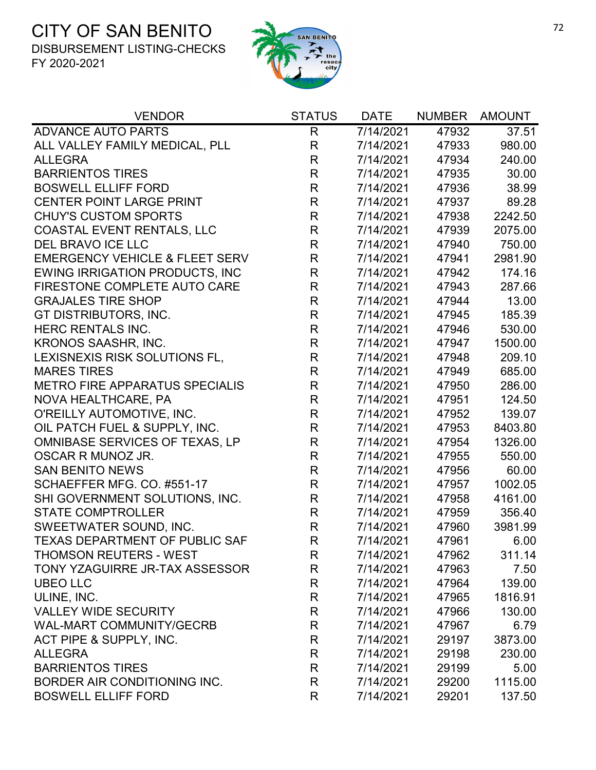

| <b>VENDOR</b>                             | <b>STATUS</b> | <b>DATE</b> | <b>NUMBER</b> | <b>AMOUNT</b> |
|-------------------------------------------|---------------|-------------|---------------|---------------|
| <b>ADVANCE AUTO PARTS</b>                 | $\mathsf{R}$  | 7/14/2021   | 47932         | 37.51         |
| ALL VALLEY FAMILY MEDICAL, PLL            | R             | 7/14/2021   | 47933         | 980.00        |
| <b>ALLEGRA</b>                            | R             | 7/14/2021   | 47934         | 240.00        |
| <b>BARRIENTOS TIRES</b>                   | $\mathsf{R}$  | 7/14/2021   | 47935         | 30.00         |
| <b>BOSWELL ELLIFF FORD</b>                | $\mathsf{R}$  | 7/14/2021   | 47936         | 38.99         |
| <b>CENTER POINT LARGE PRINT</b>           | $\mathsf{R}$  | 7/14/2021   | 47937         | 89.28         |
| <b>CHUY'S CUSTOM SPORTS</b>               | $\mathsf{R}$  | 7/14/2021   | 47938         | 2242.50       |
| <b>COASTAL EVENT RENTALS, LLC</b>         | R             | 7/14/2021   | 47939         | 2075.00       |
| DEL BRAVO ICE LLC                         | $\mathsf{R}$  | 7/14/2021   | 47940         | 750.00        |
| <b>EMERGENCY VEHICLE &amp; FLEET SERV</b> | R             | 7/14/2021   | 47941         | 2981.90       |
| <b>EWING IRRIGATION PRODUCTS, INC</b>     | $\mathsf{R}$  | 7/14/2021   | 47942         | 174.16        |
| FIRESTONE COMPLETE AUTO CARE              | $\mathsf{R}$  | 7/14/2021   | 47943         | 287.66        |
| <b>GRAJALES TIRE SHOP</b>                 | R             | 7/14/2021   | 47944         | 13.00         |
| GT DISTRIBUTORS, INC.                     | $\mathsf{R}$  | 7/14/2021   | 47945         | 185.39        |
| HERC RENTALS INC.                         | R             | 7/14/2021   | 47946         | 530.00        |
| KRONOS SAASHR, INC.                       | $\mathsf{R}$  | 7/14/2021   | 47947         | 1500.00       |
| LEXISNEXIS RISK SOLUTIONS FL,             | $\mathsf{R}$  | 7/14/2021   | 47948         | 209.10        |
| <b>MARES TIRES</b>                        | $\mathsf{R}$  | 7/14/2021   | 47949         | 685.00        |
| <b>METRO FIRE APPARATUS SPECIALIS</b>     | $\mathsf{R}$  | 7/14/2021   | 47950         | 286.00        |
| NOVA HEALTHCARE, PA                       | $\mathsf{R}$  | 7/14/2021   | 47951         | 124.50        |
| O'REILLY AUTOMOTIVE, INC.                 | $\mathsf{R}$  | 7/14/2021   | 47952         | 139.07        |
| OIL PATCH FUEL & SUPPLY, INC.             | $\mathsf{R}$  | 7/14/2021   | 47953         | 8403.80       |
| OMNIBASE SERVICES OF TEXAS, LP            | R             | 7/14/2021   | 47954         | 1326.00       |
| OSCAR R MUNOZ JR.                         | $\mathsf{R}$  | 7/14/2021   | 47955         | 550.00        |
| <b>SAN BENITO NEWS</b>                    | $\mathsf{R}$  | 7/14/2021   | 47956         | 60.00         |
| SCHAEFFER MFG. CO. #551-17                | $\mathsf{R}$  | 7/14/2021   | 47957         | 1002.05       |
| SHI GOVERNMENT SOLUTIONS, INC.            | R             | 7/14/2021   | 47958         | 4161.00       |
| <b>STATE COMPTROLLER</b>                  | $\mathsf{R}$  | 7/14/2021   | 47959         | 356.40        |
| SWEETWATER SOUND, INC.                    | $\mathsf{R}$  | 7/14/2021   | 47960         | 3981.99       |
| <b>TEXAS DEPARTMENT OF PUBLIC SAF</b>     | R             | 7/14/2021   | 47961         | 6.00          |
| <b>THOMSON REUTERS - WEST</b>             | R             | 7/14/2021   | 47962         | 311.14        |
| TONY YZAGUIRRE JR-TAX ASSESSOR            | R             | 7/14/2021   | 47963         | 7.50          |
| <b>UBEO LLC</b>                           | $\mathsf{R}$  | 7/14/2021   | 47964         | 139.00        |
| ULINE, INC.                               | R             | 7/14/2021   | 47965         | 1816.91       |
| <b>VALLEY WIDE SECURITY</b>               | R             | 7/14/2021   | 47966         | 130.00        |
| <b>WAL-MART COMMUNITY/GECRB</b>           | R             | 7/14/2021   | 47967         | 6.79          |
| ACT PIPE & SUPPLY, INC.                   | $\mathsf{R}$  | 7/14/2021   | 29197         | 3873.00       |
| <b>ALLEGRA</b>                            | R             | 7/14/2021   | 29198         | 230.00        |
| <b>BARRIENTOS TIRES</b>                   | R             | 7/14/2021   | 29199         | 5.00          |
| BORDER AIR CONDITIONING INC.              | R             | 7/14/2021   | 29200         | 1115.00       |
| <b>BOSWELL ELLIFF FORD</b>                | R             | 7/14/2021   | 29201         | 137.50        |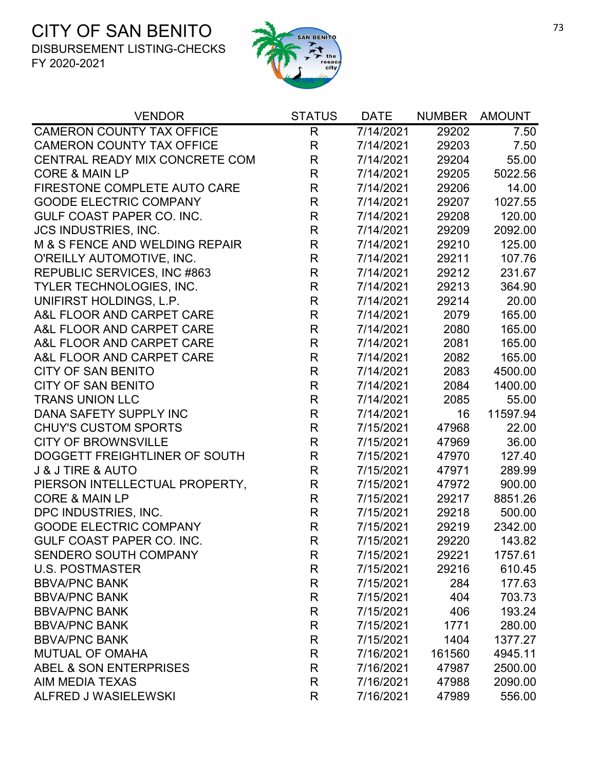

| <b>VENDOR</b>                    | <b>STATUS</b> | <b>DATE</b> | <b>NUMBER</b> | <b>AMOUNT</b> |
|----------------------------------|---------------|-------------|---------------|---------------|
| <b>CAMERON COUNTY TAX OFFICE</b> | R             | 7/14/2021   | 29202         | 7.50          |
| <b>CAMERON COUNTY TAX OFFICE</b> | $\mathsf{R}$  | 7/14/2021   | 29203         | 7.50          |
| CENTRAL READY MIX CONCRETE COM   | R             | 7/14/2021   | 29204         | 55.00         |
| <b>CORE &amp; MAIN LP</b>        | $\mathsf{R}$  | 7/14/2021   | 29205         | 5022.56       |
| FIRESTONE COMPLETE AUTO CARE     | $\mathsf R$   | 7/14/2021   | 29206         | 14.00         |
| <b>GOODE ELECTRIC COMPANY</b>    | $\mathsf{R}$  | 7/14/2021   | 29207         | 1027.55       |
| <b>GULF COAST PAPER CO. INC.</b> | $\mathsf R$   | 7/14/2021   | 29208         | 120.00        |
| <b>JCS INDUSTRIES, INC.</b>      | $\mathsf{R}$  | 7/14/2021   | 29209         | 2092.00       |
| M & S FENCE AND WELDING REPAIR   | R             | 7/14/2021   | 29210         | 125.00        |
| O'REILLY AUTOMOTIVE, INC.        | R             | 7/14/2021   | 29211         | 107.76        |
| REPUBLIC SERVICES, INC #863      | $\mathsf R$   | 7/14/2021   | 29212         | 231.67        |
| <b>TYLER TECHNOLOGIES, INC.</b>  | R             | 7/14/2021   | 29213         | 364.90        |
| UNIFIRST HOLDINGS, L.P.          | R             | 7/14/2021   | 29214         | 20.00         |
| A&L FLOOR AND CARPET CARE        | $\mathsf R$   | 7/14/2021   | 2079          | 165.00        |
| A&L FLOOR AND CARPET CARE        | R             | 7/14/2021   | 2080          | 165.00        |
| A&L FLOOR AND CARPET CARE        | R             | 7/14/2021   | 2081          | 165.00        |
| A&L FLOOR AND CARPET CARE        | $\mathsf R$   | 7/14/2021   | 2082          | 165.00        |
| <b>CITY OF SAN BENITO</b>        | $\mathsf{R}$  | 7/14/2021   | 2083          | 4500.00       |
| <b>CITY OF SAN BENITO</b>        | R             | 7/14/2021   | 2084          | 1400.00       |
| <b>TRANS UNION LLC</b>           | $\mathsf R$   | 7/14/2021   | 2085          | 55.00         |
| DANA SAFETY SUPPLY INC           | $\mathsf{R}$  | 7/14/2021   | 16            | 11597.94      |
| <b>CHUY'S CUSTOM SPORTS</b>      | R             | 7/15/2021   | 47968         | 22.00         |
| <b>CITY OF BROWNSVILLE</b>       | $\mathsf{R}$  | 7/15/2021   | 47969         | 36.00         |
| DOGGETT FREIGHTLINER OF SOUTH    | $\mathsf R$   | 7/15/2021   | 47970         | 127.40        |
| <b>J &amp; J TIRE &amp; AUTO</b> | R             | 7/15/2021   | 47971         | 289.99        |
| PIERSON INTELLECTUAL PROPERTY,   | R             | 7/15/2021   | 47972         | 900.00        |
| <b>CORE &amp; MAIN LP</b>        | R             | 7/15/2021   | 29217         | 8851.26       |
| DPC INDUSTRIES, INC.             | R             | 7/15/2021   | 29218         | 500.00        |
| <b>GOODE ELECTRIC COMPANY</b>    | $\mathsf R$   | 7/15/2021   | 29219         | 2342.00       |
| GULF COAST PAPER CO. INC         | R             | 7/15/2021   | 29220         | 143.82        |
| SENDERO SOUTH COMPANY            | R             | 7/15/2021   | 29221         | 1757.61       |
| <b>U.S. POSTMASTER</b>           | R             | 7/15/2021   | 29216         | 610.45        |
| <b>BBVA/PNC BANK</b>             | $\mathsf{R}$  | 7/15/2021   | 284           | 177.63        |
| <b>BBVA/PNC BANK</b>             | R             | 7/15/2021   | 404           | 703.73        |
| <b>BBVA/PNC BANK</b>             | R             | 7/15/2021   | 406           | 193.24        |
| <b>BBVA/PNC BANK</b>             | $\mathsf{R}$  | 7/15/2021   | 1771          | 280.00        |
| <b>BBVA/PNC BANK</b>             | R             | 7/15/2021   | 1404          | 1377.27       |
| <b>MUTUAL OF OMAHA</b>           | R             | 7/16/2021   | 161560        | 4945.11       |
| ABEL & SON ENTERPRISES           | $\mathsf{R}$  | 7/16/2021   | 47987         | 2500.00       |
| AIM MEDIA TEXAS                  | $\mathsf{R}$  | 7/16/2021   | 47988         | 2090.00       |
| <b>ALFRED J WASIELEWSKI</b>      | R             | 7/16/2021   | 47989         | 556.00        |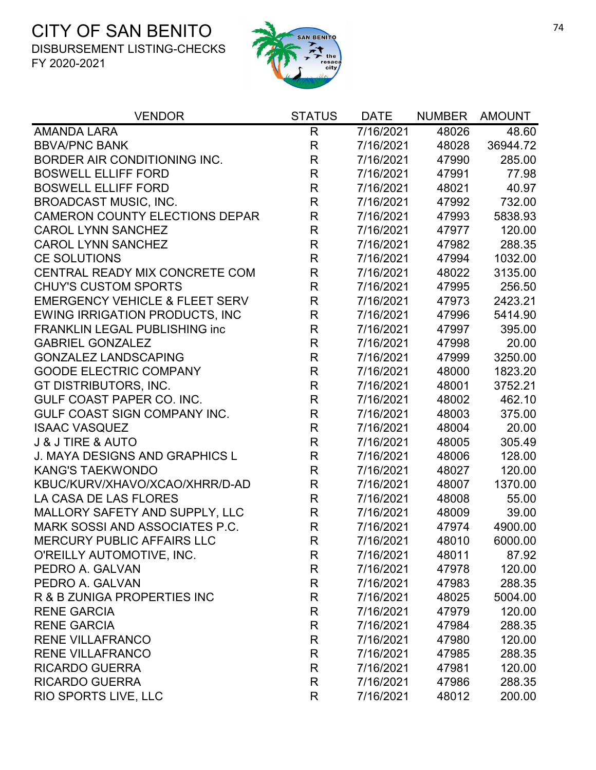

| <b>VENDOR</b>                             | <b>STATUS</b> | <b>DATE</b> | <b>NUMBER</b> | <b>AMOUNT</b> |
|-------------------------------------------|---------------|-------------|---------------|---------------|
| <b>AMANDA LARA</b>                        | R             | 7/16/2021   | 48026         | 48.60         |
| <b>BBVA/PNC BANK</b>                      | R             | 7/16/2021   | 48028         | 36944.72      |
| BORDER AIR CONDITIONING INC.              | $\mathsf R$   | 7/16/2021   | 47990         | 285.00        |
| <b>BOSWELL ELLIFF FORD</b>                | $\mathsf R$   | 7/16/2021   | 47991         | 77.98         |
| <b>BOSWELL ELLIFF FORD</b>                | $\mathsf R$   | 7/16/2021   | 48021         | 40.97         |
| <b>BROADCAST MUSIC, INC.</b>              | $\mathsf R$   | 7/16/2021   | 47992         | 732.00        |
| <b>CAMERON COUNTY ELECTIONS DEPAR</b>     | $\mathsf R$   | 7/16/2021   | 47993         | 5838.93       |
| <b>CAROL LYNN SANCHEZ</b>                 | $\mathsf R$   | 7/16/2021   | 47977         | 120.00        |
| <b>CAROL LYNN SANCHEZ</b>                 | $\mathsf R$   | 7/16/2021   | 47982         | 288.35        |
| <b>CE SOLUTIONS</b>                       | $\mathsf R$   | 7/16/2021   | 47994         | 1032.00       |
| CENTRAL READY MIX CONCRETE COM            | $\mathsf R$   | 7/16/2021   | 48022         | 3135.00       |
| <b>CHUY'S CUSTOM SPORTS</b>               | $\mathsf R$   | 7/16/2021   | 47995         | 256.50        |
| <b>EMERGENCY VEHICLE &amp; FLEET SERV</b> | $\mathsf{R}$  | 7/16/2021   | 47973         | 2423.21       |
| <b>EWING IRRIGATION PRODUCTS, INC</b>     | $\mathsf R$   | 7/16/2021   | 47996         | 5414.90       |
| <b>FRANKLIN LEGAL PUBLISHING inc</b>      | $\mathsf R$   | 7/16/2021   | 47997         | 395.00        |
| <b>GABRIEL GONZALEZ</b>                   | $\mathsf{R}$  | 7/16/2021   | 47998         | 20.00         |
| <b>GONZALEZ LANDSCAPING</b>               | $\mathsf R$   | 7/16/2021   | 47999         | 3250.00       |
| <b>GOODE ELECTRIC COMPANY</b>             | $\mathsf R$   | 7/16/2021   | 48000         | 1823.20       |
| GT DISTRIBUTORS, INC.                     | $\mathsf R$   | 7/16/2021   | 48001         | 3752.21       |
| <b>GULF COAST PAPER CO. INC.</b>          | $\mathsf R$   | 7/16/2021   | 48002         | 462.10        |
| GULF COAST SIGN COMPANY INC.              | $\mathsf R$   | 7/16/2021   | 48003         | 375.00        |
| <b>ISAAC VASQUEZ</b>                      | $\mathsf{R}$  | 7/16/2021   | 48004         | 20.00         |
| <b>J &amp; J TIRE &amp; AUTO</b>          | $\mathsf R$   | 7/16/2021   | 48005         | 305.49        |
| <b>J. MAYA DESIGNS AND GRAPHICS L</b>     | $\mathsf R$   | 7/16/2021   | 48006         | 128.00        |
| <b>KANG'S TAEKWONDO</b>                   | $\mathsf R$   | 7/16/2021   | 48027         | 120.00        |
| KBUC/KURV/XHAVO/XCAO/XHRR/D-AD            | $\mathsf R$   | 7/16/2021   | 48007         | 1370.00       |
| LA CASA DE LAS FLORES                     | $\mathsf R$   | 7/16/2021   | 48008         | 55.00         |
| MALLORY SAFETY AND SUPPLY, LLC            | $\mathsf R$   | 7/16/2021   | 48009         | 39.00         |
| MARK SOSSI AND ASSOCIATES P.C.            | $\mathsf R$   | 7/16/2021   | 47974         | 4900.00       |
| <b>MERCURY PUBLIC AFFAIRS LLC</b>         | R             | 7/16/2021   | 48010         | 6000.00       |
| O'REILLY AUTOMOTIVE, INC.                 | R             | 7/16/2021   | 48011         | 87.92         |
| PEDRO A. GALVAN                           | R             | 7/16/2021   | 47978         | 120.00        |
| PEDRO A. GALVAN                           | R             | 7/16/2021   | 47983         | 288.35        |
| R & B ZUNIGA PROPERTIES INC               | R             | 7/16/2021   | 48025         | 5004.00       |
| <b>RENE GARCIA</b>                        | $\mathsf R$   | 7/16/2021   | 47979         | 120.00        |
| <b>RENE GARCIA</b>                        | R             | 7/16/2021   | 47984         | 288.35        |
| <b>RENE VILLAFRANCO</b>                   | R             | 7/16/2021   | 47980         | 120.00        |
| <b>RENE VILLAFRANCO</b>                   | R             | 7/16/2021   | 47985         | 288.35        |
| <b>RICARDO GUERRA</b>                     | R             | 7/16/2021   | 47981         | 120.00        |
| <b>RICARDO GUERRA</b>                     | R             | 7/16/2021   | 47986         | 288.35        |
| RIO SPORTS LIVE, LLC                      | R             | 7/16/2021   | 48012         | 200.00        |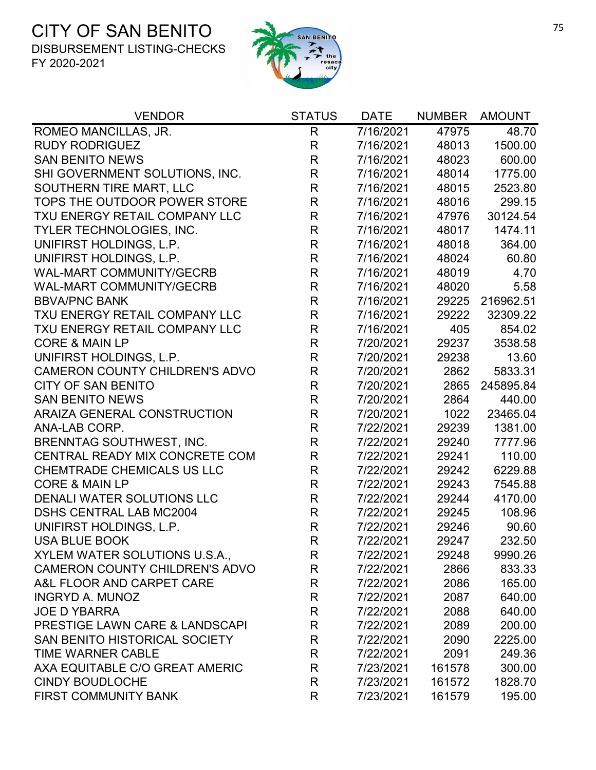

| <b>VENDOR</b>                             | <b>STATUS</b> | <b>DATE</b> | <b>NUMBER</b> | <b>AMOUNT</b> |
|-------------------------------------------|---------------|-------------|---------------|---------------|
| ROMEO MANCILLAS, JR.                      | $\mathsf{R}$  | 7/16/2021   | 47975         | 48.70         |
| <b>RUDY RODRIGUEZ</b>                     | R             | 7/16/2021   | 48013         | 1500.00       |
| <b>SAN BENITO NEWS</b>                    | R             | 7/16/2021   | 48023         | 600.00        |
| SHI GOVERNMENT SOLUTIONS, INC.            | $\mathsf R$   | 7/16/2021   | 48014         | 1775.00       |
| SOUTHERN TIRE MART, LLC                   | $\mathsf R$   | 7/16/2021   | 48015         | 2523.80       |
| TOPS THE OUTDOOR POWER STORE              | $\mathsf R$   | 7/16/2021   | 48016         | 299.15        |
| TXU ENERGY RETAIL COMPANY LLC             | $\mathsf R$   | 7/16/2021   | 47976         | 30124.54      |
| TYLER TECHNOLOGIES, INC.                  | $\mathsf R$   | 7/16/2021   | 48017         | 1474.11       |
| UNIFIRST HOLDINGS, L.P.                   | $\mathsf{R}$  | 7/16/2021   | 48018         | 364.00        |
| UNIFIRST HOLDINGS, L.P.                   | $\mathsf R$   | 7/16/2021   | 48024         | 60.80         |
| <b>WAL-MART COMMUNITY/GECRB</b>           | $\mathsf R$   | 7/16/2021   | 48019         | 4.70          |
| <b>WAL-MART COMMUNITY/GECRB</b>           | $\mathsf R$   | 7/16/2021   | 48020         | 5.58          |
| <b>BBVA/PNC BANK</b>                      | R             | 7/16/2021   | 29225         | 216962.51     |
| TXU ENERGY RETAIL COMPANY LLC             | $\mathsf{R}$  | 7/16/2021   | 29222         | 32309.22      |
| TXU ENERGY RETAIL COMPANY LLC             | $\mathsf R$   | 7/16/2021   | 405           | 854.02        |
| <b>CORE &amp; MAIN LP</b>                 | $\mathsf R$   | 7/20/2021   | 29237         | 3538.58       |
| UNIFIRST HOLDINGS, L.P.                   | $\mathsf R$   | 7/20/2021   | 29238         | 13.60         |
| <b>CAMERON COUNTY CHILDREN'S ADVO</b>     | R             | 7/20/2021   | 2862          | 5833.31       |
| <b>CITY OF SAN BENITO</b>                 | $\mathsf R$   | 7/20/2021   | 2865          | 245895.84     |
| <b>SAN BENITO NEWS</b>                    | $\mathsf{R}$  | 7/20/2021   | 2864          | 440.00        |
| ARAIZA GENERAL CONSTRUCTION               | $\mathsf R$   | 7/20/2021   | 1022          | 23465.04      |
| ANA-LAB CORP.                             | R             | 7/22/2021   | 29239         | 1381.00       |
| <b>BRENNTAG SOUTHWEST, INC.</b>           | R             | 7/22/2021   | 29240         | 7777.96       |
| CENTRAL READY MIX CONCRETE COM            | R             | 7/22/2021   | 29241         | 110.00        |
| <b>CHEMTRADE CHEMICALS US LLC</b>         | $\mathsf R$   | 7/22/2021   | 29242         | 6229.88       |
| <b>CORE &amp; MAIN LP</b>                 | $\mathsf R$   | 7/22/2021   | 29243         | 7545.88       |
| DENALI WATER SOLUTIONS LLC                | $\mathsf R$   | 7/22/2021   | 29244         | 4170.00       |
| <b>DSHS CENTRAL LAB MC2004</b>            | R             | 7/22/2021   | 29245         | 108.96        |
| UNIFIRST HOLDINGS, L.P.                   | $\mathsf R$   | 7/22/2021   | 29246         | 90.60         |
| <b>USA BLUE BOOK</b>                      | R             | 7/22/2021   | 29247         | 232.50        |
| XYLEM WATER SOLUTIONS U.S.A.,             | R             | 7/22/2021   | 29248         | 9990.26       |
| <b>CAMERON COUNTY CHILDREN'S ADVO</b>     | R             | 7/22/2021   | 2866          | 833.33        |
| A&L FLOOR AND CARPET CARE                 | R             | 7/22/2021   | 2086          | 165.00        |
| <b>INGRYD A. MUNOZ</b>                    | R             | 7/22/2021   | 2087          | 640.00        |
| <b>JOE D YBARRA</b>                       | R             | 7/22/2021   | 2088          | 640.00        |
| <b>PRESTIGE LAWN CARE &amp; LANDSCAPI</b> | R             | 7/22/2021   | 2089          | 200.00        |
| <b>SAN BENITO HISTORICAL SOCIETY</b>      | R             | 7/22/2021   | 2090          | 2225.00       |
| <b>TIME WARNER CABLE</b>                  | R             | 7/22/2021   | 2091          | 249.36        |
| AXA EQUITABLE C/O GREAT AMERIC            | R             | 7/23/2021   | 161578        | 300.00        |
| <b>CINDY BOUDLOCHE</b>                    | R             | 7/23/2021   | 161572        | 1828.70       |
| <b>FIRST COMMUNITY BANK</b>               | R             | 7/23/2021   | 161579        | 195.00        |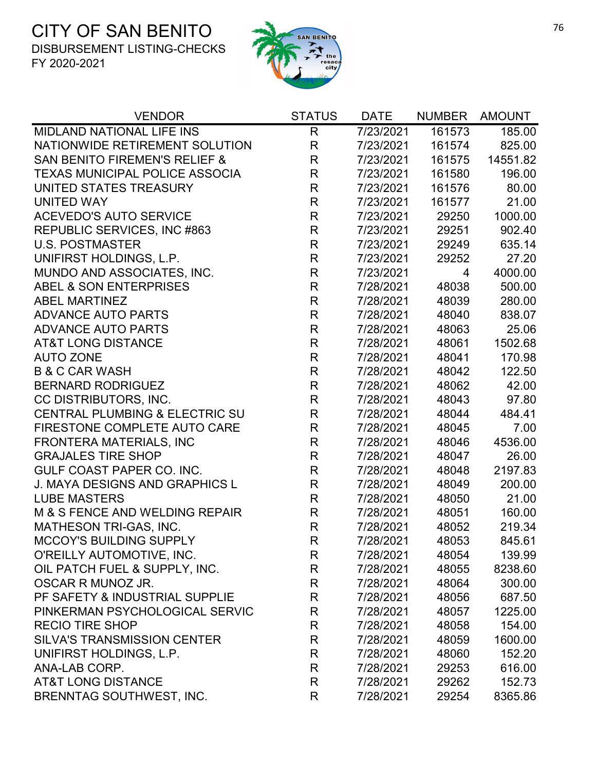

| <b>VENDOR</b>                             | <b>STATUS</b> | <b>DATE</b> | <b>NUMBER</b> | <b>AMOUNT</b> |
|-------------------------------------------|---------------|-------------|---------------|---------------|
| <b>MIDLAND NATIONAL LIFE INS</b>          | R             | 7/23/2021   | 161573        | 185.00        |
| NATIONWIDE RETIREMENT SOLUTION            | $\mathsf{R}$  | 7/23/2021   | 161574        | 825.00        |
| <b>SAN BENITO FIREMEN'S RELIEF &amp;</b>  | $\mathsf{R}$  | 7/23/2021   | 161575        | 14551.82      |
| <b>TEXAS MUNICIPAL POLICE ASSOCIA</b>     | $\mathsf{R}$  | 7/23/2021   | 161580        | 196.00        |
| UNITED STATES TREASURY                    | R             | 7/23/2021   | 161576        | 80.00         |
| <b>UNITED WAY</b>                         | $\mathsf{R}$  | 7/23/2021   | 161577        | 21.00         |
| <b>ACEVEDO'S AUTO SERVICE</b>             | $\mathsf R$   | 7/23/2021   | 29250         | 1000.00       |
| REPUBLIC SERVICES, INC #863               | $\mathsf{R}$  | 7/23/2021   | 29251         | 902.40        |
| <b>U.S. POSTMASTER</b>                    | $\mathsf{R}$  | 7/23/2021   | 29249         | 635.14        |
| UNIFIRST HOLDINGS, L.P.                   | $\mathsf{R}$  | 7/23/2021   | 29252         | 27.20         |
| MUNDO AND ASSOCIATES, INC.                | $\mathsf{R}$  | 7/23/2021   | 4             | 4000.00       |
| ABEL & SON ENTERPRISES                    | $\mathsf{R}$  | 7/28/2021   | 48038         | 500.00        |
| <b>ABEL MARTINEZ</b>                      | $\mathsf{R}$  | 7/28/2021   | 48039         | 280.00        |
| <b>ADVANCE AUTO PARTS</b>                 | $\mathsf{R}$  | 7/28/2021   | 48040         | 838.07        |
| <b>ADVANCE AUTO PARTS</b>                 | R             | 7/28/2021   | 48063         | 25.06         |
| <b>AT&amp;T LONG DISTANCE</b>             | $\mathsf{R}$  | 7/28/2021   | 48061         | 1502.68       |
| <b>AUTO ZONE</b>                          | $\mathsf{R}$  | 7/28/2021   | 48041         | 170.98        |
| <b>B &amp; C CAR WASH</b>                 | R             | 7/28/2021   | 48042         | 122.50        |
| <b>BERNARD RODRIGUEZ</b>                  | $\mathsf R$   | 7/28/2021   | 48062         | 42.00         |
| CC DISTRIBUTORS, INC.                     | $\mathsf{R}$  | 7/28/2021   | 48043         | 97.80         |
| <b>CENTRAL PLUMBING &amp; ELECTRIC SU</b> | $\mathsf R$   | 7/28/2021   | 48044         | 484.41        |
| FIRESTONE COMPLETE AUTO CARE              | $\mathsf R$   | 7/28/2021   | 48045         | 7.00          |
| <b>FRONTERA MATERIALS, INC</b>            | $\mathsf{R}$  | 7/28/2021   | 48046         | 4536.00       |
| <b>GRAJALES TIRE SHOP</b>                 | $\mathsf{R}$  | 7/28/2021   | 48047         | 26.00         |
| GULF COAST PAPER CO. INC.                 | $\mathsf{R}$  | 7/28/2021   | 48048         | 2197.83       |
| <b>J. MAYA DESIGNS AND GRAPHICS L</b>     | $\mathsf{R}$  | 7/28/2021   | 48049         | 200.00        |
| <b>LUBE MASTERS</b>                       | $\mathsf{R}$  | 7/28/2021   | 48050         | 21.00         |
| M & S FENCE AND WELDING REPAIR            | $\mathsf{R}$  | 7/28/2021   | 48051         | 160.00        |
| MATHESON TRI-GAS, INC.                    | $\mathsf{R}$  | 7/28/2021   | 48052         | 219.34        |
| MCCOY'S BUILDING SUPPLY                   | R             | 7/28/2021   | 48053         | 845.61        |
| O'REILLY AUTOMOTIVE, INC.                 | R             | 7/28/2021   | 48054         | 139.99        |
| OIL PATCH FUEL & SUPPLY, INC.             | R             | 7/28/2021   | 48055         | 8238.60       |
| OSCAR R MUNOZ JR.                         | $\mathsf R$   | 7/28/2021   | 48064         | 300.00        |
| PF SAFETY & INDUSTRIAL SUPPLIE            | R             | 7/28/2021   | 48056         | 687.50        |
| PINKERMAN PSYCHOLOGICAL SERVIC            | R             | 7/28/2021   | 48057         | 1225.00       |
| <b>RECIO TIRE SHOP</b>                    | R             | 7/28/2021   | 48058         | 154.00        |
| <b>SILVA'S TRANSMISSION CENTER</b>        | R             | 7/28/2021   | 48059         | 1600.00       |
| UNIFIRST HOLDINGS, L.P.                   | $\mathsf R$   | 7/28/2021   | 48060         | 152.20        |
| ANA-LAB CORP.                             | R             | 7/28/2021   | 29253         | 616.00        |
| <b>AT&amp;T LONG DISTANCE</b>             | R             | 7/28/2021   | 29262         | 152.73        |
| <b>BRENNTAG SOUTHWEST, INC.</b>           | R             | 7/28/2021   | 29254         | 8365.86       |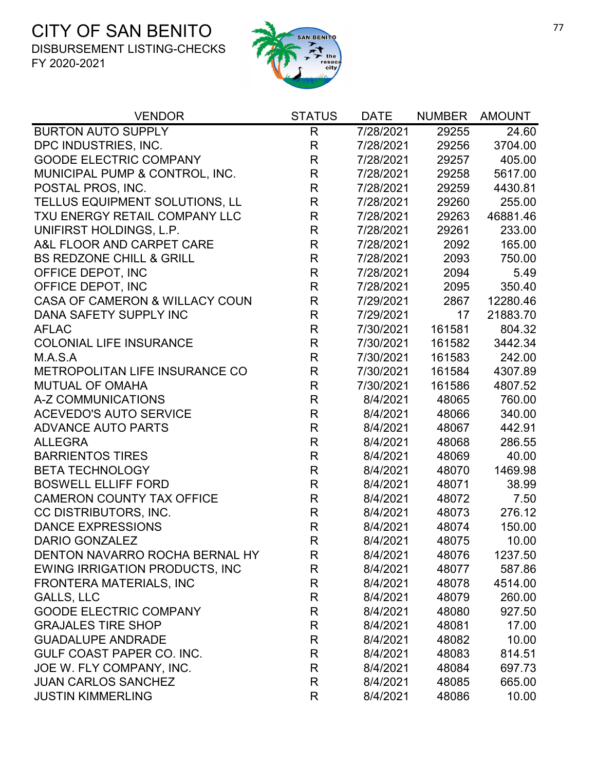

| <b>VENDOR</b>                         | <b>STATUS</b> | <b>DATE</b> | <b>NUMBER</b> | <b>AMOUNT</b> |
|---------------------------------------|---------------|-------------|---------------|---------------|
| <b>BURTON AUTO SUPPLY</b>             | $\mathsf{R}$  | 7/28/2021   | 29255         | 24.60         |
| DPC INDUSTRIES, INC.                  | $\mathsf R$   | 7/28/2021   | 29256         | 3704.00       |
| <b>GOODE ELECTRIC COMPANY</b>         | $\mathsf R$   | 7/28/2021   | 29257         | 405.00        |
| MUNICIPAL PUMP & CONTROL, INC.        | $\mathsf R$   | 7/28/2021   | 29258         | 5617.00       |
| POSTAL PROS, INC.                     | $\mathsf R$   | 7/28/2021   | 29259         | 4430.81       |
| TELLUS EQUIPMENT SOLUTIONS, LL        | $\mathsf R$   | 7/28/2021   | 29260         | 255.00        |
| TXU ENERGY RETAIL COMPANY LLC         | $\mathsf R$   | 7/28/2021   | 29263         | 46881.46      |
| UNIFIRST HOLDINGS, L.P.               | $\mathsf R$   | 7/28/2021   | 29261         | 233.00        |
| A&L FLOOR AND CARPET CARE             | $\mathsf R$   | 7/28/2021   | 2092          | 165.00        |
| <b>BS REDZONE CHILL &amp; GRILL</b>   | $\mathsf R$   | 7/28/2021   | 2093          | 750.00        |
| OFFICE DEPOT, INC                     | $\mathsf R$   | 7/28/2021   | 2094          | 5.49          |
| OFFICE DEPOT, INC                     | $\mathsf{R}$  | 7/28/2021   | 2095          | 350.40        |
| CASA OF CAMERON & WILLACY COUN        | $\mathsf R$   | 7/29/2021   | 2867          | 12280.46      |
| DANA SAFETY SUPPLY INC                | $\mathsf{R}$  | 7/29/2021   | 17            | 21883.70      |
| <b>AFLAC</b>                          | $\mathsf{R}$  | 7/30/2021   | 161581        | 804.32        |
| <b>COLONIAL LIFE INSURANCE</b>        | $\mathsf{R}$  | 7/30/2021   | 161582        | 3442.34       |
| M.A.S.A                               | $\mathsf{R}$  | 7/30/2021   | 161583        | 242.00        |
| METROPOLITAN LIFE INSURANCE CO        | $\mathsf{R}$  | 7/30/2021   | 161584        | 4307.89       |
| <b>MUTUAL OF OMAHA</b>                | $\mathsf{R}$  | 7/30/2021   | 161586        | 4807.52       |
| A-Z COMMUNICATIONS                    | $\mathsf R$   | 8/4/2021    | 48065         | 760.00        |
| <b>ACEVEDO'S AUTO SERVICE</b>         | $\mathsf R$   | 8/4/2021    | 48066         | 340.00        |
| <b>ADVANCE AUTO PARTS</b>             | $\mathsf R$   | 8/4/2021    | 48067         | 442.91        |
| <b>ALLEGRA</b>                        | $\mathsf{R}$  | 8/4/2021    | 48068         | 286.55        |
| <b>BARRIENTOS TIRES</b>               | $\mathsf R$   | 8/4/2021    | 48069         | 40.00         |
| <b>BETA TECHNOLOGY</b>                | $\mathsf R$   | 8/4/2021    | 48070         | 1469.98       |
| <b>BOSWELL ELLIFF FORD</b>            | $\mathsf{R}$  | 8/4/2021    | 48071         | 38.99         |
| <b>CAMERON COUNTY TAX OFFICE</b>      | $\mathsf R$   | 8/4/2021    | 48072         | 7.50          |
| CC DISTRIBUTORS, INC.                 | $\mathsf{R}$  | 8/4/2021    | 48073         | 276.12        |
| <b>DANCE EXPRESSIONS</b>              | $\mathsf R$   | 8/4/2021    | 48074         | 150.00        |
| <b>DARIO GONZALEZ</b>                 | R             | 8/4/2021    | 48075         | 10.00         |
| DENTON NAVARRO ROCHA BERNAL HY        | R             | 8/4/2021    | 48076         | 1237.50       |
| <b>EWING IRRIGATION PRODUCTS, INC</b> | R             | 8/4/2021    | 48077         | 587.86        |
| <b>FRONTERA MATERIALS, INC</b>        | R             | 8/4/2021    | 48078         | 4514.00       |
| GALLS, LLC                            | R             | 8/4/2021    | 48079         | 260.00        |
| <b>GOODE ELECTRIC COMPANY</b>         | R             | 8/4/2021    | 48080         | 927.50        |
| <b>GRAJALES TIRE SHOP</b>             | R             | 8/4/2021    | 48081         | 17.00         |
| <b>GUADALUPE ANDRADE</b>              | R             | 8/4/2021    | 48082         | 10.00         |
| <b>GULF COAST PAPER CO. INC.</b>      | R             | 8/4/2021    | 48083         | 814.51        |
| JOE W. FLY COMPANY, INC.              | R             | 8/4/2021    | 48084         | 697.73        |
| <b>JUAN CARLOS SANCHEZ</b>            | R             | 8/4/2021    | 48085         | 665.00        |
| <b>JUSTIN KIMMERLING</b>              | $\mathsf{R}$  | 8/4/2021    | 48086         | 10.00         |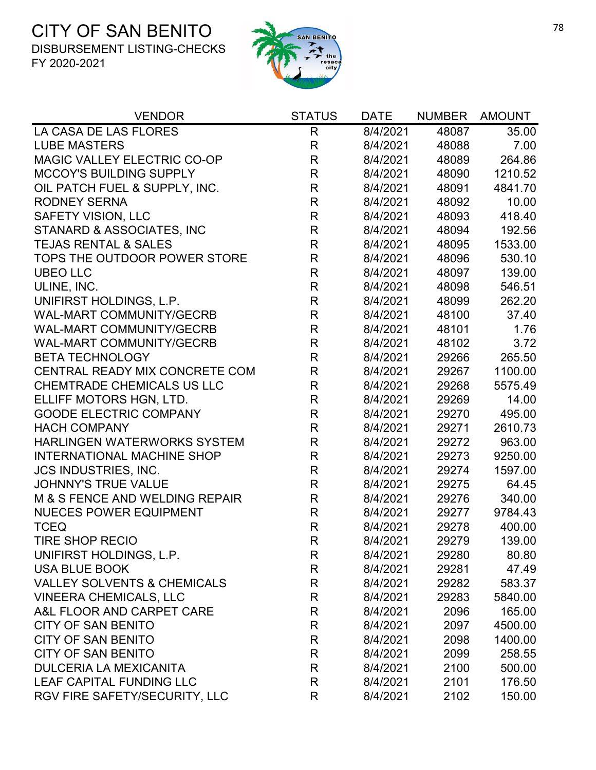

| <b>VENDOR</b>                          | <b>STATUS</b> | <b>DATE</b> | <b>NUMBER</b> | <b>AMOUNT</b> |
|----------------------------------------|---------------|-------------|---------------|---------------|
| LA CASA DE LAS FLORES                  | $\mathsf{R}$  | 8/4/2021    | 48087         | 35.00         |
| <b>LUBE MASTERS</b>                    | $\mathsf{R}$  | 8/4/2021    | 48088         | 7.00          |
| MAGIC VALLEY ELECTRIC CO-OP            | R             | 8/4/2021    | 48089         | 264.86        |
| <b>MCCOY'S BUILDING SUPPLY</b>         | $\mathsf{R}$  | 8/4/2021    | 48090         | 1210.52       |
| OIL PATCH FUEL & SUPPLY, INC.          | $\mathsf R$   | 8/4/2021    | 48091         | 4841.70       |
| <b>RODNEY SERNA</b>                    | $\mathsf{R}$  | 8/4/2021    | 48092         | 10.00         |
| SAFETY VISION, LLC                     | $\mathsf{R}$  | 8/4/2021    | 48093         | 418.40        |
| STANARD & ASSOCIATES, INC              | $\mathsf R$   | 8/4/2021    | 48094         | 192.56        |
| <b>TEJAS RENTAL &amp; SALES</b>        | $\mathsf{R}$  | 8/4/2021    | 48095         | 1533.00       |
| TOPS THE OUTDOOR POWER STORE           | R             | 8/4/2021    | 48096         | 530.10        |
| <b>UBEO LLC</b>                        | $\mathsf{R}$  | 8/4/2021    | 48097         | 139.00        |
| ULINE, INC.                            | $\mathsf R$   | 8/4/2021    | 48098         | 546.51        |
| UNIFIRST HOLDINGS, L.P.                | $\mathsf{R}$  | 8/4/2021    | 48099         | 262.20        |
| <b>WAL-MART COMMUNITY/GECRB</b>        | $\mathsf{R}$  | 8/4/2021    | 48100         | 37.40         |
| WAL-MART COMMUNITY/GECRB               | $\mathsf{R}$  | 8/4/2021    | 48101         | 1.76          |
| <b>WAL-MART COMMUNITY/GECRB</b>        | $\mathsf{R}$  | 8/4/2021    | 48102         | 3.72          |
| <b>BETA TECHNOLOGY</b>                 | $\mathsf{R}$  | 8/4/2021    | 29266         | 265.50        |
| CENTRAL READY MIX CONCRETE COM         | $\mathsf R$   | 8/4/2021    | 29267         | 1100.00       |
| <b>CHEMTRADE CHEMICALS US LLC</b>      | $\mathsf{R}$  | 8/4/2021    | 29268         | 5575.49       |
| ELLIFF MOTORS HGN, LTD.                | $\mathsf{R}$  | 8/4/2021    | 29269         | 14.00         |
| <b>GOODE ELECTRIC COMPANY</b>          | $\mathsf{R}$  | 8/4/2021    | 29270         | 495.00        |
| <b>HACH COMPANY</b>                    | $\mathsf R$   | 8/4/2021    | 29271         | 2610.73       |
| <b>HARLINGEN WATERWORKS SYSTEM</b>     | $\mathsf R$   | 8/4/2021    | 29272         | 963.00        |
| <b>INTERNATIONAL MACHINE SHOP</b>      | $\mathsf R$   | 8/4/2021    | 29273         | 9250.00       |
| <b>JCS INDUSTRIES, INC.</b>            | $\mathsf{R}$  | 8/4/2021    | 29274         | 1597.00       |
| JOHNNY'S TRUE VALUE                    | $\mathsf{R}$  | 8/4/2021    | 29275         | 64.45         |
| M & S FENCE AND WELDING REPAIR         | $\mathsf{R}$  | 8/4/2021    | 29276         | 340.00        |
| <b>NUECES POWER EQUIPMENT</b>          | $\mathsf{R}$  | 8/4/2021    | 29277         | 9784.43       |
| <b>TCEQ</b>                            | $\mathsf{R}$  | 8/4/2021    | 29278         | 400.00        |
| <b>TIRE SHOP RECIO</b>                 | $\mathsf{R}$  | 8/4/2021    | 29279         | 139.00        |
| UNIFIRST HOLDINGS, L.P.                | R             | 8/4/2021    | 29280         | 80.80         |
| <b>USA BLUE BOOK</b>                   | $\mathsf R$   | 8/4/2021    | 29281         | 47.49         |
| <b>VALLEY SOLVENTS &amp; CHEMICALS</b> | R             | 8/4/2021    | 29282         | 583.37        |
| <b>VINEERA CHEMICALS, LLC</b>          | R             | 8/4/2021    | 29283         | 5840.00       |
| A&L FLOOR AND CARPET CARE              | R             | 8/4/2021    | 2096          | 165.00        |
| <b>CITY OF SAN BENITO</b>              | R             | 8/4/2021    | 2097          | 4500.00       |
| <b>CITY OF SAN BENITO</b>              | $\mathsf R$   | 8/4/2021    | 2098          | 1400.00       |
| <b>CITY OF SAN BENITO</b>              | R             | 8/4/2021    | 2099          | 258.55        |
| <b>DULCERIA LA MEXICANITA</b>          | R             | 8/4/2021    | 2100          | 500.00        |
| LEAF CAPITAL FUNDING LLC               | R             | 8/4/2021    | 2101          | 176.50        |
| RGV FIRE SAFETY/SECURITY, LLC          | R             | 8/4/2021    | 2102          | 150.00        |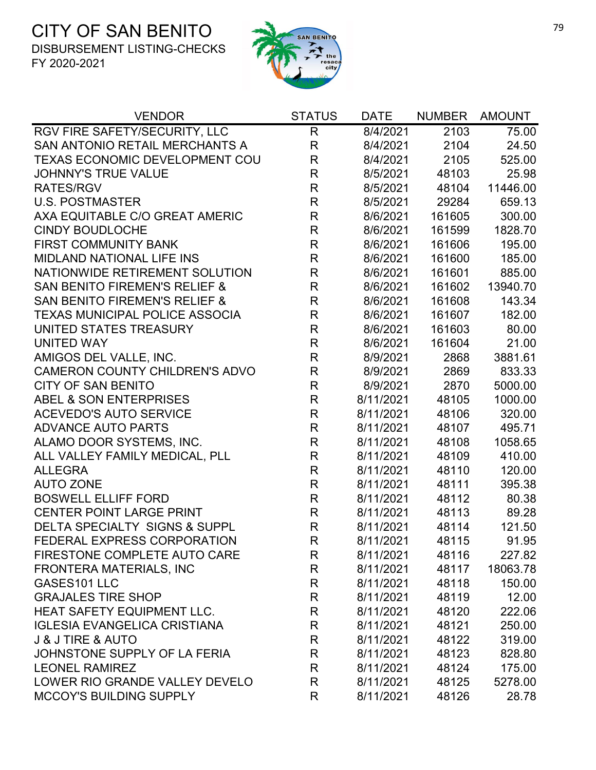

| <b>VENDOR</b>                            | <b>STATUS</b> | <b>DATE</b> | <b>NUMBER</b> | <b>AMOUNT</b> |
|------------------------------------------|---------------|-------------|---------------|---------------|
| RGV FIRE SAFETY/SECURITY, LLC            | $\mathsf R$   | 8/4/2021    | 2103          | 75.00         |
| SAN ANTONIO RETAIL MERCHANTS A           | $\mathsf R$   | 8/4/2021    | 2104          | 24.50         |
| <b>TEXAS ECONOMIC DEVELOPMENT COU</b>    | $\mathsf R$   | 8/4/2021    | 2105          | 525.00        |
| <b>JOHNNY'S TRUE VALUE</b>               | R             | 8/5/2021    | 48103         | 25.98         |
| <b>RATES/RGV</b>                         | $\mathsf R$   | 8/5/2021    | 48104         | 11446.00      |
| <b>U.S. POSTMASTER</b>                   | $\mathsf R$   | 8/5/2021    | 29284         | 659.13        |
| AXA EQUITABLE C/O GREAT AMERIC           | $\mathsf R$   | 8/6/2021    | 161605        | 300.00        |
| <b>CINDY BOUDLOCHE</b>                   | $\mathsf{R}$  | 8/6/2021    | 161599        | 1828.70       |
| <b>FIRST COMMUNITY BANK</b>              | $\mathsf R$   | 8/6/2021    | 161606        | 195.00        |
| <b>MIDLAND NATIONAL LIFE INS</b>         | $\mathsf R$   | 8/6/2021    | 161600        | 185.00        |
| NATIONWIDE RETIREMENT SOLUTION           | $\mathsf R$   | 8/6/2021    | 161601        | 885.00        |
| <b>SAN BENITO FIREMEN'S RELIEF &amp;</b> | $\mathsf R$   | 8/6/2021    | 161602        | 13940.70      |
| <b>SAN BENITO FIREMEN'S RELIEF &amp;</b> | $\mathsf R$   | 8/6/2021    | 161608        | 143.34        |
| <b>TEXAS MUNICIPAL POLICE ASSOCIA</b>    | $\mathsf R$   | 8/6/2021    | 161607        | 182.00        |
| UNITED STATES TREASURY                   | $\mathsf{R}$  | 8/6/2021    | 161603        | 80.00         |
| <b>UNITED WAY</b>                        | $\mathsf R$   | 8/6/2021    | 161604        | 21.00         |
| AMIGOS DEL VALLE, INC.                   | $\mathsf R$   | 8/9/2021    | 2868          | 3881.61       |
| <b>CAMERON COUNTY CHILDREN'S ADVO</b>    | $\mathsf R$   | 8/9/2021    | 2869          | 833.33        |
| <b>CITY OF SAN BENITO</b>                | $\mathsf R$   | 8/9/2021    | 2870          | 5000.00       |
| <b>ABEL &amp; SON ENTERPRISES</b>        | $\mathsf R$   | 8/11/2021   | 48105         | 1000.00       |
| <b>ACEVEDO'S AUTO SERVICE</b>            | $\mathsf R$   | 8/11/2021   | 48106         | 320.00        |
| ADVANCE AUTO PARTS                       | $\mathsf R$   | 8/11/2021   | 48107         | 495.71        |
| ALAMO DOOR SYSTEMS, INC.                 | $\mathsf R$   | 8/11/2021   | 48108         | 1058.65       |
| ALL VALLEY FAMILY MEDICAL, PLL           | $\mathsf R$   | 8/11/2021   | 48109         | 410.00        |
| <b>ALLEGRA</b>                           | $\mathsf R$   | 8/11/2021   | 48110         | 120.00        |
| <b>AUTO ZONE</b>                         | $\mathsf R$   | 8/11/2021   | 48111         | 395.38        |
| <b>BOSWELL ELLIFF FORD</b>               | $\mathsf R$   | 8/11/2021   | 48112         | 80.38         |
| <b>CENTER POINT LARGE PRINT</b>          | R             | 8/11/2021   | 48113         | 89.28         |
| <b>DELTA SPECIALTY SIGNS &amp; SUPPL</b> | $\mathsf R$   | 8/11/2021   | 48114         | 121.50        |
| FEDERAL EXPRESS CORPORATION              | $\mathsf R$   | 8/11/2021   | 48115         | 91.95         |
| FIRESTONE COMPLETE AUTO CARE             | R             | 8/11/2021   | 48116         | 227.82        |
| FRONTERA MATERIALS, INC                  | R             | 8/11/2021   | 48117         | 18063.78      |
| GASES101 LLC                             | R             | 8/11/2021   | 48118         | 150.00        |
| <b>GRAJALES TIRE SHOP</b>                | R             | 8/11/2021   | 48119         | 12.00         |
| HEAT SAFETY EQUIPMENT LLC.               | R             | 8/11/2021   | 48120         | 222.06        |
| <b>IGLESIA EVANGELICA CRISTIANA</b>      | R             | 8/11/2021   | 48121         | 250.00        |
| <b>J &amp; J TIRE &amp; AUTO</b>         | $\mathsf{R}$  | 8/11/2021   | 48122         | 319.00        |
| JOHNSTONE SUPPLY OF LA FERIA             | R             | 8/11/2021   | 48123         | 828.80        |
| <b>LEONEL RAMIREZ</b>                    | R             | 8/11/2021   | 48124         | 175.00        |
| LOWER RIO GRANDE VALLEY DEVELO           | R             | 8/11/2021   | 48125         | 5278.00       |
| <b>MCCOY'S BUILDING SUPPLY</b>           | R             | 8/11/2021   | 48126         | 28.78         |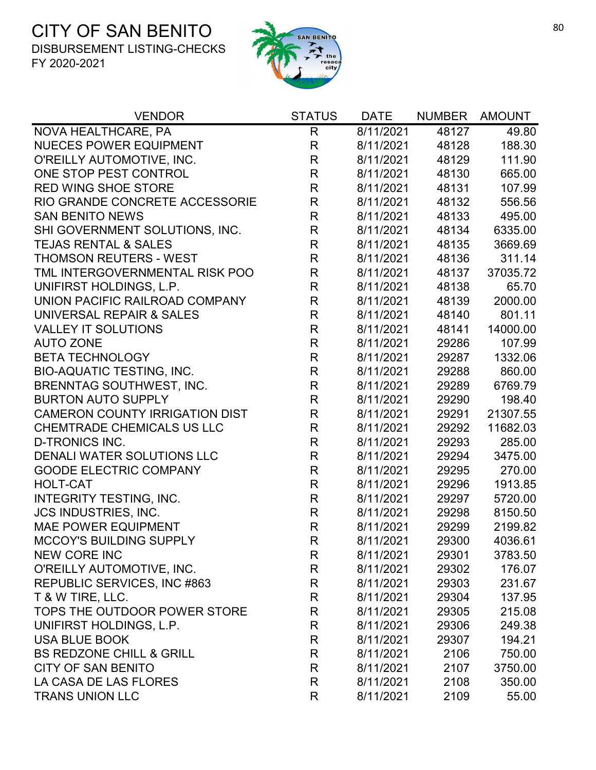

| <b>VENDOR</b>                         | <b>STATUS</b> | <b>DATE</b> | <b>NUMBER</b> | <b>AMOUNT</b> |
|---------------------------------------|---------------|-------------|---------------|---------------|
| NOVA HEALTHCARE, PA                   | $\mathsf{R}$  | 8/11/2021   | 48127         | 49.80         |
| <b>NUECES POWER EQUIPMENT</b>         | R             | 8/11/2021   | 48128         | 188.30        |
| O'REILLY AUTOMOTIVE, INC.             | $\mathsf R$   | 8/11/2021   | 48129         | 111.90        |
| ONE STOP PEST CONTROL                 | R             | 8/11/2021   | 48130         | 665.00        |
| <b>RED WING SHOE STORE</b>            | R             | 8/11/2021   | 48131         | 107.99        |
| RIO GRANDE CONCRETE ACCESSORIE        | $\mathsf R$   | 8/11/2021   | 48132         | 556.56        |
| <b>SAN BENITO NEWS</b>                | $\mathsf{R}$  | 8/11/2021   | 48133         | 495.00        |
| SHI GOVERNMENT SOLUTIONS, INC.        | $\mathsf R$   | 8/11/2021   | 48134         | 6335.00       |
| <b>TEJAS RENTAL &amp; SALES</b>       | $\mathsf R$   | 8/11/2021   | 48135         | 3669.69       |
| <b>THOMSON REUTERS - WEST</b>         | $\mathsf R$   | 8/11/2021   | 48136         | 311.14        |
| TML INTERGOVERNMENTAL RISK POO        | $\mathsf R$   | 8/11/2021   | 48137         | 37035.72      |
| UNIFIRST HOLDINGS, L.P.               | $\mathsf R$   | 8/11/2021   | 48138         | 65.70         |
| UNION PACIFIC RAILROAD COMPANY        | $\mathsf R$   | 8/11/2021   | 48139         | 2000.00       |
| UNIVERSAL REPAIR & SALES              | $\mathsf R$   | 8/11/2021   | 48140         | 801.11        |
| <b>VALLEY IT SOLUTIONS</b>            | $\mathsf R$   | 8/11/2021   | 48141         | 14000.00      |
| <b>AUTO ZONE</b>                      | $\mathsf R$   | 8/11/2021   | 29286         | 107.99        |
| <b>BETA TECHNOLOGY</b>                | R             | 8/11/2021   | 29287         | 1332.06       |
| <b>BIO-AQUATIC TESTING, INC.</b>      | $\mathsf R$   | 8/11/2021   | 29288         | 860.00        |
| <b>BRENNTAG SOUTHWEST, INC.</b>       | $\mathsf R$   | 8/11/2021   | 29289         | 6769.79       |
| <b>BURTON AUTO SUPPLY</b>             | R             | 8/11/2021   | 29290         | 198.40        |
| <b>CAMERON COUNTY IRRIGATION DIST</b> | $\mathsf R$   | 8/11/2021   | 29291         | 21307.55      |
| <b>CHEMTRADE CHEMICALS US LLC</b>     | $\mathsf R$   | 8/11/2021   | 29292         | 11682.03      |
| <b>D-TRONICS INC.</b>                 | R             | 8/11/2021   | 29293         | 285.00        |
| DENALI WATER SOLUTIONS LLC            | $\mathsf R$   | 8/11/2021   | 29294         | 3475.00       |
| <b>GOODE ELECTRIC COMPANY</b>         | $\mathsf{R}$  | 8/11/2021   | 29295         | 270.00        |
| <b>HOLT-CAT</b>                       | R             | 8/11/2021   | 29296         | 1913.85       |
| INTEGRITY TESTING, INC.               | R             | 8/11/2021   | 29297         | 5720.00       |
| <b>JCS INDUSTRIES, INC.</b>           | $\mathsf{R}$  | 8/11/2021   | 29298         | 8150.50       |
| <b>MAE POWER EQUIPMENT</b>            | $\mathsf R$   | 8/11/2021   | 29299         | 2199.82       |
| <b>MCCOY'S BUILDING SUPPLY</b>        | R             | 8/11/2021   | 29300         | 4036.61       |
| <b>NEW CORE INC</b>                   | R             | 8/11/2021   | 29301         | 3783.50       |
| O'REILLY AUTOMOTIVE, INC.             | R             | 8/11/2021   | 29302         | 176.07        |
| REPUBLIC SERVICES, INC #863           | R             | 8/11/2021   | 29303         | 231.67        |
| T & W TIRE, LLC.                      | R             | 8/11/2021   | 29304         | 137.95        |
| TOPS THE OUTDOOR POWER STORE          | R             | 8/11/2021   | 29305         | 215.08        |
| UNIFIRST HOLDINGS, L.P.               | R             | 8/11/2021   | 29306         | 249.38        |
| <b>USA BLUE BOOK</b>                  | R             | 8/11/2021   | 29307         | 194.21        |
| <b>BS REDZONE CHILL &amp; GRILL</b>   | R             | 8/11/2021   | 2106          | 750.00        |
| <b>CITY OF SAN BENITO</b>             | R             | 8/11/2021   | 2107          | 3750.00       |
| LA CASA DE LAS FLORES                 | R             | 8/11/2021   | 2108          | 350.00        |
| <b>TRANS UNION LLC</b>                | R             | 8/11/2021   | 2109          | 55.00         |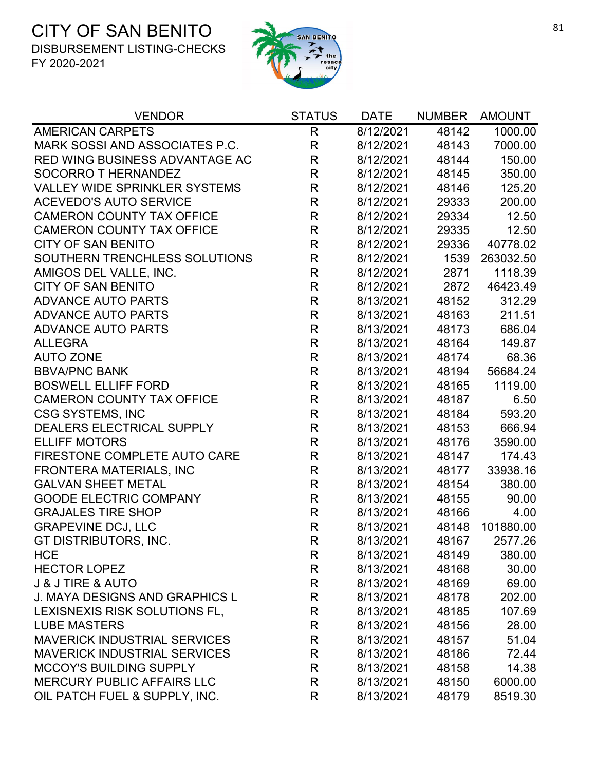

| <b>VENDOR</b>                         | <b>STATUS</b> | <b>DATE</b> | <b>NUMBER</b> | <b>AMOUNT</b> |
|---------------------------------------|---------------|-------------|---------------|---------------|
| <b>AMERICAN CARPETS</b>               | $\mathsf{R}$  | 8/12/2021   | 48142         | 1000.00       |
| MARK SOSSI AND ASSOCIATES P.C.        | $\mathsf R$   | 8/12/2021   | 48143         | 7000.00       |
| RED WING BUSINESS ADVANTAGE AC        | R             | 8/12/2021   | 48144         | 150.00        |
| SOCORRO T HERNANDEZ                   | $\mathsf{R}$  | 8/12/2021   | 48145         | 350.00        |
| <b>VALLEY WIDE SPRINKLER SYSTEMS</b>  | $\mathsf R$   | 8/12/2021   | 48146         | 125.20        |
| <b>ACEVEDO'S AUTO SERVICE</b>         | $\mathsf{R}$  | 8/12/2021   | 29333         | 200.00        |
| <b>CAMERON COUNTY TAX OFFICE</b>      | $\mathsf R$   | 8/12/2021   | 29334         | 12.50         |
| <b>CAMERON COUNTY TAX OFFICE</b>      | $\mathsf{R}$  | 8/12/2021   | 29335         | 12.50         |
| <b>CITY OF SAN BENITO</b>             | R             | 8/12/2021   | 29336         | 40778.02      |
| SOUTHERN TRENCHLESS SOLUTIONS         | $\mathsf R$   | 8/12/2021   | 1539          | 263032.50     |
| AMIGOS DEL VALLE, INC.                | $\mathsf R$   | 8/12/2021   | 2871          | 1118.39       |
| <b>CITY OF SAN BENITO</b>             | R             | 8/12/2021   | 2872          | 46423.49      |
| <b>ADVANCE AUTO PARTS</b>             | $\mathsf{R}$  | 8/13/2021   | 48152         | 312.29        |
| <b>ADVANCE AUTO PARTS</b>             | $\mathsf{R}$  | 8/13/2021   | 48163         | 211.51        |
| <b>ADVANCE AUTO PARTS</b>             | R             | 8/13/2021   | 48173         | 686.04        |
| <b>ALLEGRA</b>                        | $\mathsf R$   | 8/13/2021   | 48164         | 149.87        |
| <b>AUTO ZONE</b>                      | $\mathsf{R}$  | 8/13/2021   | 48174         | 68.36         |
| <b>BBVA/PNC BANK</b>                  | R             | 8/13/2021   | 48194         | 56684.24      |
| <b>BOSWELL ELLIFF FORD</b>            | $\mathsf R$   | 8/13/2021   | 48165         | 1119.00       |
| <b>CAMERON COUNTY TAX OFFICE</b>      | $\mathsf R$   | 8/13/2021   | 48187         | 6.50          |
| <b>CSG SYSTEMS, INC</b>               | $\mathsf R$   | 8/13/2021   | 48184         | 593.20        |
| DEALERS ELECTRICAL SUPPLY             | $\mathsf{R}$  | 8/13/2021   | 48153         | 666.94        |
| <b>ELLIFF MOTORS</b>                  | $\mathsf{R}$  | 8/13/2021   | 48176         | 3590.00       |
| FIRESTONE COMPLETE AUTO CARE          | $\mathsf R$   | 8/13/2021   | 48147         | 174.43        |
| FRONTERA MATERIALS, INC               | $\mathsf{R}$  | 8/13/2021   | 48177         | 33938.16      |
| <b>GALVAN SHEET METAL</b>             | $\mathsf R$   | 8/13/2021   | 48154         | 380.00        |
| <b>GOODE ELECTRIC COMPANY</b>         | $\mathsf{R}$  | 8/13/2021   | 48155         | 90.00         |
| <b>GRAJALES TIRE SHOP</b>             | $\mathsf{R}$  | 8/13/2021   | 48166         | 4.00          |
| <b>GRAPEVINE DCJ, LLC</b>             | $\mathsf R$   | 8/13/2021   | 48148         | 101880.00     |
| GT DISTRIBUTORS, INC.                 | R             | 8/13/2021   | 48167         | 2577.26       |
| <b>HCE</b>                            | R             | 8/13/2021   | 48149         | 380.00        |
| <b>HECTOR LOPEZ</b>                   | R             | 8/13/2021   | 48168         | 30.00         |
| <b>J &amp; J TIRE &amp; AUTO</b>      | $\mathsf{R}$  | 8/13/2021   | 48169         | 69.00         |
| <b>J. MAYA DESIGNS AND GRAPHICS L</b> | R             | 8/13/2021   | 48178         | 202.00        |
| LEXISNEXIS RISK SOLUTIONS FL,         | R             | 8/13/2021   | 48185         | 107.69        |
| <b>LUBE MASTERS</b>                   | $\mathsf{R}$  | 8/13/2021   | 48156         | 28.00         |
| <b>MAVERICK INDUSTRIAL SERVICES</b>   | R             | 8/13/2021   | 48157         | 51.04         |
| <b>MAVERICK INDUSTRIAL SERVICES</b>   | R             | 8/13/2021   | 48186         | 72.44         |
| <b>MCCOY'S BUILDING SUPPLY</b>        | R             | 8/13/2021   | 48158         | 14.38         |
| <b>MERCURY PUBLIC AFFAIRS LLC</b>     | R             | 8/13/2021   | 48150         | 6000.00       |
| OIL PATCH FUEL & SUPPLY, INC.         | R             | 8/13/2021   | 48179         | 8519.30       |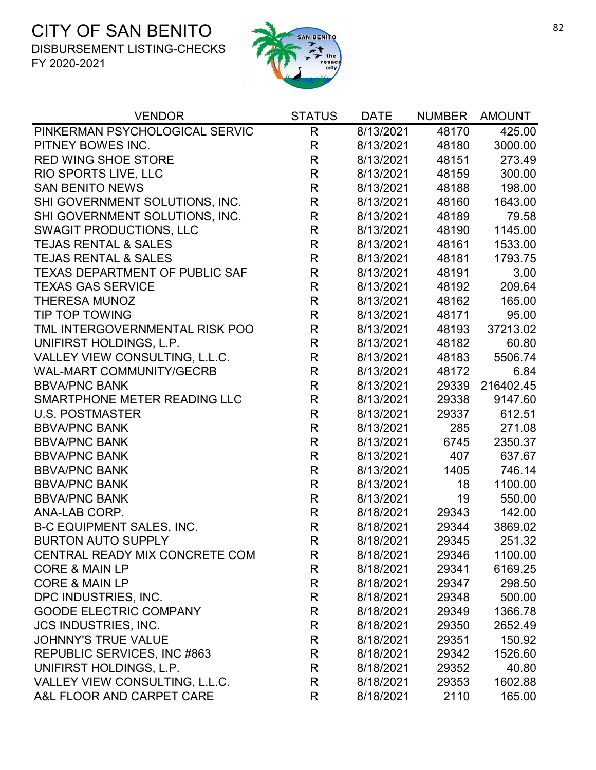

| <b>VENDOR</b>                         | <b>STATUS</b> | <b>DATE</b> | <b>NUMBER</b> | <b>AMOUNT</b> |
|---------------------------------------|---------------|-------------|---------------|---------------|
| PINKERMAN PSYCHOLOGICAL SERVIC        | R             | 8/13/2021   | 48170         | 425.00        |
| PITNEY BOWES INC.                     | R             | 8/13/2021   | 48180         | 3000.00       |
| <b>RED WING SHOE STORE</b>            | $\mathsf R$   | 8/13/2021   | 48151         | 273.49        |
| RIO SPORTS LIVE, LLC                  | R             | 8/13/2021   | 48159         | 300.00        |
| <b>SAN BENITO NEWS</b>                | $\mathsf{R}$  | 8/13/2021   | 48188         | 198.00        |
| SHI GOVERNMENT SOLUTIONS, INC.        | $\mathsf{R}$  | 8/13/2021   | 48160         | 1643.00       |
| SHI GOVERNMENT SOLUTIONS, INC.        | $\mathsf{R}$  | 8/13/2021   | 48189         | 79.58         |
| <b>SWAGIT PRODUCTIONS, LLC</b>        | $\mathsf R$   | 8/13/2021   | 48190         | 1145.00       |
| <b>TEJAS RENTAL &amp; SALES</b>       | R             | 8/13/2021   | 48161         | 1533.00       |
| <b>TEJAS RENTAL &amp; SALES</b>       | $\mathsf R$   | 8/13/2021   | 48181         | 1793.75       |
| <b>TEXAS DEPARTMENT OF PUBLIC SAF</b> | $\mathsf{R}$  | 8/13/2021   | 48191         | 3.00          |
| <b>TEXAS GAS SERVICE</b>              | $\mathsf{R}$  | 8/13/2021   | 48192         | 209.64        |
| <b>THERESA MUNOZ</b>                  | $\mathsf{R}$  | 8/13/2021   | 48162         | 165.00        |
| TIP TOP TOWING                        | R             | 8/13/2021   | 48171         | 95.00         |
| TML INTERGOVERNMENTAL RISK POO        | R             | 8/13/2021   | 48193         | 37213.02      |
| UNIFIRST HOLDINGS, L.P.               | $\mathsf{R}$  | 8/13/2021   | 48182         | 60.80         |
| VALLEY VIEW CONSULTING, L.L.C.        | $\mathsf R$   | 8/13/2021   | 48183         | 5506.74       |
| <b>WAL-MART COMMUNITY/GECRB</b>       | $\mathsf{R}$  | 8/13/2021   | 48172         | 6.84          |
| <b>BBVA/PNC BANK</b>                  | $\mathsf{R}$  | 8/13/2021   | 29339         | 216402.45     |
| SMARTPHONE METER READING LLC          | R             | 8/13/2021   | 29338         | 9147.60       |
| <b>U.S. POSTMASTER</b>                | $\mathsf{R}$  | 8/13/2021   | 29337         | 612.51        |
| <b>BBVA/PNC BANK</b>                  | $\mathsf{R}$  | 8/13/2021   | 285           | 271.08        |
| <b>BBVA/PNC BANK</b>                  | $\mathsf R$   | 8/13/2021   | 6745          | 2350.37       |
| <b>BBVA/PNC BANK</b>                  | $\mathsf R$   | 8/13/2021   | 407           | 637.67        |
| <b>BBVA/PNC BANK</b>                  | $\mathsf R$   | 8/13/2021   | 1405          | 746.14        |
| <b>BBVA/PNC BANK</b>                  | $\mathsf R$   | 8/13/2021   | 18            | 1100.00       |
| <b>BBVA/PNC BANK</b>                  | R             | 8/13/2021   | 19            | 550.00        |
| ANA-LAB CORP.                         | R             | 8/18/2021   | 29343         | 142.00        |
| <b>B-C EQUIPMENT SALES, INC.</b>      | $\mathsf{R}$  | 8/18/2021   | 29344         | 3869.02       |
| <b>BURTON AUTO SUPPLY</b>             | R             | 8/18/2021   | 29345         | 251.32        |
| CENTRAL READY MIX CONCRETE COM        | R             | 8/18/2021   | 29346         | 1100.00       |
| <b>CORE &amp; MAIN LP</b>             | R             | 8/18/2021   | 29341         | 6169.25       |
| <b>CORE &amp; MAIN LP</b>             | R             | 8/18/2021   | 29347         | 298.50        |
| DPC INDUSTRIES, INC.                  | R             | 8/18/2021   | 29348         | 500.00        |
| <b>GOODE ELECTRIC COMPANY</b>         | R             | 8/18/2021   | 29349         | 1366.78       |
| <b>JCS INDUSTRIES, INC.</b>           | R             | 8/18/2021   | 29350         | 2652.49       |
| <b>JOHNNY'S TRUE VALUE</b>            | R             | 8/18/2021   | 29351         | 150.92        |
| REPUBLIC SERVICES, INC #863           | R             | 8/18/2021   | 29342         | 1526.60       |
| UNIFIRST HOLDINGS, L.P.               | R             | 8/18/2021   | 29352         | 40.80         |
| VALLEY VIEW CONSULTING, L.L.C.        | R             | 8/18/2021   | 29353         | 1602.88       |
| A&L FLOOR AND CARPET CARE             | R             | 8/18/2021   | 2110          | 165.00        |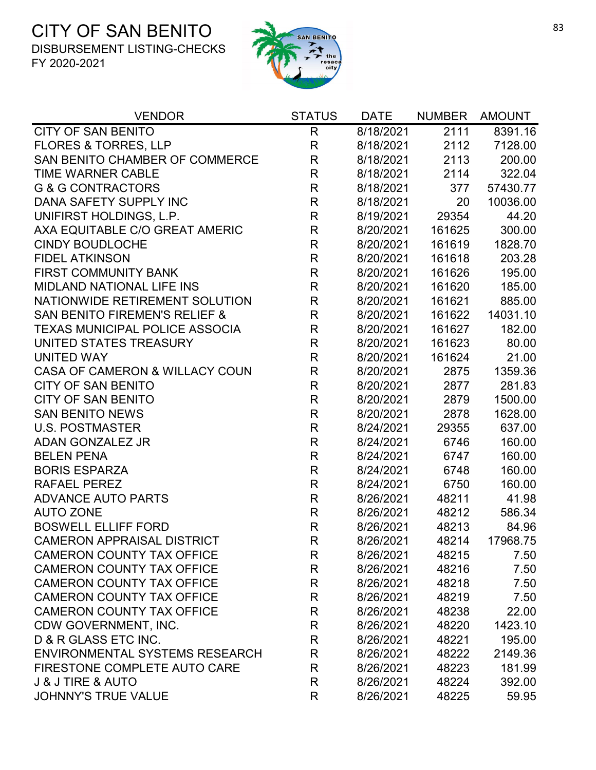

| <b>VENDOR</b>                            | <b>STATUS</b> | <b>DATE</b> | <b>NUMBER</b> | <b>AMOUNT</b> |
|------------------------------------------|---------------|-------------|---------------|---------------|
| <b>CITY OF SAN BENITO</b>                | $\mathsf{R}$  | 8/18/2021   | 2111          | 8391.16       |
| <b>FLORES &amp; TORRES, LLP</b>          | $\mathsf{R}$  | 8/18/2021   | 2112          | 7128.00       |
| SAN BENITO CHAMBER OF COMMERCE           | $\mathsf{R}$  | 8/18/2021   | 2113          | 200.00        |
| <b>TIME WARNER CABLE</b>                 | $\mathsf R$   | 8/18/2021   | 2114          | 322.04        |
| <b>G &amp; G CONTRACTORS</b>             | $\mathsf R$   | 8/18/2021   | 377           | 57430.77      |
| DANA SAFETY SUPPLY INC                   | R             | 8/18/2021   | 20            | 10036.00      |
| UNIFIRST HOLDINGS, L.P.                  | $\mathsf R$   | 8/19/2021   | 29354         | 44.20         |
| AXA EQUITABLE C/O GREAT AMERIC           | $\mathsf{R}$  | 8/20/2021   | 161625        | 300.00        |
| <b>CINDY BOUDLOCHE</b>                   | $\mathsf{R}$  | 8/20/2021   | 161619        | 1828.70       |
| <b>FIDEL ATKINSON</b>                    | $\mathsf R$   | 8/20/2021   | 161618        | 203.28        |
| <b>FIRST COMMUNITY BANK</b>              | $\mathsf R$   | 8/20/2021   | 161626        | 195.00        |
| MIDLAND NATIONAL LIFE INS                | R             | 8/20/2021   | 161620        | 185.00        |
| NATIONWIDE RETIREMENT SOLUTION           | $\mathsf R$   | 8/20/2021   | 161621        | 885.00        |
| <b>SAN BENITO FIREMEN'S RELIEF &amp;</b> | $\mathsf{R}$  | 8/20/2021   | 161622        | 14031.10      |
| <b>TEXAS MUNICIPAL POLICE ASSOCIA</b>    | $\mathsf R$   | 8/20/2021   | 161627        | 182.00        |
| UNITED STATES TREASURY                   | $\mathsf R$   | 8/20/2021   | 161623        | 80.00         |
| <b>UNITED WAY</b>                        | $\mathsf R$   | 8/20/2021   | 161624        | 21.00         |
| CASA OF CAMERON & WILLACY COUN           | $\mathsf R$   | 8/20/2021   | 2875          | 1359.36       |
| <b>CITY OF SAN BENITO</b>                | $\mathsf R$   | 8/20/2021   | 2877          | 281.83        |
| <b>CITY OF SAN BENITO</b>                | $\mathsf R$   | 8/20/2021   | 2879          | 1500.00       |
| <b>SAN BENITO NEWS</b>                   | $\mathsf{R}$  | 8/20/2021   | 2878          | 1628.00       |
| <b>U.S. POSTMASTER</b>                   | $\mathsf R$   | 8/24/2021   | 29355         | 637.00        |
| <b>ADAN GONZALEZ JR</b>                  | R             | 8/24/2021   | 6746          | 160.00        |
| <b>BELEN PENA</b>                        | $\mathsf R$   | 8/24/2021   | 6747          | 160.00        |
| <b>BORIS ESPARZA</b>                     | $\mathsf R$   | 8/24/2021   | 6748          | 160.00        |
| <b>RAFAEL PEREZ</b>                      | $\mathsf R$   | 8/24/2021   | 6750          | 160.00        |
| <b>ADVANCE AUTO PARTS</b>                | $\mathsf{R}$  | 8/26/2021   | 48211         | 41.98         |
| <b>AUTO ZONE</b>                         | R             | 8/26/2021   | 48212         | 586.34        |
| <b>BOSWELL ELLIFF FORD</b>               | $\mathsf R$   | 8/26/2021   | 48213         | 84.96         |
| <b>CAMERON APPRAISAL DISTRICT</b>        | R             | 8/26/2021   | 48214         | 17968.75      |
| <b>CAMERON COUNTY TAX OFFICE</b>         | R             | 8/26/2021   | 48215         | 7.50          |
| <b>CAMERON COUNTY TAX OFFICE</b>         | R             | 8/26/2021   | 48216         | 7.50          |
| <b>CAMERON COUNTY TAX OFFICE</b>         | $\mathsf{R}$  | 8/26/2021   | 48218         | 7.50          |
| <b>CAMERON COUNTY TAX OFFICE</b>         | R             | 8/26/2021   | 48219         | 7.50          |
| <b>CAMERON COUNTY TAX OFFICE</b>         | R             | 8/26/2021   | 48238         | 22.00         |
| CDW GOVERNMENT, INC.                     | $\mathsf{R}$  | 8/26/2021   | 48220         | 1423.10       |
| D & R GLASS ETC INC.                     | $\mathsf R$   | 8/26/2021   | 48221         | 195.00        |
| <b>ENVIRONMENTAL SYSTEMS RESEARCH</b>    | $\mathsf R$   | 8/26/2021   | 48222         | 2149.36       |
| FIRESTONE COMPLETE AUTO CARE             | $\mathsf{R}$  | 8/26/2021   | 48223         | 181.99        |
| <b>J &amp; J TIRE &amp; AUTO</b>         | R             | 8/26/2021   | 48224         | 392.00        |
| <b>JOHNNY'S TRUE VALUE</b>               | R             | 8/26/2021   | 48225         | 59.95         |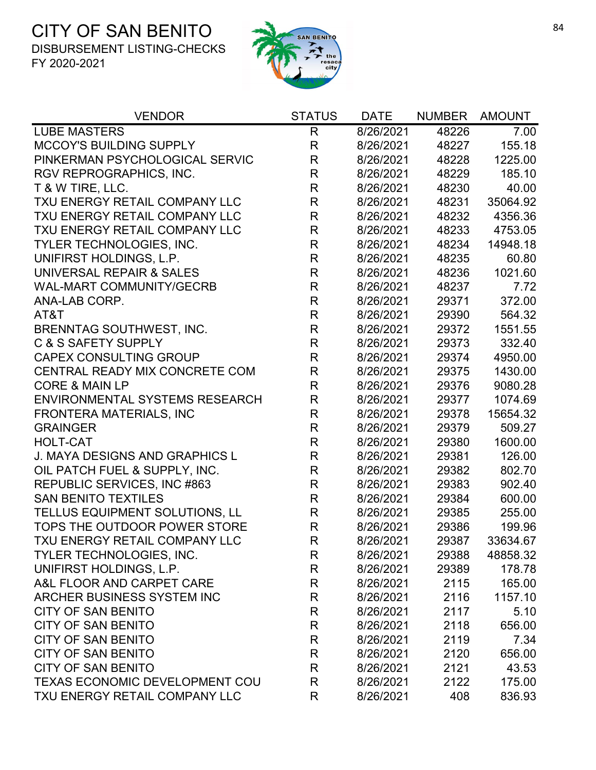

| <b>VENDOR</b>                         | <b>STATUS</b> | <b>DATE</b> | <b>NUMBER</b> | <b>AMOUNT</b> |
|---------------------------------------|---------------|-------------|---------------|---------------|
| <b>LUBE MASTERS</b>                   | R             | 8/26/2021   | 48226         | 7.00          |
| MCCOY'S BUILDING SUPPLY               | R             | 8/26/2021   | 48227         | 155.18        |
| PINKERMAN PSYCHOLOGICAL SERVIC        | R             | 8/26/2021   | 48228         | 1225.00       |
| RGV REPROGRAPHICS, INC.               | R             | 8/26/2021   | 48229         | 185.10        |
| T & W TIRE, LLC.                      | R             | 8/26/2021   | 48230         | 40.00         |
| TXU ENERGY RETAIL COMPANY LLC         | $\mathsf R$   | 8/26/2021   | 48231         | 35064.92      |
| TXU ENERGY RETAIL COMPANY LLC         | $\mathsf R$   | 8/26/2021   | 48232         | 4356.36       |
| TXU ENERGY RETAIL COMPANY LLC         | R             | 8/26/2021   | 48233         | 4753.05       |
| TYLER TECHNOLOGIES, INC.              | R             | 8/26/2021   | 48234         | 14948.18      |
| UNIFIRST HOLDINGS, L.P.               | $\mathsf R$   | 8/26/2021   | 48235         | 60.80         |
| UNIVERSAL REPAIR & SALES              | $\mathsf{R}$  | 8/26/2021   | 48236         | 1021.60       |
| <b>WAL-MART COMMUNITY/GECRB</b>       | $\mathsf{R}$  | 8/26/2021   | 48237         | 7.72          |
| ANA-LAB CORP.                         | $\mathsf{R}$  | 8/26/2021   | 29371         | 372.00        |
| AT&T                                  | $\mathsf{R}$  | 8/26/2021   | 29390         | 564.32        |
| BRENNTAG SOUTHWEST, INC.              | $\mathsf{R}$  | 8/26/2021   | 29372         | 1551.55       |
| <b>C &amp; S SAFETY SUPPLY</b>        | $\mathsf{R}$  | 8/26/2021   | 29373         | 332.40        |
| <b>CAPEX CONSULTING GROUP</b>         | R             | 8/26/2021   | 29374         | 4950.00       |
| CENTRAL READY MIX CONCRETE COM        | R             | 8/26/2021   | 29375         | 1430.00       |
| <b>CORE &amp; MAIN LP</b>             | R             | 8/26/2021   | 29376         | 9080.28       |
| <b>ENVIRONMENTAL SYSTEMS RESEARCH</b> | R             | 8/26/2021   | 29377         | 1074.69       |
| FRONTERA MATERIALS, INC               | R             | 8/26/2021   | 29378         | 15654.32      |
| <b>GRAINGER</b>                       | R             | 8/26/2021   | 29379         | 509.27        |
| <b>HOLT-CAT</b>                       | R             | 8/26/2021   | 29380         | 1600.00       |
| <b>J. MAYA DESIGNS AND GRAPHICS L</b> | $\mathsf{R}$  | 8/26/2021   | 29381         | 126.00        |
| OIL PATCH FUEL & SUPPLY, INC.         | $\mathsf{R}$  | 8/26/2021   | 29382         | 802.70        |
| REPUBLIC SERVICES, INC #863           | $\mathsf{R}$  | 8/26/2021   | 29383         | 902.40        |
| <b>SAN BENITO TEXTILES</b>            | R             | 8/26/2021   | 29384         | 600.00        |
| TELLUS EQUIPMENT SOLUTIONS, LL        | $\mathsf{R}$  | 8/26/2021   | 29385         | 255.00        |
| TOPS THE OUTDOOR POWER STORE          | $\mathsf{R}$  | 8/26/2021   | 29386         | 199.96        |
| <b>TXU ENERGY RETAIL COMPANY LLC</b>  | R             | 8/26/2021   | 29387         | 33634.67      |
| TYLER TECHNOLOGIES, INC.              | R             | 8/26/2021   | 29388         | 48858.32      |
| UNIFIRST HOLDINGS, L.P.               | R             | 8/26/2021   | 29389         | 178.78        |
| A&L FLOOR AND CARPET CARE             | R             | 8/26/2021   | 2115          | 165.00        |
| ARCHER BUSINESS SYSTEM INC            | R             | 8/26/2021   | 2116          | 1157.10       |
| <b>CITY OF SAN BENITO</b>             | R             | 8/26/2021   | 2117          | 5.10          |
| <b>CITY OF SAN BENITO</b>             | R             | 8/26/2021   | 2118          | 656.00        |
| <b>CITY OF SAN BENITO</b>             | R             | 8/26/2021   | 2119          | 7.34          |
| <b>CITY OF SAN BENITO</b>             | R             | 8/26/2021   | 2120          | 656.00        |
| <b>CITY OF SAN BENITO</b>             | R             | 8/26/2021   | 2121          | 43.53         |
| TEXAS ECONOMIC DEVELOPMENT COU        | R             | 8/26/2021   | 2122          | 175.00        |
| TXU ENERGY RETAIL COMPANY LLC         | R             | 8/26/2021   | 408           | 836.93        |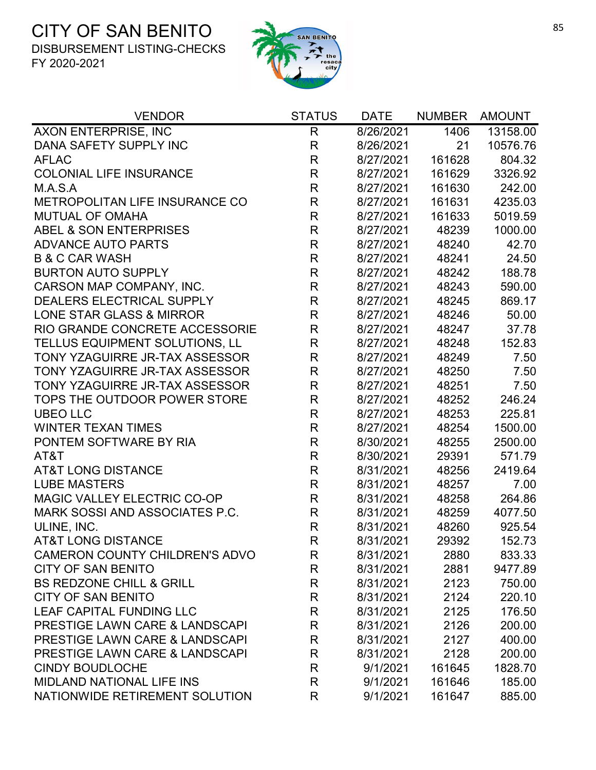

| <b>VENDOR</b>                             | <b>STATUS</b> | <b>DATE</b> | <b>NUMBER</b> | <b>AMOUNT</b> |
|-------------------------------------------|---------------|-------------|---------------|---------------|
| AXON ENTERPRISE, INC                      | $\mathsf{R}$  | 8/26/2021   | 1406          | 13158.00      |
| DANA SAFETY SUPPLY INC                    | R             | 8/26/2021   | 21            | 10576.76      |
| <b>AFLAC</b>                              | R             | 8/27/2021   | 161628        | 804.32        |
| <b>COLONIAL LIFE INSURANCE</b>            | $\mathsf R$   | 8/27/2021   | 161629        | 3326.92       |
| M.A.S.A                                   | R             | 8/27/2021   | 161630        | 242.00        |
| METROPOLITAN LIFE INSURANCE CO            | $\mathsf{R}$  | 8/27/2021   | 161631        | 4235.03       |
| <b>MUTUAL OF OMAHA</b>                    | $\mathsf{R}$  | 8/27/2021   | 161633        | 5019.59       |
| ABEL & SON ENTERPRISES                    | $\mathsf{R}$  | 8/27/2021   | 48239         | 1000.00       |
| <b>ADVANCE AUTO PARTS</b>                 | R             | 8/27/2021   | 48240         | 42.70         |
| <b>B &amp; C CAR WASH</b>                 | $\mathsf{R}$  | 8/27/2021   | 48241         | 24.50         |
| <b>BURTON AUTO SUPPLY</b>                 | $\mathsf{R}$  | 8/27/2021   | 48242         | 188.78        |
| CARSON MAP COMPANY, INC.                  | $\mathsf R$   | 8/27/2021   | 48243         | 590.00        |
| DEALERS ELECTRICAL SUPPLY                 | $\mathsf{R}$  | 8/27/2021   | 48245         | 869.17        |
| LONE STAR GLASS & MIRROR                  | $\mathsf{R}$  | 8/27/2021   | 48246         | 50.00         |
| RIO GRANDE CONCRETE ACCESSORIE            | R             | 8/27/2021   | 48247         | 37.78         |
| TELLUS EQUIPMENT SOLUTIONS, LL            | $\mathsf R$   | 8/27/2021   | 48248         | 152.83        |
| TONY YZAGUIRRE JR-TAX ASSESSOR            | $\mathsf R$   | 8/27/2021   | 48249         | 7.50          |
| TONY YZAGUIRRE JR-TAX ASSESSOR            | R             | 8/27/2021   | 48250         | 7.50          |
| TONY YZAGUIRRE JR-TAX ASSESSOR            | $\mathsf{R}$  | 8/27/2021   | 48251         | 7.50          |
| TOPS THE OUTDOOR POWER STORE              | $\mathsf{R}$  | 8/27/2021   | 48252         | 246.24        |
| <b>UBEO LLC</b>                           | $\mathsf{R}$  | 8/27/2021   | 48253         | 225.81        |
| <b>WINTER TEXAN TIMES</b>                 | R             | 8/27/2021   | 48254         | 1500.00       |
| PONTEM SOFTWARE BY RIA                    | $\mathsf R$   | 8/30/2021   | 48255         | 2500.00       |
| AT&T                                      | $\mathsf{R}$  | 8/30/2021   | 29391         | 571.79        |
| <b>AT&amp;T LONG DISTANCE</b>             | $\mathsf{R}$  | 8/31/2021   | 48256         | 2419.64       |
| <b>LUBE MASTERS</b>                       | $\mathsf R$   | 8/31/2021   | 48257         | 7.00          |
| MAGIC VALLEY ELECTRIC CO-OP               | $\mathsf R$   | 8/31/2021   | 48258         | 264.86        |
| MARK SOSSI AND ASSOCIATES P.C.            | $\mathsf{R}$  | 8/31/2021   | 48259         | 4077.50       |
| ULINE, INC.                               | $\mathsf R$   | 8/31/2021   | 48260         | 925.54        |
| <b>AT&amp;T LONG DISTANCE</b>             | $\mathsf{R}$  | 8/31/2021   | 29392         | 152.73        |
| <b>CAMERON COUNTY CHILDREN'S ADVO</b>     | R             | 8/31/2021   | 2880          | 833.33        |
| <b>CITY OF SAN BENITO</b>                 | $\mathsf{R}$  | 8/31/2021   | 2881          | 9477.89       |
| <b>BS REDZONE CHILL &amp; GRILL</b>       | R             | 8/31/2021   | 2123          | 750.00        |
| <b>CITY OF SAN BENITO</b>                 | R             | 8/31/2021   | 2124          | 220.10        |
| <b>LEAF CAPITAL FUNDING LLC</b>           | R             | 8/31/2021   | 2125          | 176.50        |
| PRESTIGE LAWN CARE & LANDSCAPI            | R             | 8/31/2021   | 2126          | 200.00        |
| <b>PRESTIGE LAWN CARE &amp; LANDSCAPI</b> | R             | 8/31/2021   | 2127          | 400.00        |
| <b>PRESTIGE LAWN CARE &amp; LANDSCAPI</b> | R             | 8/31/2021   | 2128          | 200.00        |
| <b>CINDY BOUDLOCHE</b>                    | R             | 9/1/2021    | 161645        | 1828.70       |
| MIDLAND NATIONAL LIFE INS                 | R             | 9/1/2021    | 161646        | 185.00        |
| NATIONWIDE RETIREMENT SOLUTION            | R             | 9/1/2021    | 161647        | 885.00        |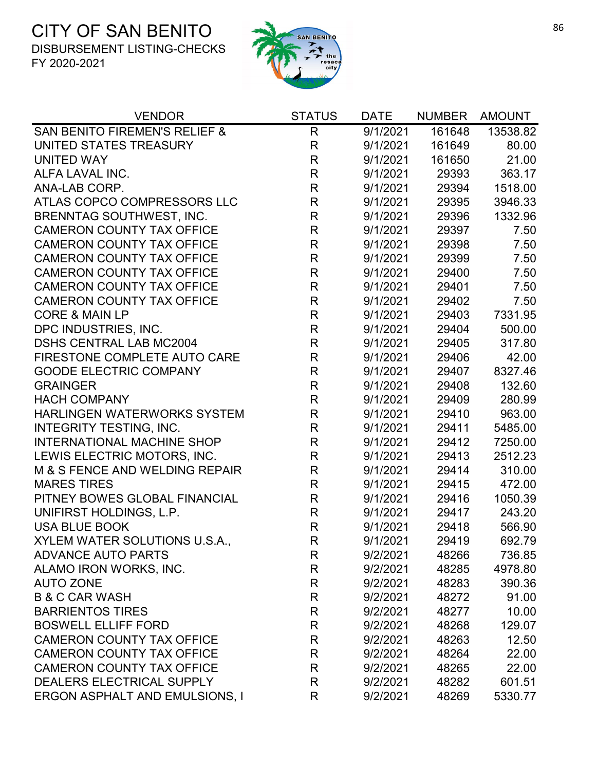

| <b>VENDOR</b>                            | <b>STATUS</b> | <b>DATE</b> | <b>NUMBER</b> | <b>AMOUNT</b> |
|------------------------------------------|---------------|-------------|---------------|---------------|
| <b>SAN BENITO FIREMEN'S RELIEF &amp;</b> | $\mathsf{R}$  | 9/1/2021    | 161648        | 13538.82      |
| UNITED STATES TREASURY                   | $\mathsf{R}$  | 9/1/2021    | 161649        | 80.00         |
| <b>UNITED WAY</b>                        | $\mathsf{R}$  | 9/1/2021    | 161650        | 21.00         |
| ALFA LAVAL INC.                          | $\mathsf R$   | 9/1/2021    | 29393         | 363.17        |
| ANA-LAB CORP.                            | $\mathsf R$   | 9/1/2021    | 29394         | 1518.00       |
| ATLAS COPCO COMPRESSORS LLC              | $\mathsf R$   | 9/1/2021    | 29395         | 3946.33       |
| <b>BRENNTAG SOUTHWEST, INC.</b>          | $\mathsf R$   | 9/1/2021    | 29396         | 1332.96       |
| <b>CAMERON COUNTY TAX OFFICE</b>         | $\mathsf R$   | 9/1/2021    | 29397         | 7.50          |
| <b>CAMERON COUNTY TAX OFFICE</b>         | $\mathsf R$   | 9/1/2021    | 29398         | 7.50          |
| <b>CAMERON COUNTY TAX OFFICE</b>         | $\mathsf{R}$  | 9/1/2021    | 29399         | 7.50          |
| <b>CAMERON COUNTY TAX OFFICE</b>         | R             | 9/1/2021    | 29400         | 7.50          |
| <b>CAMERON COUNTY TAX OFFICE</b>         | $\mathsf R$   | 9/1/2021    | 29401         | 7.50          |
| <b>CAMERON COUNTY TAX OFFICE</b>         | $\mathsf{R}$  | 9/1/2021    | 29402         | 7.50          |
| <b>CORE &amp; MAIN LP</b>                | $\mathsf R$   | 9/1/2021    | 29403         | 7331.95       |
| DPC INDUSTRIES, INC.                     | R             | 9/1/2021    | 29404         | 500.00        |
| <b>DSHS CENTRAL LAB MC2004</b>           | $\mathsf{R}$  | 9/1/2021    | 29405         | 317.80        |
| <b>FIRESTONE COMPLETE AUTO CARE</b>      | R             | 9/1/2021    | 29406         | 42.00         |
| <b>GOODE ELECTRIC COMPANY</b>            | $\mathsf{R}$  | 9/1/2021    | 29407         | 8327.46       |
| <b>GRAINGER</b>                          | $\mathsf{R}$  | 9/1/2021    | 29408         | 132.60        |
| <b>HACH COMPANY</b>                      | $\mathsf R$   | 9/1/2021    | 29409         | 280.99        |
| <b>HARLINGEN WATERWORKS SYSTEM</b>       | $\mathsf R$   | 9/1/2021    | 29410         | 963.00        |
| <b>INTEGRITY TESTING, INC.</b>           | $\mathsf{R}$  | 9/1/2021    | 29411         | 5485.00       |
| <b>INTERNATIONAL MACHINE SHOP</b>        | $\mathsf R$   | 9/1/2021    | 29412         | 7250.00       |
| LEWIS ELECTRIC MOTORS, INC.              | $\mathsf R$   | 9/1/2021    | 29413         | 2512.23       |
| M & S FENCE AND WELDING REPAIR           | $\mathsf R$   | 9/1/2021    | 29414         | 310.00        |
| <b>MARES TIRES</b>                       | $\mathsf R$   | 9/1/2021    | 29415         | 472.00        |
| PITNEY BOWES GLOBAL FINANCIAL            | $\mathsf R$   | 9/1/2021    | 29416         | 1050.39       |
| UNIFIRST HOLDINGS, L.P.                  | R             | 9/1/2021    | 29417         | 243.20        |
| <b>USA BLUE BOOK</b>                     | $\mathsf R$   | 9/1/2021    | 29418         | 566.90        |
| XYLEM WATER SOLUTIONS U.S.A.             | R             | 9/1/2021    | 29419         | 692.79        |
| <b>ADVANCE AUTO PARTS</b>                | R             | 9/2/2021    | 48266         | 736.85        |
| ALAMO IRON WORKS, INC.                   | R             | 9/2/2021    | 48285         | 4978.80       |
| <b>AUTO ZONE</b>                         | R             | 9/2/2021    | 48283         | 390.36        |
| <b>B &amp; C CAR WASH</b>                | R             | 9/2/2021    | 48272         | 91.00         |
| <b>BARRIENTOS TIRES</b>                  | R             | 9/2/2021    | 48277         | 10.00         |
| <b>BOSWELL ELLIFF FORD</b>               | R             | 9/2/2021    | 48268         | 129.07        |
| <b>CAMERON COUNTY TAX OFFICE</b>         | R             | 9/2/2021    | 48263         | 12.50         |
| <b>CAMERON COUNTY TAX OFFICE</b>         | R             | 9/2/2021    | 48264         | 22.00         |
| <b>CAMERON COUNTY TAX OFFICE</b>         | R             | 9/2/2021    | 48265         | 22.00         |
| DEALERS ELECTRICAL SUPPLY                | R             | 9/2/2021    | 48282         | 601.51        |
| <b>ERGON ASPHALT AND EMULSIONS, I</b>    | R             | 9/2/2021    | 48269         | 5330.77       |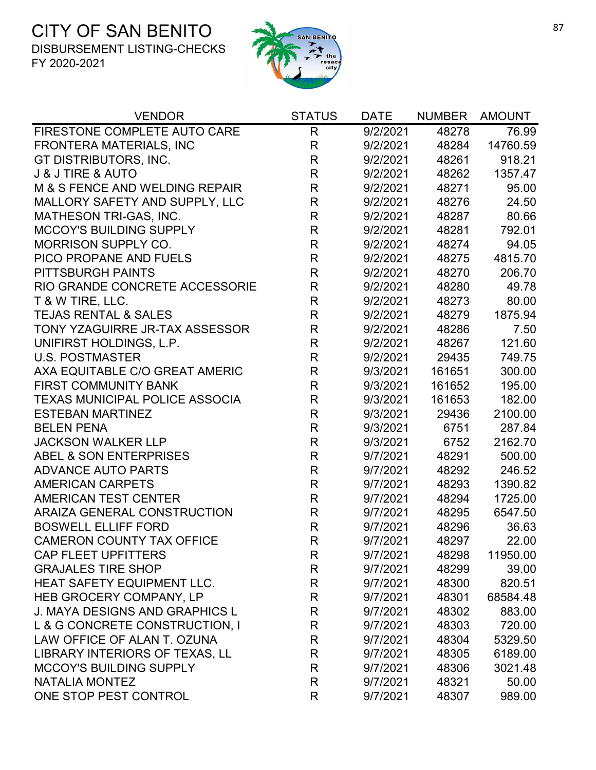

| <b>VENDOR</b>                         | <b>STATUS</b> | <b>DATE</b>            | <b>NUMBER</b> | <b>AMOUNT</b> |
|---------------------------------------|---------------|------------------------|---------------|---------------|
| FIRESTONE COMPLETE AUTO CARE          | $\mathsf{R}$  | $\frac{1}{9}{2}$ /2021 | 48278         | 76.99         |
| <b>FRONTERA MATERIALS, INC</b>        | $\mathsf{R}$  | 9/2/2021               | 48284         | 14760.59      |
| GT DISTRIBUTORS, INC.                 | R             | 9/2/2021               | 48261         | 918.21        |
| <b>J &amp; J TIRE &amp; AUTO</b>      | $\mathsf R$   | 9/2/2021               | 48262         | 1357.47       |
| M & S FENCE AND WELDING REPAIR        | $\mathsf{R}$  | 9/2/2021               | 48271         | 95.00         |
| MALLORY SAFETY AND SUPPLY, LLC        | $\mathsf R$   | 9/2/2021               | 48276         | 24.50         |
| <b>MATHESON TRI-GAS, INC.</b>         | $\mathsf{R}$  | 9/2/2021               | 48287         | 80.66         |
| MCCOY'S BUILDING SUPPLY               | $\mathsf R$   | 9/2/2021               | 48281         | 792.01        |
| <b>MORRISON SUPPLY CO.</b>            | $\mathsf R$   | 9/2/2021               | 48274         | 94.05         |
| PICO PROPANE AND FUELS                | $\mathsf R$   | 9/2/2021               | 48275         | 4815.70       |
| <b>PITTSBURGH PAINTS</b>              | $\mathsf R$   | 9/2/2021               | 48270         | 206.70        |
| RIO GRANDE CONCRETE ACCESSORIE        | $\mathsf R$   | 9/2/2021               | 48280         | 49.78         |
| T & W TIRE, LLC.                      | $\mathsf{R}$  | 9/2/2021               | 48273         | 80.00         |
| <b>TEJAS RENTAL &amp; SALES</b>       | $\mathsf R$   | 9/2/2021               | 48279         | 1875.94       |
| TONY YZAGUIRRE JR-TAX ASSESSOR        | $\mathsf R$   | 9/2/2021               | 48286         | 7.50          |
| UNIFIRST HOLDINGS, L.P.               | $\mathsf R$   | 9/2/2021               | 48267         | 121.60        |
| <b>U.S. POSTMASTER</b>                | $\mathsf R$   | 9/2/2021               | 29435         | 749.75        |
| AXA EQUITABLE C/O GREAT AMERIC        | $\mathsf R$   | 9/3/2021               | 161651        | 300.00        |
| <b>FIRST COMMUNITY BANK</b>           | $\mathsf{R}$  | 9/3/2021               | 161652        | 195.00        |
| <b>TEXAS MUNICIPAL POLICE ASSOCIA</b> | $\mathsf R$   | 9/3/2021               | 161653        | 182.00        |
| <b>ESTEBAN MARTINEZ</b>               | $\mathsf R$   | 9/3/2021               | 29436         | 2100.00       |
| <b>BELEN PENA</b>                     | $\mathsf R$   | 9/3/2021               | 6751          | 287.84        |
| <b>JACKSON WALKER LLP</b>             | $\mathsf R$   | 9/3/2021               | 6752          | 2162.70       |
| ABEL & SON ENTERPRISES                | $\mathsf R$   | 9/7/2021               | 48291         | 500.00        |
| <b>ADVANCE AUTO PARTS</b>             | $\mathsf{R}$  | 9/7/2021               | 48292         | 246.52        |
| <b>AMERICAN CARPETS</b>               | $\mathsf{R}$  | 9/7/2021               | 48293         | 1390.82       |
| <b>AMERICAN TEST CENTER</b>           | $\mathsf{R}$  | 9/7/2021               | 48294         | 1725.00       |
| ARAIZA GENERAL CONSTRUCTION           | $\mathsf R$   | 9/7/2021               | 48295         | 6547.50       |
| <b>BOSWELL ELLIFF FORD</b>            | $\mathsf R$   | 9/7/2021               | 48296         | 36.63         |
| <b>CAMERON COUNTY TAX OFFICE</b>      | R             | 9/7/2021               | 48297         | 22.00         |
| <b>CAP FLEET UPFITTERS</b>            | R             | 9/7/2021               | 48298         | 11950.00      |
| <b>GRAJALES TIRE SHOP</b>             | $\mathsf{R}$  | 9/7/2021               | 48299         | 39.00         |
| <b>HEAT SAFETY EQUIPMENT LLC.</b>     | R             | 9/7/2021               | 48300         | 820.51        |
| HEB GROCERY COMPANY, LP               | $\mathsf{R}$  | 9/7/2021               | 48301         | 68584.48      |
| <b>J. MAYA DESIGNS AND GRAPHICS L</b> | $\mathsf{R}$  | 9/7/2021               | 48302         | 883.00        |
| L & G CONCRETE CONSTRUCTION, I        | R             | 9/7/2021               | 48303         | 720.00        |
| LAW OFFICE OF ALAN T. OZUNA           | R             | 9/7/2021               | 48304         | 5329.50       |
| LIBRARY INTERIORS OF TEXAS, LL        | $\mathsf{R}$  | 9/7/2021               | 48305         | 6189.00       |
| <b>MCCOY'S BUILDING SUPPLY</b>        | R             | 9/7/2021               | 48306         | 3021.48       |
| <b>NATALIA MONTEZ</b>                 | $\mathsf{R}$  | 9/7/2021               | 48321         | 50.00         |
| ONE STOP PEST CONTROL                 | $\mathsf{R}$  | 9/7/2021               | 48307         | 989.00        |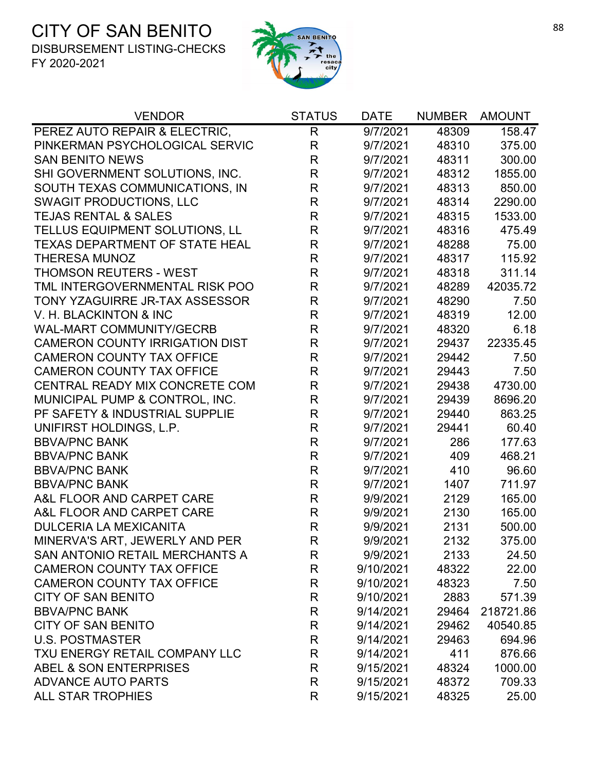

| <b>VENDOR</b>                         | <b>STATUS</b> | <b>DATE</b> | <b>NUMBER</b> | <b>AMOUNT</b> |
|---------------------------------------|---------------|-------------|---------------|---------------|
| PEREZ AUTO REPAIR & ELECTRIC,         | $\mathsf{R}$  | 9/7/2021    | 48309         | 158.47        |
| PINKERMAN PSYCHOLOGICAL SERVIC        | $\mathsf{R}$  | 9/7/2021    | 48310         | 375.00        |
| <b>SAN BENITO NEWS</b>                | $\mathsf R$   | 9/7/2021    | 48311         | 300.00        |
| SHI GOVERNMENT SOLUTIONS, INC.        | $\mathsf R$   | 9/7/2021    | 48312         | 1855.00       |
| SOUTH TEXAS COMMUNICATIONS, IN        | $\mathsf R$   | 9/7/2021    | 48313         | 850.00        |
| <b>SWAGIT PRODUCTIONS, LLC</b>        | $\mathsf R$   | 9/7/2021    | 48314         | 2290.00       |
| <b>TEJAS RENTAL &amp; SALES</b>       | R             | 9/7/2021    | 48315         | 1533.00       |
| TELLUS EQUIPMENT SOLUTIONS, LL        | $\mathsf R$   | 9/7/2021    | 48316         | 475.49        |
| TEXAS DEPARTMENT OF STATE HEAL        | $\mathsf R$   | 9/7/2021    | 48288         | 75.00         |
| <b>THERESA MUNOZ</b>                  | $\mathsf R$   | 9/7/2021    | 48317         | 115.92        |
| <b>THOMSON REUTERS - WEST</b>         | $\mathsf R$   | 9/7/2021    | 48318         | 311.14        |
| TML INTERGOVERNMENTAL RISK POO        | $\mathsf{R}$  | 9/7/2021    | 48289         | 42035.72      |
| TONY YZAGUIRRE JR-TAX ASSESSOR        | $\mathsf R$   | 9/7/2021    | 48290         | 7.50          |
| V. H. BLACKINTON & INC                | $\mathsf{R}$  | 9/7/2021    | 48319         | 12.00         |
| <b>WAL-MART COMMUNITY/GECRB</b>       | $\mathsf R$   | 9/7/2021    | 48320         | 6.18          |
| <b>CAMERON COUNTY IRRIGATION DIST</b> | $\mathsf{R}$  | 9/7/2021    | 29437         | 22335.45      |
| <b>CAMERON COUNTY TAX OFFICE</b>      | $\mathsf R$   | 9/7/2021    | 29442         | 7.50          |
| <b>CAMERON COUNTY TAX OFFICE</b>      | $\mathsf R$   | 9/7/2021    | 29443         | 7.50          |
| CENTRAL READY MIX CONCRETE COM        | $\mathsf{R}$  | 9/7/2021    | 29438         | 4730.00       |
| MUNICIPAL PUMP & CONTROL, INC.        | $\mathsf{R}$  | 9/7/2021    | 29439         | 8696.20       |
| PF SAFETY & INDUSTRIAL SUPPLIE        | $\mathsf{R}$  | 9/7/2021    | 29440         | 863.25        |
| UNIFIRST HOLDINGS, L.P.               | $\mathsf R$   | 9/7/2021    | 29441         | 60.40         |
| <b>BBVA/PNC BANK</b>                  | $\mathsf R$   | 9/7/2021    | 286           | 177.63        |
| <b>BBVA/PNC BANK</b>                  | $\mathsf R$   | 9/7/2021    | 409           | 468.21        |
| <b>BBVA/PNC BANK</b>                  | $\mathsf R$   | 9/7/2021    | 410           | 96.60         |
| <b>BBVA/PNC BANK</b>                  | R             | 9/7/2021    | 1407          | 711.97        |
| A&L FLOOR AND CARPET CARE             | $\mathsf R$   | 9/9/2021    | 2129          | 165.00        |
| A&L FLOOR AND CARPET CARE             | $\mathsf R$   | 9/9/2021    | 2130          | 165.00        |
| <b>DULCERIA LA MEXICANITA</b>         | $\mathsf{R}$  | 9/9/2021    | 2131          | 500.00        |
| MINERVA'S ART, JEWERLY AND PER        | R             | 9/9/2021    | 2132          | 375.00        |
| SAN ANTONIO RETAIL MERCHANTS A        | R             | 9/9/2021    | 2133          | 24.50         |
| <b>CAMERON COUNTY TAX OFFICE</b>      | R             | 9/10/2021   | 48322         | 22.00         |
| <b>CAMERON COUNTY TAX OFFICE</b>      | R             | 9/10/2021   | 48323         | 7.50          |
| <b>CITY OF SAN BENITO</b>             | R             | 9/10/2021   | 2883          | 571.39        |
| <b>BBVA/PNC BANK</b>                  | R             | 9/14/2021   | 29464         | 218721.86     |
| <b>CITY OF SAN BENITO</b>             | R             | 9/14/2021   | 29462         | 40540.85      |
| <b>U.S. POSTMASTER</b>                | R             | 9/14/2021   | 29463         | 694.96        |
| TXU ENERGY RETAIL COMPANY LLC         | $\mathsf R$   | 9/14/2021   | 411           | 876.66        |
| ABEL & SON ENTERPRISES                | R             | 9/15/2021   | 48324         | 1000.00       |
| <b>ADVANCE AUTO PARTS</b>             | $\mathsf{R}$  | 9/15/2021   | 48372         | 709.33        |
| <b>ALL STAR TROPHIES</b>              | R             | 9/15/2021   | 48325         | 25.00         |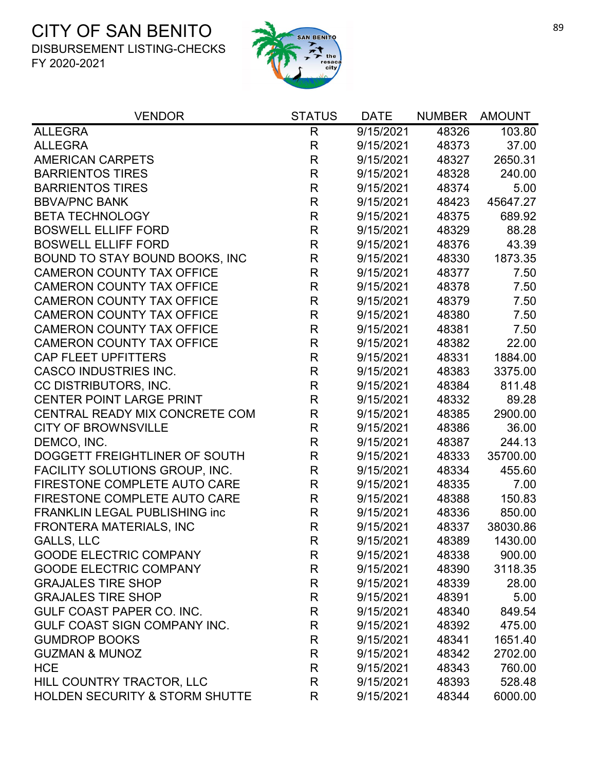

| <b>VENDOR</b>                             | <b>STATUS</b> | <b>DATE</b> | <b>NUMBER</b> | <b>AMOUNT</b> |
|-------------------------------------------|---------------|-------------|---------------|---------------|
| <b>ALLEGRA</b>                            | R             | 9/15/2021   | 48326         | 103.80        |
| <b>ALLEGRA</b>                            | $\mathsf{R}$  | 9/15/2021   | 48373         | 37.00         |
| <b>AMERICAN CARPETS</b>                   | $\mathsf{R}$  | 9/15/2021   | 48327         | 2650.31       |
| <b>BARRIENTOS TIRES</b>                   | $\mathsf{R}$  | 9/15/2021   | 48328         | 240.00        |
| <b>BARRIENTOS TIRES</b>                   | ${\sf R}$     | 9/15/2021   | 48374         | 5.00          |
| <b>BBVA/PNC BANK</b>                      | $\mathsf R$   | 9/15/2021   | 48423         | 45647.27      |
| <b>BETA TECHNOLOGY</b>                    | $\mathsf R$   | 9/15/2021   | 48375         | 689.92        |
| <b>BOSWELL ELLIFF FORD</b>                | $\mathsf{R}$  | 9/15/2021   | 48329         | 88.28         |
| <b>BOSWELL ELLIFF FORD</b>                | $\mathsf{R}$  | 9/15/2021   | 48376         | 43.39         |
| BOUND TO STAY BOUND BOOKS, INC            | R             | 9/15/2021   | 48330         | 1873.35       |
| <b>CAMERON COUNTY TAX OFFICE</b>          | $\mathsf{R}$  | 9/15/2021   | 48377         | 7.50          |
| <b>CAMERON COUNTY TAX OFFICE</b>          | $\mathsf R$   | 9/15/2021   | 48378         | 7.50          |
| <b>CAMERON COUNTY TAX OFFICE</b>          | R             | 9/15/2021   | 48379         | 7.50          |
| <b>CAMERON COUNTY TAX OFFICE</b>          | $\mathsf{R}$  | 9/15/2021   | 48380         | 7.50          |
| <b>CAMERON COUNTY TAX OFFICE</b>          | R             | 9/15/2021   | 48381         | 7.50          |
| <b>CAMERON COUNTY TAX OFFICE</b>          | $\mathsf R$   | 9/15/2021   | 48382         | 22.00         |
| <b>CAP FLEET UPFITTERS</b>                | $\mathsf R$   | 9/15/2021   | 48331         | 1884.00       |
| <b>CASCO INDUSTRIES INC.</b>              | $\mathsf R$   | 9/15/2021   | 48383         | 3375.00       |
| CC DISTRIBUTORS, INC.                     | ${\sf R}$     | 9/15/2021   | 48384         | 811.48        |
| <b>CENTER POINT LARGE PRINT</b>           | R             | 9/15/2021   | 48332         | 89.28         |
| CENTRAL READY MIX CONCRETE COM            | $\mathsf R$   | 9/15/2021   | 48385         | 2900.00       |
| <b>CITY OF BROWNSVILLE</b>                | $\mathsf{R}$  | 9/15/2021   | 48386         | 36.00         |
| DEMCO, INC.                               | R             | 9/15/2021   | 48387         | 244.13        |
| DOGGETT FREIGHTLINER OF SOUTH             | $\mathsf R$   | 9/15/2021   | 48333         | 35700.00      |
| FACILITY SOLUTIONS GROUP, INC.            | $\mathsf R$   | 9/15/2021   | 48334         | 455.60        |
| FIRESTONE COMPLETE AUTO CARE              | $\mathsf{R}$  | 9/15/2021   | 48335         | 7.00          |
| FIRESTONE COMPLETE AUTO CARE              | $\mathsf{R}$  | 9/15/2021   | 48388         | 150.83        |
| <b>FRANKLIN LEGAL PUBLISHING inc</b>      | $\mathsf R$   | 9/15/2021   | 48336         | 850.00        |
| FRONTERA MATERIALS, INC                   | $\mathsf{R}$  | 9/15/2021   | 48337         | 38030.86      |
| <b>GALLS, LLC</b>                         | R             | 9/15/2021   | 48389         | 1430.00       |
| <b>GOODE ELECTRIC COMPANY</b>             | R             | 9/15/2021   | 48338         | 900.00        |
| <b>GOODE ELECTRIC COMPANY</b>             | $\mathsf{R}$  | 9/15/2021   | 48390         | 3118.35       |
| <b>GRAJALES TIRE SHOP</b>                 | $\mathsf{R}$  | 9/15/2021   | 48339         | 28.00         |
| <b>GRAJALES TIRE SHOP</b>                 | R             | 9/15/2021   | 48391         | 5.00          |
| GULF COAST PAPER CO. INC.                 | R             | 9/15/2021   | 48340         | 849.54        |
| GULF COAST SIGN COMPANY INC.              | $\mathsf{R}$  | 9/15/2021   | 48392         | 475.00        |
| <b>GUMDROP BOOKS</b>                      | R             | 9/15/2021   | 48341         | 1651.40       |
| <b>GUZMAN &amp; MUNOZ</b>                 | $\mathsf{R}$  | 9/15/2021   | 48342         | 2702.00       |
| <b>HCE</b>                                | R             | 9/15/2021   | 48343         | 760.00        |
| HILL COUNTRY TRACTOR, LLC                 | $\mathsf{R}$  | 9/15/2021   | 48393         | 528.48        |
| <b>HOLDEN SECURITY &amp; STORM SHUTTE</b> | R             | 9/15/2021   | 48344         | 6000.00       |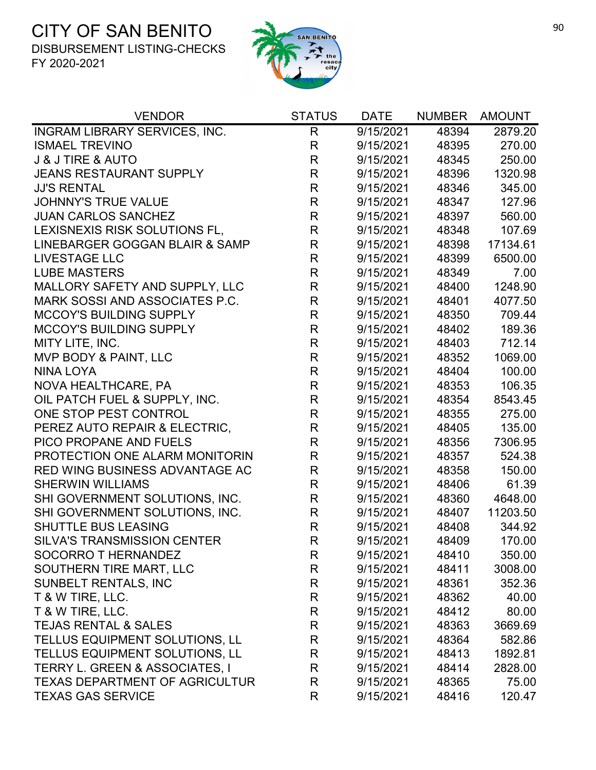

| <b>VENDOR</b>                             | <b>STATUS</b> | <b>DATE</b> | <b>NUMBER</b> | <b>AMOUNT</b> |
|-------------------------------------------|---------------|-------------|---------------|---------------|
| INGRAM LIBRARY SERVICES, INC.             | $\mathsf{R}$  | 9/15/2021   | 48394         | 2879.20       |
| <b>ISMAEL TREVINO</b>                     | $\mathsf{R}$  | 9/15/2021   | 48395         | 270.00        |
| <b>J &amp; J TIRE &amp; AUTO</b>          | $\mathsf R$   | 9/15/2021   | 48345         | 250.00        |
| <b>JEANS RESTAURANT SUPPLY</b>            | $\mathsf{R}$  | 9/15/2021   | 48396         | 1320.98       |
| <b>JJ'S RENTAL</b>                        | R             | 9/15/2021   | 48346         | 345.00        |
| <b>JOHNNY'S TRUE VALUE</b>                | $\mathsf R$   | 9/15/2021   | 48347         | 127.96        |
| <b>JUAN CARLOS SANCHEZ</b>                | $\mathsf R$   | 9/15/2021   | 48397         | 560.00        |
| LEXISNEXIS RISK SOLUTIONS FL,             | $\mathsf R$   | 9/15/2021   | 48348         | 107.69        |
| LINEBARGER GOGGAN BLAIR & SAMP            | $\mathsf R$   | 9/15/2021   | 48398         | 17134.61      |
| <b>LIVESTAGE LLC</b>                      | $\mathsf{R}$  | 9/15/2021   | 48399         | 6500.00       |
| <b>LUBE MASTERS</b>                       | $\mathsf R$   | 9/15/2021   | 48349         | 7.00          |
| MALLORY SAFETY AND SUPPLY, LLC            | $\mathsf{R}$  | 9/15/2021   | 48400         | 1248.90       |
| MARK SOSSI AND ASSOCIATES P.C.            | $\mathsf R$   | 9/15/2021   | 48401         | 4077.50       |
| <b>MCCOY'S BUILDING SUPPLY</b>            | $\mathsf R$   | 9/15/2021   | 48350         | 709.44        |
| <b>MCCOY'S BUILDING SUPPLY</b>            | $\mathsf R$   | 9/15/2021   | 48402         | 189.36        |
| MITY LITE, INC.                           | $\mathsf R$   | 9/15/2021   | 48403         | 712.14        |
| MVP BODY & PAINT, LLC                     | $\mathsf R$   | 9/15/2021   | 48352         | 1069.00       |
| <b>NINA LOYA</b>                          | R             | 9/15/2021   | 48404         | 100.00        |
| NOVA HEALTHCARE, PA                       | $\mathsf R$   | 9/15/2021   | 48353         | 106.35        |
| OIL PATCH FUEL & SUPPLY, INC.             | R             | 9/15/2021   | 48354         | 8543.45       |
| ONE STOP PEST CONTROL                     | $\mathsf R$   | 9/15/2021   | 48355         | 275.00        |
| PEREZ AUTO REPAIR & ELECTRIC,             | $\mathsf R$   | 9/15/2021   | 48405         | 135.00        |
| PICO PROPANE AND FUELS                    | $\mathsf{R}$  | 9/15/2021   | 48356         | 7306.95       |
| PROTECTION ONE ALARM MONITORIN            | $\mathsf R$   | 9/15/2021   | 48357         | 524.38        |
| RED WING BUSINESS ADVANTAGE AC            | $\mathsf{R}$  | 9/15/2021   | 48358         | 150.00        |
| <b>SHERWIN WILLIAMS</b>                   | $\mathsf R$   | 9/15/2021   | 48406         | 61.39         |
| SHI GOVERNMENT SOLUTIONS, INC.            | $\mathsf R$   | 9/15/2021   | 48360         | 4648.00       |
| SHI GOVERNMENT SOLUTIONS, INC.            | R             | 9/15/2021   | 48407         | 11203.50      |
| <b>SHUTTLE BUS LEASING</b>                | $\mathsf R$   | 9/15/2021   | 48408         | 344.92        |
| <b>SILVA'S TRANSMISSION CENTER</b>        | R             | 9/15/2021   | 48409         | 170.00        |
| SOCORRO T HERNANDEZ                       | R             | 9/15/2021   | 48410         | 350.00        |
| SOUTHERN TIRE MART, LLC                   | R             | 9/15/2021   | 48411         | 3008.00       |
| <b>SUNBELT RENTALS, INC</b>               | R             | 9/15/2021   | 48361         | 352.36        |
| T & W TIRE, LLC.                          | R             | 9/15/2021   | 48362         | 40.00         |
| T & W TIRE, LLC.                          | R             | 9/15/2021   | 48412         | 80.00         |
| TEJAS RENTAL & SALES                      | R             | 9/15/2021   | 48363         | 3669.69       |
| TELLUS EQUIPMENT SOLUTIONS, LL            | R             | 9/15/2021   | 48364         | 582.86        |
| TELLUS EQUIPMENT SOLUTIONS, LL            | R             | 9/15/2021   | 48413         | 1892.81       |
| <b>TERRY L. GREEN &amp; ASSOCIATES, I</b> | R             | 9/15/2021   | 48414         | 2828.00       |
| <b>TEXAS DEPARTMENT OF AGRICULTUR</b>     | $\mathsf{R}$  | 9/15/2021   | 48365         | 75.00         |
| <b>TEXAS GAS SERVICE</b>                  | R             | 9/15/2021   | 48416         | 120.47        |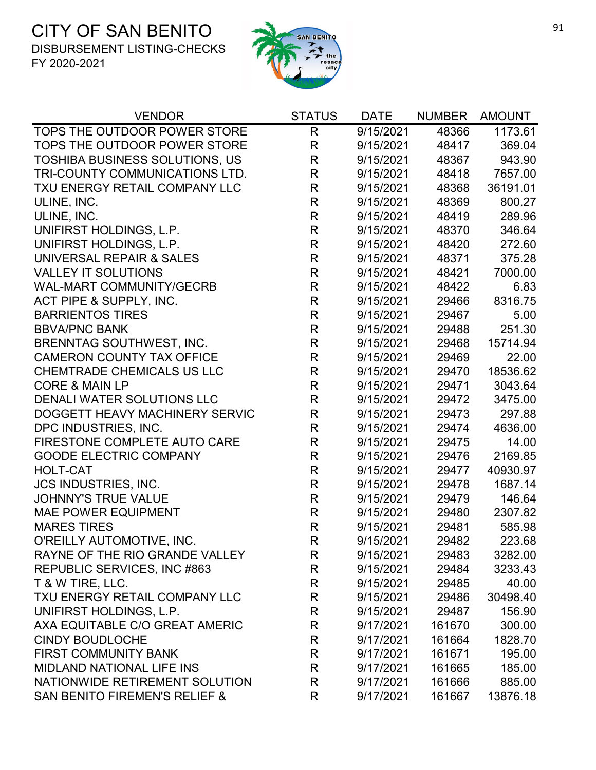

| <b>VENDOR</b>                            | <b>STATUS</b> | <b>DATE</b> | <b>NUMBER</b> | <b>AMOUNT</b> |
|------------------------------------------|---------------|-------------|---------------|---------------|
| TOPS THE OUTDOOR POWER STORE             | R             | 9/15/2021   | 48366         | 1173.61       |
| TOPS THE OUTDOOR POWER STORE             | $\mathsf{R}$  | 9/15/2021   | 48417         | 369.04        |
| <b>TOSHIBA BUSINESS SOLUTIONS, US</b>    | R             | 9/15/2021   | 48367         | 943.90        |
| TRI-COUNTY COMMUNICATIONS LTD.           | R             | 9/15/2021   | 48418         | 7657.00       |
| TXU ENERGY RETAIL COMPANY LLC            | $\mathsf R$   | 9/15/2021   | 48368         | 36191.01      |
| ULINE, INC.                              | $\mathsf{R}$  | 9/15/2021   | 48369         | 800.27        |
| ULINE, INC.                              | $\mathsf R$   | 9/15/2021   | 48419         | 289.96        |
| UNIFIRST HOLDINGS, L.P.                  | R             | 9/15/2021   | 48370         | 346.64        |
| UNIFIRST HOLDINGS, L.P.                  | $\mathsf{R}$  | 9/15/2021   | 48420         | 272.60        |
| UNIVERSAL REPAIR & SALES                 | R             | 9/15/2021   | 48371         | 375.28        |
| <b>VALLEY IT SOLUTIONS</b>               | $\mathsf{R}$  | 9/15/2021   | 48421         | 7000.00       |
| <b>WAL-MART COMMUNITY/GECRB</b>          | $\mathsf{R}$  | 9/15/2021   | 48422         | 6.83          |
| ACT PIPE & SUPPLY, INC.                  | $\mathsf{R}$  | 9/15/2021   | 29466         | 8316.75       |
| <b>BARRIENTOS TIRES</b>                  | $\mathsf{R}$  | 9/15/2021   | 29467         | 5.00          |
| <b>BBVA/PNC BANK</b>                     | $\mathsf{R}$  | 9/15/2021   | 29488         | 251.30        |
| <b>BRENNTAG SOUTHWEST, INC.</b>          | $\mathsf{R}$  | 9/15/2021   | 29468         | 15714.94      |
| <b>CAMERON COUNTY TAX OFFICE</b>         | R             | 9/15/2021   | 29469         | 22.00         |
| CHEMTRADE CHEMICALS US LLC               | $\mathsf{R}$  | 9/15/2021   | 29470         | 18536.62      |
| <b>CORE &amp; MAIN LP</b>                | $\mathsf{R}$  | 9/15/2021   | 29471         | 3043.64       |
| <b>DENALI WATER SOLUTIONS LLC</b>        | $\mathsf{R}$  | 9/15/2021   | 29472         | 3475.00       |
| DOGGETT HEAVY MACHINERY SERVIC           | $\mathsf{R}$  | 9/15/2021   | 29473         | 297.88        |
| DPC INDUSTRIES, INC.                     | $\mathsf{R}$  | 9/15/2021   | 29474         | 4636.00       |
| FIRESTONE COMPLETE AUTO CARE             | $\mathsf{R}$  | 9/15/2021   | 29475         | 14.00         |
| <b>GOODE ELECTRIC COMPANY</b>            | $\mathsf{R}$  | 9/15/2021   | 29476         | 2169.85       |
| <b>HOLT-CAT</b>                          | $\mathsf{R}$  | 9/15/2021   | 29477         | 40930.97      |
| <b>JCS INDUSTRIES, INC.</b>              | $\mathsf{R}$  | 9/15/2021   | 29478         | 1687.14       |
| <b>JOHNNY'S TRUE VALUE</b>               | R             | 9/15/2021   | 29479         | 146.64        |
| <b>MAE POWER EQUIPMENT</b>               | $\mathsf{R}$  | 9/15/2021   | 29480         | 2307.82       |
| <b>MARES TIRES</b>                       | $\mathsf{R}$  | 9/15/2021   | 29481         | 585.98        |
| O'REILLY AUTOMOTIVE, INC.                | R             | 9/15/2021   | 29482         | 223.68        |
| RAYNE OF THE RIO GRANDE VALLEY           | R.            | 9/15/2021   | 29483         | 3282.00       |
| REPUBLIC SERVICES, INC #863              | R             | 9/15/2021   | 29484         | 3233.43       |
| T & W TIRE, LLC.                         | $\mathsf{R}$  | 9/15/2021   | 29485         | 40.00         |
| TXU ENERGY RETAIL COMPANY LLC            | R             | 9/15/2021   | 29486         | 30498.40      |
| UNIFIRST HOLDINGS, L.P.                  | R             | 9/15/2021   | 29487         | 156.90        |
| AXA EQUITABLE C/O GREAT AMERIC           | R             | 9/17/2021   | 161670        | 300.00        |
| <b>CINDY BOUDLOCHE</b>                   | R             | 9/17/2021   | 161664        | 1828.70       |
| <b>FIRST COMMUNITY BANK</b>              | R             | 9/17/2021   | 161671        | 195.00        |
| <b>MIDLAND NATIONAL LIFE INS</b>         | R             | 9/17/2021   | 161665        | 185.00        |
| NATIONWIDE RETIREMENT SOLUTION           | R             | 9/17/2021   | 161666        | 885.00        |
| <b>SAN BENITO FIREMEN'S RELIEF &amp;</b> | R             | 9/17/2021   | 161667        | 13876.18      |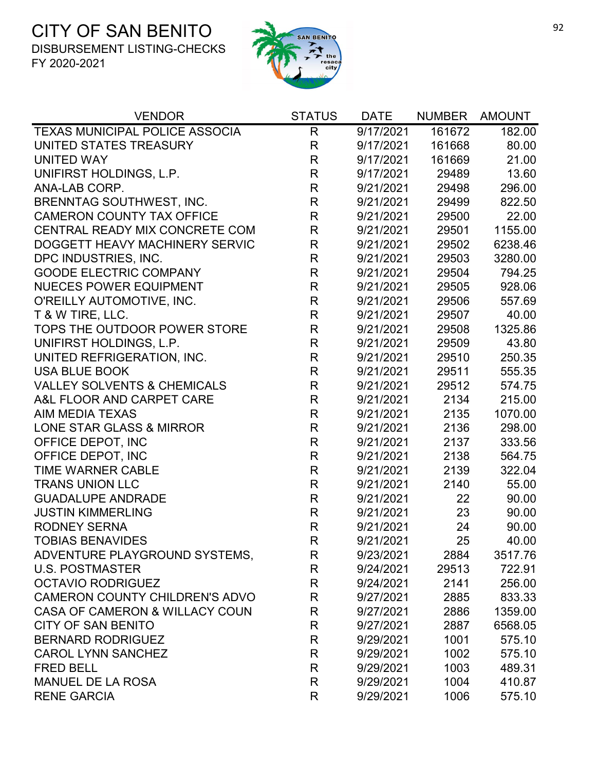

| <b>VENDOR</b>                          | <b>STATUS</b> | <b>DATE</b> | <b>NUMBER</b> | AMOUNT  |
|----------------------------------------|---------------|-------------|---------------|---------|
| <b>TEXAS MUNICIPAL POLICE ASSOCIA</b>  | R             | 9/17/2021   | 161672        | 182.00  |
| UNITED STATES TREASURY                 | R             | 9/17/2021   | 161668        | 80.00   |
| <b>UNITED WAY</b>                      | R             | 9/17/2021   | 161669        | 21.00   |
| UNIFIRST HOLDINGS, L.P.                | $\mathsf{R}$  | 9/17/2021   | 29489         | 13.60   |
| ANA-LAB CORP.                          | $\mathsf{R}$  | 9/21/2021   | 29498         | 296.00  |
| <b>BRENNTAG SOUTHWEST, INC.</b>        | R             | 9/21/2021   | 29499         | 822.50  |
| <b>CAMERON COUNTY TAX OFFICE</b>       | $\mathsf{R}$  | 9/21/2021   | 29500         | 22.00   |
| CENTRAL READY MIX CONCRETE COM         | $\mathsf{R}$  | 9/21/2021   | 29501         | 1155.00 |
| DOGGETT HEAVY MACHINERY SERVIC         | R             | 9/21/2021   | 29502         | 6238.46 |
| DPC INDUSTRIES, INC.                   | $\mathsf{R}$  | 9/21/2021   | 29503         | 3280.00 |
| <b>GOODE ELECTRIC COMPANY</b>          | $\mathsf{R}$  | 9/21/2021   | 29504         | 794.25  |
| <b>NUECES POWER EQUIPMENT</b>          | $\mathsf R$   | 9/21/2021   | 29505         | 928.06  |
| O'REILLY AUTOMOTIVE, INC.              | R             | 9/21/2021   | 29506         | 557.69  |
| T & W TIRE, LLC.                       | $\mathsf{R}$  | 9/21/2021   | 29507         | 40.00   |
| TOPS THE OUTDOOR POWER STORE           | $\mathsf R$   | 9/21/2021   | 29508         | 1325.86 |
| UNIFIRST HOLDINGS, L.P.                | R             | 9/21/2021   | 29509         | 43.80   |
| UNITED REFRIGERATION, INC.             | $\mathsf R$   | 9/21/2021   | 29510         | 250.35  |
| <b>USA BLUE BOOK</b>                   | $\mathsf{R}$  | 9/21/2021   | 29511         | 555.35  |
| <b>VALLEY SOLVENTS &amp; CHEMICALS</b> | $\mathsf{R}$  | 9/21/2021   | 29512         | 574.75  |
| A&L FLOOR AND CARPET CARE              | R             | 9/21/2021   | 2134          | 215.00  |
| <b>AIM MEDIA TEXAS</b>                 | $\mathsf{R}$  | 9/21/2021   | 2135          | 1070.00 |
| LONE STAR GLASS & MIRROR               | $\mathsf{R}$  | 9/21/2021   | 2136          | 298.00  |
| OFFICE DEPOT, INC                      | R             | 9/21/2021   | 2137          | 333.56  |
| OFFICE DEPOT, INC                      | $\mathsf R$   | 9/21/2021   | 2138          | 564.75  |
| <b>TIME WARNER CABLE</b>               | $\mathsf{R}$  | 9/21/2021   | 2139          | 322.04  |
| <b>TRANS UNION LLC</b>                 | R             | 9/21/2021   | 2140          | 55.00   |
| <b>GUADALUPE ANDRADE</b>               | R             | 9/21/2021   | 22            | 90.00   |
| <b>JUSTIN KIMMERLING</b>               | R             | 9/21/2021   | 23            | 90.00   |
| <b>RODNEY SERNA</b>                    | $\mathsf{R}$  | 9/21/2021   | 24            | 90.00   |
| <b>TOBIAS BENAVIDES</b>                | R             | 9/21/2021   | 25            | 40.00   |
| ADVENTURE PLAYGROUND SYSTEMS,          | R             | 9/23/2021   | 2884          | 3517.76 |
| <b>U.S. POSTMASTER</b>                 | R             | 9/24/2021   | 29513         | 722.91  |
| <b>OCTAVIO RODRIGUEZ</b>               | R             | 9/24/2021   | 2141          | 256.00  |
| <b>CAMERON COUNTY CHILDREN'S ADVO</b>  | R             | 9/27/2021   | 2885          | 833.33  |
| CASA OF CAMERON & WILLACY COUN         | R             | 9/27/2021   | 2886          | 1359.00 |
| <b>CITY OF SAN BENITO</b>              | R             | 9/27/2021   | 2887          | 6568.05 |
| <b>BERNARD RODRIGUEZ</b>               | R             | 9/29/2021   | 1001          | 575.10  |
| <b>CAROL LYNN SANCHEZ</b>              | R             | 9/29/2021   | 1002          | 575.10  |
| <b>FRED BELL</b>                       | R             | 9/29/2021   | 1003          | 489.31  |
| <b>MANUEL DE LA ROSA</b>               | R             | 9/29/2021   | 1004          | 410.87  |
| <b>RENE GARCIA</b>                     | R             | 9/29/2021   | 1006          | 575.10  |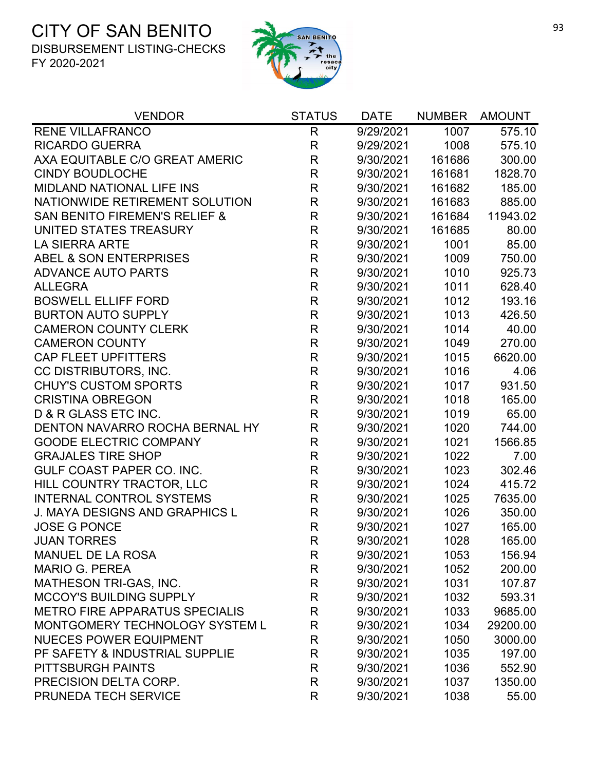

| <b>VENDOR</b>                            | <b>STATUS</b> | <b>DATE</b> | <b>NUMBER</b> | <b>AMOUNT</b> |
|------------------------------------------|---------------|-------------|---------------|---------------|
| <b>RENE VILLAFRANCO</b>                  | $\mathsf{R}$  | 9/29/2021   | 1007          | 575.10        |
| <b>RICARDO GUERRA</b>                    | R             | 9/29/2021   | 1008          | 575.10        |
| AXA EQUITABLE C/O GREAT AMERIC           | $\mathsf R$   | 9/30/2021   | 161686        | 300.00        |
| <b>CINDY BOUDLOCHE</b>                   | R             | 9/30/2021   | 161681        | 1828.70       |
| <b>MIDLAND NATIONAL LIFE INS</b>         | R             | 9/30/2021   | 161682        | 185.00        |
| NATIONWIDE RETIREMENT SOLUTION           | $\mathsf{R}$  | 9/30/2021   | 161683        | 885.00        |
| <b>SAN BENITO FIREMEN'S RELIEF &amp;</b> | $\mathsf{R}$  | 9/30/2021   | 161684        | 11943.02      |
| UNITED STATES TREASURY                   | R             | 9/30/2021   | 161685        | 80.00         |
| <b>LA SIERRA ARTE</b>                    | $\mathsf{R}$  | 9/30/2021   | 1001          | 85.00         |
| ABEL & SON ENTERPRISES                   | $\mathsf R$   | 9/30/2021   | 1009          | 750.00        |
| <b>ADVANCE AUTO PARTS</b>                | R             | 9/30/2021   | 1010          | 925.73        |
| <b>ALLEGRA</b>                           | $\mathsf{R}$  | 9/30/2021   | 1011          | 628.40        |
| <b>BOSWELL ELLIFF FORD</b>               | R             | 9/30/2021   | 1012          | 193.16        |
| <b>BURTON AUTO SUPPLY</b>                | $\mathsf R$   | 9/30/2021   | 1013          | 426.50        |
| <b>CAMERON COUNTY CLERK</b>              | $\mathsf{R}$  | 9/30/2021   | 1014          | 40.00         |
| <b>CAMERON COUNTY</b>                    | $\mathsf R$   | 9/30/2021   | 1049          | 270.00        |
| <b>CAP FLEET UPFITTERS</b>               | $\mathsf{R}$  | 9/30/2021   | 1015          | 6620.00       |
| CC DISTRIBUTORS, INC.                    | R             | 9/30/2021   | 1016          | 4.06          |
| <b>CHUY'S CUSTOM SPORTS</b>              | $\mathsf R$   | 9/30/2021   | 1017          | 931.50        |
| <b>CRISTINA OBREGON</b>                  | $\mathsf{R}$  | 9/30/2021   | 1018          | 165.00        |
| D & R GLASS ETC INC.                     | $\mathsf R$   | 9/30/2021   | 1019          | 65.00         |
| DENTON NAVARRO ROCHA BERNAL HY           | R             | 9/30/2021   | 1020          | 744.00        |
| <b>GOODE ELECTRIC COMPANY</b>            | $\mathsf{R}$  | 9/30/2021   | 1021          | 1566.85       |
| <b>GRAJALES TIRE SHOP</b>                | R             | 9/30/2021   | 1022          | 7.00          |
| GULF COAST PAPER CO. INC.                | $\mathsf{R}$  | 9/30/2021   | 1023          | 302.46        |
| HILL COUNTRY TRACTOR, LLC                | $\mathsf R$   | 9/30/2021   | 1024          | 415.72        |
| <b>INTERNAL CONTROL SYSTEMS</b>          | R             | 9/30/2021   | 1025          | 7635.00       |
| <b>J. MAYA DESIGNS AND GRAPHICS L</b>    | $\mathsf R$   | 9/30/2021   | 1026          | 350.00        |
| <b>JOSE G PONCE</b>                      | $\mathsf R$   | 9/30/2021   | 1027          | 165.00        |
| <b>JUAN TORRES</b>                       | R             | 9/30/2021   | 1028          | 165.00        |
| <b>MANUEL DE LA ROSA</b>                 | R             | 9/30/2021   | 1053          | 156.94        |
| <b>MARIO G. PEREA</b>                    | R             | 9/30/2021   | 1052          | 200.00        |
| <b>MATHESON TRI-GAS, INC.</b>            | R             | 9/30/2021   | 1031          | 107.87        |
| <b>MCCOY'S BUILDING SUPPLY</b>           | R             | 9/30/2021   | 1032          | 593.31        |
| <b>METRO FIRE APPARATUS SPECIALIS</b>    | R             | 9/30/2021   | 1033          | 9685.00       |
| MONTGOMERY TECHNOLOGY SYSTEM L           | R             | 9/30/2021   | 1034          | 29200.00      |
| <b>NUECES POWER EQUIPMENT</b>            | R             | 9/30/2021   | 1050          | 3000.00       |
| PF SAFETY & INDUSTRIAL SUPPLIE           | R             | 9/30/2021   | 1035          | 197.00        |
| PITTSBURGH PAINTS                        | R             | 9/30/2021   | 1036          | 552.90        |
| PRECISION DELTA CORP.                    | R             | 9/30/2021   | 1037          | 1350.00       |
| PRUNEDA TECH SERVICE                     | R             | 9/30/2021   | 1038          | 55.00         |
|                                          |               |             |               |               |